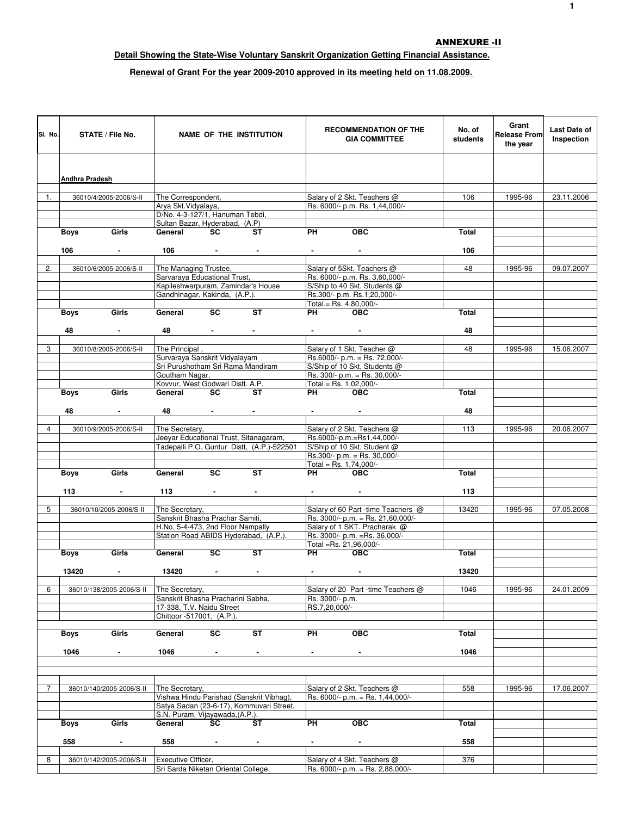## ANNEXURE -II

## **Detail Showing the State-Wise Voluntary Sanskrit Organization Getting Financial Assistance.**

## **Renewal of Grant For the year 2009-2010 approved in its meeting held on 11.08.2009.**

| SI. No.        |                | STATE / File No.         |                                                                    |                               | <b>NAME OF THE INSTITUTION</b>             |                                  | <b>RECOMMENDATION OF THE</b><br><b>GIA COMMITTEE</b>           | No. of<br>students | Grant<br><b>Release From</b><br>the year | Last Date of<br>Inspection |
|----------------|----------------|--------------------------|--------------------------------------------------------------------|-------------------------------|--------------------------------------------|----------------------------------|----------------------------------------------------------------|--------------------|------------------------------------------|----------------------------|
|                |                |                          |                                                                    |                               |                                            |                                  |                                                                |                    |                                          |                            |
|                |                |                          |                                                                    |                               |                                            |                                  |                                                                |                    |                                          |                            |
|                | Andhra Pradesh |                          |                                                                    |                               |                                            |                                  |                                                                |                    |                                          |                            |
| 1.             |                | 36010/4/2005-2006/S-II   | The Correspondent,                                                 |                               |                                            |                                  | Salary of 2 Skt. Teachers @                                    | 106                | 1995-96                                  | 23.11.2006                 |
|                |                |                          | Arya Skt. Vidyalaya,<br>D/No. 4-3-127/1, Hanuman Tebdi,            |                               |                                            |                                  | Rs. 6000/- p.m. Rs. 1,44,000/-                                 |                    |                                          |                            |
|                |                |                          | Sultan Bazar, Hyderabad, (A.P)                                     |                               |                                            |                                  |                                                                |                    |                                          |                            |
|                | Boys           | Girls                    | General                                                            | SC                            | ST                                         | <b>PH</b>                        | <b>OBC</b>                                                     | Total              |                                          |                            |
|                | 106            | $\sim$                   |                                                                    | $106$ -                       | $\sim$                                     | $\sim$                           | $\sim$                                                         | 106                |                                          |                            |
|                |                |                          |                                                                    |                               |                                            |                                  |                                                                |                    |                                          |                            |
| 2.             |                | 36010/6/2005-2006/S-II   | The Managing Trustee,                                              |                               |                                            |                                  | Salary of 5Skt. Teachers @                                     | 48                 | 1995-96                                  | 09.07.2007                 |
|                |                |                          | Sarvaraya Educational Trust,<br>Kapileshwarpuram, Zamindar's House |                               |                                            |                                  | Rs. 6000/- p.m. Rs. 3,60,000/-<br>S/Ship to 40 Skt. Students @ |                    |                                          |                            |
|                |                |                          | Gandhinagar, Kakinda, (A.P.).                                      |                               |                                            |                                  | Rs.300/- p.m. Rs.1,20,000/-                                    |                    |                                          |                            |
|                |                |                          |                                                                    | <b>SC</b>                     | <b>ST</b>                                  |                                  | Total.= Rs. 4,80,000/-                                         |                    |                                          |                            |
|                | <b>Boys</b>    | Girls                    | General –                                                          |                               |                                            | <b>PH</b>                        | <b>OBC</b>                                                     | Total              |                                          |                            |
|                | 48             | $\sim$                   | 48                                                                 | <b>Contract Contract</b>      |                                            |                                  | <b>Provident Control</b>                                       | 48                 |                                          |                            |
|                |                |                          |                                                                    |                               |                                            |                                  |                                                                |                    |                                          |                            |
| 3              |                | 36010/8/2005-2006/S-II   | The Principal,<br>Survaraya Sanskrit Vidyalayam                    |                               |                                            |                                  | Salary of 1 Skt. Teacher @<br>Rs.6000/- p.m. = Rs. 72,000/-    | 48                 | 1995-96                                  | 15.06.2007                 |
|                |                |                          | Sri Purushotham Sri Rama Mandiram                                  |                               |                                            |                                  | S/Ship of 10 Skt. Students @                                   |                    |                                          |                            |
|                |                |                          | Goutham Nagar.                                                     |                               |                                            |                                  | Rs. 300/- p.m. = Rs. 30,000/-                                  |                    |                                          |                            |
|                | Boys           | Girls                    | Kovvur, West Godwari Distt. A.P.<br>General SC                     |                               | <b>ST</b>                                  |                                  | Total = Rs. $1,02,000/-$<br>PH OBC                             | Total              |                                          |                            |
|                |                |                          |                                                                    |                               |                                            |                                  |                                                                |                    |                                          |                            |
|                | 48             | $\sim$                   |                                                                    | 48 - - -                      |                                            |                                  | <b>Contract Contract</b>                                       | 48                 |                                          |                            |
| 4              |                | 36010/9/2005-2006/S-II   | The Secretary,                                                     |                               |                                            |                                  | Salary of 2 Skt. Teachers @                                    | 113                | 1995-96                                  | 20.06.2007                 |
|                |                |                          |                                                                    |                               | Jeeyar Educational Trust, Sitanagaram,     |                                  | Rs.6000/-p.m.=Rs1,44,000/-                                     |                    |                                          |                            |
|                |                |                          |                                                                    |                               | Tadepalli P.O. Guntur Distt, (A.P.)-522501 |                                  | S/Ship of 10 Skt. Student @                                    |                    |                                          |                            |
|                |                |                          |                                                                    |                               |                                            |                                  | Rs.300/- p.m. = Rs. 30,000/-<br>Total = Rs. $1,74,000$ /-      |                    |                                          |                            |
|                | <b>Boys</b>    | Girls                    | General                                                            | SC                            | <b>ST</b>                                  | PH <sub>2</sub>                  | <b>OBC</b>                                                     | Total              |                                          |                            |
|                |                |                          |                                                                    |                               |                                            |                                  |                                                                |                    |                                          |                            |
|                | 113            | $\sim 100$               | 113                                                                | and the state of the state of |                                            |                                  | <b>Contract</b>                                                | 113                |                                          |                            |
| 5              |                | 36010/10/2005-2006/S-II  | The Secretary,                                                     |                               |                                            |                                  | Salary of 60 Part -time Teachers @                             | 13420              | 1995-96                                  | 07.05.2008                 |
|                |                |                          | Sanskrit Bhasha Prachar Samiti,                                    |                               |                                            |                                  | Rs. 3000/- p.m. = Rs. 21,60,000/-                              |                    |                                          |                            |
|                |                |                          | H.No. 5-4-473, 2nd Floor Nampally                                  |                               | Station Road ABIDS Hyderabad, (A.P.).      |                                  | Salary of 1 SKT. Pracharak @<br>Rs. 3000/- p.m. = Rs. 36,000/- |                    |                                          |                            |
|                |                |                          |                                                                    |                               |                                            |                                  | Total =Rs. 21,96,000/-                                         |                    |                                          |                            |
|                | Boys           | Girls                    | General                                                            | <b>SC</b>                     | <b>ST</b>                                  |                                  | PH OBC                                                         | Total              |                                          |                            |
|                |                |                          |                                                                    |                               |                                            |                                  |                                                                |                    |                                          |                            |
|                | 13420          |                          | 13420                                                              |                               |                                            |                                  |                                                                | 13420              |                                          |                            |
| 6              |                | 36010/138/2005-2006/S-II | The Secretary,                                                     |                               |                                            |                                  | Salary of 20 Part -time Teachers @                             | 1046               | 1995-96                                  | 24.01.2009                 |
|                |                |                          | Sanskrit Bhasha Pracharini Sabha,<br>17-338, T.V. Naidu Street     |                               |                                            | Rs. 3000/- p.m.<br>RS.7,20,000/- |                                                                |                    |                                          |                            |
|                |                |                          | Chittoor -517001, (A.P.).                                          |                               |                                            |                                  |                                                                |                    |                                          |                            |
|                |                |                          |                                                                    |                               |                                            |                                  |                                                                |                    |                                          |                            |
|                | Boys           | Girls                    | General                                                            | SC                            | ST                                         | PH                               | <b>OBC</b>                                                     | Total              |                                          |                            |
|                | 1046           | $\blacksquare$           | 1046                                                               | $\sim$                        | $\blacksquare$                             | $\blacksquare$                   | $\sim$                                                         | 1046               |                                          |                            |
|                |                |                          |                                                                    |                               |                                            |                                  |                                                                |                    |                                          |                            |
|                |                |                          |                                                                    |                               |                                            |                                  |                                                                |                    |                                          |                            |
| $\overline{7}$ |                | 36010/140/2005-2006/S-II | The Secretary,                                                     |                               |                                            |                                  | Salary of 2 Skt. Teachers @                                    | 558                | 1995-96                                  | 17.06.2007                 |
|                |                |                          |                                                                    |                               | Vishwa Hindu Parishad (Sanskrit Vibhag),   |                                  | Rs. 6000/- p.m. = Rs. 1,44,000/-                               |                    |                                          |                            |
|                |                |                          |                                                                    |                               | Satya Sadan (23-6-17), Kommuvari Street,   |                                  |                                                                |                    |                                          |                            |
|                | Boys           | Girls                    | S.N. Puram, Vijayawada, (A.P.).<br>General                         | SC                            | ST                                         | PH                               | <b>OBC</b>                                                     | Total              |                                          |                            |
|                |                |                          |                                                                    |                               |                                            |                                  |                                                                |                    |                                          |                            |
|                | 558            | $\overline{\phantom{a}}$ | 558                                                                | $\sim$                        |                                            |                                  | $\blacksquare$                                                 | 558                |                                          |                            |
| 8              |                | 36010/142/2005-2006/S-II | Executive Officer,                                                 |                               |                                            |                                  | Salary of 4 Skt. Teachers @                                    | 376                |                                          |                            |
|                |                |                          | Sri Sarda Niketan Oriental College,                                |                               |                                            |                                  | Rs. 6000/- p.m. = Rs. 2,88,000/-                               |                    |                                          |                            |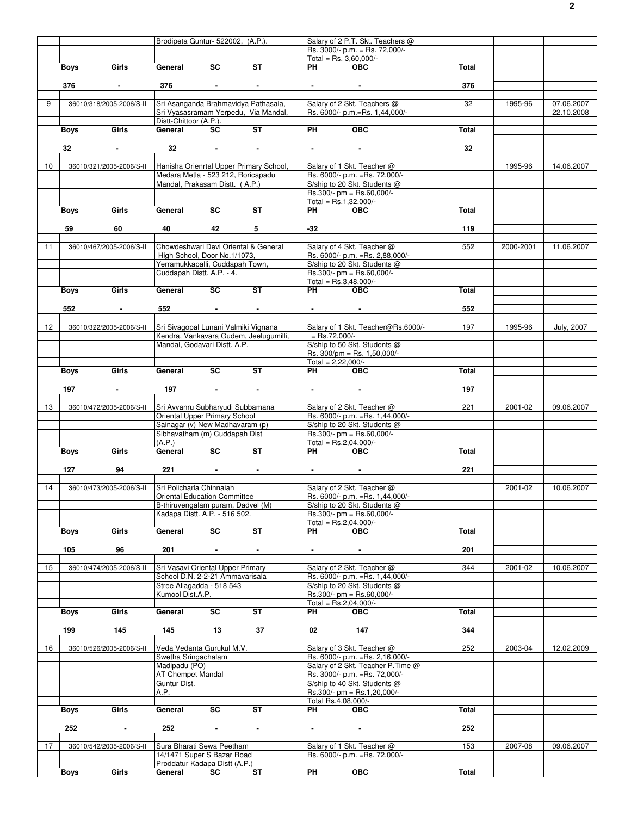|                 |             |                          | Brodipeta Guntur- 522002, (A.P.).    |                                 |                                         |                      | Salary of 2 P.T. Skt. Teachers @   |              |           |            |
|-----------------|-------------|--------------------------|--------------------------------------|---------------------------------|-----------------------------------------|----------------------|------------------------------------|--------------|-----------|------------|
|                 |             |                          |                                      |                                 |                                         |                      |                                    |              |           |            |
|                 |             |                          |                                      |                                 |                                         |                      | Rs. 3000/- p.m. = Rs. 72,000/-     |              |           |            |
|                 |             |                          |                                      |                                 |                                         |                      | Total = Rs. $3,60,000/-$           |              |           |            |
|                 | Boys        | Girls                    | General                              | $\overline{\mathsf{sc}}$        | <b>ST</b>                               | PH                   | <b>OBC</b>                         | Total        |           |            |
|                 |             |                          |                                      |                                 |                                         |                      |                                    |              |           |            |
|                 | 376         | $\sim 100$               | 376                                  | $\sim$                          | $\blacksquare$                          | <b>All Control</b>   | $\sim$                             | 376          |           |            |
|                 |             |                          |                                      |                                 |                                         |                      |                                    |              |           |            |
| 9               |             | 36010/318/2005-2006/S-II |                                      |                                 | Sri Asanganda Brahmavidya Pathasala,    |                      | Salary of 2 Skt. Teachers @        | 32           | 1995-96   | 07.06.2007 |
|                 |             |                          |                                      |                                 | Sri Vyasasramam Yerpedu, Via Mandal,    |                      | Rs. 6000/- p.m.=Rs. 1,44,000/-     |              |           | 22.10.2008 |
|                 |             |                          | Distt-Chittoor (A.P.).               |                                 |                                         |                      |                                    |              |           |            |
|                 |             | Girls                    | General                              | <b>SC</b>                       | $\overline{\mathsf{ST}}$                | <b>PH</b>            | OEC                                | Total        |           |            |
|                 | Boys        |                          |                                      |                                 |                                         |                      |                                    |              |           |            |
|                 |             |                          |                                      |                                 |                                         |                      |                                    |              |           |            |
|                 | 32          | $\sim$                   | 32                                   | $\sim 100$ km s $^{-1}$         | $\blacksquare$                          |                      |                                    | 32           |           |            |
|                 |             |                          |                                      |                                 |                                         |                      |                                    |              |           |            |
| 10 <sup>1</sup> |             | 36010/321/2005-2006/S-II |                                      |                                 | Hanisha Orienrtal Upper Primary School, |                      | Salary of 1 Skt. Teacher @         |              | 1995-96   | 14.06.2007 |
|                 |             |                          | Medara Metla - 523 212, Roricapadu   |                                 |                                         |                      | Rs. 6000/- p.m. = Rs. 72,000/-     |              |           |            |
|                 |             |                          | Mandal, Prakasam Distt. (A.P.)       |                                 |                                         |                      | S/ship to 20 Skt. Students @       |              |           |            |
|                 |             |                          |                                      |                                 |                                         |                      |                                    |              |           |            |
|                 |             |                          |                                      |                                 |                                         |                      | $Rs.300/- pm = Rs.60,000/-$        |              |           |            |
|                 |             |                          |                                      |                                 |                                         |                      | Total = $Rs.1,32,000/-$            |              |           |            |
|                 | Boys        | Girls                    | General                              | <b>SC</b>                       | ST                                      | PH                   | <b>OBC</b>                         | Total        |           |            |
|                 |             |                          |                                      |                                 |                                         |                      |                                    |              |           |            |
|                 | 59          | 60                       | 40                                   | 42                              | 5                                       | -32                  |                                    | 119          |           |            |
|                 |             |                          |                                      |                                 |                                         |                      |                                    |              |           |            |
|                 |             |                          |                                      |                                 |                                         |                      |                                    |              |           |            |
| 11              |             | 36010/467/2005-2006/S-II |                                      |                                 | Chowdeshwari Devi Oriental & General    |                      | Salary of 4 Skt. Teacher @         | 552          | 2000-2001 | 11.06.2007 |
|                 |             |                          |                                      | High School, Door No.1/1073,    |                                         |                      | Rs. 6000/- p.m. = Rs. 2,88,000/-   |              |           |            |
|                 |             |                          |                                      | Yerramukkapalli, Cuddapah Town, |                                         |                      | S/ship to 20 Skt. Students @       |              |           |            |
|                 |             |                          | Cuddapah Distt. A.P. - 4.            |                                 |                                         |                      | $Rs.300/- pm = Rs.60,000/-$        |              |           |            |
|                 |             |                          |                                      |                                 |                                         |                      | Total = $Rs.3,48,000/-$            |              |           |            |
|                 | Boys        | Girls                    | General                              | $\overline{\mathsf{sc}}$        | <b>ST</b>                               | PH                   | <b>OBC</b>                         | Total        |           |            |
|                 |             |                          |                                      |                                 |                                         |                      |                                    |              |           |            |
|                 |             |                          |                                      |                                 |                                         |                      |                                    |              |           |            |
|                 | 552         | $\sim$                   | 552                                  | and the state of the state      |                                         |                      |                                    | 552          |           |            |
|                 |             |                          |                                      |                                 |                                         |                      |                                    |              |           |            |
| 12              |             | 36010/322/2005-2006/S-II | Sri Sivagopal Lunani Valmiki Vignana |                                 |                                         |                      | Salary of 1 Skt. Teacher@Rs.6000/- | 197          | 1995-96   | July, 2007 |
|                 |             |                          |                                      |                                 | Kendra, Vankavara Gudem, Jeelugumilli,  | $=$ Rs.72,000/-      |                                    |              |           |            |
|                 |             |                          |                                      |                                 |                                         |                      | S/ship to 50 Skt. Students @       |              |           |            |
|                 |             |                          | Mandal, Godavari Distt. A.P.         |                                 |                                         |                      |                                    |              |           |            |
|                 |             |                          |                                      |                                 |                                         |                      | Rs. 300/pm = Rs. 1,50,000/-        |              |           |            |
|                 |             |                          |                                      |                                 |                                         | Total = $2,22,000/-$ |                                    |              |           |            |
|                 | Boys        | Girls                    | General                              | <b>SC</b>                       | <b>ST</b>                               | PH                   | <b>OBC</b>                         | Total        |           |            |
|                 |             |                          |                                      |                                 |                                         |                      |                                    |              |           |            |
|                 | 197         |                          | 197                                  | $\blacksquare$                  | $\blacksquare$                          |                      |                                    | 197          |           |            |
|                 |             |                          |                                      |                                 |                                         |                      |                                    |              |           |            |
|                 |             |                          |                                      |                                 |                                         |                      |                                    |              |           |            |
| 13              |             | 36010/472/2005-2006/S-II | Sri Avvanru Subharyudi Subbamana     |                                 |                                         |                      | Salary of 2 Skt. Teacher @         | 221          | 2001-02   | 09.06.2007 |
|                 |             |                          | <b>Oriental Upper Primary School</b> |                                 |                                         |                      | Rs. 6000/- p.m. = Rs. 1,44,000/-   |              |           |            |
|                 |             |                          |                                      | Sainagar (v) New Madhavaram (p) |                                         |                      | S/ship to 20 Skt. Students @       |              |           |            |
|                 |             |                          | Sibhavatham (m) Cuddapah Dist        |                                 |                                         |                      | $Rs.300/- pm = Rs.60,000/-$        |              |           |            |
|                 |             |                          | (A.P.)                               |                                 |                                         |                      | Total = $Rs.2,04,000/-$            |              |           |            |
|                 |             | Girls                    | General                              | $\overline{\mathsf{sc}}$        | ST                                      | PH                   | <b>OBC</b>                         | Total        |           |            |
|                 | Boys        |                          |                                      |                                 |                                         |                      |                                    |              |           |            |
|                 |             |                          |                                      |                                 |                                         |                      |                                    |              |           |            |
|                 | 127         | 94                       | 221                                  | <b>Contract Contract</b>        | $\sim$                                  | $\sim 100$           | $\sim$                             | 221          |           |            |
|                 |             |                          |                                      |                                 |                                         |                      |                                    |              |           |            |
| 14              |             | 36010/473/2005-2006/S-II | Sri Policharla Chinnaiah             |                                 |                                         |                      | Salary of 2 Skt. Teacher @         |              | 2001-02   | 10.06.2007 |
|                 |             |                          | <b>Oriental Education Committee</b>  |                                 |                                         |                      | Rs. 6000/- p.m. = Rs. 1,44,000/-   |              |           |            |
|                 |             |                          | B-thiruvengalam puram, Dadvel (M)    |                                 |                                         |                      | S/ship to 20 Skt. Students @       |              |           |            |
|                 |             |                          |                                      |                                 |                                         |                      |                                    |              |           |            |
|                 |             |                          | Kadapa Distt. A.P. - 516 502.        |                                 |                                         |                      | Rs.300/- pm = Rs.60,000/-          |              |           |            |
|                 |             |                          |                                      |                                 |                                         |                      | Total = $Rs.2.04.000/-$            |              |           |            |
|                 | Boys        | Girls                    | General                              | $\overline{\text{sc}}$          | ST                                      | PH.                  | <b>OBC</b>                         | Total        |           |            |
|                 |             |                          |                                      |                                 |                                         |                      |                                    |              |           |            |
|                 | 105         | 96                       | 201                                  | $\sim$                          | $\blacksquare$                          | $\blacksquare$       | $\blacksquare$                     | 201          |           |            |
|                 |             |                          |                                      |                                 |                                         |                      |                                    |              |           |            |
|                 |             |                          | Sri Vasavi Oriental Upper Primary    |                                 |                                         |                      |                                    |              |           |            |
| 15              |             | 36010/474/2005-2006/S-II |                                      |                                 |                                         |                      | Salary of 2 Skt. Teacher @         | 344          | 2001-02   | 10.06.2007 |
|                 |             |                          | School D.N. 2-2-21 Ammavarisala      |                                 |                                         |                      | Rs. 6000/- p.m. = Rs. 1,44,000/-   |              |           |            |
|                 |             |                          | Stree Allagadda - 518 543            |                                 |                                         |                      | S/ship to 20 Skt. Students @       |              |           |            |
|                 |             |                          | Kumool Dist.A.P.                     |                                 |                                         |                      | $Rs.300/- pm = Rs.60,000/-$        |              |           |            |
|                 |             |                          |                                      |                                 |                                         |                      | Total = $Rs.2,04,000/-$            |              |           |            |
|                 | Boys        | Girls                    | General                              | SC                              | ST                                      | PH                   | <b>OBC</b>                         | Total        |           |            |
|                 |             |                          |                                      |                                 |                                         |                      |                                    |              |           |            |
|                 |             |                          |                                      |                                 |                                         |                      |                                    |              |           |            |
|                 | 199         | 145                      | 145                                  | 13                              | 37                                      | 02                   | 147                                | 344          |           |            |
|                 |             |                          |                                      |                                 |                                         |                      |                                    |              |           |            |
| 16              |             | 36010/526/2005-2006/S-II |                                      | Veda Vedanta Gurukul M.V.       |                                         |                      | Salary of 3 Skt. Teacher @         | 252          | 2003-04   | 12.02.2009 |
|                 |             |                          | Swetha Sringachalam                  |                                 |                                         |                      | Rs. 6000/- p.m. = Rs. 2,16,000/-   |              |           |            |
|                 |             |                          | Madipadu (PO)                        |                                 |                                         |                      | Salary of 2 Skt. Teacher P.Time @  |              |           |            |
|                 |             |                          | AT Chempet Mandal                    |                                 |                                         |                      | Rs. 3000/- p.m. = Rs. 72,000/-     |              |           |            |
|                 |             |                          |                                      |                                 |                                         |                      |                                    |              |           |            |
|                 |             |                          | Guntur Dist.                         |                                 |                                         |                      | S/ship to 40 Skt. Students @       |              |           |            |
|                 |             |                          | A.P.                                 |                                 |                                         |                      | Rs.300/- pm = Rs.1,20,000/-        |              |           |            |
|                 |             |                          |                                      |                                 |                                         |                      | Total Rs.4,08,000/-                |              |           |            |
|                 | Boys        | Girls                    | General                              | SC                              | ST                                      | PH                   | <b>OBC</b>                         | Total        |           |            |
|                 |             |                          |                                      |                                 |                                         |                      |                                    |              |           |            |
|                 | 252         |                          | 252                                  |                                 |                                         | $\blacksquare$       |                                    | 252          |           |            |
|                 |             | $\blacksquare$           |                                      | $\sim$                          | $\blacksquare$                          |                      | $\blacksquare$                     |              |           |            |
|                 |             |                          |                                      |                                 |                                         |                      |                                    |              |           |            |
| 17              |             | 36010/542/2005-2006/S-II | Sura Bharati Sewa Peetham            |                                 |                                         |                      | Salary of 1 Skt. Teacher @         | 153          | 2007-08   | 09.06.2007 |
|                 |             |                          | 14/1471 Super S Bazar Road           |                                 |                                         |                      | Rs. 6000/- p.m. = Rs. 72,000/-     |              |           |            |
|                 |             |                          | Proddatur Kadapa Distt (A.P.)        |                                 |                                         |                      |                                    |              |           |            |
|                 | <b>Boys</b> | Girls                    | General                              | SC                              | ST                                      | PH                   | <b>OBC</b>                         | <b>Total</b> |           |            |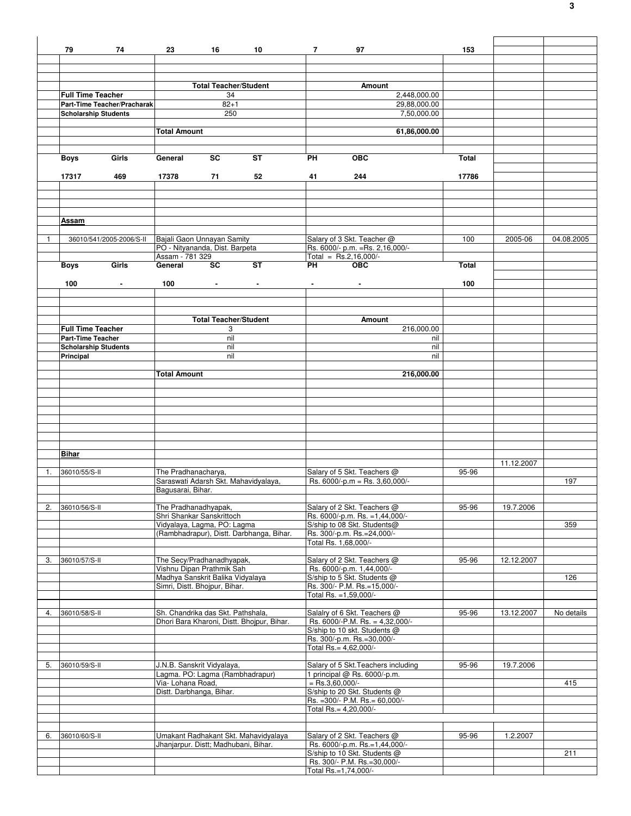|    | 79                                                      | 74                          | 23                                                           | 16                                 | 10                                         | $7 \sim$ | 97                                                                  | 153          |            |            |
|----|---------------------------------------------------------|-----------------------------|--------------------------------------------------------------|------------------------------------|--------------------------------------------|----------|---------------------------------------------------------------------|--------------|------------|------------|
|    |                                                         |                             |                                                              |                                    |                                            |          |                                                                     |              |            |            |
|    |                                                         |                             |                                                              |                                    |                                            |          |                                                                     |              |            |            |
|    |                                                         |                             |                                                              |                                    |                                            |          |                                                                     |              |            |            |
|    | <b>Full Time Teacher</b>                                |                             |                                                              | <b>Total Teacher/Student</b><br>34 |                                            |          | Amount<br>2,448,000.00                                              |              |            |            |
|    |                                                         | Part-Time Teacher/Pracharak |                                                              | $82 + 1$                           |                                            |          | 29,88,000.00                                                        |              |            |            |
|    | <b>Scholarship Students</b>                             |                             |                                                              | 250                                |                                            |          | 7,50,000.00                                                         |              |            |            |
|    |                                                         |                             |                                                              |                                    |                                            |          |                                                                     |              |            |            |
|    |                                                         |                             | <b>Total Amount</b>                                          |                                    |                                            |          | 61,86,000.00                                                        |              |            |            |
|    |                                                         |                             |                                                              |                                    |                                            |          |                                                                     |              |            |            |
|    |                                                         |                             |                                                              |                                    |                                            |          |                                                                     |              |            |            |
|    | <b>Boys</b>                                             | Girls                       | General                                                      | <b>SC</b>                          | <b>ST</b>                                  | PH       | <b>OBC</b>                                                          | Total        |            |            |
|    |                                                         | 469                         | 17378                                                        | 71                                 | 52                                         | 41       | 244                                                                 | 17786        |            |            |
|    | 17317                                                   |                             |                                                              |                                    |                                            |          |                                                                     |              |            |            |
|    |                                                         |                             |                                                              |                                    |                                            |          |                                                                     |              |            |            |
|    |                                                         |                             |                                                              |                                    |                                            |          |                                                                     |              |            |            |
|    |                                                         |                             |                                                              |                                    |                                            |          |                                                                     |              |            |            |
|    | Assam                                                   |                             |                                                              |                                    |                                            |          |                                                                     |              |            |            |
|    |                                                         |                             |                                                              |                                    |                                            |          |                                                                     |              |            |            |
| 1  |                                                         | 36010/541/2005-2006/S-II    | Bajali Gaon Unnayan Samity<br>PO - Nityananda, Dist. Barpeta |                                    |                                            |          | Salary of 3 Skt. Teacher @                                          | 100          | 2005-06    | 04.08.2005 |
|    |                                                         |                             | Assam - 781 329                                              |                                    |                                            |          | Rs. 6000/- p.m. = Rs. 2,16,000/-<br>$Total = Rs.2,16,000/-$         |              |            |            |
|    | <b>Boys</b>                                             | Girls                       | General                                                      | <b>SC</b>                          | <b>ST</b>                                  | PH       | <b>OBC</b>                                                          | <b>Total</b> |            |            |
|    |                                                         |                             |                                                              |                                    |                                            |          |                                                                     |              |            |            |
|    | 100                                                     |                             | 100                                                          |                                    |                                            |          |                                                                     | 100          |            |            |
|    |                                                         |                             |                                                              |                                    |                                            |          |                                                                     |              |            |            |
|    |                                                         |                             |                                                              |                                    |                                            |          |                                                                     |              |            |            |
|    |                                                         |                             |                                                              |                                    |                                            |          |                                                                     |              |            |            |
|    |                                                         |                             |                                                              | <b>Total Teacher/Student</b>       |                                            |          | Amount                                                              |              |            |            |
|    | <b>Full Time Teacher</b>                                |                             |                                                              | 3<br>nil                           |                                            |          | 216,000.00                                                          |              |            |            |
|    | <b>Part-Time Teacher</b><br><b>Scholarship Students</b> |                             |                                                              | nil                                |                                            |          | nil<br>nil                                                          |              |            |            |
|    | Principal                                               |                             |                                                              | nil                                |                                            |          | nil                                                                 |              |            |            |
|    |                                                         |                             |                                                              |                                    |                                            |          |                                                                     |              |            |            |
|    |                                                         |                             | <b>Total Amount</b>                                          |                                    |                                            |          | 216,000.00                                                          |              |            |            |
|    |                                                         |                             |                                                              |                                    |                                            |          |                                                                     |              |            |            |
|    |                                                         |                             |                                                              |                                    |                                            |          |                                                                     |              |            |            |
|    |                                                         |                             |                                                              |                                    |                                            |          |                                                                     |              |            |            |
|    |                                                         |                             |                                                              |                                    |                                            |          |                                                                     |              |            |            |
|    |                                                         |                             |                                                              |                                    |                                            |          |                                                                     |              |            |            |
|    |                                                         |                             |                                                              |                                    |                                            |          |                                                                     |              |            |            |
|    |                                                         |                             |                                                              |                                    |                                            |          |                                                                     |              |            |            |
|    | <b>Bihar</b>                                            |                             |                                                              |                                    |                                            |          |                                                                     |              |            |            |
|    |                                                         |                             |                                                              |                                    |                                            |          |                                                                     |              | 11.12.2007 |            |
| 1. | 36010/55/S-II                                           |                             | The Pradhanacharya,                                          |                                    |                                            |          | Salary of 5 Skt. Teachers @                                         | 95-96        |            |            |
|    |                                                         |                             | Saraswati Adarsh Skt. Mahavidyalaya,                         |                                    |                                            |          | Rs. $6000/-p.m = Rs. 3,60,000/-$                                    |              |            | 197        |
|    |                                                         |                             | Bagusarai, Bihar.                                            |                                    |                                            |          |                                                                     |              |            |            |
|    |                                                         |                             |                                                              |                                    |                                            |          |                                                                     |              |            |            |
| 2. | 36010/56/S-II                                           |                             | The Pradhanadhyapak,                                         |                                    |                                            |          | Salary of 2 Skt. Teachers @                                         | 95-96        | 19.7.2006  |            |
|    |                                                         |                             | Shri Shankar Sanskrittoch<br>Vidyalaya, Lagma, PO: Lagma     |                                    |                                            |          | Rs. 6000/-p.m. Rs. =1,44,000/-<br>S/ship to 08 Skt. Students@       |              |            | 359        |
|    |                                                         |                             |                                                              |                                    | (Rambhadrapur), Distt. Darbhanga, Bihar.   |          | Rs. 300/-p.m. Rs.=24,000/-                                          |              |            |            |
|    |                                                         |                             |                                                              |                                    |                                            |          | Total Rs. 1,68,000/-                                                |              |            |            |
|    |                                                         |                             |                                                              |                                    |                                            |          |                                                                     |              |            |            |
| 3. | 36010/57/S-II                                           |                             | The Secy/Pradhanadhyapak,                                    |                                    |                                            |          | Salary of 2 Skt. Teachers @                                         | 95-96        | 12.12.2007 |            |
|    |                                                         |                             | Vishnu Dipan Prathmik Sah                                    |                                    |                                            |          | Rs. 6000/-p.m. 1,44,000/-                                           |              |            |            |
|    |                                                         |                             | Madhya Sanskrit Balika Vidyalaya                             |                                    |                                            |          | S/ship to 5 Skt. Students @                                         |              |            | 126        |
|    |                                                         |                             | Simri, Distt. Bhojpur, Bihar.                                |                                    |                                            |          | Rs. 300/- P.M. Rs.=15,000/-<br>Total Rs. = 1,59,000/-               |              |            |            |
|    |                                                         |                             |                                                              |                                    |                                            |          |                                                                     |              |            |            |
| 4. | 36010/58/S-II                                           |                             | Sh. Chandrika das Skt. Pathshala,                            |                                    |                                            |          | Salalry of 6 Skt. Teachers @                                        | 95-96        | 13.12.2007 | No details |
|    |                                                         |                             |                                                              |                                    | Dhori Bara Kharoni, Distt. Bhojpur, Bihar. |          | Rs. 6000/-P.M. Rs. = 4,32,000/-                                     |              |            |            |
|    |                                                         |                             |                                                              |                                    |                                            |          | S/ship to 10 skt. Students @                                        |              |            |            |
|    |                                                         |                             |                                                              |                                    |                                            |          | Rs. 300/-p.m. Rs.=30,000/-                                          |              |            |            |
|    |                                                         |                             |                                                              |                                    |                                            |          | Total Rs.= 4,62,000/-                                               |              |            |            |
|    |                                                         |                             | J.N.B. Sanskrit Vidyalaya,                                   |                                    |                                            |          |                                                                     |              | 19.7.2006  |            |
| 5. | 36010/59/S-II                                           |                             | Lagma. PO: Lagma (Rambhadrapur)                              |                                    |                                            |          | Salary of 5 Skt. Teachers including<br>1 principal @ Rs. 6000/-p.m. | 95-96        |            |            |
|    |                                                         |                             | Via- Lohana Road,                                            |                                    |                                            |          | $=$ Rs.3,60,000/-                                                   |              |            | 415        |
|    |                                                         |                             | Distt. Darbhanga, Bihar.                                     |                                    |                                            |          | S/ship to 20 Skt. Students @                                        |              |            |            |
|    |                                                         |                             |                                                              |                                    |                                            |          | Rs. = 300/- P.M. Rs. = 60,000/-                                     |              |            |            |
|    |                                                         |                             |                                                              |                                    |                                            |          | Total Rs.= 4,20,000/-                                               |              |            |            |
|    |                                                         |                             |                                                              |                                    |                                            |          |                                                                     |              |            |            |
|    |                                                         |                             |                                                              |                                    |                                            |          |                                                                     |              |            |            |
| 6. | 36010/60/S-II                                           |                             |                                                              |                                    | Umakant Radhakant Skt. Mahavidyalaya       |          | Salary of 2 Skt. Teachers @                                         | 95-96        | 1.2.2007   |            |
|    |                                                         |                             | Jhanjarpur. Distt; Madhubani, Bihar.                         |                                    |                                            |          | Rs. 6000/-p.m. Rs.=1,44,000/-<br>S/ship to 10 Skt. Students @       |              |            | 211        |
|    |                                                         |                             |                                                              |                                    |                                            |          | Rs. 300/- P.M. Rs.=30,000/-                                         |              |            |            |
|    |                                                         |                             |                                                              |                                    |                                            |          | Total Rs.=1,74,000/-                                                |              |            |            |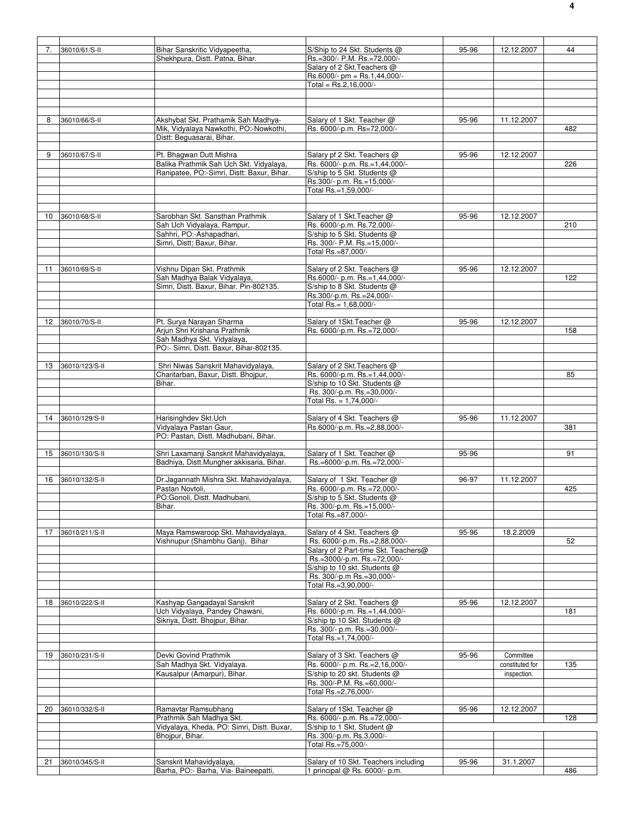| 7. | 36010/61/S-II     | Bihar Sanskritic Vidyapeetha,                                   | S/Ship to 24 Skt. Students @                                          | 95-96 | 12.12.2007      | 44  |
|----|-------------------|-----------------------------------------------------------------|-----------------------------------------------------------------------|-------|-----------------|-----|
|    |                   | Shekhpura, Distt. Patna, Bihar.                                 | Rs.=300/- P.M. Rs.=72,000/-                                           |       |                 |     |
|    |                   |                                                                 | Salary of 2 Skt. Teachers @                                           |       |                 |     |
|    |                   |                                                                 |                                                                       |       |                 |     |
|    |                   |                                                                 | $Rs.6000/- pm = Rs.1,44,000/-$                                        |       |                 |     |
|    |                   |                                                                 | Total = $Rs.2,16,000/-$                                               |       |                 |     |
|    |                   |                                                                 |                                                                       |       |                 |     |
|    |                   |                                                                 |                                                                       |       |                 |     |
|    |                   |                                                                 |                                                                       |       |                 |     |
| 8  | 36010/66/S-II     | Akshybat Skt. Prathamik Sah Madhya-                             | Salary of 1 Skt. Teacher @                                            | 95-96 | 11.12.2007      |     |
|    |                   | Mik, Vidyalaya Nawkothi, PO:-Nowkothi,                          | Rs. 6000/-p.m. Rs=72,000/-                                            |       |                 | 482 |
|    |                   | Distt: Beguasarai, Bihar.                                       |                                                                       |       |                 |     |
|    |                   |                                                                 |                                                                       |       |                 |     |
|    |                   |                                                                 |                                                                       |       |                 |     |
| 9  | 36010/67/S-II     | Pt. Bhagwan Dutt Mishra                                         | Salary pf 2 Skt. Teachers @                                           | 95-96 | 12.12.2007      |     |
|    |                   | Balika Prathmik Sah Uch Skt. Vidyalaya,                         | Rs. 6000/- p.m. Rs.=1,44,000/-                                        |       |                 | 226 |
|    |                   | Ranipatee, PO:-Simri, Distt: Baxur, Bihar.                      | S/ship to 5 Skt. Students @                                           |       |                 |     |
|    |                   |                                                                 | Rs.300/- p.m. Rs.=15,000/-                                            |       |                 |     |
|    |                   |                                                                 | Total Rs.=1,59,000/-                                                  |       |                 |     |
|    |                   |                                                                 |                                                                       |       |                 |     |
|    |                   |                                                                 |                                                                       |       |                 |     |
| 10 | 36010/68/S-II     | Sarobhan Skt. Sansthan Prathmik                                 | Salary of 1 Skt. Teacher @                                            | 95-96 | 12.12.2007      |     |
|    |                   | Sah Uch Vidyalaya, Rampur,                                      | Rs. 6000/-p.m. Rs.72,000/-                                            |       |                 | 210 |
|    |                   |                                                                 |                                                                       |       |                 |     |
|    |                   | Sahhri, PO:-Ashapadhari,                                        | S/ship to 5 Skt. Students @                                           |       |                 |     |
|    |                   | Simri, Distt; Baxur, Bihar.                                     | Rs. 300/- P.M. Rs.=15,000/-                                           |       |                 |     |
|    |                   |                                                                 | Total Rs.=87,000/-                                                    |       |                 |     |
|    |                   |                                                                 |                                                                       |       |                 |     |
| 11 | 36010/69/S-II     | Vishnu Dipan Skt. Prathmik                                      | Salary of 2 Skt. Teachers @                                           | 95-96 | 12.12.2007      |     |
|    |                   | Sah Madhya Balak Vidyalaya,                                     | Rs.6000/- p.m. Rs.=1,44,000/-                                         |       |                 | 122 |
|    |                   | Simri, Distt. Baxur, Bihar. Pin-802135.                         | S/ship to 8 Skt. Students @                                           |       |                 |     |
|    |                   |                                                                 | Rs.300/-p.m. Rs.=24,000/-                                             |       |                 |     |
|    |                   |                                                                 | Total Rs.= 1,68,000/-                                                 |       |                 |     |
|    |                   |                                                                 |                                                                       |       |                 |     |
|    |                   |                                                                 |                                                                       |       |                 |     |
| 12 | 36010/70/S-II     | Pt. Surya Narayan Sharma                                        | Salary of 1Skt. Teacher @                                             | 95-96 | 12.12.2007      |     |
|    |                   | Arjun Shri Krishana Prathmik                                    | Rs. 6000/-p.m. Rs.=72,000/-                                           |       |                 | 158 |
|    |                   | Sah Madhya Skt. Vidyalaya,                                      |                                                                       |       |                 |     |
|    |                   | PO:- Simri, Distt. Baxur, Bihar-802135.                         |                                                                       |       |                 |     |
|    |                   |                                                                 |                                                                       |       |                 |     |
| 13 | 36010/123/S-II    | Shri Niwas Sanskrit Mahavidyalaya,                              | Salary of 2 Skt. Teachers @                                           |       |                 |     |
|    |                   | Charitarban, Baxur, Distt. Bhojpur,                             | Rs. 6000/-p.m. Rs.=1,44,000/-                                         |       |                 | 85  |
|    |                   |                                                                 |                                                                       |       |                 |     |
|    |                   | Bihar.                                                          | S/ship to 10 Skt. Students @                                          |       |                 |     |
|    |                   |                                                                 | Rs. 300/-p.m. Rs.=30,000/-                                            |       |                 |     |
|    |                   |                                                                 | Total Rs. = 1,74,000/-                                                |       |                 |     |
|    |                   |                                                                 |                                                                       |       |                 |     |
| 14 | 36010/129/S-II    | Harisinghdev Skt.Uch                                            | Salary of 4 Skt. Teachers @                                           | 95-96 | 11.12.2007      |     |
|    |                   | Vidyalaya Pastan Gaur,                                          | Rs.6000/-p.m. Rs.=2,88,000/-                                          |       |                 | 381 |
|    |                   | PO: Pastan, Distt. Madhubani, Bihar.                            |                                                                       |       |                 |     |
|    |                   |                                                                 |                                                                       |       |                 |     |
|    |                   |                                                                 |                                                                       |       |                 | 91  |
|    |                   |                                                                 |                                                                       |       |                 |     |
|    | 15 36010/130/S-II | Shri Laxamanji Sanskrit Mahavidyalaya,                          | Salary of 1 Skt. Teacher @                                            | 95-96 |                 |     |
|    |                   | Badhiya, Distt.Mungher akkisaria, Bihar.                        | Rs.=6000/-p.m. Rs.=72,000/-                                           |       |                 |     |
|    |                   |                                                                 |                                                                       |       |                 |     |
|    | 16 36010/132/S-II | Dr.Jagannath Mishra Skt. Mahavidyalaya,                         | Salary of 1 Skt. Teacher @                                            | 96-97 | 11.12.2007      |     |
|    |                   | Pastan Novtoli,                                                 | Rs. 6000/-p.m. Rs.=72,000/-                                           |       |                 | 425 |
|    |                   | PO:Gonoli, Distt. Madhubani,                                    | S/ship to 5 Skt. Students @                                           |       |                 |     |
|    |                   | Bihar.                                                          |                                                                       |       |                 |     |
|    |                   |                                                                 | Rs. 300/-p.m. Rs.=15,000/-                                            |       |                 |     |
|    |                   |                                                                 | Total Rs.=87,000/-                                                    |       |                 |     |
|    |                   |                                                                 |                                                                       |       |                 |     |
| 17 | 36010/211/S-II    | Maya Ramswaroop Skt. Mahavidyalaya,                             | Salary of 4 Skt. Teachers @                                           | 95-96 | 18.2.2009       |     |
|    |                   | Vishnupur (Shambhu Ganj), Bihar                                 | Rs. 6000/-p.m. Rs.=2,88,000/-                                         |       |                 | 52  |
|    |                   |                                                                 | Salary of 2 Part-time Skt. Teachers@                                  |       |                 |     |
|    |                   |                                                                 | Rs.=3000/-p.m. Rs.=72,000/-                                           |       |                 |     |
|    |                   |                                                                 | S/ship to 10 skt. Students @                                          |       |                 |     |
|    |                   |                                                                 | Rs. 300/-p.m Rs.=30,000/-                                             |       |                 |     |
|    |                   |                                                                 | Total Rs.=3,90,000/-                                                  |       |                 |     |
|    |                   |                                                                 |                                                                       |       |                 |     |
|    | 18 36010/222/S-II | Kashyap Gangadayal Sanskrit                                     | Salary of 2 Skt. Teachers @                                           | 95-96 | 12.12.2007      |     |
|    |                   |                                                                 |                                                                       |       |                 |     |
|    |                   | Uch Vidyalaya, Pandey Chawani,                                  | Rs. 6000/-p.m. Rs.=1,44,000/-                                         |       |                 | 181 |
|    |                   | Sikriya, Distt. Bhoipur, Bihar.                                 | S/ship tp 10 Skt. Students @                                          |       |                 |     |
|    |                   |                                                                 | Rs. 300/- p.m. Rs.=30,000/-                                           |       |                 |     |
|    |                   |                                                                 | Total Rs.=1,74,000/-                                                  |       |                 |     |
|    |                   |                                                                 |                                                                       |       |                 |     |
| 19 | 36010/231/S-II    | Devki Govind Prathmik                                           | Salary of 3 Skt. Teachers @                                           | 95-96 | Committee       |     |
|    |                   | Sah Madhya Skt. Vidyalaya.                                      | Rs. 6000/- p.m. Rs.=2,16,000/-                                        |       | constituted for | 135 |
|    |                   | Kausalpur (Amarpur), Bihar.                                     | S/ship to 20 skt. Students @                                          |       | inspection.     |     |
|    |                   |                                                                 |                                                                       |       |                 |     |
|    |                   |                                                                 | Rs. 300/-P.M. Rs.=60,000/-                                            |       |                 |     |
|    |                   |                                                                 | Total Rs.=2,76,000/-                                                  |       |                 |     |
|    |                   |                                                                 |                                                                       |       |                 |     |
| 20 | 36010/332/S-II    | Ramavtar Ramsubhang                                             | Salary of 1Skt. Teacher @                                             | 95-96 | 12.12.2007      |     |
|    |                   | Prathmik Sah Madhya Skt.                                        | Rs. 6000/- p.m. Rs.=72,000/-                                          |       |                 | 128 |
|    |                   | Vidyalaya, Kheda, PO: Simri, Distt. Buxar,                      | S/ship to 1 Skt. Student @                                            |       |                 |     |
|    |                   | Bhojpur, Bihar.                                                 | Rs. 300/-p.m. Rs.3,000/-                                              |       |                 |     |
|    |                   |                                                                 | Total Rs.=75,000/-                                                    |       |                 |     |
|    |                   |                                                                 |                                                                       |       |                 |     |
|    |                   |                                                                 |                                                                       |       |                 |     |
| 21 | 36010/345/S-II    | Sanskrit Mahavidyalaya,<br>Barha, PO:- Barha, Via- Baineepatti, | Salary of 10 Skt. Teachers including<br>1 principal @ Rs. 6000/- p.m. | 95-96 | 31.1.2007       | 486 |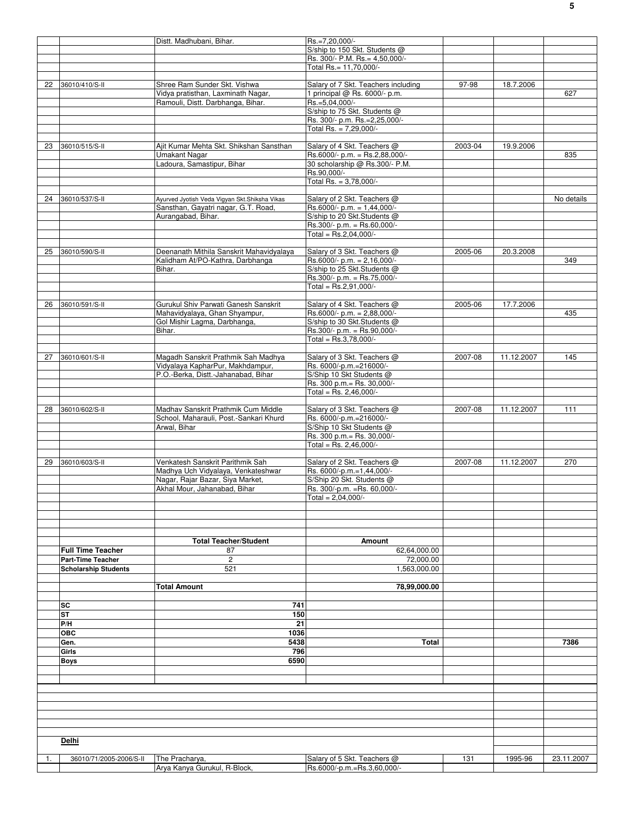|    |                             | Distt. Madhubani, Bihar.                       | Rs.=7,20,000/-                                             |         |            |            |
|----|-----------------------------|------------------------------------------------|------------------------------------------------------------|---------|------------|------------|
|    |                             |                                                | S/ship to 150 Skt. Students @                              |         |            |            |
|    |                             |                                                | Rs. 300/- P.M. Rs. = 4,50,000/-                            |         |            |            |
|    |                             |                                                | Total Rs.= 11.70.000/-                                     |         |            |            |
|    |                             |                                                |                                                            |         |            |            |
| 22 | 36010/410/S-II              | Shree Ram Sunder Skt. Vishwa                   | Salary of 7 Skt. Teachers including                        | 97-98   | 18.7.2006  |            |
|    |                             | Vidya pratisthan, Laxminath Nagar,             | 1 principal @ Rs. 6000/- p.m.                              |         |            | 627        |
|    |                             | Ramouli, Distt. Darbhanga, Bihar.              | Rs.=5,04,000/-                                             |         |            |            |
|    |                             |                                                | S/ship to 75 Skt. Students @                               |         |            |            |
|    |                             |                                                | Rs. 300/- p.m. Rs.=2,25,000/-                              |         |            |            |
|    |                             |                                                | Total Rs. = $7,29,000/-$                                   |         |            |            |
|    |                             |                                                |                                                            |         |            |            |
| 23 | 36010/515/S-II              | Ajit Kumar Mehta Skt. Shikshan Sansthan        | Salary of 4 Skt. Teachers @                                | 2003-04 | 19.9.2006  |            |
|    |                             | Umakant Nagar                                  | Rs.6000/- p.m. = Rs.2,88,000/-                             |         |            | 835        |
|    |                             | Ladoura, Samastipur, Bihar                     | 30 scholarship @ Rs.300/- P.M.                             |         |            |            |
|    |                             |                                                | Rs.90,000/-                                                |         |            |            |
|    |                             |                                                | Total Rs. = 3,78,000/-                                     |         |            |            |
|    |                             |                                                |                                                            |         |            |            |
| 24 | 36010/537/S-II              | Ayurved Jyotish Veda Vigyan Skt.Shiksha Vikas  | Salary of 2 Skt. Teachers @                                |         |            | No details |
|    |                             | Sansthan, Gayatri nagar, G.T. Road,            | Rs.6000/- p.m. = $1,44,000$ /-                             |         |            |            |
|    |                             | Aurangabad, Bihar.                             | S/ship to 20 Skt.Students @                                |         |            |            |
|    |                             |                                                | Rs.300/- p.m. = Rs.60,000/-                                |         |            |            |
|    |                             |                                                | Total = $Rs.2,04,000/-$                                    |         |            |            |
|    |                             |                                                |                                                            |         |            |            |
|    |                             |                                                |                                                            |         |            |            |
| 25 | 36010/590/S-II              | Deenanath Mithila Sanskrit Mahavidyalaya       | Salary of 3 Skt. Teachers @                                | 2005-06 | 20.3.2008  |            |
|    |                             | Kalidham At/PO-Kathra, Darbhanga               | Rs.6000/- p.m. = $2,16,000$ /-                             |         |            | 349        |
|    |                             | Bihar.                                         | S/ship to 25 Skt.Students @                                |         |            |            |
|    |                             |                                                | Rs.300/- p.m. = Rs.75,000/-                                |         |            |            |
|    |                             |                                                | Total = $Rs.2.91.000/-$                                    |         |            |            |
|    |                             |                                                |                                                            |         |            |            |
| 26 | 36010/591/S-II              | Gurukul Shiv Parwati Ganesh Sanskrit           | Salary of 4 Skt. Teachers @                                | 2005-06 | 17.7.2006  |            |
|    |                             | Mahavidyalaya, Ghan Shyampur,                  | Rs.6000/- p.m. = 2,88,000/-                                |         |            | 435        |
|    |                             | Gol Mishir Lagma, Darbhanga,                   | S/ship to 30 Skt.Students @                                |         |            |            |
|    |                             | Bihar.                                         | Rs.300/- p.m. = Rs.90,000/-                                |         |            |            |
|    |                             |                                                | Total = $Rs.3,78,000/-$                                    |         |            |            |
|    |                             |                                                |                                                            |         |            |            |
| 27 | 36010/601/S-II              | Magadh Sanskrit Prathmik Sah Madhya            | Salary of 3 Skt. Teachers @                                | 2007-08 | 11.12.2007 | 145        |
|    |                             | Vidyalaya KapharPur, Makhdampur,               | Rs. 6000/-p.m.=216000/-                                    |         |            |            |
|    |                             | P.O.-Berka, Distt.-Jahanabad, Bihar            | S/Ship 10 Skt Students @                                   |         |            |            |
|    |                             |                                                | Rs. 300 p.m.= Rs. 30,000/-                                 |         |            |            |
|    |                             |                                                | Total = Rs. 2,46,000/-                                     |         |            |            |
|    |                             |                                                |                                                            |         |            |            |
| 28 | 36010/602/S-II              | Madhav Sanskrit Prathmik Cum Middle            | Salary of 3 Skt. Teachers @                                | 2007-08 | 11.12.2007 | 111        |
|    |                             |                                                |                                                            |         |            |            |
|    |                             | School, Maharauli, Post.-Sankari Khurd         | Rs. 6000/-p.m.=216000/-                                    |         |            |            |
|    |                             | Arwal, Bihar                                   | S/Ship 10 Skt Students @                                   |         |            |            |
|    |                             |                                                | Rs. 300 p.m.= Rs. 30,000/-                                 |         |            |            |
|    |                             |                                                | Total = Rs. 2,46,000/-                                     |         |            |            |
|    |                             |                                                |                                                            |         |            |            |
| 29 | 36010/603/S-II              | Venkatesh Sanskrit Parithmik Sah               | Salary of 2 Skt. Teachers @                                | 2007-08 | 11.12.2007 | 270        |
|    |                             | Madhya Uch Vidyalaya, Venkateshwar             | Rs. 6000/-p.m.=1,44,000/-                                  |         |            |            |
|    |                             | Nagar, Rajar Bazar, Siya Market,               | S/Ship 20 Skt. Students @                                  |         |            |            |
|    |                             | Akhal Mour, Jahanabad, Bihar                   | Rs. 300/-p.m. = Rs. 60,000/-                               |         |            |            |
|    |                             |                                                | Total = $2,04,000/-$                                       |         |            |            |
|    |                             |                                                |                                                            |         |            |            |
|    |                             |                                                |                                                            |         |            |            |
|    |                             |                                                |                                                            |         |            |            |
|    |                             |                                                |                                                            |         |            |            |
|    |                             | <b>Total Teacher/Student</b>                   | Amount                                                     |         |            |            |
|    | <b>Full Time Teacher</b>    | 87                                             | 62,64,000.00                                               |         |            |            |
|    | Part-Time Teacher           | $\overline{\mathbf{c}}$                        | 72,000.00                                                  |         |            |            |
|    | <b>Scholarship Students</b> | 521                                            | 1,563,000.00                                               |         |            |            |
|    |                             |                                                |                                                            |         |            |            |
|    |                             | <b>Total Amount</b>                            | 78,99,000.00                                               |         |            |            |
|    |                             |                                                |                                                            |         |            |            |
|    | SC                          | 741                                            |                                                            |         |            |            |
|    | ST                          | 150                                            |                                                            |         |            |            |
|    | P/H                         | 21                                             |                                                            |         |            |            |
|    |                             |                                                |                                                            |         |            |            |
|    | <b>OBC</b>                  | 1036                                           |                                                            |         |            |            |
|    | Gen.                        | 5438                                           | Total                                                      |         |            | 7386       |
|    | Girls                       | 796                                            |                                                            |         |            |            |
|    | <b>Boys</b>                 | 6590                                           |                                                            |         |            |            |
|    |                             |                                                |                                                            |         |            |            |
|    |                             |                                                |                                                            |         |            |            |
|    |                             |                                                |                                                            |         |            |            |
|    |                             |                                                |                                                            |         |            |            |
|    |                             |                                                |                                                            |         |            |            |
|    |                             |                                                |                                                            |         |            |            |
|    |                             |                                                |                                                            |         |            |            |
|    |                             |                                                |                                                            |         |            |            |
|    |                             |                                                |                                                            |         |            |            |
|    |                             |                                                |                                                            |         |            |            |
|    | Delhi                       |                                                |                                                            |         |            |            |
|    |                             |                                                |                                                            |         |            |            |
| 1. | 36010/71/2005-2006/S-II     | The Pracharya,<br>Arya Kanya Gurukul, R-Block, | Salary of 5 Skt. Teachers @<br>Rs.6000/-p.m.=Rs.3,60,000/- | 131     | 1995-96    | 23.11.2007 |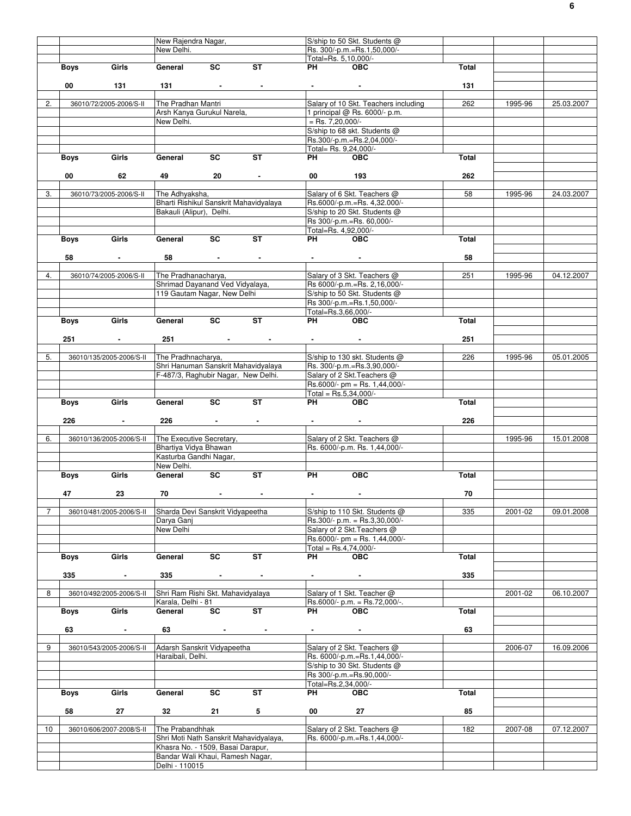|                |      |                          | New Rajendra Nagar,                 |                          |                                        |                                   | S/ship to 50 Skt. Students @         |       |         |            |
|----------------|------|--------------------------|-------------------------------------|--------------------------|----------------------------------------|-----------------------------------|--------------------------------------|-------|---------|------------|
|                |      |                          | New Delhi.                          |                          |                                        |                                   | Rs. 300/-p.m.=Rs.1,50,000/-          |       |         |            |
|                |      |                          |                                     |                          |                                        | Total=Rs. 5,10,000/-              |                                      |       |         |            |
|                | Boys | Girls                    | General                             | SC                       | ST                                     | PH <b>PH</b>                      | <b>OBC</b>                           | Total |         |            |
|                |      |                          |                                     |                          |                                        |                                   |                                      |       |         |            |
|                | 00   | 131                      | 131                                 | <b>Contractor</b>        | $\blacksquare$                         |                                   | $\sim$                               | 131   |         |            |
|                |      |                          |                                     |                          |                                        |                                   |                                      |       |         |            |
| 2.             |      | 36010/72/2005-2006/S-II  | The Pradhan Mantri                  |                          |                                        |                                   | Salary of 10 Skt. Teachers including | 262   | 1995-96 | 25.03.2007 |
|                |      |                          |                                     |                          |                                        |                                   |                                      |       |         |            |
|                |      |                          | Arsh Kanya Gurukul Narela,          |                          |                                        |                                   | 1 principal @ Rs. 6000/- p.m.        |       |         |            |
|                |      |                          | New Delhi.                          |                          |                                        | $=$ Rs. 7,20,000/-                |                                      |       |         |            |
|                |      |                          |                                     |                          |                                        |                                   | S/ship to 68 skt. Students @         |       |         |            |
|                |      |                          |                                     |                          |                                        |                                   | Rs.300/-p.m.=Rs.2,04,000/-           |       |         |            |
|                |      |                          |                                     |                          |                                        |                                   | Total= Rs. 9,24,000/-                |       |         |            |
|                | Boys | Girls                    | General                             | <b>SC</b>                | <b>ST</b>                              | PH <sub>2</sub>                   | <b>OBC</b>                           | Total |         |            |
|                |      |                          |                                     |                          |                                        |                                   |                                      |       |         |            |
|                | 00   | 62                       | 49                                  | 20                       | $\sim$                                 | 00                                | 193                                  | 262   |         |            |
|                |      |                          |                                     |                          |                                        |                                   |                                      |       |         |            |
| 3.             |      | 36010/73/2005-2006/S-II  | The Adhyaksha,                      |                          |                                        |                                   | Salary of 6 Skt. Teachers @          | 58    | 1995-96 | 24.03.2007 |
|                |      |                          |                                     |                          | Bharti Rishikul Sanskrit Mahavidyalaya |                                   | Rs.6000/-p.m.=Rs. 4,32.000/-         |       |         |            |
|                |      |                          | Bakauli (Alipur), Delhi.            |                          |                                        |                                   | S/ship to 20 Skt. Students @         |       |         |            |
|                |      |                          |                                     |                          |                                        |                                   |                                      |       |         |            |
|                |      |                          |                                     |                          |                                        |                                   | Rs 300/-p.m.=Rs. 60,000/-            |       |         |            |
|                |      |                          |                                     |                          |                                        | Total=Rs. 4,92,000/-              |                                      |       |         |            |
|                | Boys | Girls                    | General                             | SC                       | <b>ST</b>                              | <b>PH</b>                         | <b>OBC</b>                           | Total |         |            |
|                |      |                          |                                     |                          |                                        |                                   |                                      |       |         |            |
|                | 58   | $\sim$                   | 58                                  | <b>Contract Contract</b> | $\sim$                                 |                                   | $\sim$                               | 58    |         |            |
|                |      |                          |                                     |                          |                                        |                                   |                                      |       |         |            |
| 4.             |      | 36010/74/2005-2006/S-II  | The Pradhanacharya,                 |                          |                                        |                                   | Salary of 3 Skt. Teachers @          | 251   | 1995-96 | 04.12.2007 |
|                |      |                          | Shrimad Dayanand Ved Vidyalaya,     |                          |                                        |                                   | Rs 6000/-p.m.=Rs. 2,16,000/-         |       |         |            |
|                |      |                          | 119 Gautam Nagar, New Delhi         |                          |                                        |                                   | S/ship to 50 Skt. Students @         |       |         |            |
|                |      |                          |                                     |                          |                                        |                                   | Rs 300/-p.m.=Rs.1,50,000/-           |       |         |            |
|                |      |                          |                                     |                          |                                        |                                   |                                      |       |         |            |
|                |      | Girls                    |                                     | SC                       | <b>ST</b>                              | Total=Rs.3,66,000/-               |                                      |       |         |            |
|                | Boys |                          | General                             |                          |                                        | PH                                | <b>OBC</b>                           | Total |         |            |
|                |      |                          |                                     |                          |                                        |                                   |                                      |       |         |            |
|                | 251  | $\sim$                   | 251                                 | <b>Contract Contract</b> | $\sim$                                 | <b>Contract Contract Contract</b> |                                      | 251   |         |            |
|                |      |                          |                                     |                          |                                        |                                   |                                      |       |         |            |
| 5.             |      | 36010/135/2005-2006/S-II | The Pradhnacharya,                  |                          |                                        |                                   | S/ship to 130 skt. Students @        | 226   | 1995-96 | 05.01.2005 |
|                |      |                          |                                     |                          | Shri Hanuman Sanskrit Mahavidyalaya    |                                   | Rs. 300/-p.m.=Rs.3,90,000/-          |       |         |            |
|                |      |                          | F-487/3, Raghubir Nagar, New Delhi. |                          |                                        |                                   | Salary of 2 Skt. Teachers @          |       |         |            |
|                |      |                          |                                     |                          |                                        |                                   | $Rs.6000/- pm = Rs. 1,44,000/-$      |       |         |            |
|                |      |                          |                                     |                          |                                        |                                   | Total = Rs.5,34,000/-                |       |         |            |
|                |      | Girls                    | General                             | $\overline{\text{sc}}$   | <b>ST</b>                              | PH                                | <b>OBC</b>                           | Total |         |            |
|                | Boys |                          |                                     |                          |                                        |                                   |                                      |       |         |            |
|                |      |                          |                                     |                          |                                        |                                   |                                      |       |         |            |
|                | 226  | $\sim$                   | 226                                 | <b>Contract Contract</b> | $\blacksquare$                         |                                   |                                      | 226   |         |            |
|                |      |                          |                                     |                          |                                        |                                   |                                      |       |         |            |
| 6.             |      | 36010/136/2005-2006/S-II | The Executive Secretary,            |                          |                                        |                                   | Salary of 2 Skt. Teachers @          |       | 1995-96 | 15.01.2008 |
|                |      |                          | Bhartiya Vidya Bhawan               |                          |                                        |                                   | Rs. 6000/-p.m. Rs. 1,44,000/-        |       |         |            |
|                |      |                          | Kasturba Gandhi Nagar,              |                          |                                        |                                   |                                      |       |         |            |
|                |      |                          |                                     |                          |                                        |                                   |                                      |       |         |            |
|                |      |                          | New Delhi.                          |                          |                                        |                                   |                                      |       |         |            |
|                |      |                          |                                     |                          |                                        |                                   |                                      |       |         |            |
|                | Boys | Girls                    | General                             | SC                       | ST                                     | PH                                | <b>OBC</b>                           | Total |         |            |
|                |      |                          |                                     |                          |                                        |                                   |                                      |       |         |            |
|                | 47   | 23                       | 70                                  |                          |                                        |                                   |                                      | 70    |         |            |
|                |      |                          |                                     |                          |                                        |                                   |                                      |       |         |            |
| $\overline{7}$ |      | 36010/481/2005-2006/S-II | Sharda Devi Sanskrit Vidyapeetha    |                          |                                        |                                   | S/ship to 110 Skt. Students @        | 335   | 2001-02 | 09.01.2008 |
|                |      |                          | Darya Ganj                          |                          |                                        |                                   | Rs.300/- p.m. = Rs.3,30,000/-        |       |         |            |
|                |      |                          | New Delhi                           |                          |                                        |                                   | Salary of 2 Skt. Teachers @          |       |         |            |
|                |      |                          |                                     |                          |                                        |                                   | $Rs.6000/- pm = Rs. 1,44,000/-$      |       |         |            |
|                |      |                          |                                     |                          |                                        |                                   | Total = $Rs.4,74,000/-$              |       |         |            |
|                | Boys | Girls                    | General                             | SC                       | <b>ST</b>                              | PH                                | <b>OBC</b>                           | Total |         |            |
|                |      |                          |                                     |                          |                                        |                                   |                                      |       |         |            |
|                | 335  | $\sim$                   | 335                                 | <b>Contract Contract</b> | $\blacksquare$                         |                                   | $\sim$                               | 335   |         |            |
|                |      |                          |                                     |                          |                                        |                                   |                                      |       |         |            |
|                |      |                          |                                     |                          |                                        |                                   |                                      |       |         |            |
| 8              |      | 36010/492/2005-2006/S-II | Shri Ram Rishi Skt. Mahavidyalaya   |                          |                                        |                                   | Salary of 1 Skt. Teacher @           |       | 2001-02 | 06.10.2007 |
|                |      |                          | Karala, Delhi - 81                  |                          |                                        |                                   | Rs.6000/- p.m. = Rs.72,000/-.        |       |         |            |
|                | Boys | Girls                    | General                             | SC                       | ST                                     | PH                                | <b>OBC</b>                           | Total |         |            |
|                |      |                          |                                     |                          |                                        |                                   |                                      |       |         |            |
|                | 63   | $\blacksquare$           | 63                                  | $\sim 100$ km s $^{-1}$  | $\sim$                                 | <b>Contract Contract</b>          | $\sim$                               | 63    |         |            |
|                |      |                          |                                     |                          |                                        |                                   |                                      |       |         |            |
| 9              |      | 36010/543/2005-2006/S-II | Adarsh Sanskrit Vidyapeetha         |                          |                                        |                                   | Salary of 2 Skt. Teachers @          |       | 2006-07 | 16.09.2006 |
|                |      |                          | Haraibali, Delhi.                   |                          |                                        |                                   | Rs. 6000/-p.m.=Rs.1,44,000/-         |       |         |            |
|                |      |                          |                                     |                          |                                        |                                   | S/ship to 30 Skt. Students @         |       |         |            |
|                |      |                          |                                     |                          |                                        |                                   | Rs 300/-p.m.=Rs.90,000/-             |       |         |            |
|                |      |                          |                                     |                          |                                        | Total=Rs.2,34,000/-               |                                      |       |         |            |
|                |      |                          |                                     |                          |                                        |                                   |                                      |       |         |            |
|                | Boys | Girls                    | General                             | SC                       | <b>ST</b>                              | PH                                | <b>OBC</b>                           | Total |         |            |
|                |      |                          |                                     |                          |                                        |                                   |                                      |       |         |            |
|                | 58   | 27                       | 32 <sub>2</sub>                     | 21                       | 5                                      | $00$ and $\sim$                   | 27                                   | 85    |         |            |
|                |      |                          |                                     |                          |                                        |                                   |                                      |       |         |            |
| 10             |      | 36010/606/2007-2008/S-II | The Prabandhhak                     |                          |                                        |                                   | Salary of 2 Skt. Teachers @          | 182   | 2007-08 | 07.12.2007 |
|                |      |                          |                                     |                          | Shri Moti Nath Sanskrit Mahavidyalaya, |                                   | Rs. 6000/-p.m.=Rs.1,44,000/-         |       |         |            |
|                |      |                          | Khasra No. - 1509, Basai Darapur,   |                          |                                        |                                   |                                      |       |         |            |
|                |      |                          | Bandar Wali Khaui, Ramesh Nagar,    |                          |                                        |                                   |                                      |       |         |            |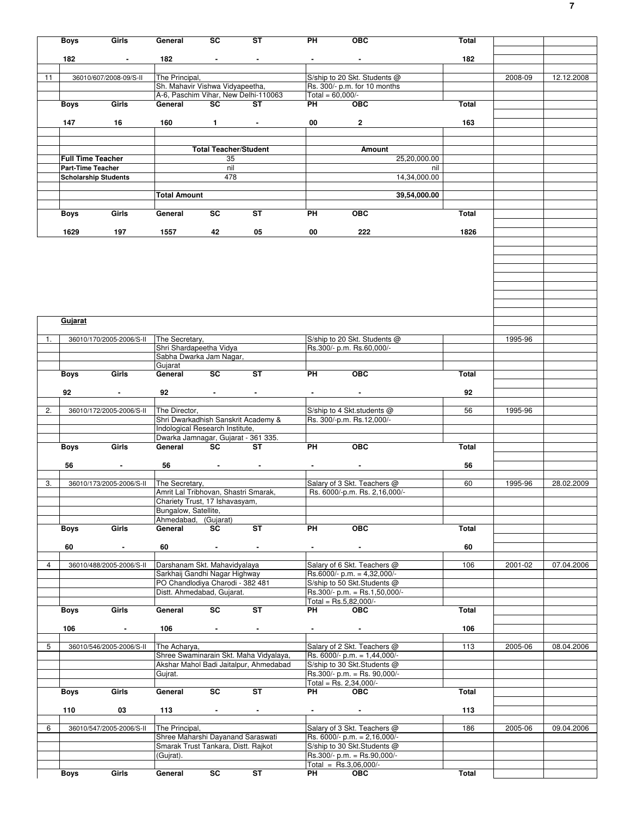|                | <b>Boys</b> | Girls                       | General                                                | SC                           | ST                                        | РH                       | ОВС                                                           | Total        |         |            |
|----------------|-------------|-----------------------------|--------------------------------------------------------|------------------------------|-------------------------------------------|--------------------------|---------------------------------------------------------------|--------------|---------|------------|
|                | 182         |                             | 182                                                    | $\sim$                       | $\blacksquare$                            |                          | $\blacksquare$                                                | 182          |         |            |
|                |             |                             |                                                        |                              |                                           |                          |                                                               |              |         |            |
| 11             |             | 36010/607/2008-09/S-II      | The Principal,                                         |                              |                                           |                          | S/ship to 20 Skt. Students @                                  |              | 2008-09 | 12.12.2008 |
|                |             |                             | Sh. Mahavir Vishwa Vidyapeetha,                        |                              | A-6, Paschim Vihar, New Delhi-110063      | Total = $60,000/-$       | Rs. 300/- p.m. for 10 months                                  |              |         |            |
|                | <b>Boys</b> | Girls                       | General                                                | <b>SC</b>                    | <b>ST</b>                                 | PH                       | <b>OBC</b>                                                    | Total        |         |            |
|                |             |                             |                                                        |                              |                                           |                          |                                                               |              |         |            |
|                | 147         | 16                          | 160                                                    | $\mathbf{1}$                 |                                           | 00                       | $\mathbf{2}$                                                  | 163          |         |            |
|                |             |                             |                                                        |                              |                                           |                          |                                                               |              |         |            |
|                |             |                             |                                                        | <b>Total Teacher/Student</b> |                                           |                          | Amount                                                        |              |         |            |
|                |             | <b>Full Time Teacher</b>    |                                                        | 35                           |                                           |                          | 25,20,000.00                                                  |              |         |            |
|                |             | Part-Time Teacher           |                                                        | nil                          |                                           |                          |                                                               | nil          |         |            |
|                |             | <b>Scholarship Students</b> |                                                        | 478                          |                                           |                          | 14,34,000.00                                                  |              |         |            |
|                |             |                             | <b>Total Amount</b>                                    |                              |                                           |                          |                                                               |              |         |            |
|                |             |                             |                                                        |                              |                                           |                          | 39,54,000.00                                                  |              |         |            |
|                | Boys        | Girls                       | General                                                | SC                           | ST                                        | PH                       | <b>OBC</b>                                                    | Total        |         |            |
|                |             |                             |                                                        |                              |                                           |                          |                                                               |              |         |            |
|                | 1629        | 197                         | 1557                                                   | 42                           | 05                                        | 00                       | 222                                                           | 1826         |         |            |
|                |             |                             |                                                        |                              |                                           |                          |                                                               |              |         |            |
|                |             |                             |                                                        |                              |                                           |                          |                                                               |              |         |            |
|                |             |                             |                                                        |                              |                                           |                          |                                                               |              |         |            |
|                |             |                             |                                                        |                              |                                           |                          |                                                               |              |         |            |
|                |             |                             |                                                        |                              |                                           |                          |                                                               |              |         |            |
|                |             |                             |                                                        |                              |                                           |                          |                                                               |              |         |            |
|                |             |                             |                                                        |                              |                                           |                          |                                                               |              |         |            |
|                | Gujarat     |                             |                                                        |                              |                                           |                          |                                                               |              |         |            |
|                |             |                             |                                                        |                              |                                           |                          |                                                               |              |         |            |
| 1.             |             | 36010/170/2005-2006/S-II    | The Secretary,<br>Shri Shardapeetha Vidya              |                              |                                           |                          | S/ship to 20 Skt. Students @<br>Rs.300/- p.m. Rs.60,000/-     |              | 1995-96 |            |
|                |             |                             | Sabha Dwarka Jam Nagar,                                |                              |                                           |                          |                                                               |              |         |            |
|                |             |                             | Gujarat                                                |                              |                                           |                          |                                                               |              |         |            |
|                | Boys        | Girls                       | General                                                | <b>SC</b>                    | <b>ST</b>                                 | PH                       | <b>OBC</b>                                                    | Total        |         |            |
|                | 92          | $\blacksquare$              | 92                                                     |                              |                                           | $\overline{\phantom{a}}$ | $\blacksquare$                                                | 92           |         |            |
|                |             |                             |                                                        |                              |                                           |                          |                                                               |              |         |            |
| 2.             |             | 36010/172/2005-2006/S-II    | The Director.                                          |                              |                                           |                          | S/ship to 4 Skt.students @                                    | 56           | 1995-96 |            |
|                |             |                             |                                                        |                              | Shri Dwarkadhish Sanskrit Academy &       |                          | Rs. 300/-p.m. Rs.12,000/-                                     |              |         |            |
|                |             |                             | Indological Research Institute,                        |                              |                                           |                          |                                                               |              |         |            |
|                | Boys        | Girls                       | General                                                | <b>SC</b>                    | Dwarka Jamnagar, Gujarat - 361 335.<br>ST | PH                       | <b>OBC</b>                                                    | <b>Total</b> |         |            |
|                |             |                             |                                                        |                              |                                           |                          |                                                               |              |         |            |
|                | 56          | $\blacksquare$              | 56                                                     | $\blacksquare$               | $\blacksquare$                            |                          | $\blacksquare$                                                | 56           |         |            |
|                |             |                             |                                                        |                              |                                           |                          |                                                               |              |         |            |
| 3.             |             | 36010/173/2005-2006/S-II    | The Secretary,<br>Amrit Lal Tribhovan, Shastri Smarak, |                              |                                           |                          | Salary of 3 Skt. Teachers @<br>Rs. 6000/-p.m. Rs. 2,16,000/-  | 60           | 1995-96 | 28.02.2009 |
|                |             |                             | Chariety Trust, 17 Ishavasyam,                         |                              |                                           |                          |                                                               |              |         |            |
|                |             |                             | Bungalow, Satellite,                                   |                              |                                           |                          |                                                               |              |         |            |
|                |             |                             | Ahmedabad, (Gujarat)                                   |                              |                                           |                          |                                                               |              |         |            |
|                | <b>Boys</b> | Girls                       | General                                                | SC                           | ST                                        | PH                       | <b>OBC</b>                                                    | Total        |         |            |
|                |             |                             |                                                        |                              |                                           |                          |                                                               |              |         |            |
|                | 60          | $\blacksquare$              | 60                                                     | $\bullet$                    | $\blacksquare$                            | $\blacksquare$           | $\blacksquare$                                                | 60           |         |            |
| $\overline{4}$ |             | 36010/488/2005-2006/S-II    | Darshanam Skt. Mahavidyalaya                           |                              |                                           |                          | Salary of 6 Skt. Teachers @                                   | 106          | 2001-02 | 07.04.2006 |
|                |             |                             | Sarkhaij Gandhi Nagar Highway                          |                              |                                           |                          | Rs.6000/- p.m. = $4,32,000$ /-                                |              |         |            |
|                |             |                             | PO Chandlodiya Charodi - 382 481                       |                              |                                           |                          | S/ship to 50 Skt.Students @                                   |              |         |            |
|                |             |                             | Distt. Ahmedabad, Gujarat.                             |                              |                                           |                          | Rs.300/- p.m. = Rs.1,50,000/-<br>Total = $Rs.5,82,000/-$      |              |         |            |
|                | Boys        | Girls                       | General                                                | $\overline{\mathsf{sc}}$     | ST                                        | PH                       | <b>OBC</b>                                                    | Total        |         |            |
|                |             |                             |                                                        |                              |                                           |                          |                                                               |              |         |            |
|                | 106         | $\blacksquare$              | 106                                                    | $\sim$                       | $\blacksquare$                            | $\sim$                   | $\sim$                                                        | 106          |         |            |
| 5              |             |                             |                                                        |                              |                                           |                          |                                                               |              |         |            |
|                |             | 36010/546/2005-2006/S-II    | The Acharya,                                           |                              | Shree Swaminarain Skt. Maha Vidyalaya,    |                          | Salary of 2 Skt. Teachers @<br>Rs. 6000/- p.m. = 1,44,000/-   | 113          | 2005-06 | 08.04.2006 |
|                |             |                             |                                                        |                              | Akshar Mahol Badi Jaitalpur, Ahmedabad    |                          | S/ship to 30 Skt. Students @                                  |              |         |            |
|                |             |                             | Gujrat.                                                |                              |                                           |                          | Rs.300/- p.m. = Rs. 90,000/-                                  |              |         |            |
|                |             |                             |                                                        |                              |                                           |                          | Total = Rs. $2,34,000/-$                                      |              |         |            |
|                | Boys        | Girls                       | General                                                | $\overline{\text{sc}}$       | ST                                        | PH                       | <b>OBC</b>                                                    | Total        |         |            |
|                | 110         | 03                          | 113                                                    | $\sim$                       | $\blacksquare$                            |                          | $\blacksquare$                                                | 113          |         |            |
|                |             |                             |                                                        |                              |                                           |                          |                                                               |              |         |            |
| 6              |             | 36010/547/2005-2006/S-II    | The Principal,                                         |                              |                                           |                          | Salary of 3 Skt. Teachers @                                   | 186          | 2005-06 | 09.04.2006 |
|                |             |                             | Shree Maharshi Dayanand Saraswati                      |                              |                                           |                          | Rs. 6000/- p.m. = 2,16,000/-                                  |              |         |            |
|                |             |                             | Smarak Trust Tankara, Distt. Rajkot<br>(Gujrat).       |                              |                                           |                          | S/ship to 30 Skt. Students @<br>$Rs.300/- p.m. = Rs.90,000/-$ |              |         |            |
|                |             |                             |                                                        |                              |                                           |                          | Total = $Rs.3,06,000/-$                                       |              |         |            |
|                | Boys        | Girls                       | General                                                | $\overline{sc}$              | ST                                        | <b>PH</b>                | OEC                                                           | Total        |         |            |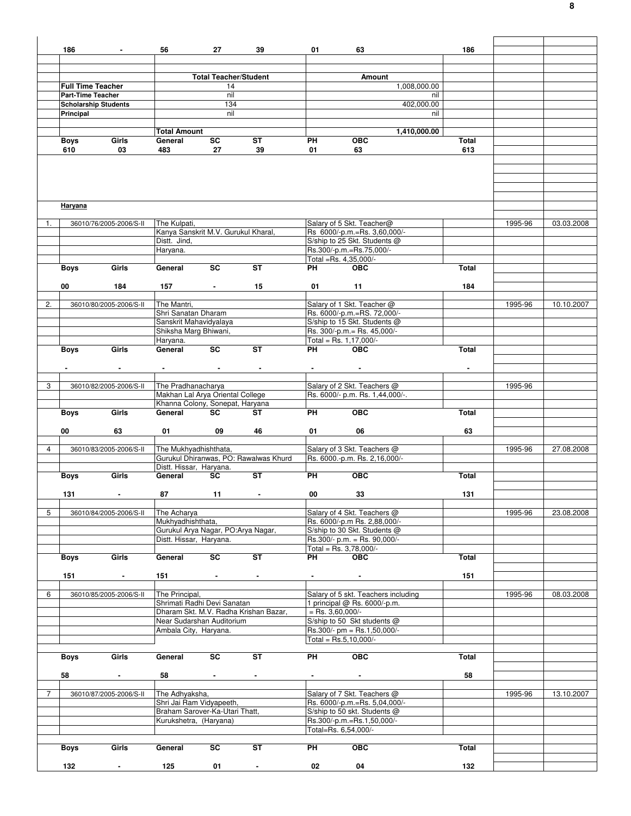|                | 186                      | $\sim$                            | 56                                         | 27                           | 39                                    | 01                 | 63                                  | 186            |         |            |
|----------------|--------------------------|-----------------------------------|--------------------------------------------|------------------------------|---------------------------------------|--------------------|-------------------------------------|----------------|---------|------------|
|                |                          |                                   |                                            |                              |                                       |                    |                                     |                |         |            |
|                |                          |                                   |                                            |                              |                                       |                    |                                     |                |         |            |
|                |                          |                                   |                                            | <b>Total Teacher/Student</b> |                                       |                    | Amount                              |                |         |            |
|                | <b>Full Time Teacher</b> |                                   |                                            | 14                           |                                       |                    | 1,008,000.00                        |                |         |            |
|                | <b>Part-Time Teacher</b> |                                   |                                            | nil                          |                                       |                    | nil                                 |                |         |            |
|                |                          | <b>Scholarship Students</b>       |                                            | 134                          |                                       |                    | 402,000.00                          |                |         |            |
|                | Principal                |                                   |                                            | nil                          |                                       |                    | nil                                 |                |         |            |
|                |                          |                                   |                                            |                              |                                       |                    |                                     |                |         |            |
|                |                          |                                   | <b>Total Amount</b>                        |                              |                                       |                    | 1,410,000.00                        |                |         |            |
|                | Boys                     | Girls                             | General                                    | SC                           | ST                                    | PH                 | <b>OBC</b>                          | Total          |         |            |
|                | 610                      | 03                                | 483                                        | 27                           | 39                                    | 01                 | 63                                  | 613            |         |            |
|                |                          |                                   |                                            |                              |                                       |                    |                                     |                |         |            |
|                |                          |                                   |                                            |                              |                                       |                    |                                     |                |         |            |
|                |                          |                                   |                                            |                              |                                       |                    |                                     |                |         |            |
|                |                          |                                   |                                            |                              |                                       |                    |                                     |                |         |            |
|                |                          |                                   |                                            |                              |                                       |                    |                                     |                |         |            |
|                | Haryana                  |                                   |                                            |                              |                                       |                    |                                     |                |         |            |
|                |                          |                                   |                                            |                              |                                       |                    |                                     |                |         |            |
| 1.             |                          | 36010/76/2005-2006/S-II           | The Kulpati,                               |                              |                                       |                    | Salary of 5 Skt. Teacher@           |                | 1995-96 | 03.03.2008 |
|                |                          |                                   | Kanya Sanskrit M.V. Gurukul Kharal.        |                              |                                       |                    | Rs 6000/-p.m.=Rs. 3,60,000/-        |                |         |            |
|                |                          |                                   | Distt. Jind,                               |                              |                                       |                    | S/ship to 25 Skt. Students @        |                |         |            |
|                |                          |                                   | Haryana.                                   |                              |                                       |                    | Rs.300/-p.m.=Rs.75,000/-            |                |         |            |
|                |                          |                                   |                                            |                              |                                       |                    | Total =Rs. 4.35.000/-               |                |         |            |
|                | <b>Boys</b>              | Girls                             | General                                    | SC                           | <b>ST</b>                             | PH                 | <b>OBC</b>                          | Total          |         |            |
|                |                          |                                   |                                            |                              |                                       |                    |                                     |                |         |            |
|                | 00                       | 184                               | 157                                        | $\sim$                       | 15                                    | 01                 | 11                                  | 184            |         |            |
|                |                          |                                   |                                            |                              |                                       |                    |                                     |                |         |            |
| 2.             |                          | 36010/80/2005-2006/S-II           | The Mantri,                                |                              |                                       |                    | Salary of 1 Skt. Teacher @          |                | 1995-96 | 10.10.2007 |
|                |                          |                                   | Shri Sanatan Dharam                        |                              |                                       |                    | Rs. 6000/-p.m.=RS. 72,000/-         |                |         |            |
|                |                          |                                   | Sanskrit Mahavidyalaya                     |                              |                                       |                    | S/ship to 15 Skt. Students @        |                |         |            |
|                |                          |                                   | Shiksha Marg Bhiwani,                      |                              |                                       |                    | Rs. 300/-p.m.= Rs. 45,000/-         |                |         |            |
|                |                          |                                   | Haryana.                                   |                              |                                       |                    | Total = Rs. $1,17,000/-$            |                |         |            |
|                | <b>Boys</b>              | Girls                             | General                                    | $\overline{\mathsf{sc}}$     | <b>ST</b>                             | <b>PH</b>          | OBC                                 | Total          |         |            |
|                |                          |                                   |                                            |                              |                                       |                    |                                     |                |         |            |
|                |                          |                                   |                                            | <b>Contract Contract</b>     | $\sim$                                | $\sim 100$         |                                     | $\blacksquare$ |         |            |
|                |                          |                                   |                                            |                              |                                       |                    |                                     |                |         |            |
| 3              |                          | 36010/82/2005-2006/S-II           | The Pradhanacharya                         |                              |                                       |                    | Salary of 2 Skt. Teachers @         |                | 1995-96 |            |
|                |                          |                                   | Makhan Lal Arya Oriental College           |                              |                                       |                    | Rs. 6000/- p.m. Rs. 1,44,000/-.     |                |         |            |
|                |                          |                                   | Khanna Colony, Sonepat, Haryana            |                              |                                       |                    |                                     |                |         |            |
|                | Boys                     | Girls                             | General                                    | SC                           | ST                                    | PH                 | <b>OBC</b>                          | <b>Total</b>   |         |            |
|                |                          |                                   |                                            |                              |                                       |                    |                                     |                |         |            |
|                | 00                       | 63                                | 01                                         | 09                           | 46                                    | 01                 | 06                                  | 63             |         |            |
|                |                          |                                   |                                            |                              |                                       |                    |                                     |                |         |            |
| $\overline{4}$ |                          | 36010/83/2005-2006/S-II           | The Mukhyadhishthata,                      |                              |                                       |                    | Salary of 3 Skt. Teachers @         |                | 1995-96 | 27.08.2008 |
|                |                          |                                   |                                            |                              | Gurukul Dhiranwas, PO: Rawalwas Khurd |                    | Rs. 6000.-p.m. Rs. 2,16,000/-       |                |         |            |
|                |                          |                                   | Distt. Hissar, Haryana.                    |                              |                                       |                    |                                     |                |         |            |
|                | Boys                     | Girls                             | General                                    | <b>SC</b>                    | $\overline{\mathsf{ST}}$              | PH                 | <b>OBC</b>                          | Total          |         |            |
|                |                          |                                   |                                            |                              |                                       |                    |                                     |                |         |            |
|                | 131                      | <b>Contract Contract Contract</b> | 87                                         |                              |                                       | 00                 | 33                                  | 131            |         |            |
|                |                          |                                   |                                            |                              | $\sim$ 11 $\sim$ $\sim$               |                    |                                     |                |         |            |
| 5              |                          | 36010/84/2005-2006/S-II           | The Acharya                                |                              |                                       |                    | Salary of 4 Skt. Teachers @         |                | 1995-96 | 23.08.2008 |
|                |                          |                                   | Mukhyadhishthata,                          |                              |                                       |                    | Rs. 6000/-p.m Rs. 2,88,000/-        |                |         |            |
|                |                          |                                   | Gurukul Arya Nagar, PO: Arya Nagar,        |                              |                                       |                    | S/ship to 30 Skt. Students @        |                |         |            |
|                |                          |                                   | Distt. Hissar, Haryana.                    |                              |                                       |                    | Rs.300/- p.m. = Rs. 90,000/-        |                |         |            |
|                |                          |                                   |                                            |                              |                                       |                    | Total = Rs. $3,78,000/-$            |                |         |            |
|                | Boys                     | Girls                             | General                                    | SC                           | <b>ST</b>                             | PH                 | <b>OBC</b>                          | Total          |         |            |
|                |                          |                                   |                                            |                              |                                       |                    |                                     |                |         |            |
|                | 151                      | $\overline{\phantom{a}}$          | 151                                        |                              | $\blacksquare$                        |                    |                                     | 151            |         |            |
|                |                          |                                   |                                            | $\blacksquare$               |                                       |                    |                                     |                |         |            |
| 6              |                          | 36010/85/2005-2006/S-II           | The Principal,                             |                              |                                       |                    | Salary of 5 skt. Teachers including |                | 1995-96 | 08.03.2008 |
|                |                          |                                   | Shrimati Radhi Devi Sanatan                |                              |                                       |                    | 1 principal @ Rs. 6000/-p.m.        |                |         |            |
|                |                          |                                   |                                            |                              | Dharam Skt. M.V. Radha Krishan Bazar, | $=$ Rs. 3,60,000/- |                                     |                |         |            |
|                |                          |                                   | Near Sudarshan Auditorium                  |                              |                                       |                    | S/ship to 50 Skt students @         |                |         |            |
|                |                          |                                   | Ambala City, Haryana.                      |                              |                                       |                    | Rs.300/- pm = Rs.1,50,000/-         |                |         |            |
|                |                          |                                   |                                            |                              |                                       |                    | Total = Rs.5,10,000/-               |                |         |            |
|                |                          |                                   |                                            |                              |                                       |                    |                                     |                |         |            |
|                | Boys                     | Girls                             | General                                    | $\overline{\mathsf{sc}}$     | ST                                    | PH                 | <b>OBC</b>                          | Total          |         |            |
|                |                          |                                   |                                            |                              |                                       |                    |                                     |                |         |            |
|                | 58                       | $\blacksquare$                    | 58                                         | $\sim$                       | $\sim$                                |                    | $\sim$                              | 58             |         |            |
|                |                          |                                   |                                            |                              |                                       |                    |                                     |                |         |            |
| 7              |                          |                                   |                                            |                              |                                       |                    | Salary of 7 Skt. Teachers @         |                |         |            |
|                |                          | 36010/87/2005-2006/S-II           | The Adhyaksha,<br>Shri Jai Ram Vidyapeeth, |                              |                                       |                    | Rs. 6000/-p.m.=Rs. 5,04,000/-       |                | 1995-96 | 13.10.2007 |
|                |                          |                                   | Braham Sarover-Ka-Utari Thatt,             |                              |                                       |                    | S/ship to 50 skt. Students @        |                |         |            |
|                |                          |                                   | Kurukshetra, (Haryana)                     |                              |                                       |                    | Rs.300/-p.m.=Rs.1,50,000/-          |                |         |            |
|                |                          |                                   |                                            |                              |                                       |                    | Total=Rs. 6,54,000/-                |                |         |            |
|                |                          |                                   |                                            |                              |                                       |                    |                                     |                |         |            |
|                |                          |                                   |                                            |                              |                                       | PH                 |                                     |                |         |            |
|                | <b>Boys</b>              | Girls                             | General                                    | SC                           | ST                                    |                    | <b>OBC</b>                          | Total          |         |            |
|                |                          |                                   |                                            |                              |                                       |                    |                                     |                |         |            |
|                | 132                      | $\blacksquare$                    | 125                                        | 01                           |                                       | 02                 | 04                                  | 132            |         |            |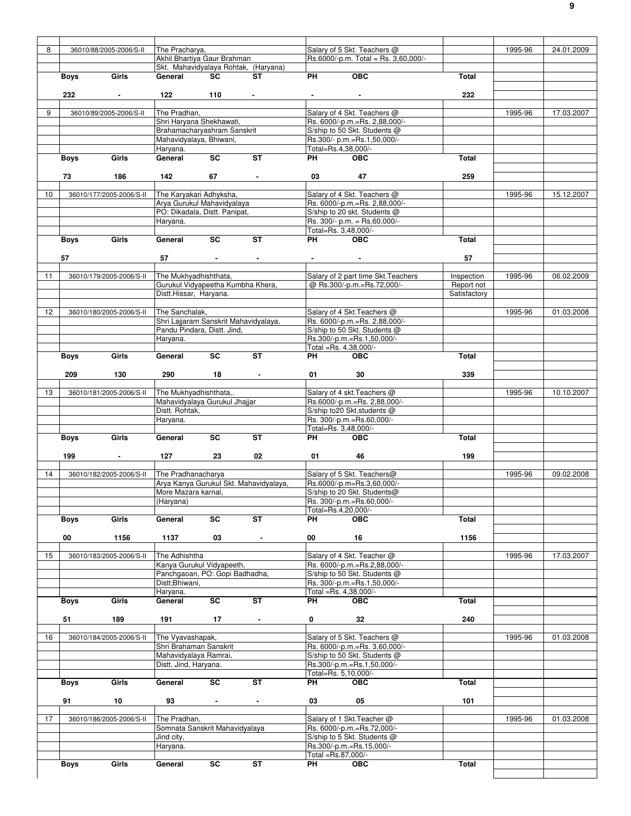| 8               |             |                          | The Pracharya,                        |                                 |                                        |                    | Salary of 5 Skt. Teachers @          |              | 1995-96 | 24.01.2009 |
|-----------------|-------------|--------------------------|---------------------------------------|---------------------------------|----------------------------------------|--------------------|--------------------------------------|--------------|---------|------------|
|                 |             | 36010/88/2005-2006/S-II  |                                       |                                 |                                        |                    |                                      |              |         |            |
|                 |             |                          | Akhil Bhartiya Gaur Brahman           |                                 |                                        |                    | Rs.6000/-p.m. Total = Rs. 3,60,000/- |              |         |            |
|                 |             |                          |                                       |                                 | Skt. Mahavidyalaya Rohtak, (Haryana)   |                    |                                      |              |         |            |
|                 | <b>Boys</b> | Girls                    | General                               | <b>SC</b>                       | ST                                     | <b>PH</b>          | OBC                                  | Total        |         |            |
|                 |             |                          |                                       |                                 |                                        |                    |                                      |              |         |            |
|                 | 232         |                          | 122                                   | 110                             |                                        |                    |                                      | 232          |         |            |
|                 |             |                          |                                       |                                 |                                        |                    |                                      |              |         |            |
| 9               |             | 36010/89/2005-2006/S-II  | The Pradhan,                          |                                 |                                        |                    | Salary of 4 Skt. Teachers @          |              | 1995-96 | 17.03.2007 |
|                 |             |                          | Shri Haryana Shekhawati,              |                                 |                                        |                    | Rs. 6000/-p.m.=Rs. 2,88,000/-        |              |         |            |
|                 |             |                          | Brahamacharyashram Sanskrit           |                                 |                                        |                    | S/ship to 50 Skt. Students @         |              |         |            |
|                 |             |                          | Mahavidyalaya, Bhiwani,               |                                 |                                        |                    | Rs.300/- p.m.=Rs.1,50,000/-          |              |         |            |
|                 |             |                          |                                       |                                 |                                        |                    | Total=Rs.4,38,000/-                  |              |         |            |
|                 |             |                          | Haryana.                              | SC                              |                                        |                    |                                      |              |         |            |
|                 | <b>Boys</b> | Girls                    | General                               |                                 | <b>ST</b>                              | PH                 | <b>OBC</b>                           | Total        |         |            |
|                 |             |                          |                                       |                                 |                                        |                    |                                      |              |         |            |
|                 | 73          | 186                      | 142                                   | 67                              | $\sim$ $ \sim$                         | 03                 | 47                                   | 259          |         |            |
|                 |             |                          |                                       |                                 |                                        |                    |                                      |              |         |            |
| 10 <sup>1</sup> |             | 36010/177/2005-2006/S-II | The Karyakari Adhyksha,               |                                 |                                        |                    | Salary of 4 Skt. Teachers @          |              | 1995-96 | 15.12.2007 |
|                 |             |                          | Arya Gurukul Mahavidyalaya            |                                 |                                        |                    | Rs. 6000/-p.m.=Rs. 2,88,000/-        |              |         |            |
|                 |             |                          | PO: Dikadala, Distt. Panipat,         |                                 |                                        |                    | S/ship to 20 skt. Students @         |              |         |            |
|                 |             |                          | Haryana.                              |                                 |                                        |                    | Rs. 300/- p.m. = Rs.60,000/-         |              |         |            |
|                 |             |                          |                                       |                                 |                                        |                    | Total=Rs. 3,48,000/-                 |              |         |            |
|                 |             | Girls                    | General                               | <b>SC</b>                       | <b>ST</b>                              | <b>PH</b>          | $\overline{OBC}$                     | Total        |         |            |
|                 | <b>Boys</b> |                          |                                       |                                 |                                        |                    |                                      |              |         |            |
|                 |             |                          |                                       |                                 |                                        |                    |                                      |              |         |            |
|                 | 57          |                          | 57                                    | the contract of the contract of |                                        |                    |                                      | 57           |         |            |
|                 |             |                          |                                       |                                 |                                        |                    |                                      |              |         |            |
| 11              |             | 36010/179/2005-2006/S-II | The Mukhyadhishthata,                 |                                 |                                        |                    | Salary of 2 part time Skt. Teachers  | Inspection   | 1995-96 | 06.02.2009 |
|                 |             |                          | Gurukul Vidyapeetha Kumbha Khera,     |                                 |                                        |                    | @ Rs.300/-p.m.=Rs.72,000/-           | Report not   |         |            |
|                 |             |                          | Distt.Hissar, Haryana.                |                                 |                                        |                    |                                      | Satisfactory |         |            |
|                 |             |                          |                                       |                                 |                                        |                    |                                      |              |         |            |
| 12 <sup>°</sup> |             | 36010/180/2005-2006/S-II | The Sanchalak,                        |                                 |                                        |                    | Salary of 4 Skt. Teachers @          |              | 1995-96 | 01.03.2008 |
|                 |             |                          | Shri Lajjaram Sanskrit Mahavidyalaya, |                                 |                                        |                    | Rs. 6000/-p.m.=Rs. 2,88,000/-        |              |         |            |
|                 |             |                          | Pandu Pindara, Distt. Jind,           |                                 |                                        |                    | S/ship to 50 Skt. Students @         |              |         |            |
|                 |             |                          |                                       |                                 |                                        |                    |                                      |              |         |            |
|                 |             |                          | Haryana.                              |                                 |                                        |                    | Rs.300/-p.m.=Rs.1,50,000/-           |              |         |            |
|                 |             |                          |                                       |                                 |                                        |                    | Total =Rs. 4,38,000/-                |              |         |            |
|                 | <b>Boys</b> | Girls                    | General                               | <b>SC</b>                       | $\overline{\mathsf{ST}}$               | PH                 | <b>OBC</b>                           | Total        |         |            |
|                 |             |                          |                                       |                                 |                                        |                    |                                      |              |         |            |
|                 | 209         | 130                      | 290                                   | $18 - 1$                        |                                        | 01                 | 30                                   | 339          |         |            |
|                 |             |                          |                                       |                                 |                                        |                    |                                      |              |         |            |
| 13              |             | 36010/181/2005-2006/S-II | The Mukhyadhishthata,.                |                                 |                                        |                    | Salary of 4 skt. Teachers @          |              | 1995-96 | 10.10.2007 |
|                 |             |                          | Mahavidyalaya Gurukul Jhajjar         |                                 |                                        |                    | Rs.6000/-p.m.=Rs. 2,88,000/-         |              |         |            |
|                 |             |                          | Distt. Rohtak,                        |                                 |                                        |                    | S/ship to20 Skt.students @           |              |         |            |
|                 |             |                          |                                       |                                 |                                        |                    | Rs. 300/-p.m.=Rs.60,000/-            |              |         |            |
|                 |             |                          | Haryana.                              |                                 |                                        |                    |                                      |              |         |            |
|                 |             |                          |                                       |                                 |                                        |                    | Total=Rs. 3,48,000/-                 |              |         |            |
|                 | Boys        | Girls                    | General                               | SC                              | <b>ST</b>                              | PH <sub>2</sub>    | <b>OBC</b>                           | Total        |         |            |
|                 |             |                          |                                       |                                 |                                        |                    |                                      |              |         |            |
|                 | 199         | $\blacksquare$           | 127                                   | 23                              | 02                                     | 01                 | 46                                   | 199          |         |            |
|                 |             |                          |                                       |                                 |                                        |                    |                                      |              |         |            |
| 14              |             | 36010/182/2005-2006/S-II | The Pradhanacharya                    |                                 |                                        |                    | Salary of 5 Skt. Teachers@           |              | 1995-96 | 09.02.2008 |
|                 |             |                          |                                       |                                 | Arya Kanya Gurukul Skt. Mahavidyalaya, |                    | Rs.6000/-p.m=Rs.3,60,000/-           |              |         |            |
|                 |             |                          | More Mazara karnal,                   |                                 |                                        |                    | S/ship to 20 Skt. Students@          |              |         |            |
|                 |             |                          | (Haryana)                             |                                 |                                        |                    | Rs. 300/-p.m.=Rs.60,000/-            |              |         |            |
|                 |             |                          |                                       |                                 |                                        |                    |                                      |              |         |            |
|                 |             |                          |                                       |                                 |                                        |                    | Total=Rs.4,20,000/-                  |              |         |            |
|                 | <b>Boys</b> | Girls                    | General                               | SC                              | $\overline{\mathsf{ST}}$               | <b>PH</b>          | <b>OBC</b>                           | <b>Total</b> |         |            |
|                 |             |                          |                                       |                                 |                                        |                    |                                      |              |         |            |
|                 | 00          | 1156                     | 1137                                  | 03                              | $\blacksquare$                         | 00                 | 16                                   | 1156         |         |            |
|                 |             |                          |                                       |                                 |                                        |                    |                                      |              |         |            |
| 15              |             | 36010/183/2005-2006/S-II | The Adhishtha                         |                                 |                                        |                    | Salary of 4 Skt. Teacher @           |              | 1995-96 | 17.03.2007 |
|                 |             |                          | Kanya Gurukul Vidyapeeth,             |                                 |                                        |                    | Rs. 6000/-p.m.=Rs.2,88,000/-         |              |         |            |
|                 |             |                          | Panchgaoan, PO: Gopi Badhadha.        |                                 |                                        |                    | S/ship to 50 Skt. Students @         |              |         |            |
|                 |             |                          | Distt;Bhiwani,                        |                                 |                                        |                    | Rs. 300/-p.m.=Rs.1,50,000/-          |              |         |            |
|                 |             |                          | Haryana.                              |                                 |                                        |                    | Total =Rs. 4,38,000/-                |              |         |            |
|                 | <b>Boys</b> | Girls                    | General                               | $\overline{\text{sc}}$          | ST                                     | PH.                | <b>OBC</b>                           | Total        |         |            |
|                 |             |                          |                                       |                                 |                                        |                    |                                      |              |         |            |
|                 |             |                          |                                       |                                 |                                        |                    |                                      |              |         |            |
|                 | 51          | 189                      | 191                                   | 17                              | $\sim$                                 | 0                  | 32                                   | 240          |         |            |
|                 |             |                          |                                       |                                 |                                        |                    |                                      |              |         |            |
|                 |             | 36010/184/2005-2006/S-II | The Vyavashapak,                      |                                 |                                        |                    | Salary of 5 Skt. Teachers @          |              | 1995-96 | 01.03.2008 |
| 16              |             |                          |                                       | Shri Brahaman Sanskrit          |                                        |                    | Rs. 6000/-p.m.=Rs. 3,60,000/-        |              |         |            |
|                 |             |                          |                                       |                                 |                                        |                    | S/ship to 50 Skt. Students @         |              |         |            |
|                 |             |                          | Mahavidyalaya Ramrai,                 |                                 |                                        |                    |                                      |              |         |            |
|                 |             |                          | Distt. Jind, Haryana.                 |                                 |                                        |                    | Rs.300/-p.m.=Rs.1,50,000/-           |              |         |            |
|                 |             |                          |                                       |                                 |                                        |                    | Total=Rs. 5,10,000/-                 |              |         |            |
|                 |             |                          |                                       |                                 | <b>ST</b>                              |                    |                                      |              |         |            |
|                 | Boys        | Girls                    | General                               | SC                              |                                        | PH                 | <b>OBC</b>                           | <b>Total</b> |         |            |
|                 |             |                          |                                       |                                 |                                        |                    |                                      |              |         |            |
|                 | 91          | 10                       | 93                                    | $\blacksquare$                  | $\blacksquare$                         | 03                 | 05                                   | 101          |         |            |
|                 |             |                          |                                       |                                 |                                        |                    |                                      |              |         |            |
| 17              |             | 36010/186/2005-2006/S-II | The Pradhan,                          |                                 |                                        |                    | Salary of 1 Skt. Teacher @           |              | 1995-96 | 01.03.2008 |
|                 |             |                          | Somnata Sanskrit Mahavidyalaya        |                                 |                                        |                    | Rs. 6000/-p.m.=Rs.72,000/-           |              |         |            |
|                 |             |                          | Jind city,                            |                                 |                                        |                    | S/ship to 5 Skt. Students @          |              |         |            |
|                 |             |                          | Haryana.                              |                                 |                                        |                    | Rs.300/-p.m.=Rs.15,000/-             |              |         |            |
|                 |             |                          |                                       |                                 |                                        | Total =Rs.87,000/- |                                      |              |         |            |
|                 |             | Girls                    | General                               | SC                              | <b>ST</b>                              | PH                 | <b>OBC</b>                           | Total        |         |            |
|                 | Boys        |                          |                                       |                                 |                                        |                    |                                      |              |         |            |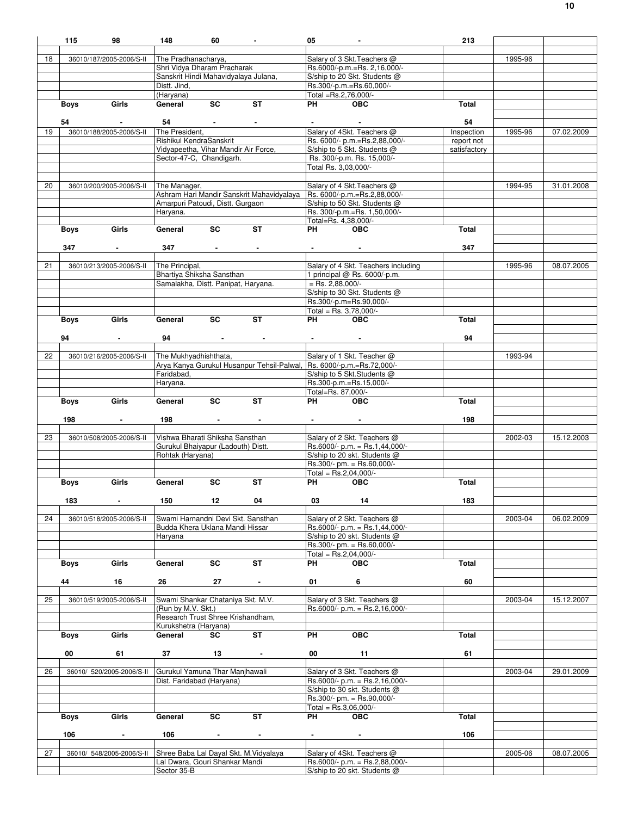|    | 115         | 98                        | 148                                                                 | 60                                                                                                                                                                                                                                                                               | $\sim$                                                                | 05                                                                                                                                                                                                                                       | $\sim$                                                    | 213          |         |            |
|----|-------------|---------------------------|---------------------------------------------------------------------|----------------------------------------------------------------------------------------------------------------------------------------------------------------------------------------------------------------------------------------------------------------------------------|-----------------------------------------------------------------------|------------------------------------------------------------------------------------------------------------------------------------------------------------------------------------------------------------------------------------------|-----------------------------------------------------------|--------------|---------|------------|
|    |             |                           |                                                                     |                                                                                                                                                                                                                                                                                  |                                                                       |                                                                                                                                                                                                                                          |                                                           |              |         |            |
| 18 |             | 36010/187/2005-2006/S-II  | The Pradhanacharya,                                                 |                                                                                                                                                                                                                                                                                  |                                                                       |                                                                                                                                                                                                                                          | Salary of 3 Skt. Teachers @                               |              | 1995-96 |            |
|    |             |                           | Shri Vidya Dharam Pracharak<br>Sanskrit Hindi Mahavidyalaya Julana, |                                                                                                                                                                                                                                                                                  |                                                                       |                                                                                                                                                                                                                                          | Rs.6000/-p.m.=Rs. 2,16,000/-                              |              |         |            |
|    |             |                           | Distt. Jind,                                                        |                                                                                                                                                                                                                                                                                  |                                                                       |                                                                                                                                                                                                                                          | S/ship to 20 Skt. Students @<br>Rs.300/-p.m.=Rs.60,000/-  |              |         |            |
|    |             |                           | (Haryana)                                                           |                                                                                                                                                                                                                                                                                  |                                                                       |                                                                                                                                                                                                                                          | Total =Rs.2.76.000/-                                      |              |         |            |
|    | Boys        | Girls                     | General                                                             | $\overline{sc}$                                                                                                                                                                                                                                                                  | $\overline{\mathsf{ST}}$                                              | <b>PH</b>                                                                                                                                                                                                                                | OEC                                                       | Total        |         |            |
|    |             |                           |                                                                     |                                                                                                                                                                                                                                                                                  |                                                                       |                                                                                                                                                                                                                                          |                                                           |              |         |            |
|    | 54          |                           | 54                                                                  |                                                                                                                                                                                                                                                                                  |                                                                       |                                                                                                                                                                                                                                          |                                                           | 54           |         |            |
| 19 |             | 36010/188/2005-2006/S-II  | The President,                                                      |                                                                                                                                                                                                                                                                                  |                                                                       |                                                                                                                                                                                                                                          | Salary of 4Skt. Teachers @                                | Inspection   | 1995-96 | 07.02.2009 |
|    |             |                           | Rishikul KendraSanskrit                                             |                                                                                                                                                                                                                                                                                  |                                                                       |                                                                                                                                                                                                                                          | Rs. 6000/- p.m.=Rs.2,88,000/-                             | report not   |         |            |
|    |             |                           | Vidyapeetha, Vihar Mandir Air Force,                                |                                                                                                                                                                                                                                                                                  |                                                                       |                                                                                                                                                                                                                                          | S/ship to 5 Skt. Students @                               | satisfactory |         |            |
|    |             |                           | Sector-47-C, Chandigarh.                                            |                                                                                                                                                                                                                                                                                  |                                                                       |                                                                                                                                                                                                                                          | Rs. 300/-p.m. Rs. 15,000/-<br>Total Rs. 3,03,000/-        |              |         |            |
|    |             |                           |                                                                     |                                                                                                                                                                                                                                                                                  |                                                                       |                                                                                                                                                                                                                                          |                                                           |              |         |            |
| 20 |             | 36010/200/2005-2006/S-II  | The Manager,                                                        |                                                                                                                                                                                                                                                                                  |                                                                       |                                                                                                                                                                                                                                          | Salary of 4 Skt. Teachers @                               |              | 1994-95 | 31.01.2008 |
|    |             |                           |                                                                     |                                                                                                                                                                                                                                                                                  | Ashram Hari Mandir Sanskrit Mahavidyalaya                             |                                                                                                                                                                                                                                          | Rs. 6000/-p.m.=Rs.2,88,000/-                              |              |         |            |
|    |             |                           | Amarpuri Patoudi, Distt. Gurgaon                                    |                                                                                                                                                                                                                                                                                  |                                                                       |                                                                                                                                                                                                                                          | S/ship to 50 Skt. Students @                              |              |         |            |
|    |             |                           | Haryana.                                                            |                                                                                                                                                                                                                                                                                  |                                                                       |                                                                                                                                                                                                                                          | Rs. 300/-p.m.=Rs. 1,50,000/-                              |              |         |            |
|    |             |                           |                                                                     |                                                                                                                                                                                                                                                                                  |                                                                       |                                                                                                                                                                                                                                          | Total=Rs. 4,38,000/-                                      |              |         |            |
|    | Boys        | Girls                     | General                                                             | SC                                                                                                                                                                                                                                                                               | ST                                                                    | PH <sub>2</sub> and the set of the set of the set of the set of the set of the set of the set of the set of the set of the set of the set of the set of the set of the set of the set of the set of the set of the set of the set of the | <b>OBC</b>                                                | Total        |         |            |
|    |             |                           |                                                                     |                                                                                                                                                                                                                                                                                  |                                                                       |                                                                                                                                                                                                                                          |                                                           |              |         |            |
|    | 347         | $\sim$                    | 347                                                                 | and the state of the state                                                                                                                                                                                                                                                       | $\sim$                                                                |                                                                                                                                                                                                                                          | $\bullet$ , and $\bullet$ , and $\bullet$ , and $\bullet$ | 347          |         |            |
| 21 |             | 36010/213/2005-2006/S-II  | The Principal,                                                      |                                                                                                                                                                                                                                                                                  |                                                                       |                                                                                                                                                                                                                                          | Salary of 4 Skt. Teachers including                       |              | 1995-96 | 08.07.2005 |
|    |             |                           | Bhartiya Shiksha Sansthan                                           |                                                                                                                                                                                                                                                                                  |                                                                       |                                                                                                                                                                                                                                          | 1 principal @ Rs. 6000/-p.m.                              |              |         |            |
|    |             |                           | Samalakha, Distt. Panipat, Haryana.                                 |                                                                                                                                                                                                                                                                                  |                                                                       |                                                                                                                                                                                                                                          | $=$ Rs. 2,88,000/-                                        |              |         |            |
|    |             |                           |                                                                     |                                                                                                                                                                                                                                                                                  |                                                                       |                                                                                                                                                                                                                                          | S/ship to 30 Skt. Students @                              |              |         |            |
|    |             |                           |                                                                     |                                                                                                                                                                                                                                                                                  |                                                                       |                                                                                                                                                                                                                                          | Rs.300/-p.m=Rs.90,000/-                                   |              |         |            |
|    |             |                           |                                                                     |                                                                                                                                                                                                                                                                                  |                                                                       |                                                                                                                                                                                                                                          | Total = $Rs. 3.78.000/-$                                  |              |         |            |
|    | <b>Boys</b> | Girls                     | General                                                             | <b>SC</b>                                                                                                                                                                                                                                                                        | <b>ST</b>                                                             | PH                                                                                                                                                                                                                                       | OBC                                                       | Total        |         |            |
|    | 94          |                           |                                                                     |                                                                                                                                                                                                                                                                                  |                                                                       |                                                                                                                                                                                                                                          |                                                           | 94           |         |            |
|    |             | $\sim$                    | 94                                                                  | $\label{eq:2.1} \mathcal{L}(\mathcal{L}^{\mathcal{L}}(\mathcal{L}^{\mathcal{L}})) = \mathcal{L}(\mathcal{L}^{\mathcal{L}}(\mathcal{L}^{\mathcal{L}}(\mathcal{L}^{\mathcal{L}}))) = \mathcal{L}(\mathcal{L}^{\mathcal{L}}(\mathcal{L}^{\mathcal{L}}(\mathcal{L}^{\mathcal{L}})))$ |                                                                       | <b>Contract Contract</b>                                                                                                                                                                                                                 |                                                           |              |         |            |
| 22 |             | 36010/216/2005-2006/S-II  | The Mukhyadhishthata,                                               |                                                                                                                                                                                                                                                                                  |                                                                       |                                                                                                                                                                                                                                          | Salary of 1 Skt. Teacher @                                |              | 1993-94 |            |
|    |             |                           |                                                                     |                                                                                                                                                                                                                                                                                  | Arya Kanya Gurukul Husanpur Tehsil-Palwal, Rs. 6000/-p.m.=Rs.72,000/- |                                                                                                                                                                                                                                          |                                                           |              |         |            |
|    |             |                           | Faridabad,                                                          |                                                                                                                                                                                                                                                                                  |                                                                       |                                                                                                                                                                                                                                          | S/ship to 5 Skt.Students @                                |              |         |            |
|    |             |                           | Haryana.                                                            |                                                                                                                                                                                                                                                                                  |                                                                       |                                                                                                                                                                                                                                          | Rs.300-p.m.=Rs.15,000/-                                   |              |         |            |
|    |             |                           |                                                                     |                                                                                                                                                                                                                                                                                  |                                                                       |                                                                                                                                                                                                                                          | Total=Rs. 87,000/-                                        |              |         |            |
|    | Boys        | Girls                     | General                                                             | SC                                                                                                                                                                                                                                                                               | <b>ST</b>                                                             | <b>PH</b>                                                                                                                                                                                                                                | <b>OBC</b>                                                | Total        |         |            |
|    | 198         | $\sim$                    | 198                                                                 |                                                                                                                                                                                                                                                                                  |                                                                       | <b>All Contracts</b>                                                                                                                                                                                                                     |                                                           | 198          |         |            |
|    |             |                           |                                                                     | <b>Contract Contract</b>                                                                                                                                                                                                                                                         |                                                                       |                                                                                                                                                                                                                                          |                                                           |              |         |            |
| 23 |             | 36010/508/2005-2006/S-II  | Vishwa Bharati Shiksha Sansthan                                     |                                                                                                                                                                                                                                                                                  |                                                                       |                                                                                                                                                                                                                                          | Salary of 2 Skt. Teachers @                               |              | 2002-03 | 15.12.2003 |
|    |             |                           | Gurukul Bhaiyapur (Ladouth) Distt.                                  |                                                                                                                                                                                                                                                                                  |                                                                       |                                                                                                                                                                                                                                          | $Rs.6000/- p.m. = Rs.1,44,000/-$                          |              |         |            |
|    |             |                           | Rohtak (Haryana)                                                    |                                                                                                                                                                                                                                                                                  |                                                                       |                                                                                                                                                                                                                                          | S/ship to 20 skt. Students @                              |              |         |            |
|    |             |                           |                                                                     |                                                                                                                                                                                                                                                                                  |                                                                       |                                                                                                                                                                                                                                          | Rs.300/- pm. = Rs.60,000/-                                |              |         |            |
|    |             |                           |                                                                     |                                                                                                                                                                                                                                                                                  |                                                                       |                                                                                                                                                                                                                                          | Total = $Rs.2,04,000/-$                                   |              |         |            |
|    | <b>Boys</b> | Girls                     | General                                                             | <b>SC</b>                                                                                                                                                                                                                                                                        | <b>ST</b>                                                             | PH                                                                                                                                                                                                                                       | <b>OBC</b>                                                | Total        |         |            |
|    | 183         | $\sim$                    | 150                                                                 | 12                                                                                                                                                                                                                                                                               | 04                                                                    | 03                                                                                                                                                                                                                                       | 14                                                        | 183          |         |            |
|    |             |                           |                                                                     |                                                                                                                                                                                                                                                                                  |                                                                       |                                                                                                                                                                                                                                          |                                                           |              |         |            |
| 24 |             | 36010/518/2005-2006/S-II  | Swami Harnandni Devi Skt. Sansthan                                  |                                                                                                                                                                                                                                                                                  |                                                                       |                                                                                                                                                                                                                                          | Salary of 2 Skt. Teachers @                               |              | 2003-04 | 06.02.2009 |
|    |             |                           | Budda Khera Uklana Mandi Hissar                                     |                                                                                                                                                                                                                                                                                  |                                                                       |                                                                                                                                                                                                                                          | $Rs.6000/- p.m. = Rs.1,44,000/-$                          |              |         |            |
|    |             |                           | Haryana                                                             |                                                                                                                                                                                                                                                                                  |                                                                       |                                                                                                                                                                                                                                          | S/ship to 20 skt. Students @                              |              |         |            |
|    |             |                           |                                                                     |                                                                                                                                                                                                                                                                                  |                                                                       |                                                                                                                                                                                                                                          | Rs.300/- pm. = Rs.60,000/-                                |              |         |            |
|    |             |                           |                                                                     |                                                                                                                                                                                                                                                                                  | ST                                                                    |                                                                                                                                                                                                                                          | Total = $Rs.2,04,000/-$                                   |              |         |            |
|    | <b>Boys</b> | Girls                     | General                                                             | SC                                                                                                                                                                                                                                                                               |                                                                       | PH                                                                                                                                                                                                                                       | <b>OBC</b>                                                | Total        |         |            |
|    | 44          | 16                        | 26                                                                  | 27                                                                                                                                                                                                                                                                               | $\blacksquare$                                                        | 01                                                                                                                                                                                                                                       | 6                                                         | 60           |         |            |
|    |             |                           |                                                                     |                                                                                                                                                                                                                                                                                  |                                                                       |                                                                                                                                                                                                                                          |                                                           |              |         |            |
| 25 |             | 36010/519/2005-2006/S-II  | Swami Shankar Chataniya Skt. M.V.                                   |                                                                                                                                                                                                                                                                                  |                                                                       |                                                                                                                                                                                                                                          | Salary of 3 Skt. Teachers @                               |              | 2003-04 | 15.12.2007 |
|    |             |                           | (Run by M.V. Skt.)                                                  |                                                                                                                                                                                                                                                                                  |                                                                       |                                                                                                                                                                                                                                          | $Rs.6000/- p.m. = Rs.2,16,000/-$                          |              |         |            |
|    |             |                           | Research Trust Shree Krishandham,                                   |                                                                                                                                                                                                                                                                                  |                                                                       |                                                                                                                                                                                                                                          |                                                           |              |         |            |
|    |             |                           | Kurukshetra (Haryana)                                               |                                                                                                                                                                                                                                                                                  |                                                                       |                                                                                                                                                                                                                                          |                                                           |              |         |            |
|    | <b>Boys</b> | Girls                     | General                                                             | <b>SC</b>                                                                                                                                                                                                                                                                        | <b>ST</b>                                                             | PH                                                                                                                                                                                                                                       | <b>OBC</b>                                                | Total        |         |            |
|    | 00          | 61                        | 37                                                                  | 13                                                                                                                                                                                                                                                                               | $\blacksquare$                                                        | 00                                                                                                                                                                                                                                       | 11                                                        | 61           |         |            |
|    |             |                           |                                                                     |                                                                                                                                                                                                                                                                                  |                                                                       |                                                                                                                                                                                                                                          |                                                           |              |         |            |
| 26 |             | 36010/ 520/2005-2006/S-II | Gurukul Yamuna Thar Manjhawali                                      |                                                                                                                                                                                                                                                                                  |                                                                       |                                                                                                                                                                                                                                          | Salary of 3 Skt. Teachers @                               |              | 2003-04 | 29.01.2009 |
|    |             |                           | Dist. Faridabad (Haryana)                                           |                                                                                                                                                                                                                                                                                  |                                                                       |                                                                                                                                                                                                                                          | $Rs.6000/- p.m. = Rs.2,16,000/-$                          |              |         |            |
|    |             |                           |                                                                     |                                                                                                                                                                                                                                                                                  |                                                                       |                                                                                                                                                                                                                                          | S/ship to 30 skt. Students @                              |              |         |            |
|    |             |                           |                                                                     |                                                                                                                                                                                                                                                                                  |                                                                       |                                                                                                                                                                                                                                          | Rs.300/- pm. = Rs.90,000/-                                |              |         |            |
|    |             |                           |                                                                     |                                                                                                                                                                                                                                                                                  |                                                                       |                                                                                                                                                                                                                                          | Total = $Rs.3,06,000/-$                                   |              |         |            |
|    | <b>Boys</b> | Girls                     | General                                                             | SC                                                                                                                                                                                                                                                                               | <b>ST</b>                                                             | <b>PH</b>                                                                                                                                                                                                                                | <b>OBC</b>                                                | Total        |         |            |
|    | 106         | $\overline{\phantom{a}}$  | 106                                                                 | $\blacksquare$                                                                                                                                                                                                                                                                   | $\blacksquare$                                                        | $\sim$                                                                                                                                                                                                                                   | $\blacksquare$                                            | 106          |         |            |
|    |             |                           |                                                                     |                                                                                                                                                                                                                                                                                  |                                                                       |                                                                                                                                                                                                                                          |                                                           |              |         |            |
| 27 |             | 36010/ 548/2005-2006/S-II | Shree Baba Lal Dayal Skt. M. Vidyalaya                              |                                                                                                                                                                                                                                                                                  |                                                                       |                                                                                                                                                                                                                                          | Salary of 4Skt. Teachers @                                |              | 2005-06 | 08.07.2005 |
|    |             |                           | Lal Dwara, Gouri Shankar Mandi                                      |                                                                                                                                                                                                                                                                                  |                                                                       |                                                                                                                                                                                                                                          | $Rs.6000/- p.m. = Rs.2,88,000/-$                          |              |         |            |
|    |             |                           | Sector 35-B                                                         |                                                                                                                                                                                                                                                                                  |                                                                       |                                                                                                                                                                                                                                          | S/ship to 20 skt. Students @                              |              |         |            |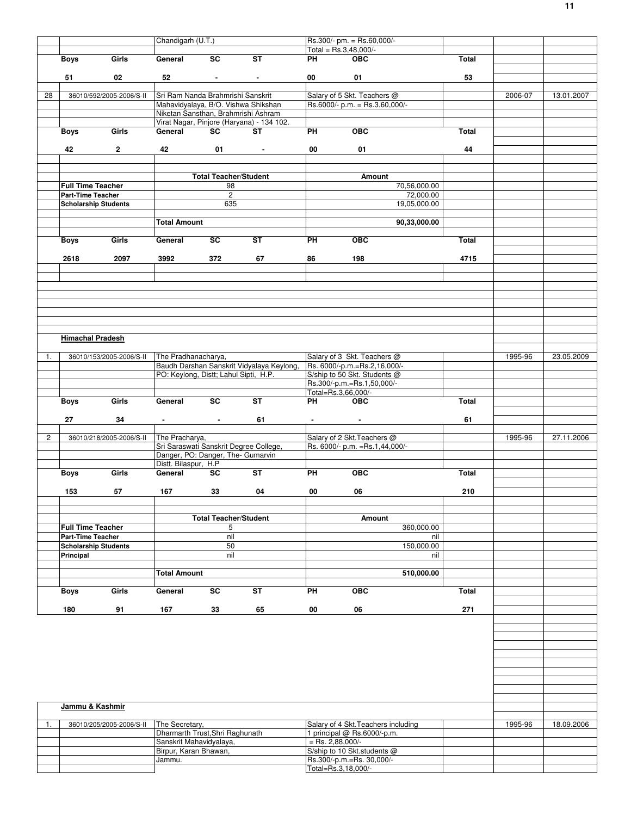|                |                                                         |                          | Chandigarh (U.T.)                                         |                              |                                           |                     | Rs.300/- pm. = Rs.60,000/-                                 |              |         |            |
|----------------|---------------------------------------------------------|--------------------------|-----------------------------------------------------------|------------------------------|-------------------------------------------|---------------------|------------------------------------------------------------|--------------|---------|------------|
|                |                                                         |                          |                                                           |                              |                                           |                     | Total = Rs.3,48,000/-                                      |              |         |            |
|                | <b>Boys</b>                                             | Girls                    | General                                                   | SC                           | <b>ST</b>                                 | PH                  | <b>OBC</b>                                                 | Total        |         |            |
|                |                                                         |                          |                                                           |                              |                                           |                     |                                                            |              |         |            |
|                | 51                                                      | 02                       | 52                                                        | $\blacksquare$               | $\blacksquare$                            | 00                  | 01                                                         | 53           |         |            |
| 28             |                                                         | 36010/592/2005-2006/S-II | Sri Ram Nanda Brahmrishi Sanskrit                         |                              |                                           |                     | Salary of 5 Skt. Teachers @                                |              | 2006-07 | 13.01.2007 |
|                |                                                         |                          |                                                           |                              | Mahavidyalaya, B/O. Vishwa Shikshan       |                     | Rs.6000/- p.m. = Rs.3,60,000/-                             |              |         |            |
|                |                                                         |                          | Niketan Sansthan, Brahmrishi Ashram                       |                              |                                           |                     |                                                            |              |         |            |
|                |                                                         |                          |                                                           |                              | Virat Nagar, Pinjore (Haryana) - 134 102. |                     |                                                            |              |         |            |
|                | <b>Boys</b>                                             | Girls                    | General                                                   | <b>SC</b>                    | <b>ST</b>                                 | PH                  | <b>OBC</b>                                                 | Total        |         |            |
|                |                                                         |                          |                                                           |                              |                                           |                     |                                                            |              |         |            |
|                | 42                                                      | $2^{\circ}$              | 42                                                        | 01                           | <b>Contract Contract</b>                  | 00                  | 01                                                         | 44           |         |            |
|                |                                                         |                          |                                                           |                              |                                           |                     |                                                            |              |         |            |
|                |                                                         |                          |                                                           | <b>Total Teacher/Student</b> |                                           |                     | Amount                                                     |              |         |            |
|                | <b>Full Time Teacher</b>                                |                          |                                                           | 98                           |                                           |                     | 70,56,000.00                                               |              |         |            |
|                | <b>Part-Time Teacher</b>                                |                          |                                                           | $\overline{2}$               |                                           |                     | 72,000.00                                                  |              |         |            |
|                | <b>Scholarship Students</b>                             |                          |                                                           | 635                          |                                           |                     | 19,05,000.00                                               |              |         |            |
|                |                                                         |                          |                                                           |                              |                                           |                     |                                                            |              |         |            |
|                |                                                         |                          | <b>Total Amount</b>                                       |                              |                                           |                     | 90,33,000.00                                               |              |         |            |
|                |                                                         |                          |                                                           |                              |                                           |                     |                                                            |              |         |            |
|                | Boys                                                    | Girls                    | General                                                   | SC                           | ST                                        | PH                  | OBC                                                        | Total        |         |            |
|                | 2618                                                    | 2097                     | 3992                                                      | 372                          | 67                                        | 86                  | 198                                                        | 4715         |         |            |
|                |                                                         |                          |                                                           |                              |                                           |                     |                                                            |              |         |            |
|                |                                                         |                          |                                                           |                              |                                           |                     |                                                            |              |         |            |
|                |                                                         |                          |                                                           |                              |                                           |                     |                                                            |              |         |            |
|                |                                                         |                          |                                                           |                              |                                           |                     |                                                            |              |         |            |
|                |                                                         |                          |                                                           |                              |                                           |                     |                                                            |              |         |            |
|                |                                                         |                          |                                                           |                              |                                           |                     |                                                            |              |         |            |
|                |                                                         |                          |                                                           |                              |                                           |                     |                                                            |              |         |            |
|                | <b>Himachal Pradesh</b>                                 |                          |                                                           |                              |                                           |                     |                                                            |              |         |            |
|                |                                                         |                          |                                                           |                              |                                           |                     |                                                            |              |         |            |
| 1.             |                                                         | 36010/153/2005-2006/S-II | The Pradhanacharya,                                       |                              |                                           |                     | Salary of 3 Skt. Teachers @                                |              | 1995-96 | 23.05.2009 |
|                |                                                         |                          |                                                           |                              | Baudh Darshan Sanskrit Vidyalaya Keylong, |                     | Rs. 6000/-p.m.=Rs.2,16,000/-                               |              |         |            |
|                |                                                         |                          | PO: Keylong, Distt; Lahul Sipti, H.P.                     |                              |                                           |                     | S/ship to 50 Skt. Students @<br>Rs.300/-p.m.=Rs.1,50,000/- |              |         |            |
|                |                                                         |                          |                                                           |                              |                                           | Total=Rs.3,66,000/- |                                                            |              |         |            |
|                |                                                         |                          |                                                           |                              |                                           |                     |                                                            |              |         |            |
|                |                                                         | Girls                    | General                                                   | $\overline{\text{sc}}$       | <b>ST</b>                                 | <b>PH</b>           | $\overline{OBC}$                                           | <b>Total</b> |         |            |
|                | <b>Boys</b>                                             |                          |                                                           |                              |                                           |                     |                                                            |              |         |            |
|                | 27                                                      | 34                       | $\sim$                                                    | $\sim$                       | 61                                        | $\sim 100$          | $\blacksquare$                                             | 61           |         |            |
|                |                                                         |                          |                                                           |                              |                                           |                     |                                                            |              |         |            |
| $\overline{2}$ |                                                         | 36010/218/2005-2006/S-II | The Pracharya,                                            |                              |                                           |                     | Salary of 2 Skt. Teachers @                                |              | 1995-96 | 27.11.2006 |
|                |                                                         |                          |                                                           |                              | Sri Saraswati Sanskrit Degree College,    |                     | Rs. 6000/- p.m. = Rs.1,44,000/-                            |              |         |            |
|                |                                                         |                          | Danger, PO: Danger, The- Gumarvin<br>Distt. Bilaspur, H.P |                              |                                           |                     |                                                            |              |         |            |
|                | <b>Boys</b>                                             | Girls                    | General                                                   | SC                           | <b>ST</b>                                 | <b>PH</b>           | <b>OBC</b>                                                 | Total        |         |            |
|                |                                                         |                          |                                                           |                              |                                           |                     |                                                            |              |         |            |
|                | 153                                                     | 57                       | 167                                                       | 33                           | 04                                        | 00                  | 06                                                         | 210          |         |            |
|                |                                                         |                          |                                                           |                              |                                           |                     |                                                            |              |         |            |
|                |                                                         |                          |                                                           |                              |                                           |                     |                                                            |              |         |            |
|                |                                                         |                          |                                                           | <b>Total Teacher/Student</b> |                                           |                     | <b>Amount</b>                                              |              |         |            |
|                | <b>Full Time Teacher</b>                                |                          |                                                           | 5                            |                                           |                     | 360,000.00<br>nil                                          |              |         |            |
|                | <b>Part-Time Teacher</b><br><b>Scholarship Students</b> |                          |                                                           | nil<br>50                    |                                           |                     | 150,000.00                                                 |              |         |            |
|                | Principal                                               |                          |                                                           | nil                          |                                           |                     | nil                                                        |              |         |            |
|                |                                                         |                          |                                                           |                              |                                           |                     |                                                            |              |         |            |
|                |                                                         |                          | <b>Total Amount</b>                                       |                              |                                           |                     | 510,000.00                                                 |              |         |            |
|                |                                                         |                          |                                                           |                              |                                           |                     |                                                            |              |         |            |
|                | Boys                                                    | Girls                    | General                                                   | SC                           | ST                                        | PH                  | <b>OBC</b>                                                 | Total        |         |            |
|                |                                                         |                          |                                                           |                              |                                           |                     |                                                            | 271          |         |            |
|                | 180                                                     | 91                       | 167                                                       | 33                           | 65                                        | 00                  | 06                                                         |              |         |            |
|                |                                                         |                          |                                                           |                              |                                           |                     |                                                            |              |         |            |
|                |                                                         |                          |                                                           |                              |                                           |                     |                                                            |              |         |            |
|                |                                                         |                          |                                                           |                              |                                           |                     |                                                            |              |         |            |
|                |                                                         |                          |                                                           |                              |                                           |                     |                                                            |              |         |            |
|                |                                                         |                          |                                                           |                              |                                           |                     |                                                            |              |         |            |
|                |                                                         |                          |                                                           |                              |                                           |                     |                                                            |              |         |            |
|                |                                                         |                          |                                                           |                              |                                           |                     |                                                            |              |         |            |
|                |                                                         |                          |                                                           |                              |                                           |                     |                                                            |              |         |            |
|                | Jammu & Kashmir                                         |                          |                                                           |                              |                                           |                     |                                                            |              |         |            |
|                |                                                         |                          |                                                           |                              |                                           |                     |                                                            |              |         |            |
| 1.             |                                                         | 36010/205/2005-2006/S-II | The Secretary,                                            |                              |                                           |                     | Salary of 4 Skt. Teachers including                        |              | 1995-96 | 18.09.2006 |
|                |                                                         |                          | Dharmarth Trust, Shri Raghunath                           |                              |                                           |                     | 1 principal @ Rs.6000/-p.m.                                |              |         |            |
|                |                                                         |                          | Sanskrit Mahavidyalaya,<br>Birpur, Karan Bhawan,          |                              |                                           | $=$ Rs. 2,88,000/-  | S/ship to 10 Skt.students @                                |              |         |            |
|                |                                                         |                          | Jammu.                                                    |                              |                                           |                     | Rs.300/-p.m.=Rs. 30,000/-                                  |              |         |            |
|                |                                                         |                          |                                                           |                              |                                           |                     | Total=Rs.3,18,000/-                                        |              |         |            |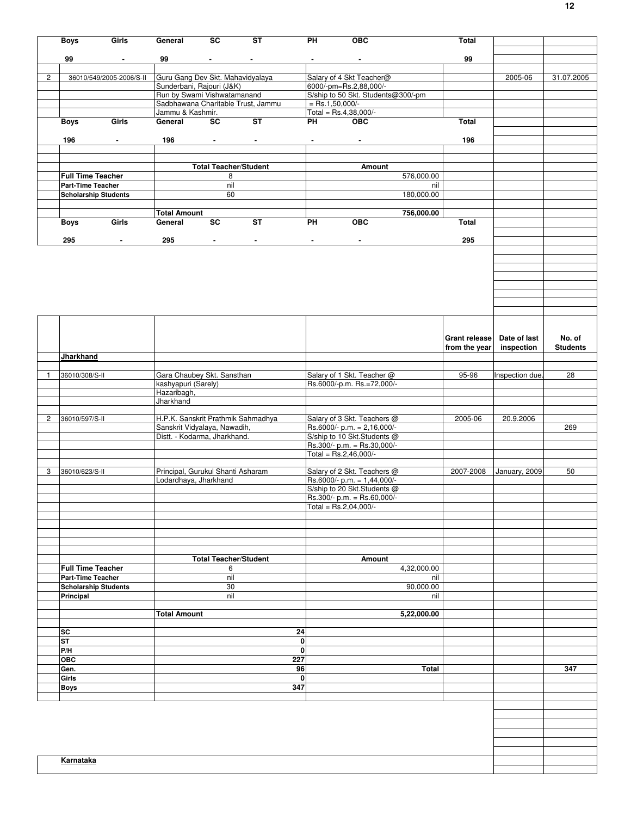|                       | <b>Boys</b>                                      | Girls                    | General                                                           | SC                           | ST                | PH                      | <b>OBC</b>                                                    | Total         |                 |                 |
|-----------------------|--------------------------------------------------|--------------------------|-------------------------------------------------------------------|------------------------------|-------------------|-------------------------|---------------------------------------------------------------|---------------|-----------------|-----------------|
|                       | 99                                               | $\sim$                   | 99                                                                | $\sim$                       | $\sim$            | $\sim$                  | $\blacksquare$                                                | 99            |                 |                 |
|                       |                                                  |                          |                                                                   |                              |                   |                         |                                                               |               |                 |                 |
| $\mathbf{2}^{\prime}$ |                                                  | 36010/549/2005-2006/S-II | Guru Gang Dev Skt. Mahavidyalaya                                  |                              |                   |                         | Salary of 4 Skt Teacher@                                      |               | 2005-06         | 31.07.2005      |
|                       |                                                  |                          | Sunderbani, Rajouri (J&K)                                         |                              |                   |                         | 6000/-pm=Rs.2,88,000/-                                        |               |                 |                 |
|                       |                                                  |                          | Run by Swami Vishwatamanand<br>Sadbhawana Charitable Trust, Jammu |                              |                   | $=$ Rs.1,50,000/-       | S/ship to 50 Skt. Students@300/-pm                            |               |                 |                 |
|                       |                                                  |                          | Jammu & Kashmir.                                                  |                              |                   | Total = $Rs.4,38,000/-$ |                                                               |               |                 |                 |
|                       | Boys                                             | Girls                    | General                                                           | <b>SC</b>                    | ST                | <b>PH</b>               | <b>OBC</b>                                                    | Total         |                 |                 |
|                       |                                                  |                          |                                                                   |                              |                   |                         |                                                               |               |                 |                 |
|                       | 196                                              | $\sim$                   | 196                                                               | $\sim 100$                   | $\sim$            | $\sim$                  | $\sim$                                                        | 196           |                 |                 |
|                       |                                                  |                          |                                                                   |                              |                   |                         |                                                               |               |                 |                 |
|                       |                                                  |                          |                                                                   | <b>Total Teacher/Student</b> |                   |                         | Amount                                                        |               |                 |                 |
|                       | <b>Full Time Teacher</b>                         |                          |                                                                   | 8                            |                   |                         | 576,000.00                                                    |               |                 |                 |
|                       | Part-Time Teacher<br><b>Scholarship Students</b> |                          |                                                                   | nil<br>60                    |                   |                         | nil<br>180,000.00                                             |               |                 |                 |
|                       |                                                  |                          |                                                                   |                              |                   |                         |                                                               |               |                 |                 |
|                       |                                                  |                          | <b>Total Amount</b>                                               |                              |                   |                         | 756,000.00                                                    |               |                 |                 |
|                       | <b>Boys</b>                                      | Girls                    | General                                                           | SC                           | ST                | PH                      | <b>OBC</b>                                                    | <b>Total</b>  |                 |                 |
|                       | 295                                              | $\blacksquare$           | 295                                                               | $\sim$                       | $\blacksquare$    | $\blacksquare$          | $\blacksquare$                                                | 295           |                 |                 |
|                       |                                                  |                          |                                                                   |                              |                   |                         |                                                               |               |                 |                 |
|                       |                                                  |                          |                                                                   |                              |                   |                         |                                                               |               |                 |                 |
|                       |                                                  |                          |                                                                   |                              |                   |                         |                                                               |               |                 |                 |
|                       |                                                  |                          |                                                                   |                              |                   |                         |                                                               |               |                 |                 |
|                       |                                                  |                          |                                                                   |                              |                   |                         |                                                               |               |                 |                 |
|                       |                                                  |                          |                                                                   |                              |                   |                         |                                                               |               |                 |                 |
|                       |                                                  |                          |                                                                   |                              |                   |                         |                                                               |               |                 |                 |
|                       |                                                  |                          |                                                                   |                              |                   |                         |                                                               |               |                 |                 |
|                       |                                                  |                          |                                                                   |                              |                   |                         |                                                               | Grant release | Date of last    | No. of          |
|                       |                                                  |                          |                                                                   |                              |                   |                         |                                                               | from the year | inspection      | <b>Students</b> |
|                       | Jharkhand                                        |                          |                                                                   |                              |                   |                         |                                                               |               |                 |                 |
| -1                    | 36010/308/S-II                                   |                          | Gara Chaubey Skt. Sansthan                                        |                              |                   |                         | Salary of 1 Skt. Teacher @                                    | 95-96         | Inspection due. | 28              |
|                       |                                                  |                          | kashyapuri (Sarely)                                               |                              |                   |                         | Rs.6000/-p.m. Rs.=72,000/-                                    |               |                 |                 |
|                       |                                                  |                          | Hazaribagh,<br>Jharkhand                                          |                              |                   |                         |                                                               |               |                 |                 |
|                       |                                                  |                          |                                                                   |                              |                   |                         |                                                               |               |                 |                 |
| $\overline{2}$        | 36010/597/S-II                                   |                          | H.P.K. Sanskrit Prathmik Sahmadhya                                |                              |                   |                         | Salary of 3 Skt. Teachers @                                   | 2005-06       | 20.9.2006       |                 |
|                       |                                                  |                          | Sanskrit Vidyalaya, Nawadih,                                      |                              |                   |                         | Rs.6000/- p.m. = 2,16,000/-                                   |               |                 | 269             |
|                       |                                                  |                          | Distt. - Kodarma, Jharkhand.                                      |                              |                   |                         | S/ship to 10 Skt.Students @<br>Rs.300/- p.m. = Rs.30,000/-    |               |                 |                 |
|                       |                                                  |                          |                                                                   |                              |                   | Total = $Rs.2,46,000/-$ |                                                               |               |                 |                 |
|                       |                                                  |                          |                                                                   |                              |                   |                         |                                                               |               |                 |                 |
| 3                     | 36010/623/S-II                                   |                          | Principal, Gurukul Shanti Asharam<br>Lodardhaya, Jharkhand        |                              |                   |                         | Salary of 2 Skt. Teachers @<br>Rs.6000/- p.m. = $1,44,000$ /- | 2007-2008     | January, 2009   | 50              |
|                       |                                                  |                          |                                                                   |                              |                   |                         | S/ship to 20 Skt.Students @                                   |               |                 |                 |
|                       |                                                  |                          |                                                                   |                              |                   |                         | Rs.300/- p.m. = Rs.60,000/-                                   |               |                 |                 |
|                       |                                                  |                          |                                                                   |                              |                   | Total = $Rs.2,04,000/-$ |                                                               |               |                 |                 |
|                       |                                                  |                          |                                                                   |                              |                   |                         |                                                               |               |                 |                 |
|                       |                                                  |                          |                                                                   |                              |                   |                         |                                                               |               |                 |                 |
|                       |                                                  |                          |                                                                   |                              |                   |                         |                                                               |               |                 |                 |
|                       |                                                  |                          |                                                                   | <b>Total Teacher/Student</b> |                   |                         | Amount                                                        |               |                 |                 |
|                       | <b>Full Time Teacher</b>                         |                          |                                                                   | 6                            |                   |                         | 4,32,000.00                                                   |               |                 |                 |
|                       | Part-Time Teacher                                |                          |                                                                   | nil                          |                   |                         | nil                                                           |               |                 |                 |
|                       | <b>Scholarship Students</b>                      |                          |                                                                   | 30                           |                   |                         | 90,000.00                                                     |               |                 |                 |
|                       | Principal                                        |                          |                                                                   | nil                          |                   |                         | nil                                                           |               |                 |                 |
|                       |                                                  |                          | <b>Total Amount</b>                                               |                              |                   |                         | 5,22,000.00                                                   |               |                 |                 |
|                       |                                                  |                          |                                                                   |                              |                   |                         |                                                               |               |                 |                 |
|                       | SC<br>ST                                         |                          |                                                                   |                              | 24<br>$\mathbf 0$ |                         |                                                               |               |                 |                 |
|                       | P/H                                              |                          |                                                                   |                              | $\mathbf 0$       |                         |                                                               |               |                 |                 |
|                       | <b>OBC</b>                                       |                          |                                                                   |                              | 227               |                         |                                                               |               |                 |                 |
|                       | Gen.                                             |                          |                                                                   |                              | 96                |                         | Total                                                         |               |                 | 347             |
|                       | Girls                                            |                          |                                                                   |                              | 0                 |                         |                                                               |               |                 |                 |
|                       | <b>Boys</b>                                      |                          |                                                                   |                              | 347               |                         |                                                               |               |                 |                 |
|                       |                                                  |                          |                                                                   |                              |                   |                         |                                                               |               |                 |                 |
|                       |                                                  |                          |                                                                   |                              |                   |                         |                                                               |               |                 |                 |
|                       |                                                  |                          |                                                                   |                              |                   |                         |                                                               |               |                 |                 |
|                       |                                                  |                          |                                                                   |                              |                   |                         |                                                               |               |                 |                 |
|                       |                                                  |                          |                                                                   |                              |                   |                         |                                                               |               |                 |                 |
|                       | <b>Karnataka</b>                                 |                          |                                                                   |                              |                   |                         |                                                               |               |                 |                 |
|                       |                                                  |                          |                                                                   |                              |                   |                         |                                                               |               |                 |                 |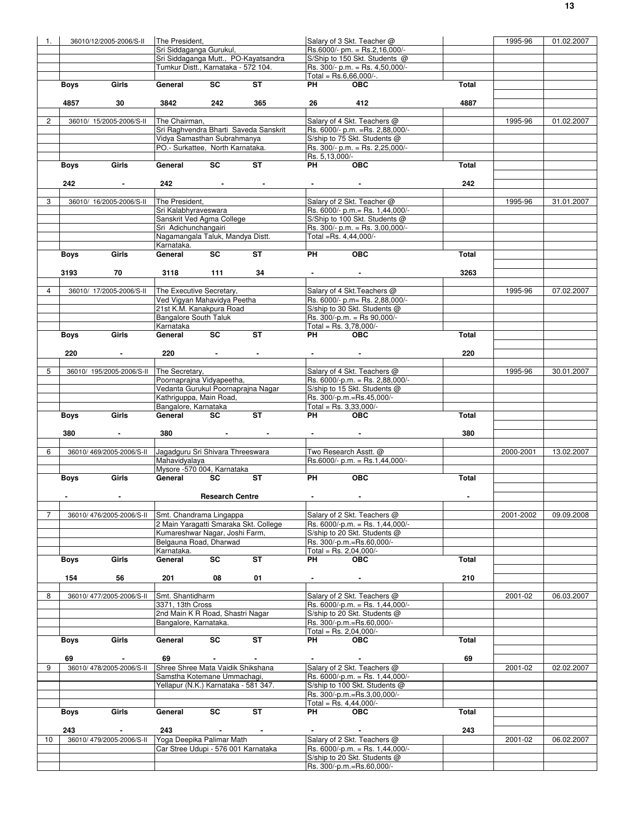| 1.             |             | 36010/12/2005-2006/S-II   | The President,                       |                                   |                                        |                             | Salary of 3 Skt. Teacher @        |       | 1995-96   | 01.02.2007 |
|----------------|-------------|---------------------------|--------------------------------------|-----------------------------------|----------------------------------------|-----------------------------|-----------------------------------|-------|-----------|------------|
|                |             |                           | Sri Siddaganga Gurukul.              |                                   |                                        |                             | $Rs.6000/- pm. = Rs.2,16,000/-$   |       |           |            |
|                |             |                           |                                      |                                   | Sri Siddaganga Mutt., PO-Kayatsandra   |                             | S/Ship to 150 Skt. Students @     |       |           |            |
|                |             |                           | Tumkur Distt., Karnataka - 572 104.  |                                   |                                        |                             | Rs. 300/- p.m. = Rs. 4,50,000/-   |       |           |            |
|                |             |                           |                                      |                                   |                                        |                             | Total = $Rs.6,66,000/-$ .         |       |           |            |
|                | <b>Boys</b> | Girls                     | General                              | $\overline{\mathsf{sc}}$          | ST                                     | <b>PH</b>                   | <b>OBC</b>                        | Total |           |            |
|                |             |                           |                                      |                                   |                                        |                             |                                   |       |           |            |
|                | 4857        | 30                        | 3842                                 | 242                               | 365                                    | 26                          | 412                               | 4887  |           |            |
|                |             |                           |                                      |                                   |                                        |                             |                                   |       |           |            |
| $\overline{2}$ |             | 36010/ 15/2005-2006/S-II  | The Chairman,                        |                                   |                                        |                             | Salary of 4 Skt. Teachers @       |       | 1995-96   | 01.02.2007 |
|                |             |                           |                                      |                                   | Sri Raghvendra Bharti Saveda Sanskrit  |                             | Rs. 6000/- p.m. = Rs. 2,88,000/-  |       |           |            |
|                |             |                           | Vidya Samasthan Subrahmanya          |                                   |                                        |                             | S/ship to 75 Skt. Students @      |       |           |            |
|                |             |                           | PO.- Surkattee, North Karnataka.     |                                   |                                        |                             | Rs. 300/- p.m. = Rs. 2,25,000/-   |       |           |            |
|                |             |                           |                                      |                                   |                                        |                             |                                   |       |           |            |
|                |             | Girls                     | General                              | SC                                | <b>ST</b>                              | Rs. 5,13,000/-<br><b>PH</b> | OEC                               | Total |           |            |
|                | Boys        |                           |                                      |                                   |                                        |                             |                                   |       |           |            |
|                |             |                           |                                      |                                   |                                        |                             |                                   |       |           |            |
|                | 242         | $\sim$                    | 242                                  |                                   | and the company of the com-            |                             |                                   | 242   |           |            |
|                |             |                           |                                      |                                   |                                        |                             |                                   |       |           |            |
| 3              |             | 36010/ 16/2005-2006/S-II  | The President,                       |                                   |                                        |                             | Salary of 2 Skt. Teacher @        |       | 1995-96   | 31.01.2007 |
|                |             |                           | Sri Kalabhyraveswara                 |                                   |                                        |                             | Rs. 6000/- p.m. = Rs. 1,44,000/-  |       |           |            |
|                |             |                           | Sanskrit Ved Agma College            |                                   |                                        |                             | S/Ship to 100 Skt. Students @     |       |           |            |
|                |             |                           | Sri Adichunchangairi                 |                                   |                                        |                             | Rs. 300/- p.m. = Rs. 3,00,000/-   |       |           |            |
|                |             |                           | Nagamangala Taluk, Mandya Distt.     |                                   |                                        |                             | Total =Rs. 4,44,000/-             |       |           |            |
|                |             |                           | Karnataka.                           |                                   |                                        |                             |                                   |       |           |            |
|                | Boys        | Girls                     | General                              | SC                                | ST                                     | PH                          | OEC                               | Total |           |            |
|                |             |                           |                                      |                                   |                                        |                             |                                   |       |           |            |
|                | 3193        | 70                        | 3118                                 | 111                               | 34                                     | And the company of the      |                                   | 3263  |           |            |
|                |             |                           |                                      |                                   |                                        |                             |                                   |       |           |            |
| 4              |             | 36010/ 17/2005-2006/S-II  | The Executive Secretary,             |                                   |                                        |                             | Salary of 4 Skt. Teachers @       |       | 1995-96   | 07.02.2007 |
|                |             |                           | Ved Vigyan Mahavidya Peetha          |                                   |                                        |                             | Rs. 6000/- p.m= Rs. 2,88,000/-    |       |           |            |
|                |             |                           | 21st K.M. Kanakpura Road             |                                   |                                        |                             | S/ship to 30 Skt. Students @      |       |           |            |
|                |             |                           | <b>Bangalore South Taluk</b>         |                                   |                                        |                             | Rs. 300/-p.m. = Rs 90,000/-       |       |           |            |
|                |             |                           | Karnataka                            |                                   |                                        |                             | Total = Rs. $3,78,000/-$          |       |           |            |
|                | Boys        | Girls                     | General                              | <b>SC</b>                         | <b>ST</b>                              | PH                          | <b>OBC</b>                        | Total |           |            |
|                |             |                           |                                      |                                   |                                        |                             |                                   |       |           |            |
|                | 220         |                           | 220                                  | the company's company's company's |                                        |                             | <b>Contractor</b>                 | 220   |           |            |
|                |             |                           |                                      |                                   |                                        |                             |                                   |       |           |            |
| 5              |             | 36010/ 195/2005-2006/S-II | The Secretary,                       |                                   |                                        |                             | Salary of 4 Skt. Teachers @       |       | 1995-96   | 30.01.2007 |
|                |             |                           | Poornaprajna Vidyapeetha,            |                                   |                                        |                             | Rs. 6000/-p.m. = Rs. 2,88,000/-   |       |           |            |
|                |             |                           |                                      |                                   | Vedanta Gurukul Poornaprajna Nagar     |                             | S/ship to 15 Skt. Students @      |       |           |            |
|                |             |                           | Kathriguppa, Main Road,              |                                   |                                        |                             | Rs. 300/-p.m.=Rs.45,000/-         |       |           |            |
|                |             |                           | Bangalore, Karnataka                 |                                   |                                        |                             | Total = Rs. $3,33,000/-$          |       |           |            |
|                |             | Girls                     | General                              | SC                                | $\overline{\mathsf{ST}}$               | PH <sub>2</sub>             | <b>OBC</b>                        | Total |           |            |
|                | Boys        |                           |                                      |                                   |                                        |                             |                                   |       |           |            |
|                |             |                           |                                      |                                   |                                        |                             |                                   |       |           |            |
|                | 380         | $\sim$ $-$                | 380                                  |                                   | the control of the control of the con- | And the company of the      |                                   | 380   |           |            |
|                |             |                           |                                      |                                   |                                        |                             |                                   |       |           |            |
| 6              |             | 36010/469/2005-2006/S-II  | Jagadguru Sri Shivara Threeswara     |                                   |                                        |                             | Two Research Asstt. @             |       | 2000-2001 | 13.02.2007 |
|                |             |                           | Mahavidyalaya                        |                                   |                                        |                             | Rs.6000/- p.m. = Rs.1,44,000/-    |       |           |            |
|                |             |                           | Mysore -570 004, Karnataka           |                                   |                                        |                             |                                   |       |           |            |
|                | <b>Boys</b> | Girls                     | General                              | SC                                | ST                                     | PH                          | <b>OBC</b>                        | Total |           |            |
|                |             |                           |                                      |                                   |                                        |                             |                                   |       |           |            |
|                |             |                           |                                      | <b>Research Centre</b>            |                                        |                             |                                   |       |           |            |
|                |             |                           |                                      |                                   |                                        |                             |                                   |       |           |            |
| $\overline{7}$ |             | 36010/476/2005-2006/S-II  | Smt. Chandrama Lingappa              |                                   |                                        |                             | Salary of 2 Skt. Teachers @       |       | 2001-2002 | 09.09.2008 |
|                |             |                           |                                      |                                   | 2 Main Yaragatti Smaraka Skt. College  |                             | Rs. 6000/-p.m. = Rs. 1,44,000/-   |       |           |            |
|                |             |                           | Kumareshwar Nagar, Joshi Farm,       |                                   |                                        |                             | S/ship to 20 Skt. Students @      |       |           |            |
|                |             |                           | Belgauna Road, Dharwad               |                                   |                                        |                             | Rs. 300/-p.m.=Rs.60,000/-         |       |           |            |
|                |             |                           | Karnataka.                           |                                   |                                        |                             | Total = Rs. $2,04,000/-$          |       |           |            |
|                | Boys        | Girls                     | General                              | SC                                | ST                                     | PH                          | <b>OBC</b>                        | Total |           |            |
|                |             |                           |                                      |                                   |                                        |                             |                                   |       |           |            |
|                | 154         | 56                        | 201                                  | 08                                | 01                                     |                             |                                   | 210   |           |            |
|                |             |                           |                                      |                                   |                                        |                             |                                   |       |           |            |
| 8              |             | 36010/477/2005-2006/S-II  | Smt. Shantidharm                     |                                   |                                        |                             | Salary of 2 Skt. Teachers @       |       | 2001-02   | 06.03.2007 |
|                |             |                           | 3371, 13th Cross                     |                                   |                                        |                             | Rs. 6000/-p.m. = Rs. 1,44,000/-   |       |           |            |
|                |             |                           | 2nd Main K R Road, Shastri Nagar     |                                   |                                        |                             | S/ship to 20 Skt. Students @      |       |           |            |
|                |             |                           |                                      |                                   |                                        |                             |                                   |       |           |            |
|                |             |                           | Bangalore, Karnataka.                |                                   |                                        |                             | Rs. 300/-p.m.=Rs.60.000/-         |       |           |            |
|                |             |                           |                                      |                                   |                                        |                             | Total = Rs. 2,04,000/-            |       |           |            |
|                | Boys        | Girls                     | General                              | SC                                | ST                                     | <b>PH</b>                   | <b>OBC</b>                        | Total |           |            |
|                |             |                           |                                      |                                   |                                        |                             |                                   |       |           |            |
|                | 69          |                           | 69                                   |                                   |                                        |                             |                                   | 69    |           |            |
| 9              |             | 36010/478/2005-2006/S-II  | Shree Shree Mata Vaidik Shikshana    |                                   |                                        |                             | Salary of 2 Skt. Teachers @       |       | 2001-02   | 02.02.2007 |
|                |             |                           | Samstha Kotemane Ummachagi,          |                                   |                                        |                             | Rs. $6000/-p.m. = Rs. 1,44,000/-$ |       |           |            |
|                |             |                           | Yellapur (N.K.) Karnataka - 581 347. |                                   |                                        |                             | S/ship to 100 Skt. Students @     |       |           |            |
|                |             |                           |                                      |                                   |                                        |                             | Rs. 300/-p.m.=Rs.3,00,000/-       |       |           |            |
|                |             |                           |                                      |                                   |                                        |                             | Total = Rs. $4,44,000/-$          |       |           |            |
|                | Boys        | Girls                     | General                              | SC                                | <b>ST</b>                              | PH                          | <b>OBC</b>                        | Total |           |            |
|                |             |                           |                                      |                                   |                                        |                             |                                   |       |           |            |
|                | 243         | $\sim$                    | 243                                  | <b>Contract Contract</b>          |                                        |                             | $\sim$                            | 243   |           |            |
| 10             |             | 36010/479/2005-2006/S-II  | Yoga Deepika Palimar Math            |                                   |                                        |                             | Salary of 2 Skt. Teachers @       |       | 2001-02   | 06.02.2007 |
|                |             |                           | Car Stree Udupi - 576 001 Karnataka  |                                   |                                        |                             | Rs. 6000/-p.m. = Rs. 1,44,000/-   |       |           |            |
|                |             |                           |                                      |                                   |                                        |                             | S/ship to 20 Skt. Students @      |       |           |            |
|                |             |                           |                                      |                                   |                                        |                             | Rs. 300/-p.m.=Rs.60,000/-         |       |           |            |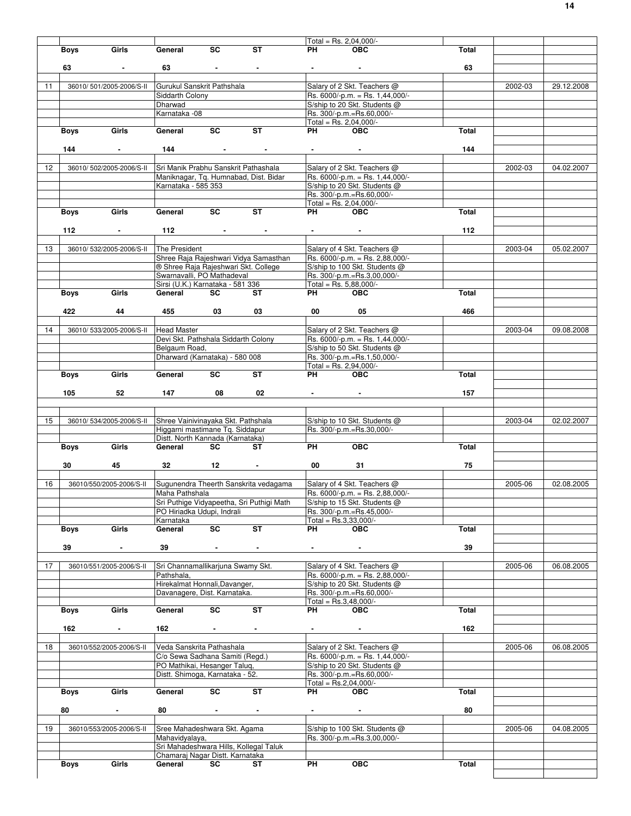|    |                                                             |                                                  |                |                                                                       | Total = Rs. 2,04,000/-                                         |              |         |            |
|----|-------------------------------------------------------------|--------------------------------------------------|----------------|-----------------------------------------------------------------------|----------------------------------------------------------------|--------------|---------|------------|
|    | Girls<br><b>Boys</b>                                        | <b>SC</b><br>General                             | ST             | PH                                                                    | <b>OBC</b>                                                     | Total        |         |            |
|    |                                                             |                                                  |                |                                                                       |                                                                |              |         |            |
|    | 63<br>$\sim$                                                | 63<br><b>Contract Contract</b>                   | $\sim 100$     |                                                                       | $\sim$                                                         | 63           |         |            |
|    |                                                             |                                                  |                |                                                                       |                                                                |              | 2002-03 |            |
| 11 | 36010/501/2005-2006/S-II                                    | Gurukul Sanskrit Pathshala<br>Siddarth Colony    |                |                                                                       | Salary of 2 Skt. Teachers @<br>Rs. 6000/-p.m. = Rs. 1,44,000/- |              |         | 29.12.2008 |
|    |                                                             | Dharwad                                          |                |                                                                       | S/ship to 20 Skt. Students @                                   |              |         |            |
|    |                                                             | Karnataka - 08                                   |                |                                                                       | Rs. 300/-p.m.=Rs.60,000/-                                      |              |         |            |
|    |                                                             |                                                  |                |                                                                       | Total = Rs. 2,04,000/-                                         |              |         |            |
|    | Girls<br>Boys                                               | <b>SC</b><br>General                             | <b>ST</b>      | PH                                                                    | <b>OBC</b>                                                     | Total        |         |            |
|    |                                                             |                                                  |                |                                                                       |                                                                |              |         |            |
|    | 144<br>$\sim$                                               | 144<br>and the state of the state of             | $\sim$         |                                                                       |                                                                | 144          |         |            |
|    |                                                             |                                                  |                |                                                                       |                                                                |              |         |            |
| 12 | 36010/502/2005-2006/S-II                                    | Sri Manik Prabhu Sanskrit Pathashala             |                |                                                                       | Salary of 2 Skt. Teachers @                                    |              | 2002-03 | 04.02.2007 |
|    |                                                             | Maniknagar, Tq. Humnabad, Dist. Bidar            |                |                                                                       | Rs. 6000/-p.m. = Rs. 1,44,000/-                                |              |         |            |
|    |                                                             | Karnataka - 585 353                              |                |                                                                       | S/ship to 20 Skt. Students @<br>Rs. 300/-p.m.=Rs.60,000/-      |              |         |            |
|    |                                                             |                                                  |                |                                                                       | Total = Rs. 2,04,000/-                                         |              |         |            |
|    | Girls<br>Boys                                               | <b>SC</b><br>General                             | <b>ST</b>      | PH                                                                    | <b>OBC</b>                                                     | <b>Total</b> |         |            |
|    |                                                             |                                                  |                |                                                                       |                                                                |              |         |            |
|    | 112                                                         | 112                                              |                |                                                                       |                                                                | 112          |         |            |
|    |                                                             |                                                  |                |                                                                       |                                                                |              |         |            |
| 13 | 36010/532/2005-2006/S-II                                    | The President                                    |                |                                                                       | Salary of 4 Skt. Teachers @                                    |              | 2003-04 | 05.02.2007 |
|    |                                                             | Shree Raia Raieshwari Vidva Samasthan            |                |                                                                       | Rs. 6000/-p.m. = Rs. 2,88,000/-                                |              |         |            |
|    |                                                             | ® Shree Raja Rajeshwari Skt. College             |                |                                                                       | S/ship to 100 Skt. Students @                                  |              |         |            |
|    |                                                             | Swarnavalli, PO Mathadeval                       |                |                                                                       | Rs. 300/-p.m.=Rs.3,00,000/-                                    |              |         |            |
|    |                                                             | Sirsi (U.K.) Karnataka - 581 336                 |                |                                                                       | Total = Rs. 5,88,000/-                                         |              |         |            |
|    | Girls<br><b>Boys</b>                                        | General<br>SC                                    | ST             | PH <sub>2</sub>                                                       | <b>OBC</b>                                                     | Total        |         |            |
|    | 422<br>44                                                   | 03<br>455                                        | 03             | 00                                                                    | 05                                                             | 466          |         |            |
|    |                                                             |                                                  |                |                                                                       |                                                                |              |         |            |
| 14 | 36010/533/2005-2006/S-II                                    | <b>Head Master</b>                               |                |                                                                       | Salary of 2 Skt. Teachers @                                    |              | 2003-04 | 09.08.2008 |
|    |                                                             | Devi Skt. Pathshala Siddarth Colony              |                |                                                                       | Rs. 6000/-p.m. = Rs. 1,44,000/-                                |              |         |            |
|    |                                                             | Belgaum Road,                                    |                |                                                                       | S/ship to 50 Skt. Students @                                   |              |         |            |
|    |                                                             | Dharward (Karnataka) - 580 008                   |                |                                                                       | Rs. 300/-p.m.=Rs.1,50,000/-                                    |              |         |            |
|    |                                                             |                                                  |                |                                                                       | Total = Rs. 2,94, $\overline{000/-}$                           |              |         |            |
|    | Girls<br>Boys                                               | SC<br>General                                    | ST             | PH <sub>2</sub>                                                       | <b>OBC</b>                                                     | Total        |         |            |
|    |                                                             |                                                  |                |                                                                       |                                                                |              |         |            |
|    | 105<br>52                                                   | 147<br>08                                        | 02             | $\bullet$ - $\bullet$ - $\bullet$ - $\bullet$ - $\bullet$ - $\bullet$ | <b>Service</b>                                                 | 157          |         |            |
|    |                                                             |                                                  |                |                                                                       |                                                                |              |         |            |
| 15 | 36010/534/2005-2006/S-II Shree Vainivinayaka Skt. Pathshala |                                                  |                |                                                                       | S/ship to 10 Skt. Students @                                   |              | 2003-04 | 02.02.2007 |
|    |                                                             | Higgarni mastimane Tq. Siddapur                  |                |                                                                       | Rs. 300/-p.m.=Rs.30,000/-                                      |              |         |            |
|    |                                                             | Distt. North Kannada (Karnataka)                 |                |                                                                       |                                                                |              |         |            |
|    | Girls<br><b>Boys</b>                                        | <b>SC</b><br>General                             | ST             | PH                                                                    | <b>OBC</b>                                                     | Total        |         |            |
|    |                                                             |                                                  |                |                                                                       |                                                                |              |         |            |
|    | 30<br>45                                                    | 32<br>12                                         |                | 00                                                                    | 31                                                             | 75           |         |            |
|    |                                                             |                                                  |                |                                                                       |                                                                |              |         |            |
| 16 | 36010/550/2005-2006/S-II                                    | Sugunendra Theerth Sanskrita vedagama            |                |                                                                       | Salary of 4 Skt. Teachers @                                    |              | 2005-06 | 02.08.2005 |
|    |                                                             | Maha Pathshala                                   |                |                                                                       | Rs. 6000/-p.m. = Rs. 2,88,000/-                                |              |         |            |
|    |                                                             | Sri Puthige Vidyapeetha, Sri Puthigi Math        |                |                                                                       | S/ship to 15 Skt. Students @                                   |              |         |            |
|    |                                                             | PO Hiriadka Udupi, Indrali                       |                |                                                                       | Rs. 300/-p.m.=Rs.45,000/-                                      |              |         |            |
|    | Girls<br><b>Boys</b>                                        | Karnataka<br>$\overline{sc}$<br>General          | ST             | PH                                                                    | Total = Rs.3,33,000/-<br><b>OBC</b>                            | Total        |         |            |
|    |                                                             |                                                  |                |                                                                       |                                                                |              |         |            |
|    | 39<br>$\sim$                                                | 39<br>$\sim$                                     | $\sim$         | $\sim$                                                                | $\sim$                                                         | 39           |         |            |
|    |                                                             |                                                  |                |                                                                       |                                                                |              |         |            |
| 17 | 36010/551/2005-2006/S-II                                    | Sri Channamallikarjuna Swamy Skt.                |                |                                                                       | Salary of 4 Skt. Teachers @                                    |              | 2005-06 | 06.08.2005 |
|    |                                                             | Pathshala,                                       |                |                                                                       | Rs. 6000/-p.m. = Rs. 2,88,000/-                                |              |         |            |
|    |                                                             | Hirekalmat Honnali, Davanger,                    |                |                                                                       | S/ship to 20 Skt. Students @                                   |              |         |            |
|    |                                                             | Davanagere, Dist. Karnataka.                     |                |                                                                       | Rs. 300/-p.m.=Rs.60,000/-                                      |              |         |            |
|    |                                                             |                                                  |                | Total = Rs.3,48,000/-                                                 |                                                                |              |         |            |
|    | Girls<br><b>Boys</b>                                        | General<br>SC                                    | ST             | PH                                                                    | <b>OBC</b>                                                     | <b>Total</b> |         |            |
|    |                                                             |                                                  |                |                                                                       |                                                                |              |         |            |
|    | 162<br>$\blacksquare$                                       | 162<br>$\sim$                                    | $\blacksquare$ |                                                                       | $\blacksquare$                                                 | 162          |         |            |
| 18 | 36010/552/2005-2006/S-II                                    | Veda Sanskrita Pathashala                        |                |                                                                       | Salary of 2 Skt. Teachers @                                    |              | 2005-06 | 06.08.2005 |
|    |                                                             | C/o Sewa Sadhana Samiti (Regd.)                  |                |                                                                       | Rs. 6000/-p.m. = Rs. 1,44,000/-                                |              |         |            |
|    |                                                             | PO Mathikai, Hesanger Talug,                     |                |                                                                       | S/ship to 20 Skt. Students @                                   |              |         |            |
|    |                                                             | Distt. Shimoga, Karnataka - 52.                  |                |                                                                       | Rs. 300/-p.m.=Rs.60,000/-                                      |              |         |            |
|    |                                                             |                                                  |                |                                                                       | Total = $Rs.2,04,000/-$                                        |              |         |            |
|    | Girls<br><b>Boys</b>                                        | SC<br>General                                    | <b>ST</b>      | <b>PH</b>                                                             | <b>OBC</b>                                                     | Total        |         |            |
|    |                                                             |                                                  |                |                                                                       |                                                                |              |         |            |
|    | 80<br>$\blacksquare$                                        | 80<br>$\sim$                                     | $\blacksquare$ | $\sim$                                                                | $\blacksquare$                                                 | 80           |         |            |
|    |                                                             |                                                  |                |                                                                       |                                                                |              |         |            |
| 19 | 36010/553/2005-2006/S-II                                    | Sree Mahadeshwara Skt. Agama                     |                |                                                                       | S/ship to 100 Skt. Students @                                  |              | 2005-06 | 04.08.2005 |
|    |                                                             | Mahavidyalaya,                                   |                |                                                                       | Rs. 300/-p.m.=Rs.3,00,000/-                                    |              |         |            |
|    |                                                             | Sri Mahadeshwara Hills, Kollegal Taluk           |                |                                                                       |                                                                |              |         |            |
|    | <b>Boys</b><br>Girls                                        | Chamaraj Nagar Distt. Karnataka<br>General<br>SC | ST             | PH                                                                    | OBC                                                            | Total        |         |            |
|    |                                                             |                                                  |                |                                                                       |                                                                |              |         |            |
|    |                                                             |                                                  |                |                                                                       |                                                                |              |         |            |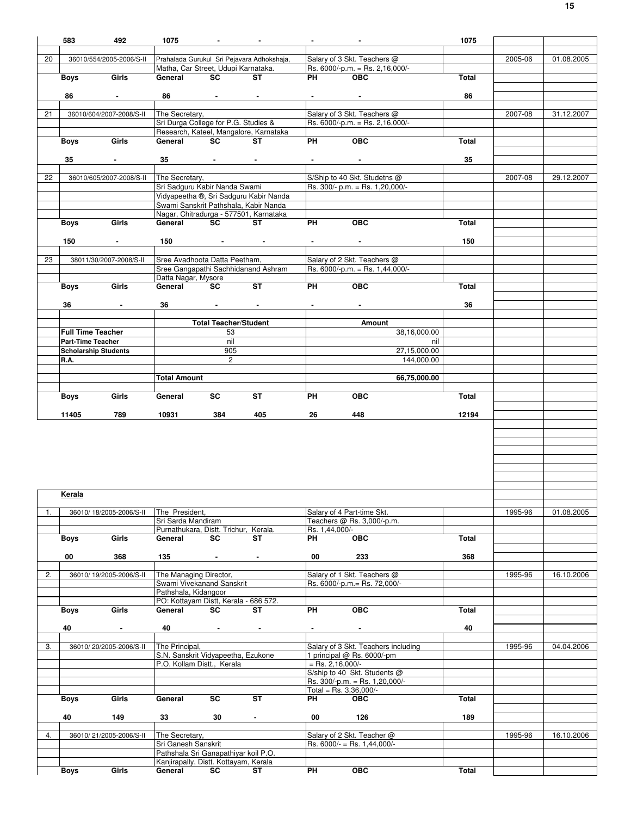|    | 583                      | 492                         | 1075                                                                          | <b>Contract Contract</b>           |                                            |                    |                                                                | 1075  |         |            |
|----|--------------------------|-----------------------------|-------------------------------------------------------------------------------|------------------------------------|--------------------------------------------|--------------------|----------------------------------------------------------------|-------|---------|------------|
| 20 |                          | 36010/554/2005-2006/S-II    |                                                                               |                                    | Prahalada Gurukul Sri Pejavara Adhokshaja, |                    | Salary of 3 Skt. Teachers @                                    |       | 2005-06 | 01.08.2005 |
|    |                          |                             | Matha, Car Street, Udupi Karnataka.                                           |                                    |                                            |                    | Rs. 6000/-p.m. = Rs. 2,16,000/-                                |       |         |            |
|    | <b>Boys</b>              | Girls                       | General SC ST                                                                 |                                    |                                            | <b>PH</b>          | OBC                                                            | Total |         |            |
|    | 86                       | $\sim 100$                  | 86                                                                            | the contract of the contract of    |                                            |                    | $\sim 100$                                                     | 86    |         |            |
|    |                          |                             |                                                                               |                                    |                                            |                    |                                                                |       |         |            |
| 21 |                          | 36010/604/2007-2008/S-II    | The Secretary,<br>Sri Durga College for P.G. Studies &                        |                                    |                                            |                    | Salary of 3 Skt. Teachers @<br>Rs. 6000/-p.m. = Rs. 2,16,000/- |       | 2007-08 | 31.12.2007 |
|    |                          |                             |                                                                               |                                    | Research, Kateel, Mangalore, Karnataka     |                    |                                                                |       |         |            |
|    | Boys <b>Boys</b>         | Girls                       | General SC                                                                    |                                    | ST                                         | PH                 | OEC                                                            | Total |         |            |
|    | 35                       | <b>Contract Contract</b>    | $35$ $  -$                                                                    |                                    |                                            |                    | <b>Figure 1999</b>                                             | 35    |         |            |
|    |                          |                             |                                                                               |                                    |                                            |                    |                                                                |       |         |            |
| 22 |                          | 36010/605/2007-2008/S-II    | The Secretary,                                                                |                                    |                                            |                    | S/Ship to 40 Skt. Studetns @                                   |       | 2007-08 | 29.12.2007 |
|    |                          |                             | Sri Sadguru Kabir Nanda Swami                                                 |                                    | Vidyapeetha ®, Sri Sadguru Kabir Nanda     |                    | Rs. 300/- p.m. = Rs. 1,20,000/-                                |       |         |            |
|    |                          |                             |                                                                               |                                    | Swami Sanskrit Pathshala, Kabir Nanda      |                    |                                                                |       |         |            |
|    |                          |                             |                                                                               |                                    | Nagar, Chitradurga - 577501, Karnataka     |                    | OBC                                                            |       |         |            |
|    | <b>Boys</b>              | Girls                       | General SC                                                                    |                                    | ST                                         | PH <sub>2</sub>    |                                                                | Total |         |            |
|    | 150                      | $\sim 100$                  | 150                                                                           |                                    |                                            |                    |                                                                | 150   |         |            |
|    |                          |                             |                                                                               |                                    |                                            |                    |                                                                |       |         |            |
| 23 |                          | 38011/30/2007-2008/S-II     | Sree Avadhoota Datta Peetham,                                                 |                                    | Sree Gangapathi Sachhidanand Ashram        |                    | Salary of 2 Skt. Teachers @<br>Rs. 6000/-p.m. = Rs. 1,44,000/- |       |         |            |
|    |                          |                             | Datta Nagar, Mysore                                                           |                                    |                                            |                    |                                                                |       |         |            |
|    | <b>Boys</b>              | Girls                       | General SC                                                                    |                                    | $\overline{\text{ST}}$                     | <b>PH</b>          | OEC                                                            | Total |         |            |
|    | 36                       | $\sim$                      | 36                                                                            | and the state of the state         | $\sim 100$ km s $^{-1}$                    |                    |                                                                | 36    |         |            |
|    |                          |                             |                                                                               |                                    |                                            |                    |                                                                |       |         |            |
|    | <b>Full Time Teacher</b> |                             |                                                                               | <b>Total Teacher/Student</b><br>53 |                                            |                    | Amount<br>38,16,000.00                                         |       |         |            |
|    | <b>Part-Time Teacher</b> |                             |                                                                               | nil                                |                                            |                    | nil                                                            |       |         |            |
|    |                          | <b>Scholarship Students</b> |                                                                               | 905                                |                                            |                    | 27,15,000.00                                                   |       |         |            |
|    | R.A.                     |                             |                                                                               | $\overline{2}$                     |                                            |                    | 144,000.00                                                     |       |         |            |
|    |                          |                             | <b>Total Amount</b>                                                           |                                    |                                            |                    | 66,75,000.00                                                   |       |         |            |
|    |                          |                             |                                                                               |                                    |                                            |                    |                                                                |       |         |            |
|    | Boys                     | Girls                       | General                                                                       | <b>SC</b>                          | ST                                         | PH                 | <b>OBC</b>                                                     | Total |         |            |
|    |                          |                             |                                                                               |                                    |                                            |                    |                                                                |       |         |            |
|    | 11405                    | 789                         | 10931                                                                         | 384                                | 405                                        | 26                 | 448                                                            | 12194 |         |            |
|    |                          |                             |                                                                               |                                    |                                            |                    |                                                                |       |         |            |
|    |                          |                             |                                                                               |                                    |                                            |                    |                                                                |       |         |            |
|    |                          |                             |                                                                               |                                    |                                            |                    |                                                                |       |         |            |
|    |                          |                             |                                                                               |                                    |                                            |                    |                                                                |       |         |            |
|    |                          |                             |                                                                               |                                    |                                            |                    |                                                                |       |         |            |
|    |                          |                             |                                                                               |                                    |                                            |                    |                                                                |       |         |            |
|    | Kerala                   |                             |                                                                               |                                    |                                            |                    |                                                                |       |         |            |
| 1. |                          | 36010/ 18/2005-2006/S-II    | The President,                                                                |                                    |                                            |                    | Salary of 4 Part-time Skt.                                     |       | 1995-96 | 01.08.2005 |
|    |                          |                             | Sri Sarda Mandiram                                                            |                                    |                                            | Rs. 1,44,000/-     | Teachers @ Rs. 3,000/-p.m.                                     |       |         |            |
|    | Boys                     | Girls                       | Purnathukara, Distt. Trichur, Kerala.<br>General                              | SC                                 | ST                                         | PH                 | OBC                                                            | Total |         |            |
|    |                          |                             |                                                                               |                                    |                                            |                    |                                                                |       |         |            |
|    | 00                       | 368                         | 135                                                                           | $\sim$                             | $\blacksquare$                             | 00                 | 233                                                            | 368   |         |            |
| 2. |                          | 36010/19/2005-2006/S-II     | The Managing Director,                                                        |                                    |                                            |                    | Salary of 1 Skt. Teachers @                                    |       | 1995-96 | 16.10.2006 |
|    |                          |                             | Swami Vivekanand Sanskrit<br>Pathshala, Kidangoor                             |                                    |                                            |                    | Rs. 6000/-p.m.= Rs. 72,000/-                                   |       |         |            |
|    |                          |                             | PO: Kottayam Distt, Kerala - 686 572.                                         |                                    |                                            |                    |                                                                |       |         |            |
|    | Boys                     | Girls                       | General                                                                       | SC                                 | ST                                         | PH                 | OBC                                                            | Total |         |            |
|    | 40                       | $\bullet$                   | 40                                                                            | <b>Contract Contract</b>           | $\sim$                                     | $\sim 100$         | $\sim$                                                         | 40    |         |            |
|    |                          |                             |                                                                               |                                    |                                            |                    |                                                                |       |         |            |
| 3. |                          | 36010/20/2005-2006/S-II     | The Principal,                                                                |                                    |                                            |                    | Salary of 3 Skt. Teachers including                            |       | 1995-96 | 04.04.2006 |
|    |                          |                             | S.N. Sanskrit Vidyapeetha, Ezukone<br>P.O. Kollam Distt., Kerala              |                                    |                                            | $=$ Rs. 2,16,000/- | 1 principal @ Rs. 6000/-pm                                     |       |         |            |
|    |                          |                             |                                                                               |                                    |                                            |                    | S/ship to 40 Skt. Students @                                   |       |         |            |
|    |                          |                             |                                                                               |                                    |                                            |                    | Rs. 300/-p.m. = Rs. 1,20,000/-<br>Total = Rs. $3,36,000/-$     |       |         |            |
|    | Boys                     | Girls                       | General                                                                       | SC                                 | ST                                         | PH                 | <b>OBC</b>                                                     | Total |         |            |
|    |                          |                             |                                                                               |                                    |                                            |                    |                                                                |       |         |            |
|    | 40                       | 149                         | 33                                                                            | 30                                 | $\sim$                                     | 00                 | 126                                                            | 189   |         |            |
| 4. |                          | 36010/21/2005-2006/S-II     | The Secretary,                                                                |                                    |                                            |                    | Salary of 2 Skt. Teacher @                                     |       | 1995-96 | 16.10.2006 |
|    |                          |                             | Sri Ganesh Sanskrit                                                           |                                    |                                            |                    | Rs. $6000/-$ = Rs. 1,44,000/-                                  |       |         |            |
|    | <b>Boys</b>              | Girls                       | Pathshala Sri Ganapathiyar koil P.O.<br>Kanjirapally, Distt. Kottayam, Kerala |                                    |                                            | PH                 | <b>OBC</b>                                                     |       |         |            |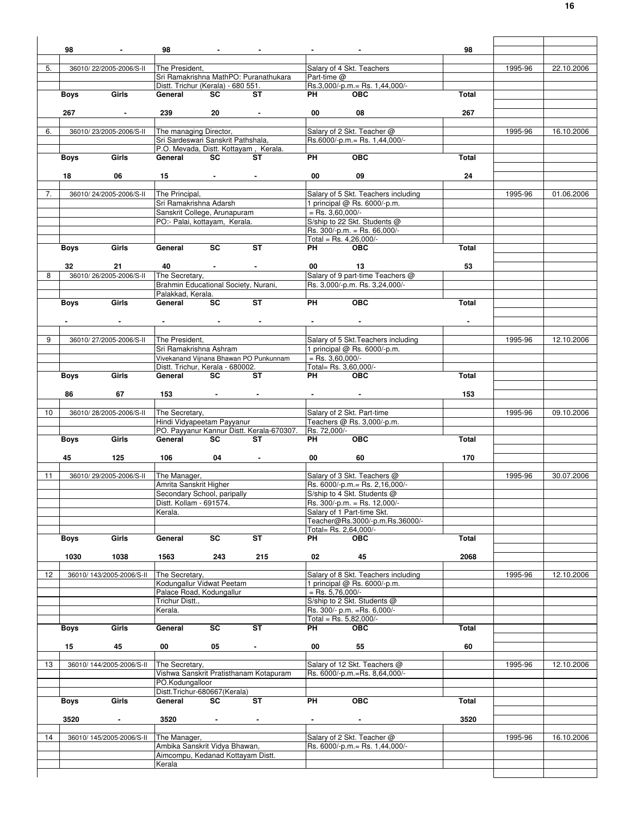|    | 98                      |                           | 98                                                           |                               |                                           |                    |                                                              | 98    |         |            |
|----|-------------------------|---------------------------|--------------------------------------------------------------|-------------------------------|-------------------------------------------|--------------------|--------------------------------------------------------------|-------|---------|------------|
|    |                         |                           |                                                              |                               |                                           |                    |                                                              |       |         |            |
| 5. |                         | 36010/22/2005-2006/S-II   | The President,                                               |                               |                                           |                    | Salary of 4 Skt. Teachers                                    |       | 1995-96 | 22.10.2006 |
|    |                         |                           |                                                              |                               | Sri Ramakrishna MathPO: Puranathukara     | Part-time @        |                                                              |       |         |            |
|    |                         |                           | Distt. Trichur (Kerala) - 680 551.                           |                               |                                           |                    | Rs.3,000/-p.m.= Rs. 1,44,000/-                               |       |         |            |
|    | <b>Boys</b>             | Girls                     | General                                                      | <b>SC</b>                     | ST                                        | PH                 | <b>OBC</b>                                                   | Total |         |            |
|    |                         |                           |                                                              |                               |                                           |                    |                                                              |       |         |            |
|    | 267                     |                           | 239                                                          | 20                            |                                           | 00                 | 08                                                           | 267   |         |            |
|    |                         |                           |                                                              |                               |                                           |                    |                                                              |       |         |            |
| 6. |                         | 36010/23/2005-2006/S-II   | The managing Director,<br>Sri Sardeswari Sanskrit Pathshala, |                               |                                           |                    | Salary of 2 Skt. Teacher @<br>Rs.6000/-p.m. = Rs. 1,44,000/- |       | 1995-96 | 16.10.2006 |
|    |                         |                           |                                                              |                               | P.O. Mevada, Distt. Kottayam, Kerala.     |                    |                                                              |       |         |            |
|    | Boys                    | Girls                     | General                                                      | SC                            | ST                                        | PH                 | $\overline{OBC}$                                             | Total |         |            |
|    |                         |                           |                                                              |                               |                                           |                    |                                                              |       |         |            |
|    | 18                      | 06                        | 15                                                           | <b>Contract Contract</b>      |                                           | 00                 | 09                                                           | 24    |         |            |
|    |                         |                           |                                                              |                               |                                           |                    |                                                              |       |         |            |
| 7. |                         | 36010/24/2005-2006/S-II   | The Principal,                                               |                               |                                           |                    | Salary of 5 Skt. Teachers including                          |       | 1995-96 | 01.06.2006 |
|    |                         |                           | Sri Ramakrishna Adarsh                                       |                               |                                           |                    | 1 principal @ Rs. 6000/-p.m.                                 |       |         |            |
|    |                         |                           | Sanskrit College, Arunapuram                                 |                               |                                           | $=$ Rs. 3,60,000/- |                                                              |       |         |            |
|    |                         |                           | PO:- Palai, kottayam, Kerala.                                |                               |                                           |                    | S/ship to 22 Skt. Students @                                 |       |         |            |
|    |                         |                           |                                                              |                               |                                           |                    | Rs. $300/-p.m. = Rs. 66,000/-$                               |       |         |            |
|    |                         |                           |                                                              |                               |                                           |                    | Total = Rs. $4,26,000/-$                                     |       |         |            |
|    | Boys                    | Girls                     | General                                                      | <b>SC</b>                     | <b>ST</b>                                 | PH <sub>2</sub>    | <b>OBC</b>                                                   | Total |         |            |
|    |                         |                           |                                                              |                               |                                           |                    |                                                              |       |         |            |
|    | 32                      | 21                        | 40                                                           |                               |                                           | 00                 | 13                                                           | 53    |         |            |
| 8  |                         | 36010/26/2005-2006/S-II   | The Secretary,                                               |                               |                                           |                    | Salary of 9 part-time Teachers @                             |       |         |            |
|    |                         |                           | Brahmin Educational Society, Nurani,                         |                               |                                           |                    | Rs. 3,000/-p.m. Rs. 3,24,000/-                               |       |         |            |
|    |                         |                           | Palakkad, Kerala.                                            |                               |                                           |                    |                                                              |       |         |            |
|    | Boys                    | Girls                     | General                                                      | SC                            | <b>ST</b>                                 | <b>PH</b>          | <b>OBC</b>                                                   | Total |         |            |
|    |                         |                           |                                                              |                               |                                           |                    |                                                              |       |         |            |
|    |                         |                           |                                                              |                               |                                           |                    |                                                              |       |         |            |
|    |                         |                           |                                                              |                               |                                           |                    |                                                              |       |         |            |
| 9  |                         | 36010/27/2005-2006/S-II   | The President,                                               |                               |                                           |                    | Salary of 5 Skt. Teachers including                          |       | 1995-96 | 12.10.2006 |
|    |                         |                           | Sri Ramakrishna Ashram                                       |                               |                                           |                    | 1 principal @ Rs. 6000/-p.m.                                 |       |         |            |
|    |                         |                           |                                                              |                               | Vivekanand Vijnana Bhawan PO Punkunnam    | $=$ Rs. 3,60,000/- |                                                              |       |         |            |
|    |                         |                           | Distt. Trichur, Kerala - 680002.                             |                               |                                           |                    | Total= Rs. 3,60,000/-                                        |       |         |            |
|    | Boys                    | Girls                     | General                                                      | <b>SC</b>                     | ST                                        | PH.                | <b>OBC</b>                                                   | Total |         |            |
|    |                         |                           |                                                              |                               |                                           |                    |                                                              |       |         |            |
|    | 86                      | 67                        | 153                                                          | and the state of the state of | $\blacksquare$                            |                    |                                                              | 153   |         |            |
|    |                         |                           |                                                              |                               |                                           |                    |                                                              |       |         |            |
| 10 |                         | 36010/28/2005-2006/S-II   | The Secretary,                                               |                               |                                           |                    | Salary of 2 Skt. Part-time                                   |       | 1995-96 | 09.10.2006 |
|    |                         |                           | Hindi Vidyapeetam Payyanur                                   |                               |                                           |                    | Teachers @ Rs. 3,000/-p.m.                                   |       |         |            |
|    |                         |                           |                                                              |                               | PO. Payyanur Kannur Distt. Kerala-670307. | Rs. 72,000/-       |                                                              |       |         |            |
|    | <b>Boys</b>             | Girls                     | General                                                      | <b>SC</b>                     | ST                                        | PH                 | <b>OBC</b>                                                   | Total |         |            |
|    |                         |                           |                                                              |                               |                                           |                    |                                                              |       |         |            |
|    | 45                      | 125                       | 106                                                          | 04                            |                                           | 00                 | 60                                                           | 170   |         |            |
|    |                         |                           |                                                              |                               |                                           |                    |                                                              |       |         |            |
| 11 | 36010/29/2005-2006/S-II |                           |                                                              |                               |                                           |                    |                                                              |       |         |            |
|    |                         |                           | The Manager,                                                 |                               |                                           |                    | Salary of 3 Skt. Teachers @                                  |       | 1995-96 | 30.07.2006 |
|    |                         |                           | Amrita Sanskrit Higher                                       |                               |                                           |                    | Rs. 6000/-p.m.= Rs. 2,16,000/-                               |       |         |            |
|    |                         |                           | Secondary School, paripally                                  |                               |                                           |                    | S/ship to 4 Skt. Students @                                  |       |         |            |
|    |                         |                           | Distt. Kollam - 691574.                                      |                               |                                           |                    | Rs. 300/-p.m. = Rs. 12,000/-                                 |       |         |            |
|    |                         |                           | Kerala.                                                      |                               |                                           |                    | Salary of 1 Part-time Skt.                                   |       |         |            |
|    |                         |                           |                                                              |                               |                                           |                    | Teacher@Rs.3000/-p.m.Rs.36000/-                              |       |         |            |
|    |                         |                           |                                                              |                               |                                           |                    | Total= Rs. 2.64.000/-                                        |       |         |            |
|    | <b>Boys</b>             | Girls                     | General                                                      | SC                            | ST                                        | PH                 | <b>OBC</b>                                                   | Total |         |            |
|    |                         |                           |                                                              |                               |                                           |                    |                                                              |       |         |            |
|    | 1030                    | 1038                      | 1563                                                         | 243                           | 215                                       | 02                 | 45                                                           | 2068  |         |            |
|    |                         |                           |                                                              |                               |                                           |                    |                                                              |       |         |            |
| 12 |                         | 36010/ 143/2005-2006/S-II | The Secretary,                                               |                               |                                           |                    | Salary of 8 Skt. Teachers including                          |       | 1995-96 | 12.10.2006 |
|    |                         |                           | Kodungallur Vidwat Peetam                                    |                               |                                           |                    | 1 principal @ Rs. 6000/-p.m.                                 |       |         |            |
|    |                         |                           | Palace Road, Kodungallur                                     |                               |                                           | $=$ Rs. 5,76,000/- |                                                              |       |         |            |
|    |                         |                           | Trichur Distt.,                                              |                               |                                           |                    | S/ship to 2 Skt. Students @                                  |       |         |            |
|    |                         |                           | Kerala.                                                      |                               |                                           |                    | Rs. 300/- p.m. = Rs. 6,000/-                                 |       |         |            |
|    |                         |                           |                                                              |                               |                                           |                    | Total = Rs. $5,82,000/-$                                     |       |         |            |
|    | <b>Boys</b>             | Girls                     | General                                                      | SC                            | <b>ST</b>                                 | PH                 | <b>OBC</b>                                                   | Total |         |            |
|    |                         |                           |                                                              |                               |                                           |                    |                                                              |       |         |            |
|    | 15                      | 45                        | 00                                                           | 05                            | $\sim$                                    | 00                 | 55                                                           | 60    |         |            |
|    |                         |                           |                                                              |                               |                                           |                    |                                                              |       |         |            |
| 13 |                         | 36010/ 144/2005-2006/S-II | The Secretary,                                               |                               |                                           |                    | Salary of 12 Skt. Teachers @                                 |       | 1995-96 | 12.10.2006 |
|    |                         |                           |                                                              |                               | Vishwa Sanskrit Pratisthanam Kotapuram    |                    | Rs. 6000/-p.m.=Rs. 8,64,000/-                                |       |         |            |
|    |                         |                           | PO.Kodungalloor                                              |                               |                                           |                    |                                                              |       |         |            |
|    |                         | Girls                     | Distt.Trichur-680667(Kerala)<br>General                      | SC                            | <b>ST</b>                                 | <b>PH</b>          | <b>OBC</b>                                                   | Total |         |            |
|    | Boys                    |                           |                                                              |                               |                                           |                    |                                                              |       |         |            |
|    | 3520                    | $\blacksquare$            |                                                              |                               | $\blacksquare$                            |                    | $\blacksquare$                                               |       |         |            |
|    |                         |                           | 3520                                                         | $\blacksquare$                |                                           |                    |                                                              | 3520  |         |            |
| 14 |                         | 36010/145/2005-2006/S-II  | The Manager,                                                 |                               |                                           |                    | Salary of 2 Skt. Teacher @                                   |       | 1995-96 | 16.10.2006 |
|    |                         |                           | Ambika Sanskrit Vidya Bhawan,                                |                               |                                           |                    | Rs. 6000/-p.m.= Rs. 1,44,000/-                               |       |         |            |
|    |                         |                           | Aimcompu, Kedanad Kottayam Distt.                            |                               |                                           |                    |                                                              |       |         |            |
|    |                         |                           | Kerala                                                       |                               |                                           |                    |                                                              |       |         |            |
|    |                         |                           |                                                              |                               |                                           |                    |                                                              |       |         |            |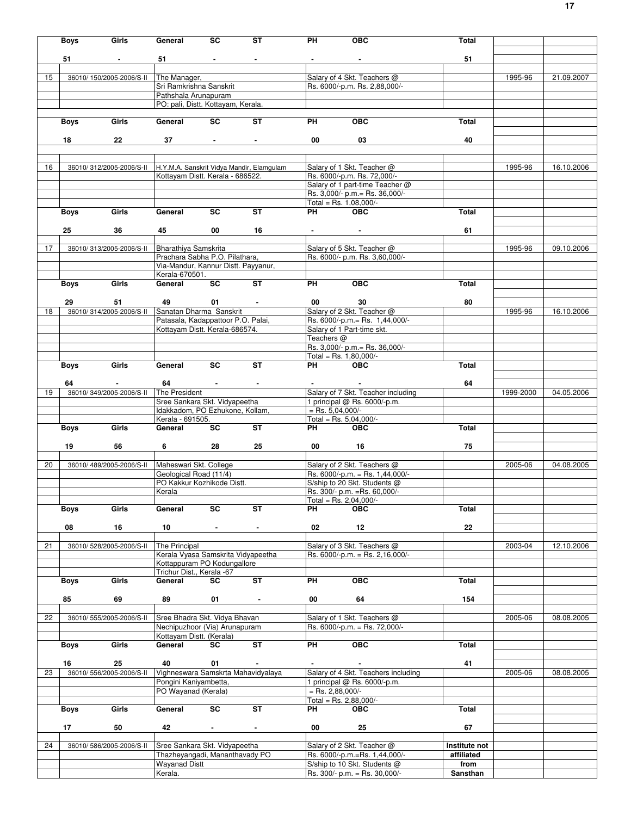|    | <b>Boys</b> | Girls                                         | General                                                           | SC                     | ST                                        | PH                       | <b>OBC</b>                                                        | Total                       |           |            |
|----|-------------|-----------------------------------------------|-------------------------------------------------------------------|------------------------|-------------------------------------------|--------------------------|-------------------------------------------------------------------|-----------------------------|-----------|------------|
|    |             |                                               |                                                                   |                        |                                           |                          |                                                                   |                             |           |            |
|    | 51          |                                               | 51                                                                |                        | $\sim 10$                                 |                          |                                                                   | 51                          |           |            |
| 15 |             | 36010/150/2005-2006/S-II                      | The Manager,                                                      |                        |                                           |                          | Salary of 4 Skt. Teachers @                                       |                             | 1995-96   | 21.09.2007 |
|    |             |                                               | Sri Ramkrishna Sanskrit                                           |                        |                                           |                          | Rs. 6000/-p.m. Rs. 2,88,000/-                                     |                             |           |            |
|    |             |                                               | Pathshala Arunapuram                                              |                        |                                           |                          |                                                                   |                             |           |            |
|    |             |                                               | PO: pali, Distt. Kottayam, Kerala.                                |                        |                                           |                          |                                                                   |                             |           |            |
|    | Boys        | Girls                                         | General                                                           | <b>SC</b>              | <b>ST</b>                                 | <b>PH</b>                | <b>OBC</b>                                                        | Total                       |           |            |
|    |             |                                               |                                                                   |                        |                                           |                          |                                                                   |                             |           |            |
|    | 18          | $22\,$                                        |                                                                   | $37 \quad \bullet$     | $\sim$                                    | 00                       | 03                                                                | 40                          |           |            |
|    |             |                                               |                                                                   |                        |                                           |                          |                                                                   |                             |           |            |
| 16 |             | 36010/312/2005-2006/S-II                      |                                                                   |                        | H.Y.M.A. Sanskrit Vidya Mandir, Elamgulam |                          | Salary of 1 Skt. Teacher @                                        |                             | 1995-96   | 16.10.2006 |
|    |             |                                               | Kottayam Distt. Kerala - 686522.                                  |                        |                                           |                          | Rs. 6000/-p.m. Rs. 72,000/-                                       |                             |           |            |
|    |             |                                               |                                                                   |                        |                                           |                          | Salary of 1 part-time Teacher @                                   |                             |           |            |
|    |             |                                               |                                                                   |                        |                                           |                          | Rs. 3,000/- p.m. = Rs. 36,000/-                                   |                             |           |            |
|    | Boys        | Girls                                         | General                                                           | SC                     | <b>ST</b>                                 | <b>PH</b>                | Total = Rs. $1,08,000/-$<br><b>OBC</b>                            | Total                       |           |            |
|    |             |                                               |                                                                   |                        |                                           |                          |                                                                   |                             |           |            |
|    | 25          | 36                                            | 45                                                                | 00                     | 16                                        |                          |                                                                   | 61                          |           |            |
|    |             |                                               |                                                                   |                        |                                           |                          |                                                                   |                             |           |            |
| 17 |             | 36010/313/2005-2006/S-II                      | Bharathiya Samskrita<br>Prachara Sabha P.O. Pilathara,            |                        |                                           |                          | Salary of 5 Skt. Teacher @<br>Rs. 6000/- p.m. Rs. 3,60,000/-      |                             | 1995-96   | 09.10.2006 |
|    |             |                                               | Via-Mandur, Kannur Distt. Payyanur,                               |                        |                                           |                          |                                                                   |                             |           |            |
|    |             |                                               | Kerala-670501.                                                    |                        |                                           |                          |                                                                   |                             |           |            |
|    | <b>Boys</b> | Girls                                         | General                                                           | SC                     | $\overline{\mathsf{ST}}$                  | <b>PH</b>                | <b>OBC</b>                                                        | Total                       |           |            |
|    | 29          | 51                                            |                                                                   | 49 01 -                |                                           | 00                       | 30                                                                | 80                          |           |            |
| 18 |             | 36010/314/2005-2006/S-II                      | Sanatan Dharma Sanskrit                                           |                        |                                           |                          | Salary of 2 Skt. Teacher @                                        |                             | 1995-96   | 16.10.2006 |
|    |             |                                               | Patasala, Kadappattoor P.O. Palai,                                |                        |                                           |                          | Rs. 6000/-p.m. = Rs. 1,44,000/-                                   |                             |           |            |
|    |             |                                               | Kottayam Distt. Kerala-686574.                                    |                        |                                           |                          | Salary of 1 Part-time skt.                                        |                             |           |            |
|    |             |                                               |                                                                   |                        |                                           | Teachers @               | Rs. 3,000/- p.m.= Rs. 36,000/-                                    |                             |           |            |
|    |             |                                               |                                                                   |                        |                                           |                          | Total = Rs. $1,80,000/-$                                          |                             |           |            |
|    | <b>Boys</b> | Girls                                         | General SC                                                        |                        | ST                                        | PH OBC                   |                                                                   | Total                       |           |            |
|    |             |                                               |                                                                   |                        |                                           |                          |                                                                   |                             |           |            |
| 19 | 64          | <b>Contractor</b><br>36010/349/2005-2006/S-II | The President                                                     | $64 \qquad - \qquad -$ | $\sim$                                    | <b>Contract Contract</b> | Salary of 7 Skt. Teacher including                                | 64                          | 1999-2000 | 04.05.2006 |
|    |             |                                               | Sree Sankara Skt. Vidyapeetha                                     |                        |                                           |                          | 1 principal @ Rs. 6000/-p.m.                                      |                             |           |            |
|    |             |                                               | Idakkadom, PO Ezhukone, Kollam,                                   |                        |                                           | $=$ Rs. 5,04,000/-       |                                                                   |                             |           |            |
|    |             |                                               | Kerala - 691505.                                                  | SC                     | ST                                        |                          | Total = Rs. $5,04,000/-$                                          |                             |           |            |
|    | Boys        | Girls                                         | General                                                           |                        |                                           | <b>PH</b> PH             | <b>OBC</b>                                                        | Total                       |           |            |
|    | 19          | 56                                            | $6\qquad \qquad \overline{\phantom{1}}$                           | 28                     | 25                                        | 00 16                    |                                                                   | 75                          |           |            |
|    |             |                                               |                                                                   |                        |                                           |                          |                                                                   |                             |           |            |
| 20 |             | 36010/489/2005-2006/S-II                      | Maheswari Skt. College                                            |                        |                                           |                          | Salary of 2 Skt. Teachers @                                       |                             | 2005-06   | 04.08.2005 |
|    |             |                                               | Geological Road (11/4)<br>PO Kakkur Kozhikode Distt.              |                        |                                           |                          | Rs. $6000/-p.m. = Rs. 1,44,000/-$<br>S/ship to 20 Skt. Students @ |                             |           |            |
|    |             |                                               | Kerala                                                            |                        |                                           |                          | Rs. 300/- p.m. = Rs. 60,000/-                                     |                             |           |            |
|    |             |                                               |                                                                   |                        |                                           |                          | Total = Rs. 2,04,000/-                                            |                             |           |            |
|    | <b>Boys</b> | Girls                                         | General                                                           | SC                     | ST                                        | PН                       | <b>OBC</b>                                                        | Total                       |           |            |
|    | 08          | 16                                            | 10                                                                |                        | $\blacksquare$                            | 02                       | 12                                                                | 22                          |           |            |
|    |             |                                               |                                                                   |                        |                                           |                          |                                                                   |                             |           |            |
| 21 |             | 36010/528/2005-2006/S-II                      | The Principal                                                     |                        |                                           |                          | Salary of 3 Skt. Teachers @                                       |                             | 2003-04   | 12.10.2006 |
|    |             |                                               | Kerala Vyasa Samskrita Vidyapeetha<br>Kottappuram PO Kodungallore |                        |                                           |                          | Rs. 6000/-p.m. = Rs. 2,16,000/-                                   |                             |           |            |
|    |             |                                               | Trichur Dist., Kerala -67                                         |                        |                                           |                          |                                                                   |                             |           |            |
|    | <b>Boys</b> | Girls                                         | General                                                           | SC                     | ST                                        | PН                       | <b>OBC</b>                                                        | Total                       |           |            |
|    |             |                                               |                                                                   |                        |                                           |                          |                                                                   |                             |           |            |
|    | 85          | 69                                            | 89                                                                | 01                     | $\blacksquare$                            | 00                       | 64                                                                | 154                         |           |            |
| 22 |             | 36010/ 555/2005-2006/S-II                     | Sree Bhadra Skt. Vidya Bhavan                                     |                        |                                           |                          | Salary of 1 Skt. Teachers @                                       |                             | 2005-06   | 08.08.2005 |
|    |             |                                               | Nechipuzhoor (Via) Arunapuram                                     |                        |                                           |                          | Rs. 6000/-p.m. = Rs. 72,000/-                                     |                             |           |            |
|    |             |                                               | Kottayam Distt. (Kerala)                                          |                        |                                           |                          |                                                                   |                             |           |            |
|    | <b>Boys</b> | Girls                                         | General                                                           | SC                     | <b>ST</b>                                 | PН                       | OBC                                                               | Total                       |           |            |
|    | 16          | 25                                            | 40                                                                | 01                     | $\blacksquare$                            |                          | $\blacksquare$                                                    | 41                          |           |            |
| 23 |             | 36010/556/2005-2006/S-II                      |                                                                   |                        | Vighneswara Samskrta Mahavidyalaya        |                          | Salary of 4 Skt. Teachers including                               |                             | 2005-06   | 08.08.2005 |
|    |             |                                               | Pongini Kaniyambetta,                                             |                        |                                           |                          | 1 principal @ Rs. 6000/-p.m.                                      |                             |           |            |
|    |             |                                               | PO Wayanad (Kerala)                                               |                        |                                           | $=$ Rs. 2,88,000/-       |                                                                   |                             |           |            |
|    | Boys        | Girls                                         | General                                                           | SC                     | <b>ST</b>                                 | PН                       | Total = Rs. $2,88,000/-$<br><b>OBC</b>                            | Total                       |           |            |
|    |             |                                               |                                                                   |                        |                                           |                          |                                                                   |                             |           |            |
|    | 17          | 50                                            | 42                                                                | $\blacksquare$         | $\blacksquare$                            | 00                       | 25                                                                | 67                          |           |            |
|    |             |                                               |                                                                   |                        |                                           |                          |                                                                   |                             |           |            |
| 24 |             | 36010/586/2005-2006/S-II                      | Sree Sankara Skt. Vidyapeetha<br>Thazheyangadi, Mananthavady PO   |                        |                                           |                          | Salary of 2 Skt. Teacher @<br>Rs. 6000/-p.m.=Rs. 1,44,000/-       | Institute not<br>affiliated |           |            |
|    |             |                                               | <b>Wayanad Distt</b>                                              |                        |                                           |                          | S/ship to 10 Skt. Students @                                      | from                        |           |            |
|    |             |                                               | Kerala.                                                           |                        |                                           |                          | Rs. 300/- p.m. = Rs. 30,000/-                                     | Sansthan                    |           |            |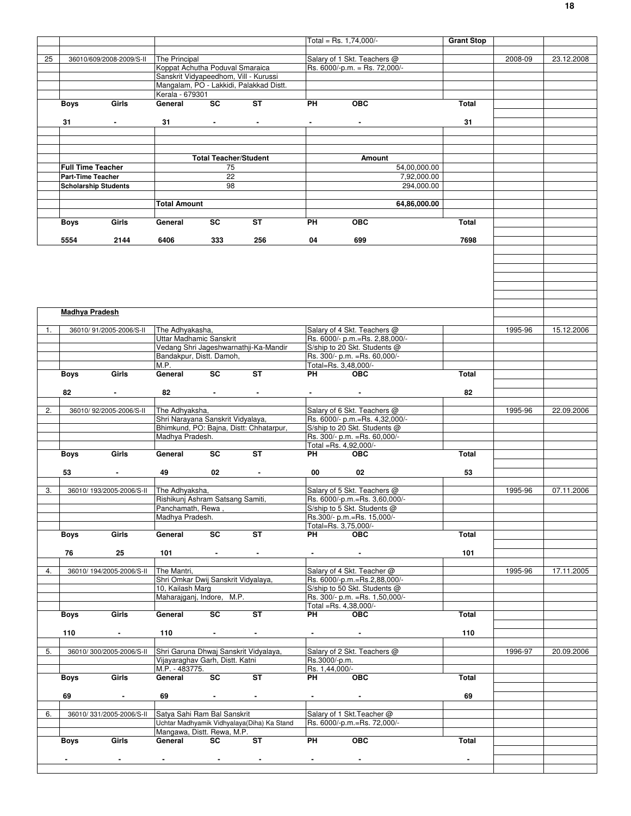|    |                       |                                         |                                                         |                                    |                                            |                                 | $Total = Rs. 1,74,000/$                                      | <b>Grant Stop</b> |         |            |
|----|-----------------------|-----------------------------------------|---------------------------------------------------------|------------------------------------|--------------------------------------------|---------------------------------|--------------------------------------------------------------|-------------------|---------|------------|
| 25 |                       | 36010/609/2008-2009/S-II                | The Principal                                           |                                    |                                            |                                 | Salary of 1 Skt. Teachers @                                  |                   | 2008-09 | 23.12.2008 |
|    |                       |                                         | Koppat Achutha Poduval Smaraica                         |                                    |                                            |                                 | Rs. 6000/-p.m. = Rs. 72,000/-                                |                   |         |            |
|    |                       |                                         | Sanskrit Vidyapeedhom, Vill - Kurussi                   |                                    |                                            |                                 |                                                              |                   |         |            |
|    |                       |                                         |                                                         |                                    | Mangalam, PO - Lakkidi, Palakkad Distt.    |                                 |                                                              |                   |         |            |
|    |                       |                                         | Kerala - 679301<br>General                              | $\overline{\text{sc}}$             |                                            |                                 |                                                              |                   |         |            |
|    | <b>Boys</b>           | Girls                                   |                                                         |                                    | <b>ST</b>                                  | <b>PH</b>                       | <b>OBC</b>                                                   | <b>Total</b>      |         |            |
|    | 31                    | $\sim 100$                              | 31                                                      | <b>All Contracts</b>               | $\sim$                                     | $\sim 100$                      | $\sim 100$                                                   | 31                |         |            |
|    |                       |                                         |                                                         |                                    |                                            |                                 |                                                              |                   |         |            |
|    |                       |                                         |                                                         |                                    |                                            |                                 |                                                              |                   |         |            |
|    |                       |                                         |                                                         |                                    |                                            |                                 |                                                              |                   |         |            |
|    |                       | <b>Full Time Teacher</b>                |                                                         | <b>Total Teacher/Student</b><br>75 |                                            |                                 | Amount<br>54,00,000.00                                       |                   |         |            |
|    | Part-Time Teacher     |                                         |                                                         | 22                                 |                                            |                                 | 7,92,000.00                                                  |                   |         |            |
|    |                       | <b>Scholarship Students</b>             |                                                         | 98                                 |                                            |                                 | 294,000.00                                                   |                   |         |            |
|    |                       |                                         |                                                         |                                    |                                            |                                 |                                                              |                   |         |            |
|    |                       |                                         | <b>Total Amount</b>                                     |                                    |                                            |                                 | 64,86,000.00                                                 |                   |         |            |
|    | <b>Boys</b>           | Girls                                   | General                                                 | SC                                 | ST                                         | PH                              | <b>OBC</b>                                                   | Total             |         |            |
|    | 5554                  | 2144                                    | 6406                                                    | 333                                | 256                                        | 04                              | 699                                                          | 7698              |         |            |
|    |                       |                                         |                                                         |                                    |                                            |                                 |                                                              |                   |         |            |
|    |                       |                                         |                                                         |                                    |                                            |                                 |                                                              |                   |         |            |
|    | <b>Madhya Pradesh</b> |                                         |                                                         |                                    |                                            |                                 |                                                              |                   |         |            |
| 1. |                       | 36010/91/2005-2006/S-II                 | The Adhyakasha,                                         |                                    |                                            |                                 | Salary of 4 Skt. Teachers @                                  |                   | 1995-96 | 15.12.2006 |
|    |                       |                                         | Uttar Madhamic Sanskrit                                 |                                    |                                            |                                 | Rs. 6000/- p.m.=Rs. 2,88,000/-                               |                   |         |            |
|    |                       |                                         |                                                         |                                    | Vedang Shri Jageshwarnathji-Ka-Mandir      |                                 | S/ship to 20 Skt. Students @                                 |                   |         |            |
|    |                       |                                         | Bandakpur, Distt. Damoh,<br>M.P.                        |                                    |                                            |                                 | Rs. 300/- p.m. = Rs. 60,000/-<br>Total=Rs. 3,48,000/-        |                   |         |            |
|    | <b>Boys</b>           | Girls                                   | General                                                 | SC                                 | <b>ST</b>                                  | PH                              | <b>OBC</b>                                                   | <b>Total</b>      |         |            |
|    |                       |                                         |                                                         |                                    |                                            |                                 |                                                              |                   |         |            |
|    | 82                    |                                         | 82                                                      | <b>All Contracts</b>               | $\blacksquare$                             |                                 | $\blacksquare$                                               | 82                |         |            |
| 2. |                       | 36010/92/2005-2006/S-II                 | The Adhyaksha,                                          |                                    |                                            |                                 | Salary of 6 Skt. Teachers @                                  |                   | 1995-96 | 22.09.2006 |
|    |                       |                                         | Shri Narayana Sanskrit Vidyalaya,                       |                                    |                                            |                                 | Rs. 6000/- p.m.=Rs. 4,32,000/-                               |                   |         |            |
|    |                       |                                         |                                                         |                                    | Bhimkund, PO: Bajna, Distt: Chhatarpur,    |                                 | S/ship to 20 Skt. Students @                                 |                   |         |            |
|    |                       |                                         | Madhya Pradesh.                                         |                                    |                                            |                                 | Rs. 300/- p.m. = Rs. 60,000/-                                |                   |         |            |
|    | <b>Boys</b>           | Girls                                   | General                                                 | SC                                 | <b>ST</b>                                  | PH                              | Total =Rs. 4,92,000/-<br><b>OBC</b>                          | Total             |         |            |
|    |                       |                                         |                                                         |                                    |                                            |                                 |                                                              |                   |         |            |
|    | 53                    | $\blacksquare$                          | 49                                                      | 02                                 | $\blacksquare$                             | 00                              | 02                                                           | 53                |         |            |
|    |                       |                                         |                                                         |                                    |                                            |                                 |                                                              |                   |         |            |
| 3. |                       | 36010/193/2005-2006/S-II The Adhyaksha, |                                                         |                                    |                                            |                                 | Salary of 5 Skt. Teachers @                                  |                   | 1995-96 | 07.11.2006 |
|    |                       |                                         | Rishikunj Ashram Satsang Samiti,<br>Panchamath, Rewa,   |                                    |                                            |                                 | Rs. 6000/-p.m.=Rs. 3,60,000/-<br>S/ship to 5 Skt. Students @ |                   |         |            |
|    |                       |                                         | Madhya Pradesh.                                         |                                    |                                            |                                 | Rs.300/- p.m.=Rs. 15,000/-                                   |                   |         |            |
|    |                       |                                         |                                                         |                                    |                                            |                                 | Total=Rs. 3,75,000/-                                         |                   |         |            |
|    | Boys                  | Girls                                   | General                                                 | SC                                 | <b>ST</b>                                  | PH                              | <b>OBC</b>                                                   | Total             |         |            |
|    | 76                    | 25                                      | 101                                                     | <b>Contract Contract</b>           | $\blacksquare$                             |                                 |                                                              | 101               |         |            |
|    |                       |                                         |                                                         |                                    |                                            |                                 |                                                              |                   |         |            |
| 4. |                       | 36010/194/2005-2006/S-II                | The Mantri,                                             |                                    |                                            |                                 | Salary of 4 Skt. Teacher @<br>Rs. 6000/-p.m.=Rs.2,88,000/-   |                   | 1995-96 | 17.11.2005 |
|    |                       |                                         | Shri Omkar Dwij Sanskrit Vidyalaya,<br>10, Kailash Marg |                                    |                                            |                                 | S/ship to 50 Skt. Students @                                 |                   |         |            |
|    |                       |                                         | Maharajganj, Indore, M.P.                               |                                    |                                            |                                 | Rs. 300/- p.m. = Rs. 1,50,000/-                              |                   |         |            |
|    |                       |                                         |                                                         |                                    |                                            |                                 | Total =Rs. 4,38,000/-                                        |                   |         |            |
|    | Boys                  | Girls                                   | General                                                 | SC                                 | <b>ST</b>                                  | PH                              | <b>OBC</b>                                                   | Total             |         |            |
|    | 110                   | $\sim 100$                              | 110                                                     | $\sim 100$                         | $\blacksquare$                             |                                 | $\sim$                                                       | 110               |         |            |
|    |                       |                                         |                                                         |                                    |                                            |                                 |                                                              |                   |         |            |
| 5. |                       | 36010/300/2005-2006/S-II                |                                                         |                                    | Shri Garuna Dhwaj Sanskrit Vidyalaya,      |                                 | Salary of 2 Skt. Teachers @                                  |                   | 1996-97 | 20.09.2006 |
|    |                       |                                         | Vijayaraghav Garh, Distt. Katni<br>M.P. - 483775.       |                                    |                                            | Rs.3000/-p.m.<br>Rs. 1,44,000/- |                                                              |                   |         |            |
|    | <b>Boys</b>           | Girls                                   | General                                                 | SC                                 | ST                                         | PH <sub>2</sub>                 | <b>OBC</b>                                                   | Total             |         |            |
|    |                       |                                         |                                                         |                                    |                                            |                                 |                                                              |                   |         |            |
|    | 69                    | $\blacksquare$                          | 69                                                      |                                    | $\blacksquare$                             |                                 |                                                              | 69                |         |            |
| 6. |                       | 36010/331/2005-2006/S-II                | Satya Sahi Ram Bal Sanskrit                             |                                    |                                            |                                 | Salary of 1 Skt. Teacher @                                   |                   |         |            |
|    |                       |                                         |                                                         |                                    | Uchtar Madhyamik Vidhyalaya(Diha) Ka Stand |                                 | Rs. 6000/-p.m.=Rs. 72,000/-                                  |                   |         |            |
|    |                       |                                         | Mangawa, Distt. Rewa, M.P.                              |                                    |                                            |                                 |                                                              |                   |         |            |
|    | <b>Boys</b>           | Girls                                   | General                                                 | SC                                 | <b>ST</b>                                  | PH                              | OEC                                                          | Total             |         |            |
|    |                       |                                         |                                                         |                                    | $\blacksquare$                             | <b>Contract Contract</b>        |                                                              |                   |         |            |
|    |                       |                                         |                                                         | <b>Contract Contract</b>           |                                            |                                 |                                                              |                   |         |            |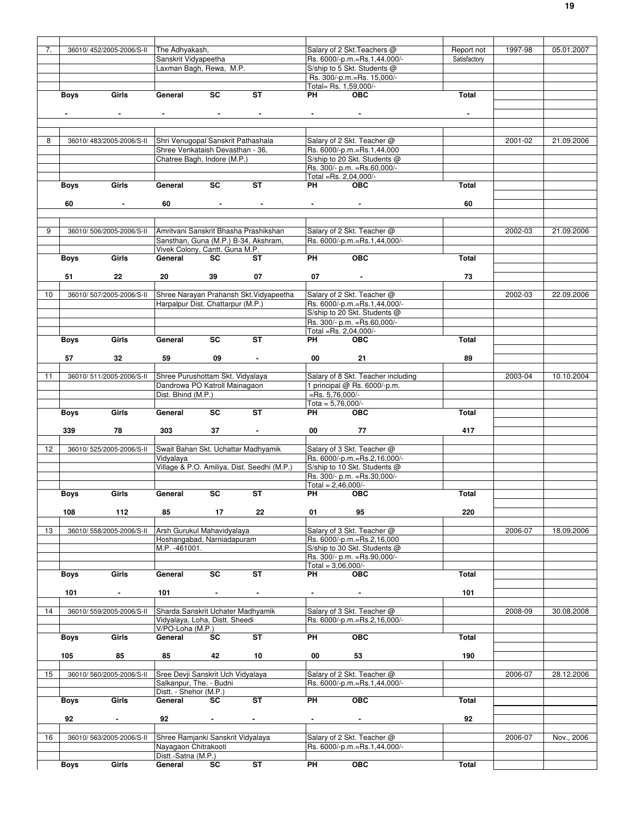| 7.              |                | 36010/452/2005-2006/S-II | The Adhyakash,                        |           |                                             |                            | Salary of 2 Skt. Teachers @        | Report not     | 1997-98 | 05.01.2007 |
|-----------------|----------------|--------------------------|---------------------------------------|-----------|---------------------------------------------|----------------------------|------------------------------------|----------------|---------|------------|
|                 |                |                          | Sanskrit Vidyapeetha                  |           |                                             |                            | Rs. 6000/-p.m.=Rs.1,44,000/-       | Satisfactory   |         |            |
|                 |                |                          | Laxman Bagh, Rewa, M.P.               |           |                                             |                            | S/ship to 5 Skt. Students @        |                |         |            |
|                 |                |                          |                                       |           |                                             |                            | Rs. 300/-p.m.=Rs. 15,000/-         |                |         |            |
|                 |                |                          |                                       |           |                                             |                            |                                    |                |         |            |
|                 |                |                          |                                       |           |                                             | Total= Rs. 1,59,000/-      |                                    |                |         |            |
|                 | Boys           | Girls                    | General                               | SC        | <b>ST</b>                                   | PH                         | <b>OBC</b>                         | Total          |         |            |
|                 |                |                          |                                       |           |                                             |                            |                                    |                |         |            |
|                 | $\blacksquare$ | $\sim$                   | $\sim$                                | $\sim$    | $\blacksquare$                              | And the state of the state |                                    | $\blacksquare$ |         |            |
|                 |                |                          |                                       |           |                                             |                            |                                    |                |         |            |
|                 |                |                          |                                       |           |                                             |                            |                                    |                |         |            |
| 8               |                | 36010/483/2005-2006/S-II | Shri Venugopal Sanskrit Pathashala    |           |                                             |                            | Salary of 2 Skt. Teacher @         |                |         |            |
|                 |                |                          |                                       |           |                                             |                            |                                    |                | 2001-02 | 21.09.2006 |
|                 |                |                          | Shree Venkataish Devasthan - 36,      |           |                                             |                            | Rs. 6000/-p.m.=Rs.1,44,000         |                |         |            |
|                 |                |                          | Chatree Bagh, Indore (M.P.)           |           |                                             |                            | S/ship to 20 Skt. Students @       |                |         |            |
|                 |                |                          |                                       |           |                                             |                            | Rs. 300/- p.m. = Rs.60,000/-       |                |         |            |
|                 |                |                          |                                       |           |                                             | Total =Rs. 2,04,000/-      |                                    |                |         |            |
|                 | <b>Boys</b>    | Girls                    | General                               | SC        | <b>ST</b>                                   | PH                         | <b>OBC</b>                         | Total          |         |            |
|                 |                |                          |                                       |           |                                             |                            |                                    |                |         |            |
|                 | 60             | $\sim$                   | 60                                    |           | <b>Contract Contract</b>                    | And the state of the state |                                    | 60             |         |            |
|                 |                |                          |                                       |           |                                             |                            |                                    |                |         |            |
|                 |                |                          |                                       |           |                                             |                            |                                    |                |         |            |
|                 |                |                          |                                       |           |                                             |                            |                                    |                |         |            |
| 9               |                | 36010/506/2005-2006/S-II | Amritvani Sanskrit Bhasha Prashikshan |           |                                             |                            | Salary of 2 Skt. Teacher @         |                | 2002-03 | 21.09.2006 |
|                 |                |                          |                                       |           | Sansthan, Guna (M.P.) B-34, Akshram,        |                            | Rs. 6000/-p.m.=Rs.1,44,000/-       |                |         |            |
|                 |                |                          | Vivek Colony, Cantt. Guna M.P.        |           |                                             |                            |                                    |                |         |            |
|                 | Boys           | Girls                    | General                               | SC        | ST                                          | <b>PH</b>                  | OEC                                | Total          |         |            |
|                 |                |                          |                                       |           |                                             |                            |                                    |                |         |            |
|                 |                | 22                       | 20                                    |           | 07                                          |                            |                                    | 73             |         |            |
|                 | 51             |                          |                                       | 39        |                                             | 07                         |                                    |                |         |            |
|                 |                |                          |                                       |           |                                             |                            |                                    |                |         |            |
| 10 <sup>1</sup> |                | 36010/507/2005-2006/S-II |                                       |           | Shree Narayan Prahansh Skt. Vidyapeetha     |                            | Salary of 2 Skt. Teacher @         |                | 2002-03 | 22.09.2006 |
|                 |                |                          | Harpalpur Dist. Chattarpur (M.P.)     |           |                                             |                            | Rs. 6000/-p.m.=Rs.1,44,000/-       |                |         |            |
|                 |                |                          |                                       |           |                                             |                            | S/ship to 20 Skt. Students @       |                |         |            |
|                 |                |                          |                                       |           |                                             |                            | Rs. 300/- p.m. = Rs.60,000/-       |                |         |            |
|                 |                |                          |                                       |           |                                             | Total =Rs. 2,04,000/-      |                                    |                |         |            |
|                 |                | Girls                    | General                               | <b>SC</b> | <b>ST</b>                                   | PH                         | <b>OBC</b>                         | <b>Total</b>   |         |            |
|                 | Boys           |                          |                                       |           |                                             |                            |                                    |                |         |            |
|                 |                |                          |                                       |           |                                             |                            |                                    |                |         |            |
|                 | 57             | 32                       | 59                                    | 09        | $\sim$                                      | 00                         | 21                                 | 89             |         |            |
|                 |                |                          |                                       |           |                                             |                            |                                    |                |         |            |
| 11              |                | 36010/511/2005-2006/S-II | Shree Purushottam Skt. Vidyalaya      |           |                                             |                            | Salary of 8 Skt. Teacher including |                | 2003-04 | 10.10.2004 |
|                 |                |                          | Dandrowa PO Katroll Mainagaon         |           |                                             |                            | 1 principal @ Rs. 6000/-p.m.       |                |         |            |
|                 |                |                          | Dist. Bhind (M.P.)                    |           |                                             | $=$ Rs. 5,76,000/-         |                                    |                |         |            |
|                 |                |                          |                                       |           |                                             |                            |                                    |                |         |            |
|                 |                |                          |                                       |           |                                             | Tota = $5,76,000$ /-       |                                    |                |         |            |
|                 |                |                          |                                       |           |                                             |                            |                                    |                |         |            |
|                 | <b>Boys</b>    | Girls                    | General                               | <b>SC</b> | <b>ST</b>                                   | PH                         | <b>OBC</b>                         | <b>Total</b>   |         |            |
|                 |                |                          |                                       |           |                                             |                            |                                    |                |         |            |
|                 | 339            | 78                       | 303                                   | 37        |                                             | 00                         | 77                                 | 417            |         |            |
|                 |                |                          |                                       |           |                                             |                            |                                    |                |         |            |
|                 |                |                          |                                       |           |                                             |                            |                                    |                |         |            |
| 12              |                | 36010/525/2005-2006/S-II | Swait Bahan Skt. Uchattar Madhyamik   |           |                                             |                            | Salary of 3 Skt. Teacher @         |                |         |            |
|                 |                |                          | Vidyalaya                             |           |                                             |                            | Rs. 6000/-p.m.=Rs.2,16,000/-       |                |         |            |
|                 |                |                          |                                       |           | Village & P.O. Amiliya, Dist. Seedhi (M.P.) |                            | S/ship to 10 Skt. Students @       |                |         |            |
|                 |                |                          |                                       |           |                                             |                            | Rs. 300/- p.m. = Rs. 30,000/-      |                |         |            |
|                 |                |                          |                                       |           |                                             | Total = $2,46,000/-$       |                                    |                |         |            |
|                 | <b>Boys</b>    | Girls                    | General                               | SC        | $\overline{\mathsf{ST}}$                    | PH <sub>2</sub>            | <b>OBC</b>                         | Total          |         |            |
|                 |                |                          |                                       |           |                                             |                            |                                    |                |         |            |
|                 | 108            | 112                      | 85                                    | 17        | 22                                          | 01                         | 95                                 | 220            |         |            |
|                 |                |                          |                                       |           |                                             |                            |                                    |                |         |            |
|                 |                |                          |                                       |           |                                             |                            |                                    |                |         |            |
| 13              |                | 36010/558/2005-2006/S-II | Arsh Gurukul Mahavidyalaya            |           |                                             |                            | Salary of 3 Skt. Teacher @         |                | 2006-07 | 18.09.2006 |
|                 |                |                          | Hoshangabad, Narniadapuram            |           |                                             |                            | Rs. 6000/-p.m.=Rs.2,16,000         |                |         |            |
|                 |                |                          | M.P. -461001.                         |           |                                             |                            | S/ship to 30 Skt. Students @       |                |         |            |
|                 |                |                          |                                       |           |                                             |                            | Rs. 300/- p.m. = Rs. 90, 000/-     |                |         |            |
|                 |                |                          |                                       |           |                                             | Total = $3,06,000/-$       |                                    |                |         |            |
|                 | Boys           | Girls                    | General                               | SC        | ST                                          | PH                         | <b>OBC</b>                         | Total          |         |            |
|                 |                |                          |                                       |           |                                             |                            |                                    |                |         |            |
|                 |                | $\blacksquare$           | 101                                   | $\sim$    | $\blacksquare$                              | $\blacksquare$             | $\sim$                             | 101            |         |            |
|                 | 101            |                          |                                       |           |                                             |                            |                                    |                |         |            |
|                 |                |                          |                                       |           |                                             |                            |                                    |                |         |            |
| 14              |                | 36010/559/2005-2006/S-II | Sharda Sanskrit Uchater Madhyamik     |           |                                             |                            | Salary of 3 Skt. Teacher @         |                | 2008-09 | 30.08.2008 |
|                 |                |                          | Vidyalaya, Loha, Distt. Sheedi        |           |                                             |                            | Rs. 6000/-p.m.=Rs.2,16,000/-       |                |         |            |
|                 |                |                          | V/PO-Loha (M.P.)                      |           |                                             |                            |                                    |                |         |            |
|                 | <b>Boys</b>    | Girls                    | General                               | SC        | ST                                          | PH                         | OBC                                | Total          |         |            |
|                 |                |                          |                                       |           |                                             |                            |                                    |                |         |            |
|                 |                |                          |                                       |           |                                             |                            |                                    |                |         |            |
|                 | 105            | 85                       | 85                                    | 42        | 10                                          | 00                         | 53                                 | 190            |         |            |
|                 |                |                          |                                       |           |                                             |                            |                                    |                |         |            |
| 15              |                | 36010/560/2005-2006/S-II | Sree Devji Sanskrit Uch Vidyalaya     |           |                                             |                            | Salary of 2 Skt. Teacher @         |                | 2006-07 | 28.12.2006 |
|                 |                |                          | Salkanpur, The. - Budni               |           |                                             |                            | Rs. 6000/-p.m.=Rs.1,44,000/-       |                |         |            |
|                 |                |                          | Distt. - Shehor (M.P.)                |           |                                             |                            |                                    |                |         |            |
|                 | Boys           | Girls                    | General                               | SC        | ST                                          | PH                         | OBC                                | Total          |         |            |
|                 |                |                          |                                       |           |                                             |                            |                                    |                |         |            |
|                 | 92             | $\sim 10$                | 92                                    | $\sim 10$ | $\sim$                                      | $\sim$                     | $\sim 10$                          | 92             |         |            |
|                 |                |                          |                                       |           |                                             |                            |                                    |                |         |            |
|                 |                |                          |                                       |           |                                             |                            |                                    |                |         |            |
| 16              |                | 36010/563/2005-2006/S-II | Shree Ramjanki Sanskrit Vidyalaya     |           |                                             |                            | Salary of 2 Skt. Teacher @         |                | 2006-07 | Nov., 2006 |
|                 |                |                          | Nayagaon Chitrakooti                  |           |                                             |                            | Rs. 6000/-p.m.=Rs.1,44,000/-       |                |         |            |
|                 | <b>Boys</b>    | Girls                    | Distt.-Satna (M.P.)<br>General        | SC        | ST                                          | <b>PH</b>                  | <b>OBC</b>                         | Total          |         |            |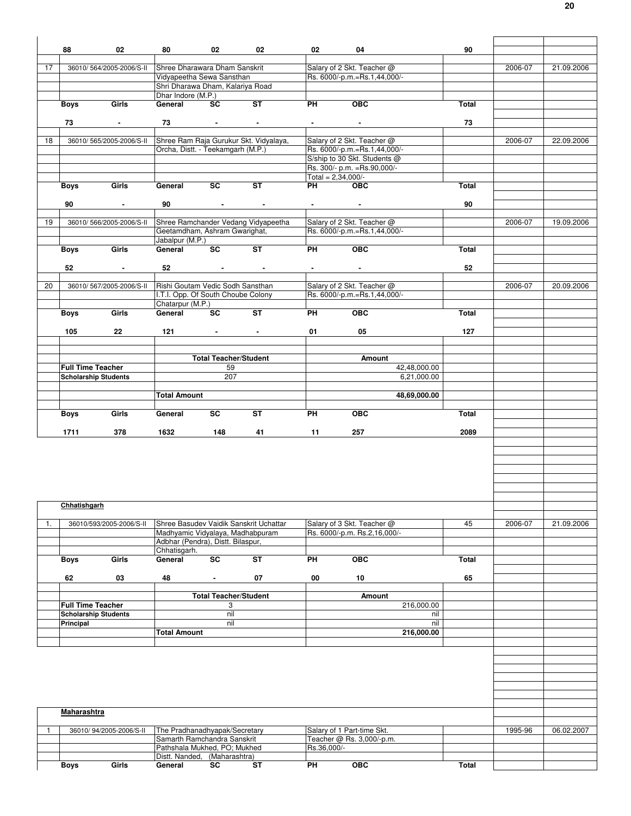|    | 88                                                      | 02                       | 80                                                                    | 02                              | 02                                     | 02                                                          | 04                                                           | 90    |         |            |
|----|---------------------------------------------------------|--------------------------|-----------------------------------------------------------------------|---------------------------------|----------------------------------------|-------------------------------------------------------------|--------------------------------------------------------------|-------|---------|------------|
|    |                                                         |                          |                                                                       |                                 |                                        |                                                             |                                                              |       |         |            |
| 17 |                                                         | 36010/564/2005-2006/S-II | Shree Dharawara Dham Sanskrit                                         |                                 |                                        |                                                             | Salary of 2 Skt. Teacher @                                   |       | 2006-07 | 21.09.2006 |
|    |                                                         |                          | Vidyapeetha Sewa Sansthan                                             |                                 |                                        |                                                             | Rs. 6000/-p.m.=Rs.1,44,000/-                                 |       |         |            |
|    |                                                         |                          | Shri Dharawa Dham, Kalariya Road<br>Dhar Indore (M.P.)                |                                 |                                        |                                                             |                                                              |       |         |            |
|    | Boys                                                    | Girls                    | General                                                               | SC                              | ST                                     | PH                                                          | OEC                                                          | Total |         |            |
|    |                                                         |                          |                                                                       |                                 |                                        |                                                             |                                                              |       |         |            |
|    | 73                                                      | $\sim 100$               |                                                                       | $73$ $-$                        | $\sim$                                 | $\bullet$ .<br><br><br><br><br><br><br><br><br><br><br><br> |                                                              | 73    |         |            |
|    |                                                         |                          |                                                                       |                                 |                                        |                                                             |                                                              |       |         |            |
| 18 |                                                         | 36010/565/2005-2006/S-II |                                                                       |                                 | Shree Ram Raja Gurukur Skt. Vidyalaya, |                                                             | Salary of 2 Skt. Teacher @                                   |       | 2006-07 | 22.09.2006 |
|    |                                                         |                          | Orcha, Distt. - Teekamgarh (M.P.)                                     |                                 |                                        |                                                             | Rs. 6000/-p.m.=Rs.1,44,000/-<br>S/ship to 30 Skt. Students @ |       |         |            |
|    |                                                         |                          |                                                                       |                                 |                                        |                                                             | Rs. 300/- p.m. = Rs. 90, 000/-                               |       |         |            |
|    |                                                         |                          |                                                                       |                                 |                                        | Total = $2,34,000/-$                                        |                                                              |       |         |            |
|    | Boys                                                    | Girls                    | General                                                               | <b>SC</b>                       | <b>ST</b>                              | <b>PH</b>                                                   | OEC                                                          | Total |         |            |
|    |                                                         |                          |                                                                       |                                 |                                        |                                                             |                                                              |       |         |            |
|    | 90                                                      | $\sim$                   | 90                                                                    | <b>Contract Contract</b>        | $\sim$                                 | <b>Programmer</b>                                           | <b>Contract Contract</b>                                     | 90    |         |            |
|    |                                                         |                          |                                                                       |                                 |                                        |                                                             |                                                              |       |         |            |
| 19 |                                                         | 36010/566/2005-2006/S-II | Geetamdham, Ashram Gwarighat,                                         |                                 | Shree Ramchander Vedang Vidyapeetha    |                                                             | Salary of 2 Skt. Teacher @<br>Rs. 6000/-p.m.=Rs.1,44,000/-   |       | 2006-07 | 19.09.2006 |
|    |                                                         |                          | Jabalpur (M.P.)                                                       |                                 |                                        |                                                             |                                                              |       |         |            |
|    | Boys                                                    | Girls                    | General                                                               | <b>SC</b>                       | ST                                     | <b>PH</b>                                                   | $\overline{OBC}$                                             | Total |         |            |
|    |                                                         |                          |                                                                       |                                 |                                        |                                                             |                                                              |       |         |            |
|    | 52                                                      | $\sim 100$               |                                                                       | $52$ $-$                        | $\sim$                                 | $\bullet$ - $\bullet$ - $\bullet$ - $\bullet$ - $\bullet$   | <b>All Control</b>                                           | 52    |         |            |
|    |                                                         |                          |                                                                       |                                 |                                        |                                                             |                                                              |       |         |            |
| 20 |                                                         | 36010/567/2005-2006/S-II | Rishi Goutam Vedic Sodh Sansthan                                      |                                 |                                        |                                                             | Salary of 2 Skt. Teacher @                                   |       | 2006-07 | 20.09.2006 |
|    |                                                         |                          | I.T.I. Opp. Of South Choube Colony<br>Chatarpur (M.P.)                |                                 |                                        |                                                             | Rs. 6000/-p.m.=Rs.1,44,000/-                                 |       |         |            |
|    | Boys                                                    | Girls                    | General                                                               | <b>SC</b>                       | ST                                     | PH                                                          | <b>OBC</b>                                                   | Total |         |            |
|    |                                                         |                          |                                                                       |                                 |                                        |                                                             |                                                              |       |         |            |
|    | 105                                                     | 22                       | 121                                                                   | the contract of the contract of |                                        | 01                                                          | 05                                                           | 127   |         |            |
|    |                                                         |                          |                                                                       |                                 |                                        |                                                             |                                                              |       |         |            |
|    |                                                         |                          |                                                                       |                                 |                                        |                                                             |                                                              |       |         |            |
|    |                                                         |                          |                                                                       | <b>Total Teacher/Student</b>    |                                        |                                                             | Amount                                                       |       |         |            |
|    | <b>Full Time Teacher</b><br><b>Scholarship Students</b> |                          |                                                                       | 59<br>207                       |                                        |                                                             | 42,48,000.00<br>6,21,000.00                                  |       |         |            |
|    |                                                         |                          |                                                                       |                                 |                                        |                                                             |                                                              |       |         |            |
|    |                                                         |                          | <b>Total Amount</b>                                                   |                                 |                                        |                                                             | 48,69,000.00                                                 |       |         |            |
|    |                                                         |                          |                                                                       |                                 |                                        |                                                             |                                                              |       |         |            |
|    | Boys                                                    | Girls                    | General                                                               | <b>SC</b>                       | <b>ST</b>                              | PH                                                          | <b>OBC</b>                                                   | Total |         |            |
|    |                                                         |                          |                                                                       |                                 |                                        |                                                             |                                                              |       |         |            |
|    |                                                         |                          |                                                                       |                                 |                                        |                                                             |                                                              |       |         |            |
|    | 1711                                                    | 378                      | 1632                                                                  | 148                             | 41                                     | 11                                                          | 257                                                          | 2089  |         |            |
|    |                                                         |                          |                                                                       |                                 |                                        |                                                             |                                                              |       |         |            |
|    |                                                         |                          |                                                                       |                                 |                                        |                                                             |                                                              |       |         |            |
|    |                                                         |                          |                                                                       |                                 |                                        |                                                             |                                                              |       |         |            |
|    |                                                         |                          |                                                                       |                                 |                                        |                                                             |                                                              |       |         |            |
|    |                                                         |                          |                                                                       |                                 |                                        |                                                             |                                                              |       |         |            |
|    |                                                         |                          |                                                                       |                                 |                                        |                                                             |                                                              |       |         |            |
|    | Chhatishgarh                                            |                          |                                                                       |                                 |                                        |                                                             |                                                              |       |         |            |
|    |                                                         |                          |                                                                       |                                 |                                        |                                                             |                                                              |       |         |            |
| 1. |                                                         | 36010/593/2005-2006/S-II |                                                                       |                                 | Shree Basudev Vaidik Sanskrit Uchattar |                                                             | Salary of 3 Skt. Teacher @                                   | 45    | 2006-07 | 21.09.2006 |
|    |                                                         |                          | Madhyamic Vidyalaya, Madhabpuram<br>Adbhar (Pendra), Distt. Bilaspur, |                                 |                                        |                                                             | Rs. 6000/-p.m. Rs.2,16,000/-                                 |       |         |            |
|    |                                                         |                          | Chhatisgarh.                                                          |                                 |                                        |                                                             |                                                              |       |         |            |
|    | Boys                                                    | Girls                    | General                                                               | SC                              | ST                                     | PH                                                          | <b>OBC</b>                                                   | Total |         |            |
|    |                                                         |                          |                                                                       |                                 |                                        |                                                             |                                                              |       |         |            |
|    | 62                                                      | 03                       | 48                                                                    | $\bullet$                       | 07                                     | 00                                                          | 10                                                           | 65    |         |            |
|    |                                                         |                          |                                                                       |                                 |                                        |                                                             |                                                              |       |         |            |
|    |                                                         |                          |                                                                       | <b>Total Teacher/Student</b>    |                                        |                                                             | <b>Amount</b>                                                |       |         |            |
|    | <b>Full Time Teacher</b><br><b>Scholarship Students</b> |                          |                                                                       | 3<br>nil                        |                                        |                                                             | 216,000.00<br>nil                                            |       |         |            |
|    | Principal                                               |                          |                                                                       | nil                             |                                        |                                                             | nil                                                          |       |         |            |
|    |                                                         |                          | <b>Total Amount</b>                                                   |                                 |                                        |                                                             | 216,000.00                                                   |       |         |            |
|    |                                                         |                          |                                                                       |                                 |                                        |                                                             |                                                              |       |         |            |
|    |                                                         |                          |                                                                       |                                 |                                        |                                                             |                                                              |       |         |            |
|    |                                                         |                          |                                                                       |                                 |                                        |                                                             |                                                              |       |         |            |
|    |                                                         |                          |                                                                       |                                 |                                        |                                                             |                                                              |       |         |            |
|    |                                                         |                          |                                                                       |                                 |                                        |                                                             |                                                              |       |         |            |
|    |                                                         |                          |                                                                       |                                 |                                        |                                                             |                                                              |       |         |            |
|    |                                                         |                          |                                                                       |                                 |                                        |                                                             |                                                              |       |         |            |
|    | Maharashtra                                             |                          |                                                                       |                                 |                                        |                                                             |                                                              |       |         |            |
|    |                                                         |                          |                                                                       |                                 |                                        |                                                             |                                                              |       |         |            |
| 1  |                                                         | 36010/94/2005-2006/S-II  | The Pradhanadhyapak/Secretary<br>Samarth Ramchandra Sanskrit          |                                 |                                        |                                                             | Salary of 1 Part-time Skt.<br>Teacher @ Rs. 3,000/-p.m.      |       | 1995-96 | 06.02.2007 |
|    |                                                         |                          | Pathshala Mukhed, PO; Mukhed                                          |                                 |                                        | Rs.36,000/-                                                 |                                                              |       |         |            |
|    | Boys                                                    | Girls                    | Distt. Nanded, (Maharashtra)<br>General                               | SC                              | ST                                     | PH                                                          | <b>OBC</b>                                                   | Total |         |            |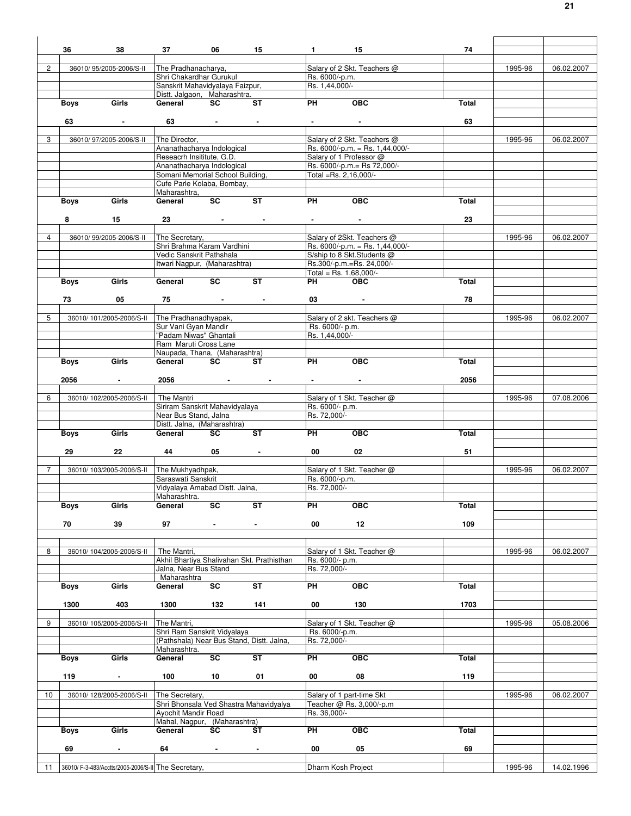|                      | 36<br>38                         | 06<br>37                                                                                                                                                                                                                                                                                                                 | 15                                   | $1 \qquad \qquad 15$                                                                                                                                                                                                                 |                                                                | 74    |         |            |
|----------------------|----------------------------------|--------------------------------------------------------------------------------------------------------------------------------------------------------------------------------------------------------------------------------------------------------------------------------------------------------------------------|--------------------------------------|--------------------------------------------------------------------------------------------------------------------------------------------------------------------------------------------------------------------------------------|----------------------------------------------------------------|-------|---------|------------|
|                      |                                  |                                                                                                                                                                                                                                                                                                                          |                                      |                                                                                                                                                                                                                                      |                                                                |       |         |            |
| $\mathbf{2}^{\circ}$ | 36010/95/2005-2006/S-II          | The Pradhanacharya,                                                                                                                                                                                                                                                                                                      |                                      |                                                                                                                                                                                                                                      | Salary of 2 Skt. Teachers @                                    |       | 1995-96 | 06.02.2007 |
|                      |                                  | Shri Chakardhar Gurukul                                                                                                                                                                                                                                                                                                  |                                      | Rs. 6000/-p.m.                                                                                                                                                                                                                       |                                                                |       |         |            |
|                      |                                  | Sanskrit Mahavidyalaya Faizpur,                                                                                                                                                                                                                                                                                          |                                      | Rs. 1,44,000/-                                                                                                                                                                                                                       |                                                                |       |         |            |
|                      |                                  | Distt. Jalgaon, Maharashtra.                                                                                                                                                                                                                                                                                             |                                      |                                                                                                                                                                                                                                      |                                                                |       |         |            |
|                      | Girls<br><b>Boys</b>             | <b>SC</b><br>General                                                                                                                                                                                                                                                                                                     | $\overline{\mathsf{S}^{\mathsf{T}}}$ | <b>PH</b>                                                                                                                                                                                                                            | OEC                                                            | Total |         |            |
|                      |                                  |                                                                                                                                                                                                                                                                                                                          |                                      |                                                                                                                                                                                                                                      |                                                                |       |         |            |
|                      | 63<br><b>Contract Contract</b>   |                                                                                                                                                                                                                                                                                                                          |                                      | <b>Experience of the Contract of the Contract of the Contract of the Contract of the Contract of the Contract of the Contract of the Contract of the Contract of the Contract of the Contract of the Contract of the Contract of</b> |                                                                | 63    |         |            |
|                      |                                  |                                                                                                                                                                                                                                                                                                                          |                                      |                                                                                                                                                                                                                                      |                                                                |       |         |            |
| 3                    | 36010/97/2005-2006/S-II          | The Director,                                                                                                                                                                                                                                                                                                            |                                      |                                                                                                                                                                                                                                      | Salary of 2 Skt. Teachers @<br>Rs. 6000/-p.m. = Rs. 1,44,000/- |       | 1995-96 | 06.02.2007 |
|                      |                                  | Ananathacharya Indological<br>Reseacrh Insititute, G.D.                                                                                                                                                                                                                                                                  |                                      |                                                                                                                                                                                                                                      | Salary of 1 Professor @                                        |       |         |            |
|                      |                                  | Ananathacharya Indological                                                                                                                                                                                                                                                                                               |                                      |                                                                                                                                                                                                                                      | Rs. 6000/-p.m.= Rs 72,000/-                                    |       |         |            |
|                      |                                  | Somani Memorial School Building,                                                                                                                                                                                                                                                                                         |                                      | Total =Rs. 2,16,000/-                                                                                                                                                                                                                |                                                                |       |         |            |
|                      |                                  | Cufe Parle Kolaba, Bombay,                                                                                                                                                                                                                                                                                               |                                      |                                                                                                                                                                                                                                      |                                                                |       |         |            |
|                      |                                  | Maharashtra,                                                                                                                                                                                                                                                                                                             |                                      |                                                                                                                                                                                                                                      |                                                                |       |         |            |
|                      | Girls<br><b>Boys</b>             | General SC                                                                                                                                                                                                                                                                                                               | ST                                   | <b>PH</b>                                                                                                                                                                                                                            | OEC                                                            | Total |         |            |
|                      |                                  |                                                                                                                                                                                                                                                                                                                          |                                      |                                                                                                                                                                                                                                      |                                                                |       |         |            |
|                      | 8<br>15                          | 23 and $\overline{\phantom{a}}$ 23 and $\overline{\phantom{a}}$ 23 and $\overline{\phantom{a}}$ 25 and $\overline{\phantom{a}}$ 25 and $\overline{\phantom{a}}$ 25 and $\overline{\phantom{a}}$ 25 and $\overline{\phantom{a}}$ 25 and 26 and 26 and 26 and 26 and 26 and 27 and 27 and 27 and 27 and 27 and 27 and 27 a |                                      | $\bullet$ - $\bullet$ - $\bullet$ - $\bullet$ - $\bullet$                                                                                                                                                                            |                                                                | 23    |         |            |
|                      |                                  |                                                                                                                                                                                                                                                                                                                          |                                      |                                                                                                                                                                                                                                      |                                                                |       |         |            |
| 4                    | 36010/99/2005-2006/S-II          | The Secretary,                                                                                                                                                                                                                                                                                                           |                                      |                                                                                                                                                                                                                                      | Salary of 2Skt. Teachers @                                     |       | 1995-96 | 06.02.2007 |
|                      |                                  | Shri Brahma Karam Vardhini                                                                                                                                                                                                                                                                                               |                                      |                                                                                                                                                                                                                                      | Rs. $6000/-p.m. = Rs. 1,44,000/-$                              |       |         |            |
|                      |                                  | Vedic Sanskrit Pathshala                                                                                                                                                                                                                                                                                                 |                                      |                                                                                                                                                                                                                                      | S/ship to 8 Skt.Students @                                     |       |         |            |
|                      |                                  | Itwari Nagpur, (Maharashtra)                                                                                                                                                                                                                                                                                             |                                      |                                                                                                                                                                                                                                      | Rs.300/-p.m.=Rs. 24,000/-                                      |       |         |            |
|                      |                                  |                                                                                                                                                                                                                                                                                                                          |                                      | Total = Rs. $1,68,000/-$                                                                                                                                                                                                             |                                                                |       |         |            |
|                      | Boys<br>Girls                    | SC<br>General                                                                                                                                                                                                                                                                                                            | <b>ST</b>                            | <b>PH</b>                                                                                                                                                                                                                            | <b>OBC</b>                                                     | Total |         |            |
|                      |                                  |                                                                                                                                                                                                                                                                                                                          |                                      |                                                                                                                                                                                                                                      |                                                                |       |         |            |
|                      | 05<br>73                         | the control of the control of the con-<br>75                                                                                                                                                                                                                                                                             |                                      |                                                                                                                                                                                                                                      | 03 - 1                                                         | 78    |         |            |
|                      |                                  |                                                                                                                                                                                                                                                                                                                          |                                      |                                                                                                                                                                                                                                      |                                                                |       |         |            |
| 5                    |                                  | 36010/101/2005-2006/S-II The Pradhanadhyapak,<br>Sur Vani Gyan Mandir                                                                                                                                                                                                                                                    |                                      | Rs. 6000/- p.m.                                                                                                                                                                                                                      | Salary of 2 skt. Teachers @                                    |       | 1995-96 | 06.02.2007 |
|                      |                                  | "Padam Niwas" Ghantali                                                                                                                                                                                                                                                                                                   |                                      | Rs. 1,44,000/-                                                                                                                                                                                                                       |                                                                |       |         |            |
|                      |                                  | Ram Maruti Cross Lane                                                                                                                                                                                                                                                                                                    |                                      |                                                                                                                                                                                                                                      |                                                                |       |         |            |
|                      |                                  | Naupada, Thana, (Maharashtra)                                                                                                                                                                                                                                                                                            |                                      |                                                                                                                                                                                                                                      |                                                                |       |         |            |
|                      | Girls<br><b>Boys</b>             | General SC                                                                                                                                                                                                                                                                                                               | ST                                   | <b>PH</b>                                                                                                                                                                                                                            | OEC                                                            | Total |         |            |
|                      |                                  |                                                                                                                                                                                                                                                                                                                          |                                      |                                                                                                                                                                                                                                      |                                                                |       |         |            |
|                      | 2056<br><b>Contract Contract</b> |                                                                                                                                                                                                                                                                                                                          |                                      | $\bullet$ , and $\bullet$                                                                                                                                                                                                            |                                                                | 2056  |         |            |
|                      |                                  |                                                                                                                                                                                                                                                                                                                          |                                      |                                                                                                                                                                                                                                      |                                                                |       |         |            |
| 6                    | 36010/102/2005-2006/S-II         | The Mantri                                                                                                                                                                                                                                                                                                               |                                      |                                                                                                                                                                                                                                      | Salary of 1 Skt. Teacher @                                     |       | 1995-96 | 07.08.2006 |
|                      |                                  | Siriram Sanskrit Mahavidyalaya                                                                                                                                                                                                                                                                                           |                                      | Rs. 6000/- p.m.                                                                                                                                                                                                                      |                                                                |       |         |            |
|                      |                                  | Near Bus Stand, Jalna                                                                                                                                                                                                                                                                                                    |                                      | Rs. 72,000/-                                                                                                                                                                                                                         |                                                                |       |         |            |
|                      |                                  | Distt. Jalna, (Maharashtra)                                                                                                                                                                                                                                                                                              |                                      |                                                                                                                                                                                                                                      |                                                                |       |         |            |
|                      | Girls<br>Boys                    | General<br><b>SC</b>                                                                                                                                                                                                                                                                                                     | <b>ST</b>                            | <b>PH</b>                                                                                                                                                                                                                            | OEC                                                            | Total |         |            |
|                      |                                  |                                                                                                                                                                                                                                                                                                                          |                                      |                                                                                                                                                                                                                                      |                                                                |       |         |            |
|                      |                                  |                                                                                                                                                                                                                                                                                                                          |                                      |                                                                                                                                                                                                                                      |                                                                |       |         |            |
|                      | 22<br>29                         | $05$ -                                                                                                                                                                                                                                                                                                                   |                                      | 00                                                                                                                                                                                                                                   | 02                                                             | 51    |         |            |
|                      |                                  |                                                                                                                                                                                                                                                                                                                          |                                      |                                                                                                                                                                                                                                      |                                                                |       |         |            |
| $\overline{7}$       | 36010/103/2005-2006/S-II         | The Mukhyadhpak,                                                                                                                                                                                                                                                                                                         |                                      |                                                                                                                                                                                                                                      | Salary of 1 Skt. Teacher @                                     |       | 1995-96 | 06.02.2007 |
|                      |                                  | Saraswati Sanskrit                                                                                                                                                                                                                                                                                                       |                                      | Rs. 6000/-p.m.                                                                                                                                                                                                                       |                                                                |       |         |            |
|                      |                                  | Vidyalaya Amabad Distt. Jalna,                                                                                                                                                                                                                                                                                           |                                      | Rs. 72.000/-                                                                                                                                                                                                                         |                                                                |       |         |            |
|                      | <b>Boys</b><br>Girls             | Maharashtra.<br>SC<br>General                                                                                                                                                                                                                                                                                            | ST                                   | PН                                                                                                                                                                                                                                   | <b>OBC</b>                                                     | Total |         |            |
|                      |                                  |                                                                                                                                                                                                                                                                                                                          |                                      |                                                                                                                                                                                                                                      |                                                                |       |         |            |
|                      | 39<br>70                         | 97<br>$\sim$                                                                                                                                                                                                                                                                                                             | $\sim$                               | 00                                                                                                                                                                                                                                   | 12                                                             | 109   |         |            |
|                      |                                  |                                                                                                                                                                                                                                                                                                                          |                                      |                                                                                                                                                                                                                                      |                                                                |       |         |            |
|                      |                                  |                                                                                                                                                                                                                                                                                                                          |                                      |                                                                                                                                                                                                                                      |                                                                |       |         |            |
| 8                    | 36010/ 104/2005-2006/S-II        | The Mantri,                                                                                                                                                                                                                                                                                                              |                                      |                                                                                                                                                                                                                                      | Salary of 1 Skt. Teacher @                                     |       | 1995-96 | 06.02.2007 |
|                      |                                  | Akhil Bhartiya Shalivahan Skt. Prathisthan                                                                                                                                                                                                                                                                               |                                      | Rs. 6000/- p.m.                                                                                                                                                                                                                      |                                                                |       |         |            |
|                      |                                  | Jalna, Near Bus Stand                                                                                                                                                                                                                                                                                                    |                                      | Rs. 72,000/-                                                                                                                                                                                                                         |                                                                |       |         |            |
|                      |                                  | Maharashtra                                                                                                                                                                                                                                                                                                              |                                      |                                                                                                                                                                                                                                      |                                                                |       |         |            |
|                      | Girls<br><b>Boys</b>             | SC<br>General                                                                                                                                                                                                                                                                                                            | $\overline{\text{ST}}$               | PН                                                                                                                                                                                                                                   | <b>OBC</b>                                                     | Total |         |            |
|                      |                                  |                                                                                                                                                                                                                                                                                                                          |                                      |                                                                                                                                                                                                                                      |                                                                |       |         |            |
|                      | 1300<br>403                      | 1300<br>132                                                                                                                                                                                                                                                                                                              | 141                                  | 00                                                                                                                                                                                                                                   | 130                                                            | 1703  |         |            |
| 9                    | 36010/ 105/2005-2006/S-II        | The Mantri,                                                                                                                                                                                                                                                                                                              |                                      |                                                                                                                                                                                                                                      |                                                                |       | 1995-96 |            |
|                      |                                  | Shri Ram Sanskrit Vidyalaya                                                                                                                                                                                                                                                                                              |                                      | Rs. 6000/-p.m.                                                                                                                                                                                                                       | Salary of 1 Skt. Teacher @                                     |       |         | 05.08.2006 |
|                      |                                  | (Pathshala) Near Bus Stand, Distt. Jalna,                                                                                                                                                                                                                                                                                |                                      | Rs. 72,000/-                                                                                                                                                                                                                         |                                                                |       |         |            |
|                      |                                  | Maharashtra.                                                                                                                                                                                                                                                                                                             |                                      |                                                                                                                                                                                                                                      |                                                                |       |         |            |
|                      | Girls<br><b>Boys</b>             | $\overline{\text{sc}}$<br>General                                                                                                                                                                                                                                                                                        | ST                                   | PН                                                                                                                                                                                                                                   | <b>OBC</b>                                                     | Total |         |            |
|                      |                                  |                                                                                                                                                                                                                                                                                                                          |                                      |                                                                                                                                                                                                                                      |                                                                |       |         |            |
|                      | 119<br>$\overline{a}$            | 100<br>10                                                                                                                                                                                                                                                                                                                | 01                                   | 00                                                                                                                                                                                                                                   | 08                                                             | 119   |         |            |
|                      |                                  |                                                                                                                                                                                                                                                                                                                          |                                      |                                                                                                                                                                                                                                      |                                                                |       |         |            |
| 10                   | 36010/ 128/2005-2006/S-II        | The Secretary,                                                                                                                                                                                                                                                                                                           |                                      |                                                                                                                                                                                                                                      | Salary of 1 part-time Skt                                      |       | 1995-96 | 06.02.2007 |
|                      |                                  | Shri Bhonsala Ved Shastra Mahavidyalya                                                                                                                                                                                                                                                                                   |                                      |                                                                                                                                                                                                                                      | Teacher @ Rs. 3,000/-p.m                                       |       |         |            |
|                      |                                  | Ayochit Mandir Road                                                                                                                                                                                                                                                                                                      |                                      | Rs. 36,000/-                                                                                                                                                                                                                         |                                                                |       |         |            |
|                      |                                  | Mahal, Nagpur, (Maharashtra)                                                                                                                                                                                                                                                                                             |                                      |                                                                                                                                                                                                                                      |                                                                |       |         |            |
|                      | <b>Boys</b><br>Girls             | General<br>SC                                                                                                                                                                                                                                                                                                            | ST                                   | PН                                                                                                                                                                                                                                   | <b>OBC</b>                                                     | Total |         |            |
|                      | $\blacksquare$                   |                                                                                                                                                                                                                                                                                                                          |                                      |                                                                                                                                                                                                                                      |                                                                |       |         |            |
|                      | 69                               | 64                                                                                                                                                                                                                                                                                                                       | $\blacksquare$                       | 00                                                                                                                                                                                                                                   | 05                                                             | 69    |         |            |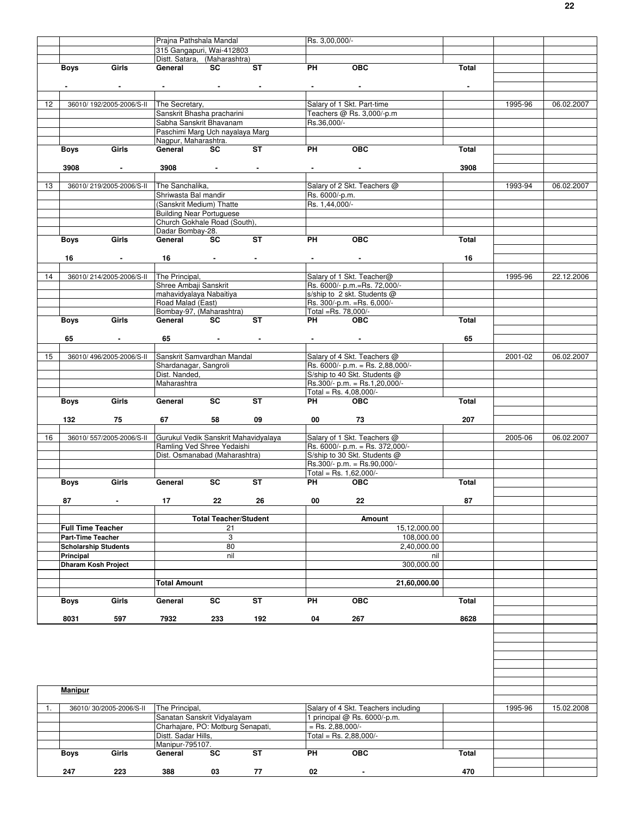|    |                             |                          |                                                                                             | Prajna Pathshala Mandal            |                                                                                                                                                                                                                                                                                                                                                                                                                                                        | Rs. 3,00,000/-                                            |                                                                |                |         |            |
|----|-----------------------------|--------------------------|---------------------------------------------------------------------------------------------|------------------------------------|--------------------------------------------------------------------------------------------------------------------------------------------------------------------------------------------------------------------------------------------------------------------------------------------------------------------------------------------------------------------------------------------------------------------------------------------------------|-----------------------------------------------------------|----------------------------------------------------------------|----------------|---------|------------|
|    |                             |                          | 315 Gangapuri, Wai-412803                                                                   |                                    |                                                                                                                                                                                                                                                                                                                                                                                                                                                        |                                                           |                                                                |                |         |            |
|    |                             |                          | Distt. Satara, (Maharashtra)                                                                |                                    |                                                                                                                                                                                                                                                                                                                                                                                                                                                        |                                                           | OBC                                                            |                |         |            |
|    | <b>Boys</b>                 | Girls                    |                                                                                             |                                    | General SC ST                                                                                                                                                                                                                                                                                                                                                                                                                                          | <b>PH</b>                                                 |                                                                | Total          |         |            |
|    |                             |                          |                                                                                             |                                    | $\label{eq:2.1} \frac{1}{\sqrt{2}}\left(\frac{1}{\sqrt{2}}\right)^{2} \left(\frac{1}{\sqrt{2}}\right)^{2} \left(\frac{1}{\sqrt{2}}\right)^{2} \left(\frac{1}{\sqrt{2}}\right)^{2} \left(\frac{1}{\sqrt{2}}\right)^{2} \left(\frac{1}{\sqrt{2}}\right)^{2} \left(\frac{1}{\sqrt{2}}\right)^{2} \left(\frac{1}{\sqrt{2}}\right)^{2} \left(\frac{1}{\sqrt{2}}\right)^{2} \left(\frac{1}{\sqrt{2}}\right)^{2} \left(\frac{1}{\sqrt{2}}\right)^{2} \left(\$ | $\bullet$ - $\bullet$ - $\bullet$ - $\bullet$ - $\bullet$ |                                                                | $\blacksquare$ |         |            |
|    |                             |                          |                                                                                             |                                    |                                                                                                                                                                                                                                                                                                                                                                                                                                                        |                                                           |                                                                |                |         |            |
| 12 |                             |                          | 36010/192/2005-2006/S-II The Secretary,                                                     |                                    |                                                                                                                                                                                                                                                                                                                                                                                                                                                        |                                                           | Salary of 1 Skt. Part-time                                     |                | 1995-96 | 06.02.2007 |
|    |                             |                          | Sanskrit Bhasha pracharini                                                                  |                                    |                                                                                                                                                                                                                                                                                                                                                                                                                                                        |                                                           | Teachers @ Rs. 3,000/-p.m                                      |                |         |            |
|    |                             |                          | Sabha Sanskrit Bhavanam                                                                     |                                    |                                                                                                                                                                                                                                                                                                                                                                                                                                                        | Rs.36,000/-                                               |                                                                |                |         |            |
|    |                             |                          | Paschimi Marg Uch nayalaya Marg                                                             |                                    |                                                                                                                                                                                                                                                                                                                                                                                                                                                        |                                                           |                                                                |                |         |            |
|    |                             |                          | Nagpur, Maharashtra.                                                                        |                                    |                                                                                                                                                                                                                                                                                                                                                                                                                                                        |                                                           |                                                                |                |         |            |
|    | <b>Boys</b>                 | Girls                    | General                                                                                     | <b>SC</b>                          | ST                                                                                                                                                                                                                                                                                                                                                                                                                                                     | PH                                                        | OBC                                                            | Total          |         |            |
|    |                             |                          |                                                                                             |                                    |                                                                                                                                                                                                                                                                                                                                                                                                                                                        |                                                           |                                                                | 3908           |         |            |
|    | 3908                        | <b>Contractor</b>        |                                                                                             |                                    |                                                                                                                                                                                                                                                                                                                                                                                                                                                        | <b>Contract Contract Contract</b>                         |                                                                |                |         |            |
| 13 |                             | 36010/219/2005-2006/S-II | The Sanchalika,                                                                             |                                    |                                                                                                                                                                                                                                                                                                                                                                                                                                                        |                                                           | Salary of 2 Skt. Teachers @                                    |                | 1993-94 | 06.02.2007 |
|    |                             |                          | Shriwasta Bal mandir                                                                        |                                    |                                                                                                                                                                                                                                                                                                                                                                                                                                                        | Rs. 6000/-p.m.                                            |                                                                |                |         |            |
|    |                             |                          | (Sanskrit Medium) Thatte                                                                    |                                    |                                                                                                                                                                                                                                                                                                                                                                                                                                                        | Rs. 1,44,000/-                                            |                                                                |                |         |            |
|    |                             |                          | <b>Building Near Portuguese</b>                                                             |                                    |                                                                                                                                                                                                                                                                                                                                                                                                                                                        |                                                           |                                                                |                |         |            |
|    |                             |                          | Church Gokhale Road (South),                                                                |                                    |                                                                                                                                                                                                                                                                                                                                                                                                                                                        |                                                           |                                                                |                |         |            |
|    |                             |                          | Dadar Bombay-28.                                                                            |                                    |                                                                                                                                                                                                                                                                                                                                                                                                                                                        |                                                           |                                                                |                |         |            |
|    | Girls<br>Boys               |                          | General SC                                                                                  |                                    | ST                                                                                                                                                                                                                                                                                                                                                                                                                                                     | <b>PH</b>                                                 | OEC                                                            | Total          |         |            |
|    | 16                          | <b>Contractor</b>        |                                                                                             |                                    |                                                                                                                                                                                                                                                                                                                                                                                                                                                        |                                                           |                                                                | 16             |         |            |
|    |                             |                          |                                                                                             |                                    | $16 \qquad \qquad - \qquad - \qquad - \qquad$                                                                                                                                                                                                                                                                                                                                                                                                          |                                                           | the control of the control of the                              |                |         |            |
| 14 |                             |                          | 36010/214/2005-2006/S-II The Principal,                                                     |                                    |                                                                                                                                                                                                                                                                                                                                                                                                                                                        |                                                           | Salary of 1 Skt. Teacher@                                      |                | 1995-96 | 22.12.2006 |
|    |                             |                          | Shree Ambaji Sanskrit                                                                       |                                    |                                                                                                                                                                                                                                                                                                                                                                                                                                                        |                                                           | Rs. 6000/- p.m.=Rs. 72,000/-                                   |                |         |            |
|    |                             |                          | mahavidyalaya Nabaitiya                                                                     |                                    |                                                                                                                                                                                                                                                                                                                                                                                                                                                        |                                                           | s/ship to 2 skt. Students @                                    |                |         |            |
|    |                             |                          | Road Malad (East)                                                                           |                                    |                                                                                                                                                                                                                                                                                                                                                                                                                                                        |                                                           | Rs. 300/-p.m. = Rs. 6,000/-                                    |                |         |            |
|    |                             |                          | Bombay-97, (Maharashtra)                                                                    |                                    |                                                                                                                                                                                                                                                                                                                                                                                                                                                        | Total =Rs. 78,000/-                                       |                                                                |                |         |            |
|    | Boys Girls                  |                          | General                                                                                     | <b>SC</b>                          | ST                                                                                                                                                                                                                                                                                                                                                                                                                                                     | <b>PH</b>                                                 | OBC                                                            | Total          |         |            |
|    |                             |                          |                                                                                             |                                    |                                                                                                                                                                                                                                                                                                                                                                                                                                                        |                                                           |                                                                |                |         |            |
|    | 65                          | $\sim$                   |                                                                                             |                                    |                                                                                                                                                                                                                                                                                                                                                                                                                                                        |                                                           |                                                                | 65             |         |            |
| 15 |                             | 36010/496/2005-2006/S-II | Sanskrit Samvardhan Mandal                                                                  |                                    |                                                                                                                                                                                                                                                                                                                                                                                                                                                        |                                                           | Salary of 4 Skt. Teachers @                                    |                | 2001-02 | 06.02.2007 |
|    |                             |                          | Shardanagar, Sangroli                                                                       |                                    |                                                                                                                                                                                                                                                                                                                                                                                                                                                        |                                                           | Rs. 6000/- p.m. = Rs. 2,88,000/-                               |                |         |            |
|    |                             |                          | Dist. Nanded,                                                                               |                                    |                                                                                                                                                                                                                                                                                                                                                                                                                                                        |                                                           | S/ship to 40 Skt. Students @                                   |                |         |            |
|    |                             |                          | Maharashtra                                                                                 |                                    |                                                                                                                                                                                                                                                                                                                                                                                                                                                        |                                                           | $Rs.300/- p.m. = Rs.1,20,000/-$                                |                |         |            |
|    |                             |                          |                                                                                             |                                    |                                                                                                                                                                                                                                                                                                                                                                                                                                                        |                                                           | Total = Rs. $4,08,000$ /-                                      |                |         |            |
|    | Boys Girls                  |                          | General SC                                                                                  |                                    | <b>ST</b>                                                                                                                                                                                                                                                                                                                                                                                                                                              | PH OBC                                                    |                                                                | Total          |         |            |
|    |                             |                          |                                                                                             |                                    | 09                                                                                                                                                                                                                                                                                                                                                                                                                                                     |                                                           |                                                                | 207            |         |            |
|    |                             |                          |                                                                                             |                                    |                                                                                                                                                                                                                                                                                                                                                                                                                                                        |                                                           |                                                                |                |         |            |
|    | 132                         | 75                       |                                                                                             | 58                                 |                                                                                                                                                                                                                                                                                                                                                                                                                                                        | 00 73                                                     |                                                                |                |         |            |
| 16 |                             |                          |                                                                                             |                                    |                                                                                                                                                                                                                                                                                                                                                                                                                                                        |                                                           |                                                                |                |         |            |
|    |                             |                          | 36010/557/2005-2006/S-II Gurukul Vedik Sanskrit Mahavidyalaya<br>Ramling Ved Shree Yedaishi |                                    |                                                                                                                                                                                                                                                                                                                                                                                                                                                        |                                                           | Salary of 1 Skt. Teachers @<br>Rs. 6000/- p.m. = Rs. 372,000/- |                | 2005-06 | 06.02.2007 |
|    |                             |                          | Dist. Osmanabad (Maharashtra)                                                               |                                    |                                                                                                                                                                                                                                                                                                                                                                                                                                                        |                                                           | S/ship to 30 Skt. Students @                                   |                |         |            |
|    |                             |                          |                                                                                             |                                    |                                                                                                                                                                                                                                                                                                                                                                                                                                                        |                                                           | Rs.300/- p.m. = Rs.90,000/-                                    |                |         |            |
|    |                             |                          |                                                                                             |                                    |                                                                                                                                                                                                                                                                                                                                                                                                                                                        | Total = Rs. $1,62,000/-$                                  |                                                                |                |         |            |
|    | <b>Boys</b>                 | Girls                    | General                                                                                     | <b>SC</b>                          | <b>ST</b>                                                                                                                                                                                                                                                                                                                                                                                                                                              | <b>PH</b>                                                 | <b>OBC</b>                                                     | Total          |         |            |
|    |                             |                          |                                                                                             |                                    |                                                                                                                                                                                                                                                                                                                                                                                                                                                        |                                                           |                                                                |                |         |            |
|    | 87                          | $\blacksquare$           | 17                                                                                          | 22                                 | 26                                                                                                                                                                                                                                                                                                                                                                                                                                                     | 00                                                        | 22                                                             | 87             |         |            |
|    |                             |                          |                                                                                             |                                    |                                                                                                                                                                                                                                                                                                                                                                                                                                                        |                                                           | Amount                                                         |                |         |            |
|    | <b>Full Time Teacher</b>    |                          |                                                                                             | <b>Total Teacher/Student</b><br>21 |                                                                                                                                                                                                                                                                                                                                                                                                                                                        |                                                           | 15,12,000.00                                                   |                |         |            |
|    | <b>Part-Time Teacher</b>    |                          |                                                                                             | 3                                  |                                                                                                                                                                                                                                                                                                                                                                                                                                                        |                                                           | 108,000.00                                                     |                |         |            |
|    | <b>Scholarship Students</b> |                          |                                                                                             | 80                                 |                                                                                                                                                                                                                                                                                                                                                                                                                                                        |                                                           | 2,40,000.00                                                    |                |         |            |
|    | Principal                   |                          |                                                                                             | nil                                |                                                                                                                                                                                                                                                                                                                                                                                                                                                        |                                                           | nil                                                            |                |         |            |
|    | <b>Dharam Kosh Project</b>  |                          |                                                                                             |                                    |                                                                                                                                                                                                                                                                                                                                                                                                                                                        |                                                           | 300,000.00                                                     |                |         |            |
|    |                             |                          |                                                                                             |                                    |                                                                                                                                                                                                                                                                                                                                                                                                                                                        |                                                           |                                                                |                |         |            |
|    |                             |                          | <b>Total Amount</b>                                                                         |                                    |                                                                                                                                                                                                                                                                                                                                                                                                                                                        |                                                           | 21,60,000.00                                                   |                |         |            |
|    |                             |                          |                                                                                             |                                    |                                                                                                                                                                                                                                                                                                                                                                                                                                                        |                                                           |                                                                |                |         |            |
|    | <b>Boys</b>                 | Girls                    | General                                                                                     | SC                                 | ST                                                                                                                                                                                                                                                                                                                                                                                                                                                     | PH                                                        | <b>OBC</b>                                                     | Total          |         |            |
|    | 8031                        | 597                      | 7932                                                                                        | 233                                | 192                                                                                                                                                                                                                                                                                                                                                                                                                                                    | 04                                                        | 267                                                            | 8628           |         |            |
|    |                             |                          |                                                                                             |                                    |                                                                                                                                                                                                                                                                                                                                                                                                                                                        |                                                           |                                                                |                |         |            |
|    |                             |                          |                                                                                             |                                    |                                                                                                                                                                                                                                                                                                                                                                                                                                                        |                                                           |                                                                |                |         |            |
|    |                             |                          |                                                                                             |                                    |                                                                                                                                                                                                                                                                                                                                                                                                                                                        |                                                           |                                                                |                |         |            |
|    |                             |                          |                                                                                             |                                    |                                                                                                                                                                                                                                                                                                                                                                                                                                                        |                                                           |                                                                |                |         |            |
|    |                             |                          |                                                                                             |                                    |                                                                                                                                                                                                                                                                                                                                                                                                                                                        |                                                           |                                                                |                |         |            |
|    |                             |                          |                                                                                             |                                    |                                                                                                                                                                                                                                                                                                                                                                                                                                                        |                                                           |                                                                |                |         |            |
|    | Manipur                     |                          |                                                                                             |                                    |                                                                                                                                                                                                                                                                                                                                                                                                                                                        |                                                           |                                                                |                |         |            |
|    |                             |                          |                                                                                             |                                    |                                                                                                                                                                                                                                                                                                                                                                                                                                                        |                                                           |                                                                |                |         |            |
| 1. |                             | 36010/30/2005-2006/S-II  | The Principal,                                                                              |                                    |                                                                                                                                                                                                                                                                                                                                                                                                                                                        |                                                           | Salary of 4 Skt. Teachers including                            |                | 1995-96 | 15.02.2008 |
|    |                             |                          | Sanatan Sanskrit Vidyalayam                                                                 |                                    |                                                                                                                                                                                                                                                                                                                                                                                                                                                        |                                                           | 1 principal @ Rs. 6000/-p.m.                                   |                |         |            |
|    |                             |                          | Charhajare, PO: Motburg Senapati,                                                           |                                    |                                                                                                                                                                                                                                                                                                                                                                                                                                                        | $=$ Rs. 2,88,000/-                                        |                                                                |                |         |            |
|    |                             |                          | Distt. Sadar Hills,                                                                         |                                    |                                                                                                                                                                                                                                                                                                                                                                                                                                                        | Total = Rs. 2,88,000/-                                    |                                                                |                |         |            |
|    |                             |                          | Manipur-795107.                                                                             |                                    | <b>ST</b>                                                                                                                                                                                                                                                                                                                                                                                                                                              |                                                           |                                                                |                |         |            |
|    | Boys                        | Girls                    | General                                                                                     | <b>SC</b>                          |                                                                                                                                                                                                                                                                                                                                                                                                                                                        | PH                                                        | OBC                                                            | Total          |         |            |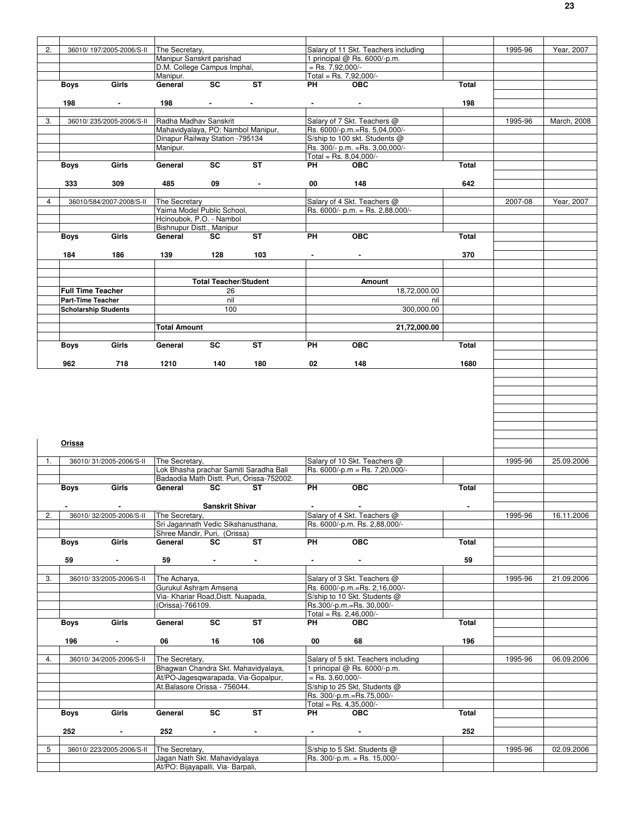| 2.             |                          | 36010/197/2005-2006/S-II    | The Secretary.                                                     |                              |                                           |                    | Salary of 11 Skt. Teachers including   |                | 1995-96 | Year, 2007  |
|----------------|--------------------------|-----------------------------|--------------------------------------------------------------------|------------------------------|-------------------------------------------|--------------------|----------------------------------------|----------------|---------|-------------|
|                |                          |                             | Manipur Sanskrit parishad                                          |                              |                                           |                    | 1 principal @ Rs. 6000/-p.m.           |                |         |             |
|                |                          |                             | D.M. College Campus Imphal,                                        |                              |                                           | $=$ Rs. 7,92,000/- |                                        |                |         |             |
|                |                          |                             | Manipur.                                                           |                              |                                           |                    | Total = Rs. $7,92,000/-$               |                |         |             |
|                | <b>Boys</b>              | Girls                       | General                                                            | $\overline{\text{sc}}$       | ST                                        | PH                 | <b>OBC</b>                             | Total          |         |             |
|                |                          |                             |                                                                    |                              |                                           |                    |                                        |                |         |             |
|                | 198                      |                             |                                                                    |                              |                                           |                    |                                        | 198            |         |             |
|                |                          | $\blacksquare$              | 198                                                                | $\sim 100$                   |                                           | $\blacksquare$     | $\blacksquare$                         |                |         |             |
|                |                          |                             |                                                                    |                              |                                           |                    |                                        |                |         |             |
| 3.             |                          | 36010/235/2005-2006/S-II    | Radha Madhav Sanskrit                                              |                              |                                           |                    | Salary of 7 Skt. Teachers @            |                | 1995-96 | March, 2008 |
|                |                          |                             | Mahavidyalaya, PO: Nambol Manipur,                                 |                              |                                           |                    | Rs. 6000/-p.m.=Rs. 5,04,000/-          |                |         |             |
|                |                          |                             | Dinapur Railway Station - 795134                                   |                              |                                           |                    | S/ship to 100 skt. Students @          |                |         |             |
|                |                          |                             | Manipur.                                                           |                              |                                           |                    | Rs. 300/- p.m. = Rs. 3,00,000/-        |                |         |             |
|                |                          |                             |                                                                    |                              |                                           |                    | Total = Rs. $8,04,000/-$               |                |         |             |
|                | Boys                     | Girls                       | General                                                            | SC                           | ST                                        | PH                 | <b>OBC</b>                             | Total          |         |             |
|                |                          |                             |                                                                    |                              |                                           |                    |                                        |                |         |             |
|                | 333                      | 309                         | 485                                                                | 09                           | $\blacksquare$                            | 00                 | 148                                    | 642            |         |             |
|                |                          |                             |                                                                    |                              |                                           |                    |                                        |                |         |             |
| $\overline{4}$ |                          | 36010/584/2007-2008/S-II    | The Secretary                                                      |                              |                                           |                    | Salary of 4 Skt. Teachers @            |                | 2007-08 | Year, 2007  |
|                |                          |                             | Yaima Model Public School,                                         |                              |                                           |                    | Rs. 6000/- p.m. = Rs. 2,88,000/-       |                |         |             |
|                |                          |                             | Hcinoubok, P.O. - Nambol                                           |                              |                                           |                    |                                        |                |         |             |
|                |                          |                             | Bishnupur Distt., Manipur                                          |                              |                                           |                    |                                        |                |         |             |
|                | <b>Boys</b>              | Girls                       | General                                                            | SC                           | ST                                        | PH                 | <b>OBC</b>                             | <b>Total</b>   |         |             |
|                |                          |                             |                                                                    |                              |                                           |                    |                                        |                |         |             |
|                | 184                      | 186                         | 139                                                                | 128                          | 103                                       |                    |                                        | 370            |         |             |
|                |                          |                             |                                                                    |                              |                                           |                    |                                        |                |         |             |
|                |                          |                             |                                                                    |                              |                                           |                    |                                        |                |         |             |
|                |                          |                             |                                                                    | <b>Total Teacher/Student</b> |                                           |                    | Amount                                 |                |         |             |
|                | <b>Full Time Teacher</b> |                             |                                                                    | 26                           |                                           |                    | 18,72,000.00                           |                |         |             |
|                | <b>Part-Time Teacher</b> |                             |                                                                    | nil                          |                                           |                    | nil                                    |                |         |             |
|                |                          | <b>Scholarship Students</b> |                                                                    | 100                          |                                           |                    | 300,000.00                             |                |         |             |
|                |                          |                             |                                                                    |                              |                                           |                    |                                        |                |         |             |
|                |                          |                             | <b>Total Amount</b>                                                |                              |                                           |                    | 21,72,000.00                           |                |         |             |
|                |                          |                             |                                                                    |                              |                                           |                    |                                        |                |         |             |
|                |                          | Girls                       |                                                                    | SC                           |                                           |                    |                                        |                |         |             |
|                | <b>Boys</b>              |                             | General                                                            |                              | ST                                        | PH                 | <b>OBC</b>                             | Total          |         |             |
|                |                          |                             |                                                                    |                              |                                           |                    |                                        |                |         |             |
|                | 962                      | 718                         | 1210                                                               | 140                          | 180                                       | 02                 | 148                                    | 1680           |         |             |
|                |                          |                             |                                                                    |                              |                                           |                    |                                        |                |         |             |
|                | Orissa                   |                             |                                                                    |                              |                                           |                    |                                        |                |         |             |
|                |                          |                             |                                                                    |                              |                                           |                    |                                        |                |         |             |
| 1.             |                          | 36010/31/2005-2006/S-II     | The Secretary,                                                     |                              |                                           |                    | Salary of 10 Skt. Teachers @           |                | 1995-96 | 25.09.2006  |
|                |                          |                             |                                                                    |                              | Lok Bhasha prachar Samiti Saradha Bali    |                    | Rs. 6000/-p.m = Rs. 7.20.000/-         |                |         |             |
|                |                          |                             |                                                                    |                              | Badaodia Math Distt. Puri, Orissa-752002. |                    |                                        |                |         |             |
|                | Boys                     | Girls                       | General                                                            | SC                           | ST                                        | PH                 | OBC                                    | Total          |         |             |
|                |                          |                             |                                                                    |                              |                                           |                    |                                        |                |         |             |
|                | $\blacksquare$           | $\blacksquare$              |                                                                    | <b>Sanskrit Shivar</b>       |                                           |                    | $\sim$                                 | $\blacksquare$ |         |             |
| 2.             |                          | 36010/32/2005-2006/S-II     | The Secretary,                                                     |                              |                                           |                    | Salary of 4 Skt. Teachers @            |                | 1995-96 |             |
|                |                          |                             | Sri Jagannath Vedic Sikshanusthana,                                |                              |                                           |                    | Rs. 6000/-p.m. Rs. 2,88,000/-          |                |         | 16.11.2006  |
|                |                          |                             | Shree Mandir, Puri, (Orissa)                                       |                              |                                           |                    |                                        |                |         |             |
|                | Boys                     | Girls                       | General                                                            | SC                           | ST                                        | PH                 |                                        |                |         |             |
|                |                          |                             |                                                                    |                              |                                           |                    | OEC                                    | Total          |         |             |
|                | 59                       | $\overline{\phantom{a}}$    | 59                                                                 | $\blacksquare$               |                                           |                    |                                        |                |         |             |
|                |                          |                             |                                                                    |                              | $\blacksquare$                            | $\blacksquare$     | $\blacksquare$                         | 59             |         |             |
| 3.             |                          | 36010/33/2005-2006/S-II     | The Acharya,                                                       |                              |                                           |                    |                                        |                |         |             |
|                |                          |                             |                                                                    |                              |                                           |                    | Salary of 3 Skt. Teachers @            |                | 1995-96 | 21.09.2006  |
|                |                          |                             | Gurukul Ashram Amsena                                              |                              |                                           |                    | Rs. 6000/-p.m.=Rs. 2,16,000/-          |                |         |             |
|                |                          |                             | Via- Khariar Road, Distt. Nuapada,                                 |                              |                                           |                    | S/ship to 10 Skt. Students @           |                |         |             |
|                |                          |                             | (Orissa)-766109.                                                   |                              |                                           |                    | Rs.300/-p.m.=Rs. 30,000/-              |                |         |             |
|                |                          |                             |                                                                    |                              |                                           |                    | Total = Rs. $2,46,000/-$               |                |         |             |
|                | Boys                     | Girls                       | General                                                            | SC                           | ST                                        | PH                 | <b>OBC</b>                             | <b>Total</b>   |         |             |
|                |                          |                             |                                                                    |                              |                                           |                    |                                        |                |         |             |
|                | 196                      | $\blacksquare$              | 06                                                                 | 16                           | 106                                       | 00                 | 68                                     | 196            |         |             |
|                |                          |                             |                                                                    |                              |                                           |                    |                                        |                |         |             |
| 4.             |                          | 36010/34/2005-2006/S-II     | The Secretary,                                                     |                              |                                           |                    | Salary of 5 skt. Teachers including    |                | 1995-96 | 06.09.2006  |
|                |                          |                             |                                                                    |                              | Bhagwan Chandra Skt. Mahavidyalaya,       |                    | 1 principal @ Rs. 6000/-p.m.           |                |         |             |
|                |                          |                             |                                                                    |                              |                                           |                    |                                        |                |         |             |
|                |                          |                             |                                                                    |                              | At/PO-Jagesqwarapada, Via-Gopalpur,       | $=$ Rs. 3,60,000/- |                                        |                |         |             |
|                |                          |                             | At.Balasore Orissa - 756044.                                       |                              |                                           |                    | S/ship to 25 Skt, Students @           |                |         |             |
|                |                          |                             |                                                                    |                              |                                           |                    | Rs. 300/-p.m.=Rs.75,000/-              |                |         |             |
|                |                          |                             |                                                                    | SC                           | ST                                        | PH                 | Total = Rs. $4,35,000/-$<br><b>OBC</b> | Total          |         |             |
|                | Boys                     | Girls                       | General                                                            |                              |                                           |                    |                                        |                |         |             |
|                |                          |                             |                                                                    |                              |                                           |                    |                                        |                |         |             |
|                | 252                      |                             | 252                                                                | $\sim$                       | $\blacksquare$                            |                    |                                        | 252            |         |             |
|                |                          |                             |                                                                    |                              |                                           |                    |                                        |                |         |             |
| 5              |                          | 36010/223/2005-2006/S-II    | The Secretary,                                                     |                              |                                           |                    | S/ship to 5 Skt. Students @            |                | 1995-96 | 02.09.2006  |
|                |                          |                             | Jagan Nath Skt. Mahavidyalaya<br>At/PO: Bijayapalli, Via- Barpali, |                              |                                           |                    | Rs. 300/-p.m. = Rs. 15,000/-           |                |         |             |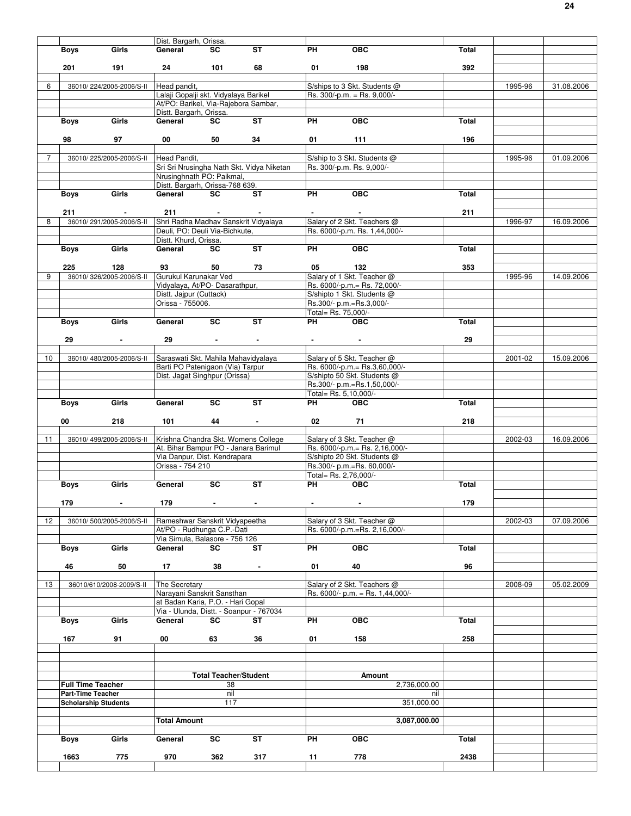|    |                             |                          | Dist. Bargarh, Orissa.                     |                              |                                           |                       |                                    |              |         |            |
|----|-----------------------------|--------------------------|--------------------------------------------|------------------------------|-------------------------------------------|-----------------------|------------------------------------|--------------|---------|------------|
|    | Boys                        | Girls                    | General                                    | SC.                          | <b>ST</b>                                 | <b>PH</b>             | <b>OBC</b>                         | Total        |         |            |
|    |                             |                          |                                            |                              |                                           |                       |                                    |              |         |            |
|    | 201                         | 191                      |                                            | 101                          | 68                                        | 01                    | 198                                | 392          |         |            |
|    |                             |                          |                                            |                              |                                           |                       |                                    |              |         |            |
| 6  |                             | 36010/224/2005-2006/S-II | Head pandit,                               |                              |                                           |                       | S/ships to 3 Skt. Students @       |              | 1995-96 | 31.08.2006 |
|    |                             |                          | Lalaji Gopalji skt. Vidyalaya Barikel      |                              |                                           |                       | Rs. 300/-p.m. = Rs. 9,000/-        |              |         |            |
|    |                             |                          | At/PO: Barikel, Via-Rajebora Sambar,       |                              |                                           |                       |                                    |              |         |            |
|    |                             |                          | Distt. Bargarh, Orissa.                    |                              | $\overline{\text{ST}}$                    |                       |                                    |              |         |            |
|    | <b>Boys</b>                 | Girls                    | General                                    | <b>SC</b>                    |                                           | <b>PH</b>             | $\overline{OBC}$                   | <b>Total</b> |         |            |
|    |                             |                          |                                            |                              |                                           |                       |                                    |              |         |            |
|    | 98                          | 97                       | 00                                         | 50                           | 34                                        | 01                    | 111                                | 196          |         |            |
|    |                             |                          |                                            |                              |                                           |                       |                                    |              |         |            |
| 7  |                             | 36010/225/2005-2006/S-II | Head Pandit,                               |                              |                                           |                       | S/ship to 3 Skt. Students @        |              | 1995-96 | 01.09.2006 |
|    |                             |                          |                                            |                              | Sri Sri Nrusingha Nath Skt. Vidya Niketan |                       | Rs. 300/-p.m. Rs. 9,000/-          |              |         |            |
|    |                             |                          | Nrusinghnath PO: Paikmal,                  |                              |                                           |                       |                                    |              |         |            |
|    |                             | Girls                    | Distt. Bargarh, Orissa-768 639.<br>General | SC                           | ST                                        | PH                    | $\overline{OBC}$                   | Total        |         |            |
|    | Boys                        |                          |                                            |                              |                                           |                       |                                    |              |         |            |
|    |                             |                          |                                            |                              |                                           |                       |                                    | 211          |         |            |
| 8  | 211                         | 36010/291/2005-2006/S-II | 211                                        | $\sim 10^{-10}$ m $^{-1}$    |                                           |                       |                                    |              |         |            |
|    |                             |                          | Shri Radha Madhav Sanskrit Vidyalaya       |                              |                                           |                       | Salary of 2 Skt. Teachers @        |              | 1996-97 | 16.09.2006 |
|    |                             |                          | Deuli, PO: Deuli Via-Bichkute,             |                              |                                           |                       | Rs. 6000/-p.m. Rs. 1,44,000/-      |              |         |            |
|    |                             |                          | Distt. Khurd, Orissa.                      |                              |                                           |                       |                                    |              |         |            |
|    | <b>Boys</b>                 | Girls                    | General                                    | <b>SC</b>                    | <b>ST</b>                                 | PH                    | $\overline{OBC}$                   | Total        |         |            |
|    |                             |                          |                                            |                              |                                           |                       |                                    |              |         |            |
|    | 225                         | 128                      | 93                                         | 50                           | 73                                        | 05                    | 132                                | 353          |         |            |
| 9  |                             | 36010/326/2005-2006/S-II | Gurukul Karunakar Ved                      |                              |                                           |                       | Salary of 1 Skt. Teacher @         |              | 1995-96 | 14.09.2006 |
|    |                             |                          | Vidyalaya, At/PO- Dasarathpur,             |                              |                                           |                       | Rs. 6000/-p.m.= Rs. 72,000/-       |              |         |            |
|    |                             |                          | Distt. Jajpur (Cuttack)                    |                              |                                           |                       | S/shipto 1 Skt. Students @         |              |         |            |
|    |                             |                          | Orissa - 755006.                           |                              |                                           |                       | Rs.300/- p.m.=Rs.3,000/-           |              |         |            |
|    |                             |                          |                                            |                              |                                           | Total= Rs. 75,000/-   |                                    |              |         |            |
|    | Boys                        | Girls                    | General                                    | $\overline{sc}$              | ST                                        | PH                    | <b>OBC</b>                         | Total        |         |            |
|    |                             |                          |                                            |                              |                                           |                       |                                    |              |         |            |
|    | 29                          | $\sim$                   | 29                                         | $\sim$                       | $\blacksquare$                            |                       | $\sim$                             | 29           |         |            |
|    |                             |                          |                                            |                              |                                           |                       |                                    |              |         |            |
| 10 |                             | 36010/480/2005-2006/S-II | Saraswati Skt. Mahila Mahavidyalaya        |                              |                                           |                       | Salary of 5 Skt. Teacher @         |              | 2001-02 | 15.09.2006 |
|    |                             |                          | Barti PO Patenigaon (Via) Tarpur           |                              |                                           |                       | Rs. 6000/-p.m.= Rs.3,60,000/-      |              |         |            |
|    |                             |                          | Dist. Jagat Singhpur (Orissa)              |                              |                                           |                       | S/shipto 50 Skt. Students @        |              |         |            |
|    |                             |                          |                                            |                              |                                           |                       | Rs.300/- p.m.=Rs.1,50,000/-        |              |         |            |
|    |                             |                          |                                            |                              |                                           | Total= Rs. 5,10,000/- |                                    |              |         |            |
|    | Boys                        | Girls                    | General                                    | $\overline{\mathsf{sc}}$     | <b>ST</b>                                 | PH                    | <b>OBC</b>                         | Total        |         |            |
|    |                             |                          |                                            |                              |                                           |                       |                                    |              |         |            |
|    | 00                          | 218                      | 101                                        | 44                           | $\blacksquare$                            | 02                    | 71                                 | 218          |         |            |
|    |                             |                          |                                            |                              |                                           |                       |                                    |              |         |            |
|    |                             |                          |                                            |                              |                                           |                       |                                    |              |         |            |
| 11 |                             | 36010/499/2005-2006/S-II | Krishna Chandra Skt. Womens College        |                              |                                           |                       | Salary of 3 Skt. Teacher @         |              | 2002-03 | 16.09.2006 |
|    |                             |                          | At. Bihar Bampur PO - Janara Barimul       |                              |                                           |                       | Rs. 6000/-p.m.= Rs. 2,16,000/-     |              |         |            |
|    |                             |                          | Via Danpur, Dist. Kendrapara               |                              |                                           |                       | S/shipto 20 Skt. Students @        |              |         |            |
|    |                             |                          | Orissa - 754 210                           |                              |                                           |                       | Rs.300/- p.m.=Rs. 60,000/-         |              |         |            |
|    |                             |                          |                                            |                              |                                           | Total= Rs. 2,76,000/- |                                    |              |         |            |
|    | Boys                        | Girls                    | General                                    | <b>SC</b>                    | <b>ST</b>                                 | <b>PH</b>             | <b>OBC</b>                         | Total        |         |            |
|    |                             |                          |                                            |                              |                                           |                       |                                    |              |         |            |
|    | 179                         | ۰                        | 179                                        |                              | $\blacksquare$                            |                       | $\blacksquare$                     | 179          |         |            |
|    |                             |                          |                                            |                              |                                           |                       |                                    |              |         |            |
| 12 |                             | 36010/500/2005-2006/S-II | Rameshwar Sanskrit Vidvapeetha             |                              |                                           |                       | Salary of 3 Skt. Teacher @         |              | 2002-03 | 07.09.2006 |
|    |                             |                          | At/PO - Rudhunga C.P.-Dati                 |                              |                                           |                       | Rs. 6000/-p.m.=Rs. 2,16,000/-      |              |         |            |
|    |                             |                          | Via Simula, Balasore - 756 126             |                              |                                           |                       |                                    |              |         |            |
|    | <b>Boys</b>                 | Girls                    | General                                    | SC                           | ST                                        | PH                    | $\overline{OBC}$                   | Total        |         |            |
|    |                             |                          |                                            |                              |                                           |                       |                                    |              |         |            |
|    | 46                          | 50                       | 17                                         | 38                           | $\sim$                                    | 01                    | 40                                 | 96           |         |            |
|    |                             |                          |                                            |                              |                                           |                       |                                    |              |         |            |
| 13 |                             | 36010/610/2008-2009/S-II | The Secretary                              |                              |                                           |                       | Salary of 2 Skt. Teachers @        |              | 2008-09 | 05.02.2009 |
|    |                             |                          | Narayani Sanskrit Sansthan                 |                              |                                           |                       | Rs. $6000/- p.m. = Rs. 1,44,000/-$ |              |         |            |
|    |                             |                          | at Badan Karia, P.O. - Hari Gopal          |                              |                                           |                       |                                    |              |         |            |
|    |                             |                          | Via - Ulunda, Distt. - Soanpur - 767034    |                              |                                           |                       |                                    |              |         |            |
|    | Boys                        | Girls                    | General                                    | SC                           | ST                                        | PH                    | <b>OBC</b>                         | Total        |         |            |
|    |                             |                          |                                            |                              |                                           |                       |                                    |              |         |            |
|    | 167                         | 91                       | 00                                         | 63                           | 36                                        | 01                    | 158                                | 258          |         |            |
|    |                             |                          |                                            |                              |                                           |                       |                                    |              |         |            |
|    |                             |                          |                                            |                              |                                           |                       |                                    |              |         |            |
|    |                             |                          |                                            |                              |                                           |                       |                                    |              |         |            |
|    |                             |                          |                                            | <b>Total Teacher/Student</b> |                                           |                       | Amount                             |              |         |            |
|    | <b>Full Time Teacher</b>    |                          |                                            | 38                           |                                           |                       | 2,736,000.00                       |              |         |            |
|    | <b>Part-Time Teacher</b>    |                          |                                            | nil                          |                                           |                       | nil                                |              |         |            |
|    | <b>Scholarship Students</b> |                          |                                            | 117                          |                                           |                       | 351,000.00                         |              |         |            |
|    |                             |                          |                                            |                              |                                           |                       |                                    |              |         |            |
|    |                             |                          | <b>Total Amount</b>                        |                              |                                           |                       | 3,087,000.00                       |              |         |            |
|    |                             |                          |                                            |                              |                                           |                       |                                    |              |         |            |
|    | Boys                        | Girls                    | General                                    | SC                           | ST                                        | PH                    | <b>OBC</b>                         | Total        |         |            |
|    |                             |                          |                                            |                              |                                           |                       |                                    |              |         |            |
|    | 1663                        | 775                      | 970                                        | 362                          | 317                                       | 11                    | 778                                | 2438         |         |            |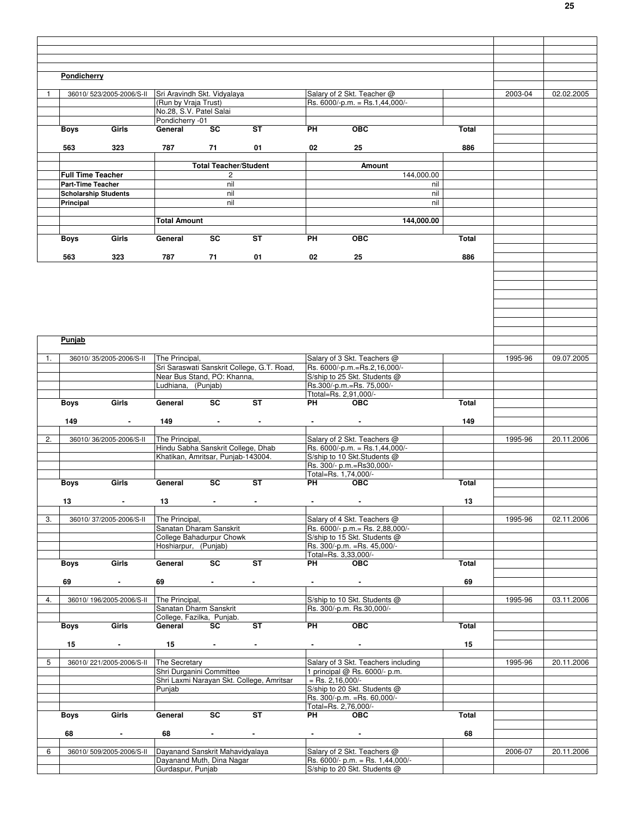|    | Pondicherry              |                             |                                                              |                                                           |                                            |           |                                                                 |            |              |         |            |
|----|--------------------------|-----------------------------|--------------------------------------------------------------|-----------------------------------------------------------|--------------------------------------------|-----------|-----------------------------------------------------------------|------------|--------------|---------|------------|
|    |                          |                             |                                                              |                                                           |                                            |           |                                                                 |            |              |         |            |
| 1  |                          | 36010/523/2005-2006/S-II    | Sri Aravindh Skt. Vidyalaya                                  |                                                           |                                            |           | Salary of 2 Skt. Teacher @                                      |            |              | 2003-04 | 02.02.2005 |
|    |                          |                             | (Run by Vraja Trust)                                         |                                                           |                                            |           | Rs. 6000/-p.m. = Rs.1,44,000/-                                  |            |              |         |            |
|    |                          |                             | No.28, S.V. Patel Salai<br>Pondicherry -01                   |                                                           |                                            |           |                                                                 |            |              |         |            |
|    | <b>Boys</b>              | Girls                       | General                                                      | <b>SC</b>                                                 | <b>ST</b>                                  | PH        | <b>OBC</b>                                                      |            | Total        |         |            |
|    |                          |                             |                                                              |                                                           |                                            |           |                                                                 |            |              |         |            |
|    | 563                      | 323                         | 787                                                          | 71                                                        | 01                                         | 02        | 25                                                              |            | 886          |         |            |
|    |                          |                             |                                                              |                                                           |                                            |           |                                                                 |            |              |         |            |
|    | <b>Full Time Teacher</b> |                             |                                                              | <b>Total Teacher/Student</b>                              |                                            |           | Amount                                                          | 144.000.00 |              |         |            |
|    | <b>Part-Time Teacher</b> |                             |                                                              | 2<br>nil                                                  |                                            |           |                                                                 | nil        |              |         |            |
|    |                          | <b>Scholarship Students</b> |                                                              | nil                                                       |                                            |           |                                                                 | nil        |              |         |            |
|    | Principal                |                             |                                                              | nil                                                       |                                            |           |                                                                 | nil        |              |         |            |
|    |                          |                             |                                                              |                                                           |                                            |           |                                                                 |            |              |         |            |
|    |                          |                             | <b>Total Amount</b>                                          |                                                           |                                            |           |                                                                 | 144,000.00 |              |         |            |
|    | <b>Boys</b>              | Girls                       | General                                                      | SC                                                        | ST                                         | <b>PH</b> | <b>OBC</b>                                                      |            | Total        |         |            |
|    |                          |                             |                                                              |                                                           |                                            |           |                                                                 |            |              |         |            |
|    | 563                      | 323                         | 787                                                          | 71                                                        | 01                                         | 02        | 25                                                              |            | 886          |         |            |
|    |                          |                             |                                                              |                                                           |                                            |           |                                                                 |            |              |         |            |
|    |                          |                             |                                                              |                                                           |                                            |           |                                                                 |            |              |         |            |
|    |                          |                             |                                                              |                                                           |                                            |           |                                                                 |            |              |         |            |
|    |                          |                             |                                                              |                                                           |                                            |           |                                                                 |            |              |         |            |
|    |                          |                             |                                                              |                                                           |                                            |           |                                                                 |            |              |         |            |
|    |                          |                             |                                                              |                                                           |                                            |           |                                                                 |            |              |         |            |
|    |                          |                             |                                                              |                                                           |                                            |           |                                                                 |            |              |         |            |
|    | Punjab                   |                             |                                                              |                                                           |                                            |           |                                                                 |            |              |         |            |
|    |                          |                             |                                                              |                                                           |                                            |           |                                                                 |            |              |         |            |
| 1. |                          | 36010/35/2005-2006/S-II     | The Principal,                                               |                                                           | Sri Saraswati Sanskrit College, G.T. Road, |           | Salary of 3 Skt. Teachers @<br>Rs. 6000/-p.m.=Rs.2,16,000/-     |            |              | 1995-96 | 09.07.2005 |
|    |                          |                             | Near Bus Stand, PO: Khanna,                                  |                                                           |                                            |           | S/ship to 25 Skt. Students @                                    |            |              |         |            |
|    |                          |                             | Ludhiana, (Punjab)                                           |                                                           |                                            |           | Rs.300/-p.m.=Rs. 75,000/-                                       |            |              |         |            |
|    |                          |                             |                                                              |                                                           |                                            |           | Ttotal=Rs. 2,91,000/-                                           |            |              |         |            |
|    | <b>Boys</b>              | Girls                       | General                                                      | SC                                                        | <b>ST</b>                                  | PH        | <b>OBC</b>                                                      |            | <b>Total</b> |         |            |
|    |                          |                             |                                                              |                                                           |                                            |           |                                                                 |            |              |         |            |
|    | 149                      | $\sim$                      | 149                                                          | $\sim$                                                    | $\blacksquare$                             | $\sim$    | $\sim$                                                          |            | 149          |         |            |
| 2. |                          | 36010/36/2005-2006/S-II     | The Principal,                                               |                                                           |                                            |           | Salary of 2 Skt. Teachers @                                     |            |              | 1995-96 | 20.11.2006 |
|    |                          |                             | Hindu Sabha Sanskrit College, Dhab                           |                                                           |                                            |           | Rs. 6000/-p.m. = Rs.1,44,000/-                                  |            |              |         |            |
|    |                          |                             | Khatikan, Amritsar, Punjab-143004.                           |                                                           |                                            |           | S/ship to 10 Skt.Students @                                     |            |              |         |            |
|    |                          |                             |                                                              |                                                           |                                            |           | Rs. 300/- p.m.=Rs30,000/-<br>Total=Rs. 1,74,000/-               |            |              |         |            |
|    | <b>Boys</b>              | Girls                       | General                                                      | SC                                                        | ST                                         | PH        | <b>OBC</b>                                                      |            | Total        |         |            |
|    |                          |                             |                                                              |                                                           |                                            |           |                                                                 |            |              |         |            |
|    | 13                       |                             | 13                                                           | $\sim$                                                    | $\blacksquare$                             |           |                                                                 |            | 13           |         |            |
|    |                          |                             |                                                              |                                                           |                                            |           |                                                                 |            |              |         |            |
| 3. |                          | 36010/37/2005-2006/S-II     | The Principal,                                               |                                                           |                                            |           | Salary of 4 Skt. Teachers @                                     |            |              | 1995-96 | 02.11.2006 |
|    |                          |                             | Sanatan Dharam Sanskrit<br>College Bahadurpur Chowk          |                                                           |                                            |           | Rs. 6000/- p.m.= Rs. 2,88,000/-<br>S/ship to 15 Skt. Students @ |            |              |         |            |
|    |                          |                             | Hoshiarpur, (Punjab)                                         |                                                           |                                            |           | Rs. 300/-p.m. = Rs. 45,000/-                                    |            |              |         |            |
|    |                          |                             |                                                              |                                                           |                                            |           | Total=Rs. 3,33,000/-                                            |            |              |         |            |
|    | Boys                     | Girls                       | General                                                      | SC                                                        | <b>ST</b>                                  | <b>PH</b> | <b>OBC</b>                                                      |            | Total        |         |            |
|    |                          |                             |                                                              |                                                           |                                            |           |                                                                 |            |              |         |            |
|    | 69                       | $\sim$                      | 69                                                           | <b>All Contracts</b>                                      | $\sim$                                     |           |                                                                 |            | 69           |         |            |
| 4. |                          | 36010/196/2005-2006/S-II    | The Principal,                                               |                                                           |                                            |           | S/ship to 10 Skt. Students @                                    |            |              | 1995-96 | 03.11.2006 |
|    |                          |                             | Sanatan Dharm Sanskrit                                       |                                                           |                                            |           | Rs. 300/-p.m. Rs.30,000/-                                       |            |              |         |            |
|    |                          |                             | College, Fazilka, Punjab.                                    |                                                           |                                            |           |                                                                 |            |              |         |            |
|    | Boys                     | Girls                       | General                                                      | SC                                                        | <b>ST</b>                                  | <b>PH</b> | <b>OBC</b>                                                      |            | Total        |         |            |
|    | 15                       | $\sim$                      | 15                                                           | <b>Harry Corp.</b>                                        | $\blacksquare$                             |           | $\sim$                                                          |            | 15           |         |            |
|    |                          |                             |                                                              |                                                           |                                            |           |                                                                 |            |              |         |            |
| 5  |                          | 36010/221/2005-2006/S-II    | The Secretary                                                |                                                           |                                            |           | Salary of 3 Skt. Teachers including                             |            |              | 1995-96 | 20.11.2006 |
|    |                          |                             | Shri Durganini Committee                                     |                                                           |                                            |           | 1 principal @ Rs. 6000/- p.m.                                   |            |              |         |            |
|    |                          |                             |                                                              |                                                           | Shri Laxmi Narayan Skt. College, Amritsar  |           | $=$ Rs. 2,16,000/-                                              |            |              |         |            |
|    |                          |                             | Punjab                                                       |                                                           |                                            |           | S/ship to 20 Skt. Students @<br>Rs. 300/-p.m. = Rs. 60,000/-    |            |              |         |            |
|    |                          |                             |                                                              |                                                           |                                            |           | Total=Rs. 2,76,000/-                                            |            |              |         |            |
|    | Boys                     | Girls                       | General                                                      | <b>SC</b>                                                 | <b>ST</b>                                  |           | PH OBC                                                          |            | Total        |         |            |
|    |                          |                             |                                                              |                                                           |                                            |           |                                                                 |            |              |         |            |
|    | 68                       | $\sim$                      | 68                                                           | $\bullet$ - $\bullet$ - $\bullet$ - $\bullet$ - $\bullet$ | $\sim$                                     |           | $\bullet$ . The second contract of $\bullet$                    |            | 68           |         |            |
| 6  |                          | 36010/509/2005-2006/S-II    |                                                              |                                                           |                                            |           | Salary of 2 Skt. Teachers @                                     |            |              | 2006-07 | 20.11.2006 |
|    |                          |                             | Dayanand Sanskrit Mahavidyalaya<br>Dayanand Muth, Dina Nagar |                                                           |                                            |           | Rs. 6000/- p.m. = Rs. 1,44,000/-                                |            |              |         |            |
|    |                          |                             | Gurdaspur, Punjab                                            |                                                           |                                            |           | S/ship to 20 Skt. Students @                                    |            |              |         |            |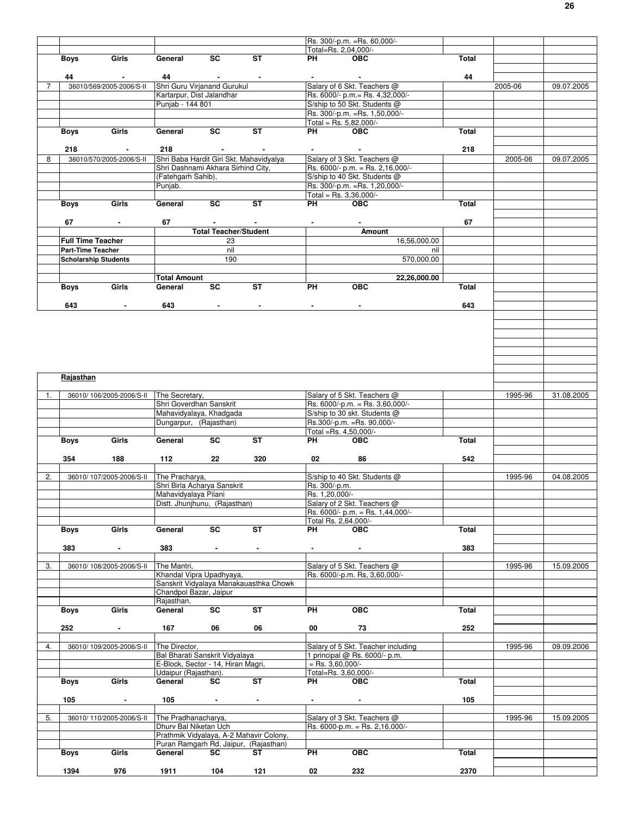|                |                          |                                        |                                                   |                                                    |                                         |                                               | Rs. 300/-p.m. = Rs. 60,000/-                                    |              |         |            |
|----------------|--------------------------|----------------------------------------|---------------------------------------------------|----------------------------------------------------|-----------------------------------------|-----------------------------------------------|-----------------------------------------------------------------|--------------|---------|------------|
|                |                          |                                        |                                                   |                                                    |                                         |                                               | Total=Rs. 2,04,000/-                                            |              |         |            |
|                | <b>Boys</b>              | Girls                                  | General                                           | <b>SC</b>                                          | <b>ST</b>                               | PH                                            | <b>OBC</b>                                                      | Total        |         |            |
|                |                          |                                        |                                                   |                                                    |                                         |                                               |                                                                 |              |         |            |
| $\overline{7}$ | 44                       | $\sim$                                 | 44<br>Shri Guru Virjanand Gurukul                 | <b>Contract Contract</b>                           |                                         |                                               | $\sim$<br>Salary of 6 Skt. Teachers @                           | 44           |         |            |
|                |                          | 36010/569/2005-2006/S-II               | Kartarpur, Dist Jalandhar                         |                                                    |                                         |                                               | Rs. 6000/- p.m.= Rs. 4,32,000/-                                 |              | 2005-06 | 09.07.2005 |
|                |                          |                                        | Punjab - 144 801                                  |                                                    |                                         |                                               | S/ship to 50 Skt. Students @                                    |              |         |            |
|                |                          |                                        |                                                   |                                                    |                                         |                                               | Rs. 300/-p.m. = Rs. 1,50,000/-                                  |              |         |            |
|                |                          |                                        |                                                   |                                                    |                                         |                                               | Total = Rs. $5,82,000/-$                                        |              |         |            |
|                | Boys                     | Girls                                  | General                                           | SC                                                 | <b>ST</b>                               | PH                                            | <b>OBC</b>                                                      | Total        |         |            |
|                |                          |                                        |                                                   |                                                    |                                         |                                               |                                                                 |              |         |            |
|                | 218                      |                                        | 218                                               |                                                    |                                         |                                               |                                                                 | 218          |         |            |
| 8              |                          | 36010/570/2005-2006/S-II               |                                                   |                                                    | Shri Baba Hardit Giri Skt. Mahavidyalya |                                               | Salary of 3 Skt. Teachers @                                     |              | 2005-06 | 09.07.2005 |
|                |                          |                                        | Shri Dashnami Akhara Sirhind City,                |                                                    |                                         |                                               | Rs. $6000/-$ p.m. = Rs. 2,16,000/-                              |              |         |            |
|                |                          |                                        | (Fatehgarh Sahib),<br>Punjab.                     |                                                    |                                         |                                               | S/ship to 40 Skt. Students @<br>Rs. 300/-p.m. = Rs. 1,20,000/-  |              |         |            |
|                |                          |                                        |                                                   |                                                    |                                         |                                               | Total = Rs. $3,36,000/-$                                        |              |         |            |
|                | Boys                     | Girls                                  | General                                           | SC                                                 | <b>ST</b>                               | PH                                            | <b>OBC</b>                                                      | Total        |         |            |
|                |                          |                                        |                                                   |                                                    |                                         |                                               |                                                                 |              |         |            |
|                | 67                       | $\sim$                                 | 67                                                | $\sim$                                             | $\blacksquare$                          | $\blacksquare$                                | $\blacksquare$                                                  | 67           |         |            |
|                |                          |                                        |                                                   | <b>Total Teacher/Student</b>                       |                                         |                                               | Amount                                                          |              |         |            |
|                | <b>Full Time Teacher</b> |                                        |                                                   | 23                                                 |                                         |                                               |                                                                 | 16,56,000.00 |         |            |
|                | <b>Part-Time Teacher</b> |                                        |                                                   | nil                                                |                                         |                                               |                                                                 | nil          |         |            |
|                |                          | <b>Scholarship Students</b>            |                                                   | 190                                                |                                         |                                               |                                                                 | 570,000.00   |         |            |
|                |                          |                                        |                                                   |                                                    |                                         |                                               |                                                                 |              |         |            |
|                |                          |                                        | <b>Total Amount</b>                               |                                                    |                                         |                                               |                                                                 | 22,26,000.00 |         |            |
|                | Boys                     | Girls                                  | General                                           | SC                                                 | <b>ST</b>                               | <b>PH</b>                                     | <b>OBC</b>                                                      | <b>Total</b> |         |            |
|                |                          |                                        |                                                   |                                                    |                                         |                                               |                                                                 |              |         |            |
|                | 643                      | $\blacksquare$                         | 643                                               | $\blacksquare$                                     | $\blacksquare$                          | $\blacksquare$                                | $\blacksquare$                                                  | 643          |         |            |
|                |                          |                                        |                                                   |                                                    |                                         |                                               |                                                                 |              |         |            |
|                |                          |                                        |                                                   |                                                    |                                         |                                               |                                                                 |              |         |            |
|                |                          |                                        |                                                   |                                                    |                                         |                                               |                                                                 |              |         |            |
|                |                          |                                        |                                                   |                                                    |                                         |                                               |                                                                 |              |         |            |
|                |                          |                                        |                                                   |                                                    |                                         |                                               |                                                                 |              |         |            |
|                |                          |                                        |                                                   |                                                    |                                         |                                               |                                                                 |              |         |            |
|                | Rajasthan                |                                        |                                                   |                                                    |                                         |                                               |                                                                 |              |         |            |
|                |                          |                                        |                                                   |                                                    |                                         |                                               |                                                                 |              |         |            |
| 1.             |                          | 36010/106/2005-2006/S-II               | The Secretary,                                    |                                                    |                                         |                                               | Salary of 5 Skt. Teachers @                                     |              | 1995-96 | 31.08.2005 |
|                |                          |                                        | Shri Goverdhan Sanskrit                           |                                                    |                                         |                                               | Rs. 6000/-p.m. = Rs. 3,60,000/-                                 |              |         |            |
|                |                          |                                        | Mahavidyalaya, Khadgada<br>Dungarpur, (Rajasthan) |                                                    |                                         |                                               | S/ship to 30 skt. Students @<br>Rs.300/-p.m. = Rs. 90,000/-     |              |         |            |
|                |                          |                                        |                                                   |                                                    |                                         |                                               | Total =Rs. 4,50,000/-                                           |              |         |            |
|                | Boys                     | Girls                                  | General                                           | SC                                                 | <b>ST</b>                               | <b>PH</b>                                     | <b>OBC</b>                                                      | Total        |         |            |
|                |                          |                                        |                                                   |                                                    |                                         |                                               |                                                                 |              |         |            |
|                | 354                      | 188                                    | 112                                               | 22                                                 | 320                                     | 02                                            | 86                                                              | 542          |         |            |
|                |                          |                                        |                                                   |                                                    |                                         |                                               |                                                                 |              |         |            |
| 2.             |                          | 36010/107/2005-2006/S-II               | The Pracharya,                                    |                                                    |                                         |                                               | S/ship to 40 Skt. Students @                                    |              | 1995-96 | 04.08.2005 |
|                |                          |                                        | Shri Birla Acharya Sanskrit                       |                                                    |                                         | Rs. 300/-p.m.                                 |                                                                 |              |         |            |
|                |                          |                                        | Mahavidyalaya Pilani                              |                                                    |                                         | Rs. 1,20,000/-                                |                                                                 |              |         |            |
|                |                          |                                        | Distt. Jhunjhunu, (Rajasthan)                     |                                                    |                                         |                                               | Salary of 2 Skt. Teachers @<br>Rs. 6000/- p.m. = Rs. 1,44,000/- |              |         |            |
|                |                          |                                        |                                                   |                                                    |                                         |                                               | Total Rs. 2,64,000/-                                            |              |         |            |
|                | Boys                     | Girls                                  | General                                           | SC                                                 | <b>ST</b>                               | <b>PH</b>                                     | <b>OBC</b>                                                      | Total        |         |            |
|                |                          |                                        |                                                   |                                                    |                                         |                                               |                                                                 |              |         |            |
|                | 383                      | $\sim$                                 | 383                                               | $\bullet$ . The set of $\mathcal{O}(\mathbb{R}^d)$ | $\blacksquare$                          | $\bullet$ - $\bullet$ - $\bullet$ - $\bullet$ | $\sim$                                                          | 383          |         |            |
|                |                          |                                        |                                                   |                                                    |                                         |                                               |                                                                 |              |         |            |
| 3.             |                          | 36010/108/2005-2006/S-II               | The Mantri,                                       |                                                    |                                         |                                               | Salary of 5 Skt. Teachers @                                     |              | 1995-96 | 15.09.2005 |
|                |                          |                                        | Khandal Vipra Upadhyaya,                          |                                                    |                                         |                                               | Rs. 6000/-p.m. Rs, 3,60,000/-                                   |              |         |            |
|                |                          |                                        |                                                   |                                                    | Sanskrit Vidyalaya Manakauasthka Chowk  |                                               |                                                                 |              |         |            |
|                |                          |                                        | Chandpol Bazar, Jaipur<br>Rajasthan.              |                                                    |                                         |                                               |                                                                 |              |         |            |
|                | Boys                     | Girls                                  | General                                           | $\overline{sc}$                                    | ST                                      | PH                                            | OBC                                                             | Total        |         |            |
|                |                          |                                        |                                                   |                                                    |                                         |                                               |                                                                 |              |         |            |
|                | 252                      | $\sim$                                 | 167                                               | 06                                                 | 06                                      | 00                                            | 73                                                              | 252          |         |            |
|                |                          |                                        |                                                   |                                                    |                                         |                                               |                                                                 |              |         |            |
| 4.             |                          | 36010/109/2005-2006/S-II The Director, |                                                   |                                                    |                                         |                                               | Salary of 5 Skt. Teacher including                              |              | 1995-96 | 09.09.2006 |
|                |                          |                                        | Bal Bharati Sanskrit Vidyalaya                    |                                                    |                                         |                                               | 1 principal @ Rs. 6000/- p.m.                                   |              |         |            |
|                |                          |                                        | E-Block, Sector - 14, Hiran Magri,                |                                                    |                                         | $=$ Rs. 3,60,000/-                            |                                                                 |              |         |            |
|                |                          | Girls                                  | Udaipur (Rajasthan).                              |                                                    | <b>ST</b>                               |                                               | Total=Rs. 3,60,000/-                                            |              |         |            |
|                | <b>Boys</b>              |                                        | General                                           | SC                                                 |                                         | PH                                            | <b>OBC</b>                                                      | Total        |         |            |
|                | 105                      |                                        | 105                                               | $\sim$                                             |                                         |                                               |                                                                 | 105          |         |            |
|                |                          |                                        |                                                   |                                                    |                                         |                                               |                                                                 |              |         |            |
| 5.             |                          | 36010/110/2005-2006/S-II               | The Pradhanacharya,                               |                                                    |                                         |                                               | Salary of 3 Skt. Teachers @                                     |              | 1995-96 | 15.09.2005 |
|                |                          |                                        | Dhurv Bal Niketan Uch                             |                                                    |                                         |                                               | Rs. 6000-p.m. = Rs. 2,16,000/-                                  |              |         |            |
|                |                          |                                        |                                                   |                                                    | Prathmik Vidyalaya, A-2 Mahavir Colony, |                                               |                                                                 |              |         |            |
|                |                          |                                        |                                                   |                                                    | Puran Ramgarh Rd, Jaipur, (Rajasthan)   |                                               |                                                                 |              |         |            |
|                |                          |                                        |                                                   |                                                    |                                         |                                               |                                                                 |              |         |            |
|                | Boys                     | Girls                                  | General                                           | SC                                                 | ST                                      | PH                                            | <b>OBC</b>                                                      | Total        |         |            |
|                | 1394                     | 976                                    | 1911                                              | 104                                                | 121                                     | 02                                            | 232                                                             | 2370         |         |            |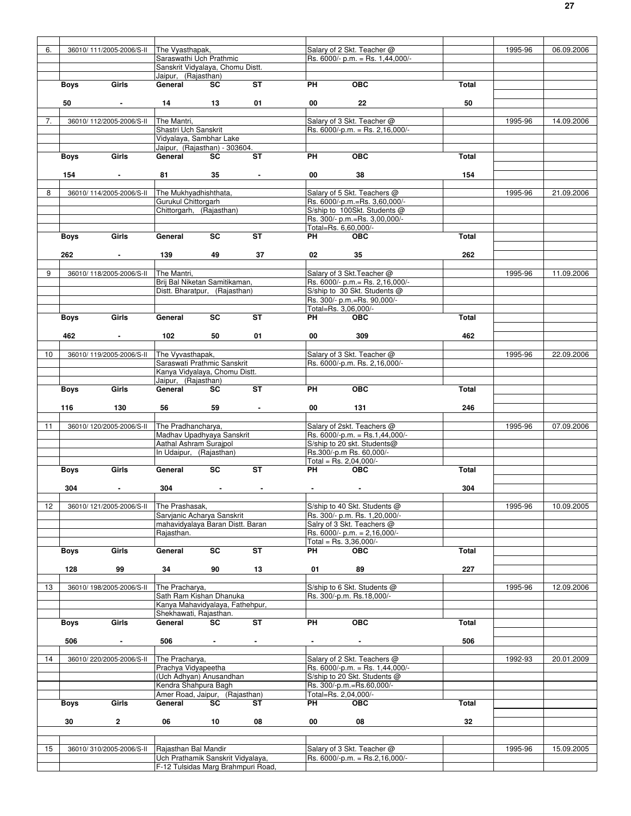| 6. |             | 36010/111/2005-2006/S-II  | The Vyasthapak,                                                         |                             |                          |                      | Salary of 2 Skt. Teacher @        |              | 1995-96 | 06.09.2006 |
|----|-------------|---------------------------|-------------------------------------------------------------------------|-----------------------------|--------------------------|----------------------|-----------------------------------|--------------|---------|------------|
|    |             |                           | Saraswathi Uch Prathmic                                                 |                             |                          |                      | Rs. 6000/- p.m. = Rs. 1,44,000/-  |              |         |            |
|    |             |                           | Sanskrit Vidyalaya, Chomu Distt.                                        |                             |                          |                      |                                   |              |         |            |
|    |             |                           | Jaipur, (Rajasthan)                                                     |                             |                          |                      |                                   |              |         |            |
|    | Boys        | Girls                     | General                                                                 | <b>SC</b>                   | <b>ST</b>                | <b>PH</b>            | <b>OBC</b>                        | Total        |         |            |
|    |             |                           |                                                                         |                             |                          |                      |                                   |              |         |            |
|    | 50          | $\sim$                    | 14                                                                      | $\overline{\phantom{1}}$ 13 | 01                       | 00                   | 22                                | 50           |         |            |
|    |             |                           |                                                                         |                             |                          |                      |                                   |              |         |            |
| 7. |             | 36010/112/2005-2006/S-II  | The Mantri,                                                             |                             |                          |                      | Salary of 3 Skt. Teacher @        |              | 1995-96 | 14.09.2006 |
|    |             |                           | Shastri Uch Sanskrit                                                    |                             |                          |                      | Rs. $6000/-p.m. = Rs. 2,16,000/-$ |              |         |            |
|    |             |                           | Vidyalaya, Sambhar Lake                                                 |                             |                          |                      |                                   |              |         |            |
|    |             |                           | Jaipur, (Rajasthan) - 303604.                                           |                             |                          |                      |                                   |              |         |            |
|    | Boys        | Girls                     | General                                                                 | SC                          | <b>ST</b>                | PH                   | <b>OBC</b>                        | Total        |         |            |
|    |             |                           |                                                                         |                             |                          |                      |                                   |              |         |            |
|    |             |                           |                                                                         |                             |                          |                      |                                   |              |         |            |
|    | 154         | $\sim$                    | 81                                                                      | 35                          | $\blacksquare$           | 00                   | 38                                | 154          |         |            |
|    |             |                           |                                                                         |                             |                          |                      |                                   |              |         |            |
| 8  |             | 36010/114/2005-2006/S-II  | The Mukhyadhishthata.                                                   |                             |                          |                      | Salary of 5 Skt. Teachers @       |              | 1995-96 | 21.09.2006 |
|    |             |                           | Gurukul Chittorgarh                                                     |                             |                          |                      | Rs. 6000/-p.m.=Rs. 3,60,000/-     |              |         |            |
|    |             |                           | Chittorgarh, (Rajasthan)                                                |                             |                          |                      | S/ship to 100Skt. Students @      |              |         |            |
|    |             |                           |                                                                         |                             |                          |                      | Rs. 300/- p.m.=Rs. 3,00,000/-     |              |         |            |
|    |             |                           |                                                                         |                             |                          |                      | Total=Rs. 6,60,000/-              |              |         |            |
|    | Boys        | Girls                     | General                                                                 | <b>SC</b>                   | <b>ST</b>                | PH                   | <b>OBC</b>                        | Total        |         |            |
|    |             |                           |                                                                         |                             |                          |                      |                                   |              |         |            |
|    | 262         | $\sim$                    | 139                                                                     | 49                          | 37                       | 02                   | 35                                | 262          |         |            |
|    |             |                           |                                                                         |                             |                          |                      |                                   |              |         |            |
| 9  |             | 36010/118/2005-2006/S-II  | The Mantri,                                                             |                             |                          |                      | Salary of 3 Skt. Teacher @        |              | 1995-96 | 11.09.2006 |
|    |             |                           | Brij Bal Niketan Samitikaman,                                           |                             |                          |                      | Rs. 6000/- p.m. = Rs. 2,16,000/-  |              |         |            |
|    |             |                           | Distt. Bharatpur, (Rajasthan)                                           |                             |                          |                      | S/ship to 30 Skt. Students @      |              |         |            |
|    |             |                           |                                                                         |                             |                          |                      | Rs. 300/- p.m.=Rs. 90,000/-       |              |         |            |
|    |             |                           |                                                                         |                             |                          |                      | Total=Rs. 3.06.000/-              |              |         |            |
|    | Boys        | Girls                     | General                                                                 | SC                          | $\overline{\mathsf{ST}}$ | PH <sub>2</sub>      | <b>OBC</b>                        | Total        |         |            |
|    |             |                           |                                                                         |                             |                          |                      |                                   |              |         |            |
|    | 462         |                           | 102                                                                     | 50                          | 01                       | 00                   | 309                               | 462          |         |            |
|    |             | $\sim$                    |                                                                         |                             |                          |                      |                                   |              |         |            |
|    |             |                           |                                                                         |                             |                          |                      |                                   |              |         |            |
| 10 |             | 36010/119/2005-2006/S-II  | The Vyvasthapak,                                                        |                             |                          |                      | Salary of 3 Skt. Teacher @        |              | 1995-96 | 22.09.2006 |
|    |             |                           | Saraswati Prathmic Sanskrit                                             |                             |                          |                      | Rs. 6000/-p.m. Rs. 2,16,000/-     |              |         |            |
|    |             |                           | Kanya Vidyalaya, Chomu Distt.                                           |                             |                          |                      |                                   |              |         |            |
|    |             |                           | Jaipur, (Rajasthan)                                                     |                             |                          |                      |                                   |              |         |            |
|    | <b>Boys</b> | Girls                     | General                                                                 | <b>SC</b>                   | <b>ST</b>                | <b>PH</b>            | <b>OBC</b>                        | <b>Total</b> |         |            |
|    |             |                           |                                                                         |                             |                          |                      |                                   |              |         |            |
|    | 116         | 130                       | 56                                                                      | 59                          | $\sim$                   | 00                   | 131                               | 246          |         |            |
|    |             |                           |                                                                         |                             |                          |                      |                                   |              |         |            |
|    |             |                           |                                                                         |                             |                          |                      |                                   |              |         |            |
| 11 |             | 36010/120/2005-2006/S-II  | The Pradhancharya,                                                      |                             |                          |                      | Salary of 2skt. Teachers @        |              | 1995-96 | 07.09.2006 |
|    |             |                           | Madhav Upadhyaya Sanskrit                                               |                             |                          |                      | Rs. 6000/-p.m. = Rs.1,44,000/-    |              |         |            |
|    |             |                           | Aathal Ashram Surajpol                                                  |                             |                          |                      | S/ship to 20 skt. Students@       |              |         |            |
|    |             |                           | In Udaipur, (Rajasthan)                                                 |                             |                          |                      | Rs.300/-p.m Rs. 60,000/-          |              |         |            |
|    |             |                           |                                                                         |                             |                          |                      | Total = Rs. $2,04,000/-$          |              |         |            |
|    | <b>Boys</b> | Girls                     | General                                                                 | $\overline{sc}$             | $\overline{\mathsf{ST}}$ | PH <sub>2</sub>      | <b>OBC</b>                        | <b>Total</b> |         |            |
|    |             |                           |                                                                         |                             |                          |                      |                                   |              |         |            |
|    | 304         |                           | 304                                                                     |                             |                          |                      |                                   | 304          |         |            |
|    |             |                           |                                                                         |                             |                          |                      |                                   |              |         |            |
|    |             |                           |                                                                         |                             |                          |                      |                                   |              |         |            |
| 12 |             | 36010/ 121/2005-2006/S-II | The Prashasak,                                                          |                             |                          |                      | S/ship to 40 Skt. Students @      |              | 1995-96 | 10.09.2005 |
|    |             |                           | Sarvjanic Acharya Sanskrit                                              |                             |                          |                      | Rs. 300/- p.m. Rs. 1,20,000/-     |              |         |            |
|    |             |                           | mahavidyalaya Baran Distt. Baran                                        |                             |                          |                      | Salry of 3 Skt. Teachers @        |              |         |            |
|    |             |                           | Rajasthan.                                                              |                             |                          |                      | Rs. 6000/- p.m. = 2,16,000/-      |              |         |            |
|    |             |                           |                                                                         |                             |                          |                      | Total = Rs. $3,36,000/-$          |              |         |            |
|    | <b>Boys</b> | Girls                     | General                                                                 | SC                          | <b>ST</b>                | PH                   | <b>OBC</b>                        | <b>Total</b> |         |            |
|    |             |                           |                                                                         |                             |                          |                      |                                   |              |         |            |
|    | 128         | 99                        | 34                                                                      | 90                          | 13                       | 01                   | 89                                | 227          |         |            |
|    |             |                           |                                                                         |                             |                          |                      |                                   |              |         |            |
| 13 |             | 36010/198/2005-2006/S-II  | The Pracharya,                                                          |                             |                          |                      | S/ship to 6 Skt. Students @       |              | 1995-96 | 12.09.2006 |
|    |             |                           | Sath Ram Kishan Dhanuka                                                 |                             |                          |                      | Rs. 300/-p.m. Rs. 18,000/-        |              |         |            |
|    |             |                           | Kanya Mahavidyalaya, Fathehpur,                                         |                             |                          |                      |                                   |              |         |            |
|    |             |                           | Shekhawati, Rajasthan.                                                  |                             |                          |                      |                                   |              |         |            |
|    | Boys        | Girls                     | General                                                                 | SC                          | ST                       | PH                   | <b>OBC</b>                        | Total        |         |            |
|    |             |                           |                                                                         |                             |                          |                      |                                   |              |         |            |
|    | 506         | $\blacksquare$            | 506                                                                     |                             | $\blacksquare$           |                      |                                   | 506          |         |            |
|    |             |                           |                                                                         |                             |                          |                      |                                   |              |         |            |
| 14 |             | 36010/220/2005-2006/S-II  | The Pracharya,                                                          |                             |                          |                      | Salary of 2 Skt. Teachers @       |              | 1992-93 | 20.01.2009 |
|    |             |                           | Prachya Vidyapeetha                                                     |                             |                          |                      | Rs. $6000/-p.m. = Rs. 1,44,000/-$ |              |         |            |
|    |             |                           | (Uch Adhyan) Anusandhan                                                 |                             |                          |                      | S/ship to 20 Skt. Students @      |              |         |            |
|    |             |                           | Kendra Shahpura Bagh                                                    |                             |                          |                      | Rs. 300/-p.m.=Rs.60,000/-         |              |         |            |
|    |             |                           | Amer Road, Jaipur, (Rajasthan)                                          |                             |                          | Total=Rs. 2,04,000/- |                                   |              |         |            |
|    | <b>Boys</b> | Girls                     | General                                                                 | SC                          | ST                       | PH                   | <b>OBC</b>                        | Total        |         |            |
|    |             |                           |                                                                         |                             |                          |                      |                                   |              |         |            |
|    |             | $\mathbf{2}$              | 06                                                                      |                             |                          | 00                   | 08                                | 32           |         |            |
|    | 30          |                           |                                                                         | 10                          | 08                       |                      |                                   |              |         |            |
|    |             |                           |                                                                         |                             |                          |                      |                                   |              |         |            |
|    |             |                           |                                                                         |                             |                          |                      |                                   |              |         |            |
| 15 |             | 36010/310/2005-2006/S-II  | Rajasthan Bal Mandir                                                    |                             |                          |                      | Salary of 3 Skt. Teacher @        |              | 1995-96 | 15.09.2005 |
|    |             |                           | Uch Prathamik Sanskrit Vidyalaya,<br>F-12 Tulsidas Marg Brahmpuri Road, |                             |                          |                      | Rs. 6000/-p.m. = Rs.2,16,000/-    |              |         |            |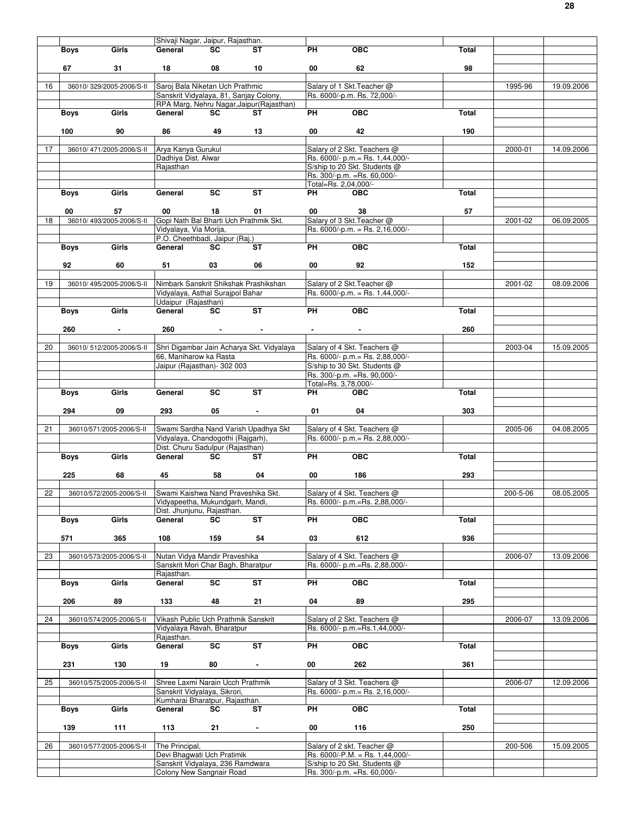|    |             |                          | Shivaji Nagar, Jaipur, Rajasthan.                                                              |                         |                                           |                      |                                                                 |              |          |            |
|----|-------------|--------------------------|------------------------------------------------------------------------------------------------|-------------------------|-------------------------------------------|----------------------|-----------------------------------------------------------------|--------------|----------|------------|
|    | Boys        | Girls                    | General                                                                                        | SC.                     | ST                                        | PH                   | <b>OBC</b>                                                      | Total        |          |            |
|    |             |                          |                                                                                                |                         |                                           |                      |                                                                 |              |          |            |
|    | 67          | 31                       | 18                                                                                             | 08                      | 10                                        | 00                   | 62                                                              | 98           |          |            |
|    |             |                          |                                                                                                |                         |                                           |                      |                                                                 |              |          |            |
| 16 |             | 36010/329/2005-2006/S-II | Saroj Bala Niketan Uch Prathmic                                                                |                         |                                           |                      | Salary of 1 Skt. Teacher @                                      |              | 1995-96  | 19.09.2006 |
|    |             |                          | Sanskrit Vidyalaya, 81, Sanjay Colony,                                                         |                         |                                           |                      | Rs. 6000/-p.m. Rs. 72,000/-                                     |              |          |            |
|    |             |                          |                                                                                                |                         | RPA Marg, Nehru Nagar, Jaipur (Rajasthan) |                      |                                                                 |              |          |            |
|    | <b>Boys</b> | Girls                    | General                                                                                        | SC                      | ST                                        | PH                   | OBC                                                             | Total        |          |            |
|    |             |                          |                                                                                                |                         |                                           |                      |                                                                 |              |          |            |
|    | 100         | 90                       | 86                                                                                             | 49                      | 13                                        | 00                   | 42                                                              | 190          |          |            |
|    |             |                          |                                                                                                |                         |                                           |                      |                                                                 |              |          |            |
| 17 |             | 36010/471/2005-2006/S-II | Arya Kanya Gurukul                                                                             |                         |                                           |                      | Salary of 2 Skt. Teachers @                                     |              | 2000-01  | 14.09.2006 |
|    |             |                          | Dadhiya Dist. Alwar                                                                            |                         |                                           |                      | Rs. 6000/- p.m. = Rs. 1,44,000/-                                |              |          |            |
|    |             |                          | Rajasthan                                                                                      |                         |                                           |                      | S/ship to 20 Skt. Students @                                    |              |          |            |
|    |             |                          |                                                                                                |                         |                                           |                      | Rs. 300/-p.m. = Rs. 60,000/-                                    |              |          |            |
|    |             |                          |                                                                                                |                         |                                           | Total=Rs. 2,04,000/- |                                                                 |              |          |            |
|    | Boys        | Girls                    | General                                                                                        | SC                      | ST                                        | PH                   | <b>OBC</b>                                                      | Total        |          |            |
|    |             |                          |                                                                                                |                         |                                           |                      |                                                                 |              |          |            |
|    | 00          | 57                       | 00                                                                                             | 18                      | 01                                        | 00                   | 38                                                              | 57           |          |            |
| 18 |             |                          | 36010/493/2005-2006/S-II Gopi Nath Bal Bharti Uch Prathmik Skt.                                |                         |                                           |                      | Salary of 3 Skt. Teacher @                                      |              | 2001-02  | 06.09.2005 |
|    |             |                          | Vidyalaya, Via Morija,                                                                         |                         |                                           |                      | Rs. 6000/-p.m. = Rs. 2,16,000/-                                 |              |          |            |
|    |             |                          | P.O. Cheethbadi, Jaipur (Raj.)                                                                 |                         |                                           |                      |                                                                 |              |          |            |
|    | <b>Boys</b> | Girls                    | General                                                                                        | SC                      | <b>ST</b>                                 | PH                   | OBC                                                             | Total        |          |            |
|    |             |                          |                                                                                                |                         |                                           |                      |                                                                 |              |          |            |
|    | 92          | 60                       | 51                                                                                             | 03                      | 06                                        | 00                   | 92                                                              | 152          |          |            |
|    |             |                          |                                                                                                |                         |                                           |                      |                                                                 |              |          |            |
| 19 |             | 36010/495/2005-2006/S-II | Nimbark Sanskrit Shikshak Prashikshan                                                          |                         |                                           |                      | Salary of 2 Skt. Teacher @                                      |              | 2001-02  | 08.09.2006 |
|    |             |                          | Vidyalaya, Asthal Surajpol Bahar                                                               |                         |                                           |                      | Rs. $6000/-p.m. = Rs. 1,44,000/-$                               |              |          |            |
|    |             |                          | Udaipur (Rajasthan)                                                                            |                         |                                           |                      |                                                                 |              |          |            |
|    | <b>Boys</b> | Girls                    | General                                                                                        | SC                      | <b>ST</b>                                 | <b>PH</b>            | $\overline{OBC}$                                                | Total        |          |            |
|    |             |                          |                                                                                                |                         |                                           |                      |                                                                 |              |          |            |
|    | 260         |                          | 260                                                                                            |                         |                                           |                      |                                                                 | 260          |          |            |
|    |             |                          |                                                                                                |                         |                                           |                      |                                                                 |              |          |            |
| 20 |             | 36010/512/2005-2006/S-II |                                                                                                |                         | Shri Digambar Jain Acharya Skt. Vidyalaya |                      | Salary of 4 Skt. Teachers @                                     |              | 2003-04  | 15.09.2005 |
|    |             |                          | 66, Maniharow ka Rasta                                                                         |                         |                                           |                      | Rs. 6000/- p.m. = Rs. 2,88,000/-                                |              |          |            |
|    |             |                          | Jaipur (Rajasthan)- 302 003                                                                    |                         |                                           |                      | S/ship to 30 Skt. Students @                                    |              |          |            |
|    |             |                          |                                                                                                |                         |                                           |                      | Rs. 300/-p.m. = Rs. 90,000/-                                    |              |          |            |
|    |             |                          |                                                                                                |                         |                                           | Total=Rs. 3,78,000/- |                                                                 |              |          |            |
|    | <b>Boys</b> | Girls                    | General                                                                                        | SC                      | <b>ST</b>                                 | PH                   | <b>OBC</b>                                                      | Total        |          |            |
|    |             |                          |                                                                                                |                         |                                           |                      |                                                                 |              |          |            |
|    | 294         | 09                       | 293                                                                                            | 05                      | $\blacksquare$                            | 01                   | 04                                                              | 303          |          |            |
|    |             |                          |                                                                                                |                         |                                           |                      |                                                                 |              |          |            |
|    |             |                          |                                                                                                |                         |                                           |                      |                                                                 |              |          |            |
| 21 |             |                          |                                                                                                |                         |                                           |                      |                                                                 |              |          |            |
|    |             | 36010/571/2005-2006/S-II | Swami Sardha Nand Varish Upadhya Skt                                                           |                         |                                           |                      | Salary of 4 Skt. Teachers @<br>Rs. 6000/- p.m. = Rs. 2,88,000/- |              | 2005-06  | 04.08.2005 |
|    |             |                          | Vidyalaya, Chandogothi (Rajgarh),<br>Dist. Churu Sadulpur (Rajasthan)                          |                         |                                           |                      |                                                                 |              |          |            |
|    |             | Girls                    | General                                                                                        | SC                      | ST                                        | <b>PH</b>            | OBC                                                             | Total        |          |            |
|    | <b>Boys</b> |                          |                                                                                                |                         |                                           |                      |                                                                 |              |          |            |
|    |             | 68                       |                                                                                                |                         |                                           | 00                   | 186                                                             | 293          |          |            |
|    | 225         |                          | 45                                                                                             | 58                      | 04                                        |                      |                                                                 |              |          |            |
| 22 |             |                          |                                                                                                |                         |                                           |                      | Salary of 4 Skt. Teachers @                                     |              | 200-5-06 | 08.05.2005 |
|    |             |                          | 36010/572/2005-2006/S-II Swami Kaishwa Nand Praveshika Skt.<br>Vidyapeetha, Mukundgarh, Mandi, |                         |                                           |                      | Rs. 6000/- p.m.=Rs. 2,88,000/-                                  |              |          |            |
|    |             |                          | Dist. Jhunjunu, Rajasthan.                                                                     |                         |                                           |                      |                                                                 |              |          |            |
|    | Boys        | Girls                    | General                                                                                        | SC                      | $\overline{\mathsf{ST}}$                  | PH                   | <b>OBC</b>                                                      | Total        |          |            |
|    |             |                          |                                                                                                |                         |                                           |                      |                                                                 |              |          |            |
|    | 571         | 365                      | 108                                                                                            | 159                     | 54                                        | 03                   | 612                                                             | 936          |          |            |
|    |             |                          |                                                                                                |                         |                                           |                      |                                                                 |              |          |            |
| 23 |             | 36010/573/2005-2006/S-II | Nutan Vidya Mandir Praveshika                                                                  |                         |                                           |                      | Salary of 4 Skt. Teachers @                                     |              | 2006-07  | 13.09.2006 |
|    |             |                          | Sanskrit Mori Char Bagh, Bharatpur                                                             |                         |                                           |                      | Rs. 6000/- p.m.=Rs. 2,88,000/-                                  |              |          |            |
|    |             |                          | Rajasthan.                                                                                     |                         |                                           |                      |                                                                 |              |          |            |
|    | <b>Boys</b> | Girls                    | General                                                                                        | $\overline{\text{sc}}$  | ST                                        | PH                   | OBC                                                             | Total        |          |            |
|    |             |                          |                                                                                                |                         |                                           |                      |                                                                 |              |          |            |
|    |             |                          |                                                                                                |                         |                                           |                      |                                                                 |              |          |            |
|    | 206         | 89                       | 133                                                                                            | 48                      | 21                                        | 04                   | 89                                                              | 295          |          |            |
|    |             |                          |                                                                                                |                         |                                           |                      |                                                                 |              |          |            |
| 24 |             | 36010/574/2005-2006/S-II | Vikash Public Uch Prathmik Sanskrit                                                            |                         |                                           |                      | Salary of 2 Skt. Teachers @                                     |              | 2006-07  | 13.09.2006 |
|    |             |                          | Vidyalaya Ravah, Bharatpur                                                                     |                         |                                           |                      | Rs. 6000/- p.m.=Rs.1,44,000/-                                   |              |          |            |
|    | <b>Boys</b> | Girls                    | Rajasthan.<br>General                                                                          |                         | $\overline{\text{ST}}$                    | PH                   | <b>OBC</b>                                                      | Total        |          |            |
|    |             |                          |                                                                                                | $\overline{\mathbf{S}}$ |                                           |                      |                                                                 |              |          |            |
|    | 231         | 130                      | 19                                                                                             | 80                      |                                           | 00                   | 262                                                             | 361          |          |            |
|    |             |                          |                                                                                                |                         |                                           |                      |                                                                 |              |          |            |
|    |             |                          |                                                                                                |                         |                                           |                      |                                                                 |              |          |            |
| 25 |             | 36010/575/2005-2006/S-II | Shree Laxmi Narain Ucch Prathmik                                                               |                         |                                           |                      | Salary of 3 Skt. Teachers @                                     |              | 2006-07  | 12.09.2006 |
|    |             |                          | Sanskrit Vidyalaya, Sikrori,<br>Kumharai Bharatpur, Rajasthan.                                 |                         |                                           |                      | Rs. 6000/- p.m. = Rs. 2,16,000/-                                |              |          |            |
|    | <b>Boys</b> | Girls                    | General                                                                                        | SC                      | ST                                        | PH                   | OBC                                                             | <b>Total</b> |          |            |
|    |             |                          |                                                                                                |                         |                                           |                      |                                                                 |              |          |            |
|    | 139         | 111                      | 113                                                                                            | 21                      |                                           | 00                   | 116                                                             | 250          |          |            |
|    |             |                          |                                                                                                |                         |                                           |                      |                                                                 |              |          |            |
| 26 |             |                          |                                                                                                |                         |                                           |                      |                                                                 |              |          |            |
|    |             | 36010/577/2005-2006/S-II | The Principal,<br>Devi Bhagwati Uch Pratimik                                                   |                         |                                           |                      | Salary of 2 skt. Teacher @<br>Rs. $6000/-P.M. = Rs. 1,44,000/-$ |              | 200-506  | 15.09.2005 |
|    |             |                          |                                                                                                |                         |                                           |                      |                                                                 |              |          |            |
|    |             |                          | Sanskrit Vidyalaya, 236 Ramdwara<br>Colony New Sangnair Road                                   |                         |                                           |                      | S/ship to 20 Skt. Students @<br>Rs. 300/-p.m. = Rs. 60,000/-    |              |          |            |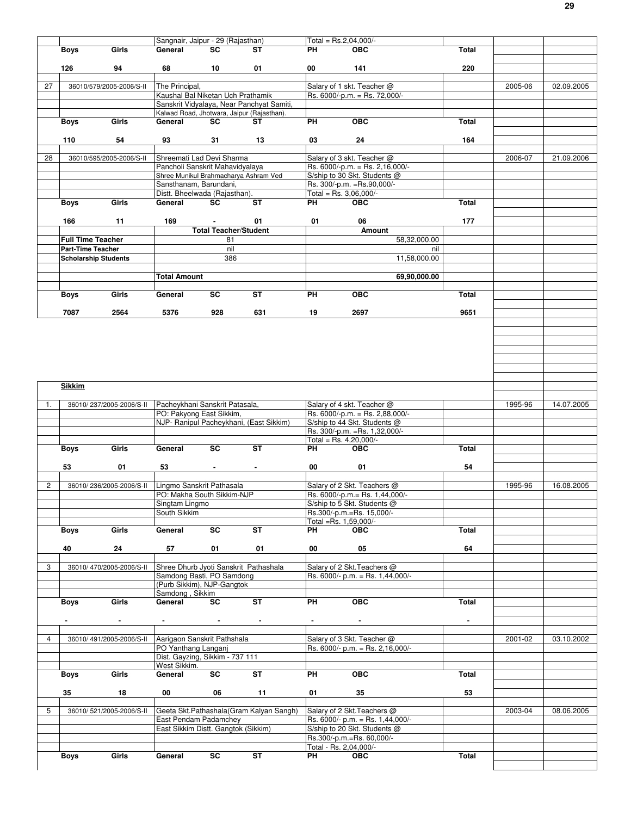|              |                             | Sangnair, Jaipur - 29 (Rajasthan)                               |                              |                | Total = Rs.2,04,000/-          |                                                             |                |         |            |
|--------------|-----------------------------|-----------------------------------------------------------------|------------------------------|----------------|--------------------------------|-------------------------------------------------------------|----------------|---------|------------|
|              | Girls<br><b>Boys</b>        | General                                                         | SC                           | ST             | PH                             | <b>OBC</b>                                                  | Total          |         |            |
|              |                             |                                                                 |                              |                |                                |                                                             |                |         |            |
|              | 126<br>94                   | 68                                                              | 10                           | 01             | 00                             | 141                                                         | 220            |         |            |
|              |                             |                                                                 |                              |                |                                |                                                             |                |         |            |
| 27           | 36010/579/2005-2006/S-II    | The Principal,                                                  |                              |                |                                | Salary of 1 skt. Teacher @                                  |                | 2005-06 | 02.09.2005 |
|              |                             | Kaushal Bal Niketan Uch Prathamik                               |                              |                |                                | Rs. 6000/-p.m. = Rs. 72,000/-                               |                |         |            |
|              |                             | Sanskrit Vidyalaya, Near Panchyat Samiti,                       |                              |                |                                |                                                             |                |         |            |
|              |                             | Kalwad Road, Jhotwara, Jaipur (Rajasthan).                      |                              |                |                                |                                                             |                |         |            |
|              | Girls<br><b>Boys</b>        | General                                                         | SC                           | ST             | PH                             | <b>OBC</b>                                                  | <b>Total</b>   |         |            |
|              |                             |                                                                 |                              |                |                                |                                                             |                |         |            |
|              | 110<br>54                   | 93                                                              | 31                           | 13             | 03                             | 24                                                          | 164            |         |            |
|              |                             |                                                                 |                              |                |                                |                                                             |                |         |            |
| 28           | 36010/595/2005-2006/S-II    | Shreemati Lad Devi Sharma                                       |                              |                |                                | Salary of 3 skt. Teacher @                                  |                | 2006-07 | 21.09.2006 |
|              |                             | Pancholi Sanskrit Mahavidyalaya                                 |                              |                |                                | Rs. 6000/-p.m. = Rs. 2,16,000/-                             |                |         |            |
|              |                             | Shree Munikul Brahmacharya Ashram Ved<br>Sansthanam, Barundani, |                              |                |                                | S/ship to 30 Skt. Students @<br>Rs. 300/-p.m. = Rs.90,000/- |                |         |            |
|              |                             |                                                                 |                              |                |                                |                                                             |                |         |            |
|              | Girls                       | Distt. Bheelwada (Rajasthan).<br>General                        | <b>SC</b>                    | <b>ST</b>      | Total = Rs. $3,06,000/-$<br>PH | <b>OBC</b>                                                  | <b>Total</b>   |         |            |
|              | Boys                        |                                                                 |                              |                |                                |                                                             |                |         |            |
|              | 11                          | 169                                                             |                              |                |                                |                                                             |                |         |            |
|              | 166                         |                                                                 | <b>Total Teacher/Student</b> | 01             | 01                             | 06                                                          | 177            |         |            |
|              |                             |                                                                 |                              |                |                                | Amount                                                      |                |         |            |
|              | <b>Full Time Teacher</b>    |                                                                 | 81                           |                |                                | 58,32,000.00                                                |                |         |            |
|              | Part-Time Teacher           |                                                                 | nil                          |                |                                | nil<br>11,58,000.00                                         |                |         |            |
|              | <b>Scholarship Students</b> |                                                                 | 386                          |                |                                |                                                             |                |         |            |
|              |                             |                                                                 |                              |                |                                |                                                             |                |         |            |
|              |                             | <b>Total Amount</b>                                             |                              |                |                                | 69.90,000.00                                                |                |         |            |
|              |                             |                                                                 |                              |                |                                |                                                             |                |         |            |
|              | Girls<br><b>Boys</b>        | General                                                         | SC                           | <b>ST</b>      | PH                             | <b>OBC</b>                                                  | Total          |         |            |
|              |                             |                                                                 |                              |                |                                |                                                             |                |         |            |
|              | 7087<br>2564                | 5376                                                            | 928                          | 631            | 19                             | 2697                                                        | 9651           |         |            |
|              |                             |                                                                 |                              |                |                                |                                                             |                |         |            |
|              |                             |                                                                 |                              |                |                                |                                                             |                |         |            |
|              |                             |                                                                 |                              |                |                                |                                                             |                |         |            |
|              |                             |                                                                 |                              |                |                                |                                                             |                |         |            |
|              |                             |                                                                 |                              |                |                                |                                                             |                |         |            |
|              |                             |                                                                 |                              |                |                                |                                                             |                |         |            |
|              |                             |                                                                 |                              |                |                                |                                                             |                |         |            |
|              | <b>Sikkim</b>               |                                                                 |                              |                |                                |                                                             |                |         |            |
|              |                             |                                                                 |                              |                |                                |                                                             |                |         |            |
| 1.           | 36010/237/2005-2006/S-II    | Pacheykhani Sanskrit Patasala,                                  |                              |                |                                | Salary of 4 skt. Teacher @                                  |                | 1995-96 | 14.07.2005 |
|              |                             | PO: Pakyong East Sikkim,                                        |                              |                |                                | Rs. 6000/-p.m. = Rs. 2,88,000/-                             |                |         |            |
|              |                             | NJP- Ranipul Pacheykhani, (East Sikkim)                         |                              |                |                                | S/ship to 44 Skt. Students @                                |                |         |            |
|              |                             |                                                                 |                              |                |                                | Rs. 300/-p.m. = Rs. 1,32,000/-                              |                |         |            |
|              |                             |                                                                 |                              |                | Total = Rs. $4,20,000/-$       |                                                             |                |         |            |
|              | Girls<br>Boys               | General                                                         | SC                           | <b>ST</b>      | PН                             | <b>OBC</b>                                                  | Total          |         |            |
|              |                             |                                                                 |                              |                |                                |                                                             |                |         |            |
|              | 53<br>01                    | 53                                                              |                              | $\blacksquare$ | 00                             | 01                                                          | 54             |         |            |
|              |                             |                                                                 |                              |                |                                |                                                             |                |         |            |
| $\mathbf{2}$ | 36010/236/2005-2006/S-II    | Lingmo Sanskrit Pathasala                                       |                              |                |                                | Salary of 2 Skt. Teachers @                                 |                | 1995-96 | 16.08.2005 |
|              |                             | PO: Makha South Sikkim-NJP                                      |                              |                |                                | Rs. 6000/-p.m. = Rs. 1,44,000/-                             |                |         |            |
|              |                             | Singtam Lingmo                                                  |                              |                |                                | S/ship to 5 Skt. Students @                                 |                |         |            |
|              |                             | South Sikkim                                                    |                              |                |                                | Rs.300/-p.m.=Rs. 15,000/-                                   |                |         |            |
|              |                             |                                                                 |                              |                | Total =Rs. 1,59,000/-          |                                                             |                |         |            |
|              | Girls<br>Boys               | General                                                         | SC                           | <b>ST</b>      | PH                             | <b>OBC</b>                                                  | Total          |         |            |
|              | 40<br>24                    |                                                                 |                              |                | 00                             | 05                                                          | 64             |         |            |
|              |                             | 57                                                              | 01                           | 01             |                                |                                                             |                |         |            |
| 3            | 36010/470/2005-2006/S-II    | Shree Dhurb Jyoti Sanskrit Pathashala                           |                              |                |                                | Salary of 2 Skt. Teachers @                                 |                |         |            |
|              |                             | Samdong Basti, PO Samdong                                       |                              |                |                                | Rs. 6000/- p.m. = Rs. 1,44,000/-                            |                |         |            |
|              |                             | (Purb Sikkim), NJP-Gangtok                                      |                              |                |                                |                                                             |                |         |            |
|              |                             | Samdong, Sikkim                                                 |                              |                |                                |                                                             |                |         |            |
|              | Girls<br><b>Boys</b>        | General                                                         | SC                           | ST             | PH                             | OBC                                                         | Total          |         |            |
|              |                             |                                                                 |                              |                |                                |                                                             |                |         |            |
|              |                             |                                                                 |                              |                |                                |                                                             | $\blacksquare$ |         |            |
|              |                             |                                                                 |                              |                |                                |                                                             |                |         |            |
| 4            | 36010/491/2005-2006/S-II    | Aarigaon Sanskrit Pathshala                                     |                              |                |                                | Salary of 3 Skt. Teacher @                                  |                | 2001-02 | 03.10.2002 |
|              |                             | PO Yanthang Langanj                                             |                              |                |                                | Rs. 6000/- p.m. = Rs. 2,16,000/-                            |                |         |            |
|              |                             | Dist. Gayzing, Sikkim - 737 111                                 |                              |                |                                |                                                             |                |         |            |
|              |                             | West Sikkim.                                                    |                              |                |                                |                                                             |                |         |            |
|              | Girls<br>Boys               | General                                                         | $\overline{\mathsf{sc}}$     | ST             | PH                             | <b>OBC</b>                                                  | Total          |         |            |
|              |                             |                                                                 |                              |                |                                |                                                             |                |         |            |
|              | 35<br>18                    | 00                                                              | 06                           | 11             | 01                             | 35                                                          | 53             |         |            |
|              |                             |                                                                 |                              |                |                                |                                                             |                |         |            |
| 5            | 36010/521/2005-2006/S-II    | Geeta Skt.Pathashala (Gram Kalyan Sangh)                        |                              |                |                                | Salary of 2 Skt. Teachers @                                 |                | 2003-04 | 08.06.2005 |
|              |                             | East Pendam Padamchey                                           |                              |                |                                | Rs. 6000/- p.m. = Rs. 1,44,000/-                            |                |         |            |
|              |                             | East Sikkim Distt. Gangtok (Sikkim)                             |                              |                |                                | S/ship to 20 Skt. Students @                                |                |         |            |
|              |                             |                                                                 |                              |                |                                | Rs.300/-p.m.=Rs. 60,000/-                                   |                |         |            |
|              |                             |                                                                 |                              |                | Total - Rs. 2,04,000/-         |                                                             |                |         |            |
|              | Girls<br>Boys               | General                                                         | SC                           | <b>ST</b>      | PH                             | <b>OBC</b>                                                  | Total          |         |            |
|              |                             |                                                                 |                              |                |                                |                                                             |                |         |            |
|              |                             |                                                                 |                              |                |                                |                                                             |                |         |            |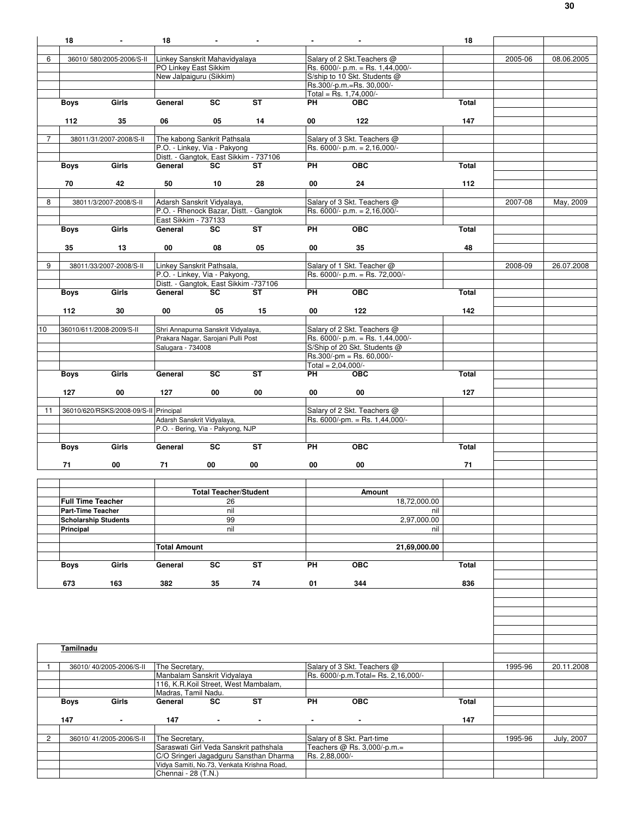|                | 18                       | $\blacksquare$                        | 18                             |                                                                          | $\blacksquare$                              |                            | $\blacksquare$                                                  | 18    |         |                   |
|----------------|--------------------------|---------------------------------------|--------------------------------|--------------------------------------------------------------------------|---------------------------------------------|----------------------------|-----------------------------------------------------------------|-------|---------|-------------------|
| 6              |                          | 36010/580/2005-2006/S-II              | Linkey Sanskrit Mahavidyalaya  |                                                                          |                                             |                            | Salary of 2 Skt. Teachers @                                     |       | 2005-06 | 08.06.2005        |
|                |                          |                                       | PO Linkey East Sikkim          |                                                                          |                                             |                            | Rs. 6000/- p.m. = Rs. 1,44,000/-                                |       |         |                   |
|                |                          |                                       |                                | New Jalpaiguru (Sikkim)                                                  |                                             |                            | S/ship to 10 Skt. Students @                                    |       |         |                   |
|                |                          |                                       |                                |                                                                          |                                             |                            | Rs.300/-p.m.=Rs. 30,000/-<br>Total = Rs. $1,74,000/-$           |       |         |                   |
|                | <b>Boys</b>              | Girls                                 | General                        | SC                                                                       | ST                                          | PH                         | <b>OBC</b>                                                      | Total |         |                   |
|                |                          |                                       |                                |                                                                          |                                             |                            |                                                                 |       |         |                   |
|                | 112                      | 35                                    | 06                             | 05                                                                       | 14                                          | 00                         | 122                                                             | 147   |         |                   |
| $\overline{7}$ |                          | 38011/31/2007-2008/S-II               |                                | The kabong Sankrit Pathsala                                              |                                             |                            | Salary of 3 Skt. Teachers @                                     |       |         |                   |
|                |                          |                                       |                                | P.O. - Linkey, Via - Pakyong                                             |                                             |                            | Rs. $6000/- p.m. = 2,16,000/-$                                  |       |         |                   |
|                |                          |                                       |                                |                                                                          | Distt. - Gangtok, East Sikkim - 737106      |                            |                                                                 |       |         |                   |
|                | Boys                     | Girls                                 | General                        | SC.                                                                      | ST                                          | PH                         | $\overline{OBC}$                                                | Total |         |                   |
|                | 70                       | 42                                    | 50                             | 10                                                                       | 28                                          | 00                         | 24                                                              | 112   |         |                   |
|                |                          |                                       |                                |                                                                          |                                             |                            |                                                                 |       |         |                   |
| 8              |                          | 38011/3/2007-2008/S-II                |                                | Adarsh Sanskrit Vidyalaya,                                               | P.O. - Rhenock Bazar, Distt. - Gangtok      |                            | Salary of 3 Skt. Teachers @<br>Rs. 6000/- p.m. = $2,16,000$ /-  |       | 2007-08 | May, 2009         |
|                |                          |                                       | East Sikkim - 737133           |                                                                          |                                             |                            |                                                                 |       |         |                   |
|                | Boys                     | Girls                                 | General                        | SC                                                                       | <b>ST</b>                                   | PH                         | OEC                                                             | Total |         |                   |
|                |                          |                                       |                                |                                                                          |                                             |                            |                                                                 |       |         |                   |
|                | 35                       | 13                                    | 00                             | 08                                                                       | 05                                          | 00                         | 35                                                              | 48    |         |                   |
| 9              |                          | 38011/33/2007-2008/S-II               |                                | Linkey Sanskrit Pathsala,                                                |                                             |                            | Salary of 1 Skt. Teacher @                                      |       | 2008-09 | 26.07.2008        |
|                |                          |                                       |                                | P.O. - Linkey, Via - Pakyong,                                            |                                             |                            | Rs. 6000/- p.m. = Rs. 72,000/-                                  |       |         |                   |
|                | Boys                     | Girls                                 | General                        | SC                                                                       | Distt. - Gangtok, East Sikkim -737106<br>ST | PH                         | OEC                                                             | Total |         |                   |
|                |                          |                                       |                                |                                                                          |                                             |                            |                                                                 |       |         |                   |
|                | 112                      | 30                                    | 00                             | 05                                                                       | 15                                          | 00                         | 122                                                             | 142   |         |                   |
|                |                          |                                       |                                |                                                                          |                                             |                            |                                                                 |       |         |                   |
| 10             |                          | 36010/611/2008-2009/S-II              |                                | Shri Annapurna Sanskrit Vidyalaya,<br>Prakara Nagar, Sarojani Pulli Post |                                             |                            | Salary of 2 Skt. Teachers @<br>Rs. 6000/- p.m. = Rs. 1,44,000/- |       |         |                   |
|                |                          |                                       | Salugara - 734008              |                                                                          |                                             |                            | S/Ship of 20 Skt. Students @                                    |       |         |                   |
|                |                          |                                       |                                |                                                                          |                                             |                            | $Rs.300/-pm = Rs.60,000/-$                                      |       |         |                   |
|                | Boys                     | Girls                                 | General                        | SC.                                                                      | ST                                          | Total = $2,04,000/-$<br>PH | <b>OBC</b>                                                      | Total |         |                   |
|                |                          |                                       |                                |                                                                          |                                             |                            |                                                                 |       |         |                   |
|                | 127                      | 00                                    | 127                            | 00                                                                       | 00                                          | 00                         | 00                                                              | 127   |         |                   |
|                |                          |                                       |                                |                                                                          |                                             |                            |                                                                 |       |         |                   |
| 11             |                          | 36010/620/RSKS/2008-09/S-II Principal |                                | Adarsh Sanskrit Vidyalaya,                                               |                                             |                            | Salary of 2 Skt. Teachers @<br>Rs. 6000/-pm. = Rs. 1,44,000/-   |       |         |                   |
|                |                          |                                       |                                | P.O. - Bering, Via - Pakyong, NJP                                        |                                             |                            |                                                                 |       |         |                   |
|                |                          |                                       |                                |                                                                          |                                             |                            |                                                                 |       |         |                   |
|                | Boys                     | Girls                                 | General                        | SC                                                                       | <b>ST</b>                                   | PH                         | <b>OBC</b>                                                      | Total |         |                   |
|                | 71                       | 00                                    | 71                             | 00                                                                       | 00                                          | 00                         | 00                                                              | 71    |         |                   |
|                |                          |                                       |                                |                                                                          |                                             |                            |                                                                 |       |         |                   |
|                |                          |                                       |                                | <b>Total Teacher/Student</b>                                             |                                             |                            | Amount                                                          |       |         |                   |
|                | <b>Full Time Teacher</b> |                                       |                                | 26                                                                       |                                             |                            | 18,72,000.00                                                    |       |         |                   |
|                | <b>Part-Time Teacher</b> |                                       |                                | nil                                                                      |                                             |                            | nil                                                             |       |         |                   |
|                |                          | <b>Scholarship Students</b>           |                                | 99                                                                       |                                             |                            | 2,97,000.00                                                     |       |         |                   |
|                | Principal                |                                       |                                | nil                                                                      |                                             |                            | nil                                                             |       |         |                   |
|                |                          |                                       | <b>Total Amount</b>            |                                                                          |                                             |                            | 21,69,000.00                                                    |       |         |                   |
|                |                          |                                       |                                |                                                                          |                                             |                            |                                                                 |       |         |                   |
|                | Boys                     | Girls                                 | General                        | SC                                                                       | <b>ST</b>                                   | PH                         | <b>OBC</b>                                                      | Total |         |                   |
|                | 673                      | 163                                   | 382                            | 35                                                                       | 74                                          | 01                         | 344                                                             | 836   |         |                   |
|                |                          |                                       |                                |                                                                          |                                             |                            |                                                                 |       |         |                   |
|                |                          |                                       |                                |                                                                          |                                             |                            |                                                                 |       |         |                   |
|                |                          |                                       |                                |                                                                          |                                             |                            |                                                                 |       |         |                   |
|                |                          |                                       |                                |                                                                          |                                             |                            |                                                                 |       |         |                   |
|                |                          |                                       |                                |                                                                          |                                             |                            |                                                                 |       |         |                   |
|                | Tamilnadu                |                                       |                                |                                                                          |                                             |                            |                                                                 |       |         |                   |
|                |                          | 36010/40/2005-2006/S-II               | The Secretary,                 |                                                                          |                                             |                            | Salary of 3 Skt. Teachers @                                     |       | 1995-96 | 20.11.2008        |
|                |                          |                                       |                                | Manbalam Sanskrit Vidyalaya                                              |                                             |                            | Rs. 6000/-p.m. Total= Rs. 2,16,000/-                            |       |         |                   |
|                |                          |                                       |                                |                                                                          | 116, K.R.Koil Street, West Mambalam,        |                            |                                                                 |       |         |                   |
|                | Boys                     | Girls                                 | Madras, Tamil Nadu.<br>General | SC                                                                       | ST                                          | PH                         | $\overline{OBC}$                                                | Total |         |                   |
|                |                          |                                       |                                |                                                                          |                                             |                            |                                                                 |       |         |                   |
|                | 147                      | $\blacksquare$                        | 147                            | $\sim$                                                                   | $\blacksquare$                              | $\blacksquare$             | $\sim$                                                          | 147   |         |                   |
|                |                          |                                       |                                |                                                                          |                                             |                            |                                                                 |       |         |                   |
| $\overline{2}$ |                          | 36010/41/2005-2006/S-II               | The Secretary,                 |                                                                          | Saraswati Girl Veda Sanskrit pathshala      |                            | Salary of 8 Skt. Part-time<br>Teachers @ Rs. 3,000/-p.m.=       |       | 1995-96 | <b>July, 2007</b> |
|                |                          |                                       |                                |                                                                          | C/O Sringeri Jagadguru Sansthan Dharma      | Rs. 2,88,000/-             |                                                                 |       |         |                   |
|                |                          |                                       |                                |                                                                          | Vidya Samiti, No.73, Venkata Krishna Road,  |                            |                                                                 |       |         |                   |
|                |                          |                                       | Chennai - 28 (T.N.)            |                                                                          |                                             |                            |                                                                 |       |         |                   |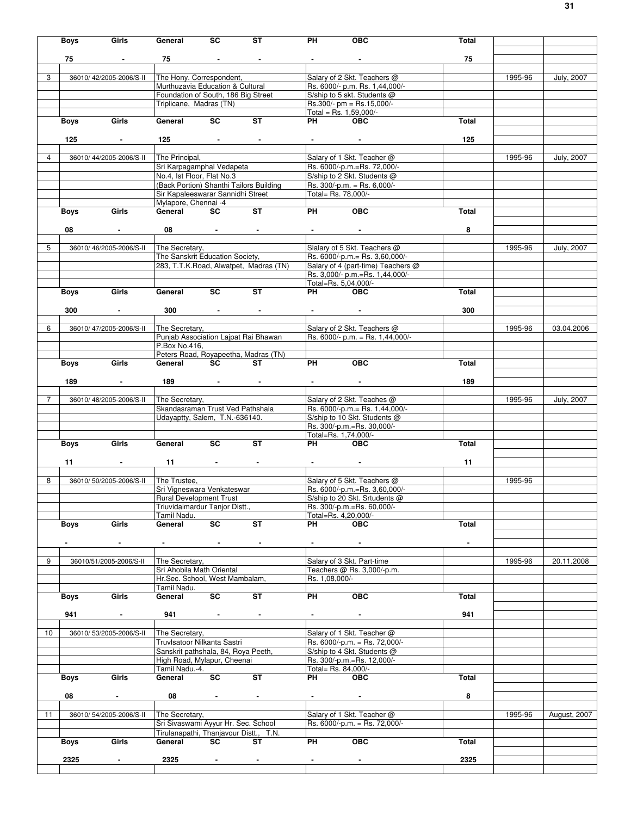|    | <b>Boys</b> | Girls                    | General                                       | SC                        | ST                                      | PH                  | <b>OBC</b>                                                           | Total          |         |                   |
|----|-------------|--------------------------|-----------------------------------------------|---------------------------|-----------------------------------------|---------------------|----------------------------------------------------------------------|----------------|---------|-------------------|
|    |             |                          |                                               |                           |                                         |                     |                                                                      |                |         |                   |
|    | 75          |                          | 75                                            |                           |                                         |                     |                                                                      | 75             |         |                   |
| 3  |             | 36010/42/2005-2006/S-II  | The Hony. Correspondent,                      |                           |                                         |                     | Salary of 2 Skt. Teachers @                                          |                | 1995-96 | <b>July, 2007</b> |
|    |             |                          | Murthuzavia Education & Cultural              |                           |                                         |                     | Rs. 6000/- p.m. Rs. 1,44,000/-                                       |                |         |                   |
|    |             |                          | Foundation of South, 186 Big Street           |                           |                                         |                     | S/ship to 5 skt. Students @                                          |                |         |                   |
|    |             |                          | Triplicane, Madras (TN)                       |                           |                                         |                     | Rs.300/- pm = Rs.15,000/-<br>Total = Rs. $1,59,000/-$                |                |         |                   |
|    | Boys        | Girls                    | General                                       | SC                        | ST                                      | PH                  | <b>OBC</b>                                                           | Total          |         |                   |
|    |             |                          |                                               |                           |                                         |                     |                                                                      |                |         |                   |
|    | 125         | $\sim$                   | 125                                           | and the second control of |                                         |                     |                                                                      | 125            |         |                   |
| 4  |             | 36010/44/2005-2006/S-II  |                                               |                           |                                         |                     |                                                                      |                |         |                   |
|    |             |                          | The Principal,<br>Sri Karpagamphal Vedapeta   |                           |                                         |                     | Salary of 1 Skt. Teacher @<br>Rs. 6000/-p.m.=Rs. 72,000/-            |                | 1995-96 | <b>July, 2007</b> |
|    |             |                          | No.4, Ist Floor, Flat No.3                    |                           |                                         |                     | S/ship to 2 Skt. Students @                                          |                |         |                   |
|    |             |                          |                                               |                           | (Back Portion) Shanthi Tailors Building |                     | Rs. 300/-p.m. = Rs. 6,000/-                                          |                |         |                   |
|    |             |                          | Sir Kapaleeswarar Sannidhi Street             |                           |                                         | Total= Rs. 78,000/- |                                                                      |                |         |                   |
|    |             | Girls                    | Mylapore, Chennai -4<br>General               | <b>SC</b>                 | $\overline{\mathsf{ST}}$                | PH                  | $\overline{OBC}$                                                     | Total          |         |                   |
|    | Boys        |                          |                                               |                           |                                         |                     |                                                                      |                |         |                   |
|    | 08          |                          | 08                                            |                           |                                         |                     |                                                                      | 8              |         |                   |
|    |             |                          |                                               |                           |                                         |                     |                                                                      |                |         |                   |
| 5  |             | 36010/46/2005-2006/S-II  | The Secretary,                                |                           |                                         |                     | Slalary of 5 Skt. Teachers @                                         |                | 1995-96 | July, 2007        |
|    |             |                          | The Sanskrit Education Society,               |                           |                                         |                     | Rs. 6000/-p.m.= Rs. 3,60,000/-<br>Salary of 4 (part-time) Teachers @ |                |         |                   |
|    |             |                          |                                               |                           | 283, T.T.K.Road, Alwatpet, Madras (TN)  |                     | Rs. 3,000/- p.m.=Rs. 1,44,000/-                                      |                |         |                   |
|    |             |                          |                                               |                           |                                         |                     | Total=Rs. 5,04,000/-                                                 |                |         |                   |
|    | Boys        | Girls                    | General                                       | $\overline{\text{sc}}$    | <b>ST</b>                               | PH                  | <b>OBC</b>                                                           | Total          |         |                   |
|    |             |                          |                                               |                           |                                         |                     |                                                                      |                |         |                   |
|    | 300         | $\sim$                   | 300                                           | the company of the com-   |                                         |                     | <b>Contract Contract</b>                                             | 300            |         |                   |
| 6  |             | 36010/47/2005-2006/S-II  | The Secretary,                                |                           |                                         |                     | Salary of 2 Skt. Teachers @                                          |                | 1995-96 | 03.04.2006        |
|    |             |                          |                                               |                           | Punjab Association Lajpat Rai Bhawan    |                     | Rs. 6000/- p.m. = Rs. 1,44,000/-                                     |                |         |                   |
|    |             |                          | P.Box No.416,                                 |                           |                                         |                     |                                                                      |                |         |                   |
|    |             |                          |                                               |                           | Peters Road, Royapeetha, Madras (TN)    |                     |                                                                      |                |         |                   |
|    | Boys        | Girls                    | General SC ST                                 |                           |                                         | PH                  | OEC                                                                  | Total          |         |                   |
|    | 189         | $\blacksquare$           |                                               | $189$ and $ -$            |                                         |                     |                                                                      | 189            |         |                   |
|    |             |                          |                                               |                           |                                         |                     |                                                                      |                |         |                   |
| 7  |             | 36010/48/2005-2006/S-II  | The Secretary,                                |                           |                                         |                     | Salary of 2 Skt. Teaches @                                           |                | 1995-96 | July, 2007        |
|    |             |                          | Skandasraman Trust Ved Pathshala              |                           |                                         |                     | Rs. 6000/-p.m. = Rs. 1,44,000/-                                      |                |         |                   |
|    |             |                          | Udayaptty, Salem, T.N.-636140.                |                           |                                         |                     | S/ship to 10 Skt. Students @<br>Rs. 300/-p.m.=Rs. 30,000/-           |                |         |                   |
|    |             |                          |                                               |                           |                                         |                     | Total=Rs. 1,74,000/-                                                 |                |         |                   |
|    | Boys        | Girls                    | General                                       | $\overline{\mathsf{sc}}$  | $\overline{\mathsf{ST}}$                | PH <sub>2</sub>     | <b>OBC</b>                                                           | Total          |         |                   |
|    |             |                          |                                               |                           |                                         |                     |                                                                      |                |         |                   |
|    | 11          |                          | 11                                            | <b>All Contracts</b>      | $\sim$                                  |                     |                                                                      | 11             |         |                   |
| 8  |             | 36010/50/2005-2006/S-II  | The Trustee,                                  |                           |                                         |                     | Salary of 5 Skt. Teachers @                                          |                | 1995-96 |                   |
|    |             |                          | Sri Vigneswara Venkateswar                    |                           |                                         |                     | Rs. 6000/-p.m.=Rs. 3,60,000/-                                        |                |         |                   |
|    |             |                          | Rural Development Trust                       |                           |                                         |                     | S/ship to 20 Skt. Srtudents @                                        |                |         |                   |
|    |             |                          | Triuvidaimardur Tanjor Distt.,                |                           |                                         |                     | Rs. 300/-p.m.=Rs. 60,000/-                                           |                |         |                   |
|    |             | Girls                    | Tamil Nadu.<br>General                        | SC                        | ST                                      | PH                  | Total=Rs. 4,20,000/-<br><b>OBC</b>                                   | Total          |         |                   |
|    | <b>Boys</b> |                          |                                               |                           |                                         |                     |                                                                      |                |         |                   |
|    |             | $\blacksquare$           |                                               | $\sim$                    |                                         |                     |                                                                      | $\blacksquare$ |         |                   |
|    |             |                          |                                               |                           |                                         |                     |                                                                      |                |         |                   |
| 9  |             | 36010/51/2005-2006/S-II  | The Secretary,<br>Sri Ahobila Math Oriental   |                           |                                         |                     | Salary of 3 Skt. Part-time<br>Teachers @ Rs. 3,000/-p.m.             |                | 1995-96 | 20.11.2008        |
|    |             |                          | Hr.Sec. School, West Mambalam,                |                           |                                         | Rs. 1,08,000/-      |                                                                      |                |         |                   |
|    |             |                          | Tamil Nadu.                                   |                           |                                         |                     |                                                                      |                |         |                   |
|    | <b>Boys</b> | Girls                    | General                                       | SC                        | ST                                      | PH                  | OEC                                                                  | Total          |         |                   |
|    | 941         | $\blacksquare$           | 941                                           |                           |                                         |                     |                                                                      | 941            |         |                   |
|    |             |                          |                                               | $\sim$                    |                                         |                     |                                                                      |                |         |                   |
| 10 |             | 36010/ 53/2005-2006/S-II | The Secretary,                                |                           |                                         |                     | Salary of 1 Skt. Teacher @                                           |                |         |                   |
|    |             |                          | Truvlsatoor Nilkanta Sastri                   |                           |                                         |                     | Rs. 6000/-p.m. = Rs. 72,000/-                                        |                |         |                   |
|    |             |                          | Sanskrit pathshala, 84, Roya Peeth,           |                           |                                         |                     | S/ship to 4 Skt. Students @                                          |                |         |                   |
|    |             |                          | High Road, Mylapur, Cheenai<br>Tamil Nadu.-4. |                           |                                         | Total= Rs. 84,000/- | Rs. 300/-p.m.=Rs. 12,000/-                                           |                |         |                   |
|    | Boys        | Girls                    | General                                       | SC                        | ST                                      | PH                  | <b>OBC</b>                                                           | Total          |         |                   |
|    |             |                          |                                               |                           |                                         |                     |                                                                      |                |         |                   |
|    | 08          | $\blacksquare$           | 08                                            | $\sim$                    | $\sim$                                  |                     | $\sim$                                                               | 8              |         |                   |
| 11 |             | 36010/54/2005-2006/S-II  | The Secretary,                                |                           |                                         |                     | Salary of 1 Skt. Teacher @                                           |                | 1995-96 | August, 2007      |
|    |             |                          | Sri Sivaswami Ayyur Hr. Sec. School           |                           |                                         |                     | Rs. 6000/-p.m. = Rs. 72,000/-                                        |                |         |                   |
|    |             |                          |                                               |                           | Tirulanapathi, Thanjavour Distt., T.N.  |                     |                                                                      |                |         |                   |
|    | Boys        | Girls                    | General                                       | SC                        | ST                                      | PH                  | OEC                                                                  | Total          |         |                   |
|    |             |                          |                                               |                           |                                         |                     |                                                                      |                |         |                   |
|    | 2325        | $\blacksquare$           | 2325                                          | $\blacksquare$            |                                         |                     |                                                                      | 2325           |         |                   |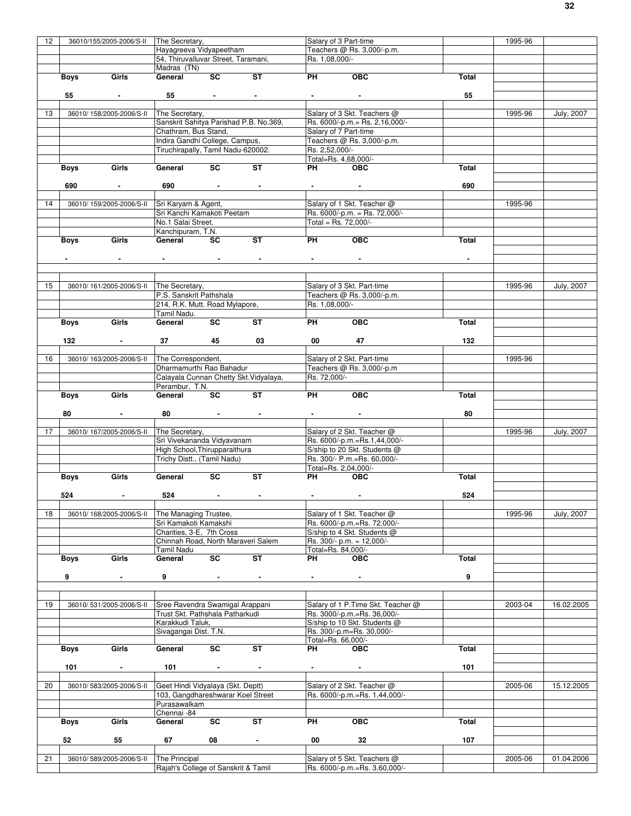| 12 |             | 36010/155/2005-2006/S-II                | The Secretary,                                       |                                     |                          | Salary of 3 Part-time                         |                                                              |                | 1995-96 |                   |
|----|-------------|-----------------------------------------|------------------------------------------------------|-------------------------------------|--------------------------|-----------------------------------------------|--------------------------------------------------------------|----------------|---------|-------------------|
|    |             |                                         | Havagreeva Vidyapeetham                              |                                     |                          |                                               | Teachers @ Rs. 3,000/-p.m.                                   |                |         |                   |
|    |             |                                         | 54, Thiruvalluvar Street, Taramani,                  |                                     |                          | Rs. 1,08,000/-                                |                                                              |                |         |                   |
|    |             |                                         | Madras (TN)                                          |                                     |                          |                                               |                                                              |                |         |                   |
|    | Boys        | Girls                                   | General                                              | <b>SC</b>                           | ST                       | <b>PH</b>                                     | OEC                                                          | Total          |         |                   |
|    |             |                                         |                                                      |                                     |                          |                                               |                                                              |                |         |                   |
|    |             |                                         |                                                      |                                     |                          |                                               |                                                              |                |         |                   |
|    | 55          |                                         | 55                                                   | <b>All Contracts</b>                | $\sim$                   |                                               |                                                              | 55             |         |                   |
|    |             |                                         |                                                      |                                     |                          |                                               |                                                              |                |         |                   |
| 13 |             | 36010/ 158/2005-2006/S-II               | The Secretary,                                       |                                     |                          |                                               | Salary of 3 Skt. Teachers @                                  |                | 1995-96 | <b>July, 2007</b> |
|    |             |                                         | Sanskrit Sahitya Parishad P.B. No.369,               |                                     |                          |                                               | Rs. 6000/-p.m.= Rs. 2,16,000/-                               |                |         |                   |
|    |             |                                         | Chathram, Bus Stand,                                 |                                     |                          |                                               | Salary of 7 Part-time                                        |                |         |                   |
|    |             |                                         | Indira Gandhi College, Campus,                       |                                     |                          |                                               | Teachers @ Rs. 3,000/-p.m.                                   |                |         |                   |
|    |             |                                         | Tiruchirapally, Tamil Nadu-620002.                   |                                     |                          | Rs. 2.52.000/-                                |                                                              |                |         |                   |
|    |             |                                         |                                                      |                                     |                          |                                               | Total=Rs. 4,68,000/-                                         |                |         |                   |
|    | Boys        | Girls                                   | General                                              | SC                                  | ST                       | PH                                            | <b>OBC</b>                                                   | Total          |         |                   |
|    |             |                                         |                                                      |                                     |                          |                                               |                                                              |                |         |                   |
|    | 690         | $\sim 100$ m $^{-1}$                    | 690                                                  | and the company of the              |                          | <b>Contract Contract</b>                      |                                                              | 690            |         |                   |
|    |             |                                         |                                                      |                                     |                          |                                               |                                                              |                |         |                   |
| 14 |             | 36010/159/2005-2006/S-II                | Sri Karyam & Agent,                                  |                                     |                          |                                               | Salary of 1 Skt. Teacher @                                   |                | 1995-96 |                   |
|    |             |                                         |                                                      |                                     |                          |                                               |                                                              |                |         |                   |
|    |             |                                         | Sri Kanchi Kamakoti Peetam                           |                                     |                          |                                               | Rs. 6000/-p.m. = Rs. 72,000/-                                |                |         |                   |
|    |             |                                         | No.1 Salai Street,                                   |                                     |                          | Total = Rs. $72,000/-$                        |                                                              |                |         |                   |
|    |             |                                         | Kanchipuram, T.N.                                    |                                     |                          |                                               |                                                              |                |         |                   |
|    | Boys        | Girls                                   | General                                              | SC                                  | <b>ST</b>                | <b>PH</b>                                     | OEC                                                          | Total          |         |                   |
|    |             |                                         |                                                      |                                     |                          |                                               |                                                              |                |         |                   |
|    |             | $\sim$                                  | the control of the control of the                    |                                     | <b>Contract Contract</b> | $\bullet$ - $\bullet$ - $\bullet$ - $\bullet$ | $\sim$                                                       | $\blacksquare$ |         |                   |
|    |             |                                         |                                                      |                                     |                          |                                               |                                                              |                |         |                   |
|    |             |                                         |                                                      |                                     |                          |                                               |                                                              |                |         |                   |
| 15 |             | 36010/161/2005-2006/S-II The Secretary, |                                                      |                                     |                          |                                               | Salary of 3 Skt. Part-time                                   |                | 1995-96 | July, 2007        |
|    |             |                                         | P.S. Sanskrit Pathshala                              |                                     |                          |                                               | Teachers @ Rs. 3,000/-p.m.                                   |                |         |                   |
|    |             |                                         |                                                      |                                     |                          |                                               |                                                              |                |         |                   |
|    |             |                                         | 214, R.K. Mutt. Road Mylapore,                       |                                     |                          | Rs. 1,08,000/-                                |                                                              |                |         |                   |
|    |             |                                         | Tamil Nadu.                                          |                                     |                          |                                               |                                                              |                |         |                   |
|    | Boys        | Girls                                   | General                                              | SC                                  | ST                       | PH                                            | <b>OBC</b>                                                   | Total          |         |                   |
|    |             |                                         |                                                      |                                     |                          |                                               |                                                              |                |         |                   |
|    | 132         |                                         | 37                                                   | 45                                  | 03                       | 00                                            | 47                                                           | 132            |         |                   |
|    |             |                                         |                                                      |                                     |                          |                                               |                                                              |                |         |                   |
| 16 |             | 36010/163/2005-2006/S-II                | The Correspondent,                                   |                                     |                          |                                               | Salary of 2 Skt. Part-time                                   |                | 1995-96 |                   |
|    |             |                                         | Dharmamurthi Rao Bahadur                             |                                     |                          |                                               | Teachers @ Rs. 3,000/-p.m                                    |                |         |                   |
|    |             |                                         | Calayala Cunnan Chetty Skt. Vidyalaya,               |                                     |                          | Rs. 72,000/-                                  |                                                              |                |         |                   |
|    |             |                                         | Perambur, T.N.                                       |                                     |                          |                                               |                                                              |                |         |                   |
|    |             | Girls                                   | General                                              | SC                                  | <b>ST</b>                | PH                                            | <b>OBC</b>                                                   | Total          |         |                   |
|    | Boys        |                                         |                                                      |                                     |                          |                                               |                                                              |                |         |                   |
|    |             |                                         |                                                      |                                     |                          |                                               |                                                              |                |         |                   |
|    | 80          | $\sim$                                  | 80                                                   | the contract of the contract of the |                          |                                               | $\sim 100$                                                   | 80             |         |                   |
|    |             |                                         |                                                      |                                     |                          |                                               |                                                              |                |         |                   |
| 17 |             | 36010/167/2005-2006/S-II                | The Secretary,                                       |                                     |                          |                                               | Salary of 2 Skt. Teacher @                                   |                | 1995-96 | July, 2007        |
|    |             |                                         | Sri Vivekananda Vidyavanam                           |                                     |                          |                                               | Rs. 6000/-p.m.=Rs.1,44,000/-                                 |                |         |                   |
|    |             |                                         | High School, Thirupparaithura                        |                                     |                          |                                               | S/ship to 20 Skt. Students @                                 |                |         |                   |
|    |             |                                         |                                                      |                                     |                          |                                               | Rs. 300/- P.m.=Rs. 60,000/-                                  |                |         |                   |
|    |             |                                         |                                                      |                                     |                          |                                               |                                                              |                |         |                   |
|    |             |                                         | Trichy Distt., (Tamil Nadu)                          |                                     |                          |                                               |                                                              |                |         |                   |
|    |             |                                         |                                                      |                                     |                          |                                               | Total=Rs. 2,04,000/-                                         |                |         |                   |
|    | Boys        | Girls                                   | General                                              | SC                                  | <b>ST</b>                | PH <sub>2</sub>                               | <b>OBC</b>                                                   | Total          |         |                   |
|    |             |                                         |                                                      |                                     |                          |                                               |                                                              |                |         |                   |
|    | 524         | <b>Service</b> State                    | 524                                                  | the contract of the contract of     |                          |                                               |                                                              | 524            |         |                   |
|    |             |                                         |                                                      |                                     |                          |                                               |                                                              |                |         |                   |
| 18 |             | 36010/168/2005-2006/S-II                | The Managing Trustee,                                |                                     |                          |                                               | Salary of 1 Skt. Teacher @                                   |                | 1995-96 | July, 2007        |
|    |             |                                         | Sri Kamakoti Kamakshi                                |                                     |                          |                                               | Rs. 6000/-p.m.=Rs. 72,000/-                                  |                |         |                   |
|    |             |                                         | Charities, 3-E, 7th Cross                            |                                     |                          |                                               | S/ship to 4 Skt. Students @                                  |                |         |                   |
|    |             |                                         | Chinnah Road, North Maraveri Salem                   |                                     |                          |                                               | Rs. 300/- p.m. = 12,000/-                                    |                |         |                   |
|    |             |                                         | Tamil Nadu                                           |                                     |                          | Total=Rs. 84,000/-                            |                                                              |                |         |                   |
|    | <b>Boys</b> | Girls                                   | General                                              | $\overline{\text{sc}}$              | ST                       | PH                                            | <b>OBC</b>                                                   | Total          |         |                   |
|    |             |                                         |                                                      |                                     |                          |                                               |                                                              |                |         |                   |
|    | 9           | $\overline{\phantom{a}}$                | 9                                                    |                                     |                          |                                               |                                                              | 9              |         |                   |
|    |             |                                         |                                                      |                                     |                          |                                               |                                                              |                |         |                   |
|    |             |                                         |                                                      |                                     |                          |                                               |                                                              |                |         |                   |
|    |             |                                         |                                                      |                                     |                          |                                               |                                                              |                |         |                   |
| 19 |             | 36010/531/2005-2006/S-II                | Sree Ravendra Swamigal Arappani                      |                                     |                          |                                               | Salary of 1 P. Time Skt. Teacher @                           |                | 2003-04 | 16.02.2005        |
|    |             |                                         | Trust Skt. Pathshala Patharkudi                      |                                     |                          |                                               | Rs. 3000/-p.m.=Rs. 36,000/-                                  |                |         |                   |
|    |             |                                         | Karakkudi Taluk,                                     |                                     |                          |                                               | S/ship to 10 Skt. Students @                                 |                |         |                   |
|    |             |                                         | Sivagangai Dist. T.N.                                |                                     |                          |                                               | Rs. 300/-p.m=Rs. 30,000/-                                    |                |         |                   |
|    |             |                                         |                                                      |                                     |                          | Total=Rs. 66,000/-                            |                                                              |                |         |                   |
|    | <b>Boys</b> | Girls                                   | General                                              | SC                                  | ST                       | PH                                            | <b>OBC</b>                                                   | Total          |         |                   |
|    |             |                                         |                                                      |                                     |                          |                                               |                                                              |                |         |                   |
|    | 101         | $\blacksquare$                          | 101                                                  | $\blacksquare$                      | $\blacksquare$           | $\blacksquare$                                | $\blacksquare$                                               | 101            |         |                   |
|    |             |                                         |                                                      |                                     |                          |                                               |                                                              |                |         |                   |
| 20 |             | 36010/583/2005-2006/S-II                | Geet Hindi Vidyalaya (Skt. Deptt)                    |                                     |                          |                                               | Salary of 2 Skt. Teacher @                                   |                | 2005-06 | 15.12.2005        |
|    |             |                                         |                                                      |                                     |                          |                                               |                                                              |                |         |                   |
|    |             |                                         | 103, Gangdhareshwarar Koel Street                    |                                     |                          |                                               | Rs. 6000/-p.m.=Rs. 1,44,000/-                                |                |         |                   |
|    |             |                                         | Purasawalkam                                         |                                     |                          |                                               |                                                              |                |         |                   |
|    |             |                                         | Chennai -84                                          |                                     |                          |                                               |                                                              |                |         |                   |
|    | <b>Boys</b> | Girls                                   | General                                              | SC                                  | <b>ST</b>                | PH                                            | OBC                                                          | <b>Total</b>   |         |                   |
|    |             |                                         |                                                      |                                     |                          |                                               |                                                              |                |         |                   |
|    | 52          | 55                                      | 67                                                   | 08                                  | $\blacksquare$           | 00                                            | 32                                                           | 107            |         |                   |
|    |             |                                         |                                                      |                                     |                          |                                               |                                                              |                |         |                   |
| 21 |             | 36010/589/2005-2006/S-II                | The Principal<br>Rajah's College of Sanskrit & Tamil |                                     |                          |                                               | Salary of 5 Skt. Teachers @<br>Rs. 6000/-p.m.=Rs. 3,60,000/- |                | 2005-06 | 01.04.2006        |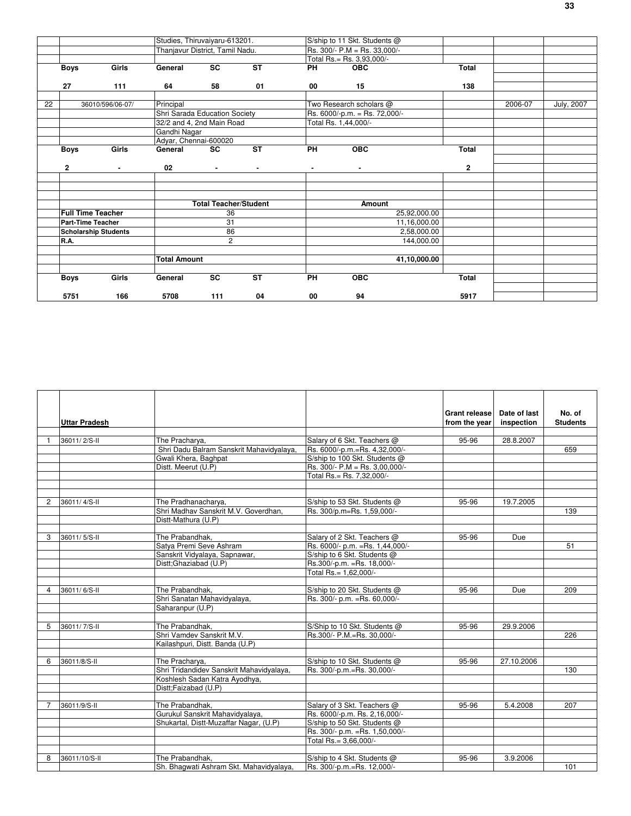|    |                          |                             | Studies, Thiruvaiyaru-613201.   |                              |                          |                | S/ship to 11 Skt. Students @  |              |         |            |
|----|--------------------------|-----------------------------|---------------------------------|------------------------------|--------------------------|----------------|-------------------------------|--------------|---------|------------|
|    |                          |                             | Thanjavur District, Tamil Nadu. |                              |                          |                | Rs. 300/- P.M = Rs. 33,000/-  |              |         |            |
|    |                          |                             |                                 |                              |                          |                | Total Rs.= Rs. 3,93,000/-     |              |         |            |
|    | <b>Boys</b>              | Girls                       | General                         | SC                           | $\overline{\mathsf{ST}}$ | <b>PH</b>      | <b>OBC</b>                    | Total        |         |            |
|    |                          |                             |                                 |                              |                          |                |                               |              |         |            |
|    | 27                       | 111                         | 64                              | 58                           | 01                       | 00             | 15                            | 138          |         |            |
|    |                          |                             |                                 |                              |                          |                |                               |              |         |            |
| 22 |                          | 36010/596/06-07/            | Principal                       |                              |                          |                | Two Research scholars @       |              | 2006-07 | July, 2007 |
|    |                          |                             | Shri Sarada Education Society   |                              |                          |                | Rs. 6000/-p.m. = Rs. 72,000/- |              |         |            |
|    |                          |                             | 32/2 and 4, 2nd Main Road       |                              |                          |                | Total Rs. 1,44,000/-          |              |         |            |
|    |                          |                             | Gandhi Nagar                    |                              |                          |                |                               |              |         |            |
|    |                          |                             | Adyar, Chennai-600020           |                              |                          |                |                               |              |         |            |
|    | <b>Boys</b>              | Girls                       | General                         | $\overline{\mathsf{sc}}$     | $\overline{\mathsf{ST}}$ | $P$ H          | $\overline{OBC}$              | Total        |         |            |
|    |                          |                             |                                 |                              |                          |                |                               |              |         |            |
|    | 2                        | $\blacksquare$              | 02                              | $\blacksquare$               | $\blacksquare$           | $\blacksquare$ | $\blacksquare$                | 2            |         |            |
|    |                          |                             |                                 |                              |                          |                |                               |              |         |            |
|    |                          |                             |                                 |                              |                          |                |                               |              |         |            |
|    |                          |                             |                                 |                              |                          |                |                               |              |         |            |
|    |                          |                             |                                 | <b>Total Teacher/Student</b> |                          |                | Amount                        |              |         |            |
|    | <b>Full Time Teacher</b> |                             |                                 | 36                           |                          |                |                               | 25,92,000.00 |         |            |
|    | <b>Part-Time Teacher</b> |                             |                                 | 31                           |                          |                |                               | 11,16,000.00 |         |            |
|    |                          | <b>Scholarship Students</b> |                                 | 86                           |                          |                |                               | 2,58,000.00  |         |            |
|    | R.A.                     |                             |                                 | $\overline{2}$               |                          |                |                               | 144,000.00   |         |            |
|    |                          |                             |                                 |                              |                          |                |                               |              |         |            |
|    |                          |                             | <b>Total Amount</b>             |                              |                          |                |                               | 41,10,000.00 |         |            |
|    |                          |                             |                                 |                              |                          |                |                               |              |         |            |
|    | <b>Boys</b>              | Girls                       | General                         | $\overline{\mathsf{sc}}$     | $\overline{\mathsf{ST}}$ | $P$ H          | $\overline{OBC}$              | Total        |         |            |
|    |                          |                             |                                 |                              |                          |                |                               |              |         |            |
|    | 5751                     | 166                         | 5708                            | 111                          | 04                       | 00             | 94                            | 5917         |         |            |

|                         | Uttar Pradesh |                                          |                                  | <b>Grant release</b><br>from the year | Date of last<br>inspection | No. of<br><b>Students</b> |
|-------------------------|---------------|------------------------------------------|----------------------------------|---------------------------------------|----------------------------|---------------------------|
|                         | 36011/2/S-II  | The Pracharya,                           | Salary of 6 Skt. Teachers @      | 95-96                                 | 28.8.2007                  |                           |
|                         |               | Shri Dadu Balram Sanskrit Mahavidyalaya, | Rs. 6000/-p.m.=Rs. 4,32,000/-    |                                       |                            | 659                       |
|                         |               | Gwali Khera, Baghpat                     | S/ship to 100 Skt. Students @    |                                       |                            |                           |
|                         |               | Distt. Meerut (U.P)                      | Rs. 300/- P.M = Rs. 3,00,000/-   |                                       |                            |                           |
|                         |               |                                          | Total Rs.= Rs. 7.32.000/-        |                                       |                            |                           |
|                         |               |                                          |                                  |                                       |                            |                           |
|                         |               |                                          |                                  |                                       |                            |                           |
| $\mathfrak{p}$          | 36011/4/S-II  | The Pradhanacharya,                      | S/ship to 53 Skt. Students @     | 95-96                                 | 19.7.2005                  |                           |
|                         |               | Shri Madhav Sanskrit M.V. Goverdhan,     | Rs. 300/p.m=Rs. 1,59,000/-       |                                       |                            | 139                       |
|                         |               | Distt-Mathura (U.P)                      |                                  |                                       |                            |                           |
|                         |               |                                          |                                  |                                       |                            |                           |
| 3                       | 36011/5/S-II  | The Prabandhak,                          | Salary of 2 Skt. Teachers @      | $95 - 96$                             | Due                        |                           |
|                         |               | Satya Premi Seve Ashram                  | Rs. 6000/- p.m. = Rs. 1,44,000/- |                                       |                            | 51                        |
|                         |               | Sanskrit Vidyalaya, Sapnawar,            | S/ship to 6 Skt. Students @      |                                       |                            |                           |
|                         |               | Distt;Ghaziabad (U.P)                    | Rs.300/-p.m. = Rs. 18,000/-      |                                       |                            |                           |
|                         |               |                                          | Total Rs.= 1.62.000/-            |                                       |                            |                           |
|                         |               |                                          |                                  |                                       |                            |                           |
| $\overline{\mathbf{4}}$ | 36011/6/S-II  | The Prabandhak,                          | S/ship to 20 Skt. Students @     | 95-96                                 | Due                        | 209                       |
|                         |               | Shri Sanatan Mahavidyalaya,              | Rs. 300/- p.m. = Rs. 60,000/-    |                                       |                            |                           |
|                         |               | Saharanpur (U.P)                         |                                  |                                       |                            |                           |
|                         |               |                                          |                                  |                                       |                            |                           |
| 5                       | 36011/7/S-II  | The Prabandhak,                          | S/Ship to 10 Skt. Students @     | 95-96                                 | 29.9.2006                  |                           |
|                         |               | Shri Vamdev Sanskrit M.V.                | Rs.300/- P.M.=Rs. 30.000/-       |                                       |                            | 226                       |
|                         |               | Kailashpuri, Distt. Banda (U.P)          |                                  |                                       |                            |                           |
|                         |               |                                          |                                  |                                       |                            |                           |
| 6                       | 36011/8/S-II  | The Pracharya,                           | S/ship to 10 Skt. Students @     | $95 - 96$                             | 27.10.2006                 |                           |
|                         |               | Shri Tridandidev Sanskrit Mahavidyalaya, | Rs. 300/-p.m.=Rs. 30,000/-       |                                       |                            | 130                       |
|                         |               | Koshlesh Sadan Katra Ayodhya,            |                                  |                                       |                            |                           |
|                         |               | Distt;Faizabad (U.P)                     |                                  |                                       |                            |                           |
|                         |               |                                          |                                  |                                       |                            |                           |
|                         | 36011/9/S-II  | The Prabandhak,                          | Salary of 3 Skt. Teachers @      | 95-96                                 | 5.4.2008                   | 207                       |
|                         |               | Gurukul Sanskrit Mahavidyalaya,          | Rs. 6000/-p.m. Rs. 2,16,000/-    |                                       |                            |                           |
|                         |               | Shukartal, Distt-Muzaffar Nagar, (U.P)   | S/ship to 50 Skt. Students @     |                                       |                            |                           |
|                         |               |                                          | Rs. 300/- p.m. = Rs. 1,50,000/-  |                                       |                            |                           |
|                         |               |                                          | Total Rs.= 3.66.000/-            |                                       |                            |                           |
|                         |               |                                          |                                  |                                       |                            |                           |
| 8                       | 36011/10/S-II | The Prabandhak.                          | S/ship to 4 Skt. Students @      | 95-96                                 | 3.9.2006                   |                           |
|                         |               | Sh. Bhagwati Ashram Skt. Mahavidyalaya,  | Rs. 300/-p.m.=Rs. 12,000/-       |                                       |                            | 101                       |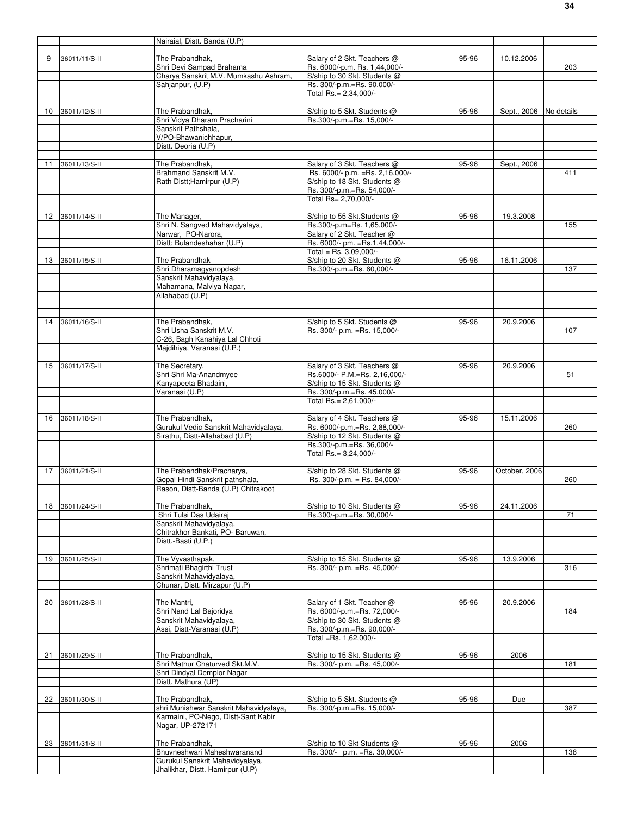|    |               | Nairaial, Distt. Banda (U.P)                                        |                                                                 |       |               |            |
|----|---------------|---------------------------------------------------------------------|-----------------------------------------------------------------|-------|---------------|------------|
| 9  | 36011/11/S-II | The Prabandhak,                                                     | Salary of 2 Skt. Teachers @                                     | 95-96 | 10.12.2006    |            |
|    |               | Shri Devi Sampad Brahama                                            | Rs. 6000/-p.m. Rs. 1,44,000/-                                   |       |               | 203        |
|    |               | Charya Sanskrit M.V. Mumkashu Ashram,                               | S/ship to 30 Skt. Students @                                    |       |               |            |
|    |               | Sahjanpur, (U.P)                                                    | Rs. 300/-p.m.=Rs. 90,000/-<br>Total Rs.= 2,34,000/-             |       |               |            |
|    |               |                                                                     |                                                                 |       |               |            |
| 10 | 36011/12/S-II | The Prabandhak,                                                     | S/ship to 5 Skt. Students @                                     | 95-96 | Sept., 2006   | No details |
|    |               | Shri Vidya Dharam Pracharini<br>Sanskrit Pathshala.                 | Rs.300/-p.m.=Rs. 15,000/-                                       |       |               |            |
|    |               | V/PO-Bhawanichhapur,                                                |                                                                 |       |               |            |
|    |               | Distt. Deoria (U.P)                                                 |                                                                 |       |               |            |
|    |               |                                                                     |                                                                 |       |               |            |
| 11 | 36011/13/S-II | The Prabandhak,<br>Brahmand Sanskrit M.V.                           | Salary of 3 Skt. Teachers @<br>Rs. 6000/- p.m. = Rs. 2,16,000/- | 95-96 | Sept., 2006   | 411        |
|    |               | Rath Distt; Hamirpur (U.P)                                          | S/ship to 18 Skt. Students @                                    |       |               |            |
|    |               |                                                                     | Rs. 300/-p.m.=Rs. 54,000/-                                      |       |               |            |
|    |               |                                                                     | Total Rs= 2,70,000/-                                            |       |               |            |
| 12 | 36011/14/S-II | The Manager,                                                        | S/ship to 55 Skt.Students @                                     | 95-96 | 19.3.2008     |            |
|    |               | Shri N. Sangved Mahavidyalaya,                                      | Rs.300/-p.m=Rs. 1,65,000/-                                      |       |               | 155        |
|    |               | Narwar, PO-Narora,                                                  | Salary of 2 Skt. Teacher @                                      |       |               |            |
|    |               | Distt; Bulandeshahar (U.P)                                          | Rs. 6000/- pm. = Rs.1,44,000/-<br>Total = Rs. $3,09,000$ /-     |       |               |            |
| 13 | 36011/15/S-II | The Prabandhak                                                      | S/ship to 20 Skt. Students @                                    | 95-96 | 16.11.2006    |            |
|    |               | Shri Dharamagyanopdesh                                              | Rs.300/-p.m.=Rs. 60,000/-                                       |       |               | 137        |
|    |               | Sanskrit Mahavidyalaya,                                             |                                                                 |       |               |            |
|    |               | Mahamana, Malviya Nagar,<br>Allahabad (U.P)                         |                                                                 |       |               |            |
|    |               |                                                                     |                                                                 |       |               |            |
|    |               |                                                                     |                                                                 |       |               |            |
| 14 | 36011/16/S-II | The Prabandhak,<br>Shri Usha Sanskrit M.V.                          | S/ship to 5 Skt. Students @<br>Rs. 300/- p.m. = Rs. 15,000/-    | 95-96 | 20.9.2006     |            |
|    |               | C-26, Bagh Kanahiya Lal Chhoti                                      |                                                                 |       |               | 107        |
|    |               | Majdihiya, Varanasi (U.P.)                                          |                                                                 |       |               |            |
|    |               |                                                                     |                                                                 |       |               |            |
| 15 | 36011/17/S-II | The Secretary,<br>Shri Shri Ma-Anandmyee                            | Salary of 3 Skt. Teachers @<br>Rs.6000/- P.M.=Rs. 2,16,000/-    | 95-96 | 20.9.2006     | 51         |
|    |               | Kanyapeeta Bhadaini,                                                | S/ship to 15 Skt. Students @                                    |       |               |            |
|    |               | Varanasi (U.P)                                                      | Rs. 300/-p.m.=Rs. 45,000/-                                      |       |               |            |
|    |               |                                                                     | Total Rs.= 2,61,000/-                                           |       |               |            |
| 16 | 36011/18/S-II | The Prabandhak,                                                     | Salary of 4 Skt. Teachers @                                     | 95-96 | 15.11.2006    |            |
|    |               | Gurukul Vedic Sanskrit Mahavidyalaya,                               | Rs. 6000/-p.m.=Rs. 2,88,000/-                                   |       |               | 260        |
|    |               | Sirathu, Distt-Allahabad (U.P)                                      | S/ship to 12 Skt. Students @                                    |       |               |            |
|    |               |                                                                     | Rs.300/-p.m.=Rs. 36,000/-<br>Total Rs.= 3,24,000/-              |       |               |            |
|    |               |                                                                     |                                                                 |       |               |            |
| 17 | 36011/21/S-II | The Prabandhak/Pracharya,                                           | S/ship to 28 Skt. Students @                                    | 95-96 | October, 2006 |            |
|    |               | Gopal Hindi Sanskrit pathshala,                                     | Rs. 300/-p.m. = Rs. 84,000/-                                    |       |               | 260        |
|    |               | Rason, Distt-Banda (U.P) Chitrakoot                                 |                                                                 |       |               |            |
| 18 | 36011/24/S-II | The Prabandhak.                                                     | S/ship to 10 Skt. Students @                                    | 95-96 | 24.11.2006    |            |
|    |               | Shri Tulsi Das Udairaj                                              | Rs.300/-p.m.=Rs. 30,000/-                                       |       |               | 71         |
|    |               | Sanskrit Mahavidyalaya,<br>Chitrakhor Bankati, PO- Baruwan.         |                                                                 |       |               |            |
|    |               | Distt.-Basti (U.P.)                                                 |                                                                 |       |               |            |
|    |               |                                                                     |                                                                 |       |               |            |
| 19 | 36011/25/S-II | The Vyvasthapak,                                                    | S/ship to 15 Skt. Students @                                    | 95-96 | 13.9.2006     |            |
|    |               | Shrimati Bhagirthi Trust<br>Sanskrit Mahavidyalaya,                 | Rs. 300/- p.m. = Rs. 45,000/-                                   |       |               | 316        |
|    |               | Chunar, Distt. Mirzapur (U.P)                                       |                                                                 |       |               |            |
|    |               |                                                                     |                                                                 |       |               |            |
| 20 | 36011/28/S-II | The Mantri,<br>Shri Nand Lal Bajoridya                              | Salary of 1 Skt. Teacher @<br>Rs. 6000/-p.m.=Rs. 72,000/-       | 95-96 | 20.9.2006     | 184        |
|    |               | Sanskrit Mahavidyalaya,                                             | S/ship to 30 Skt. Students @                                    |       |               |            |
|    |               | Assi, Distt-Varanasi (U.P)                                          | Rs. 300/-p.m.=Rs. 90,000/-                                      |       |               |            |
|    |               |                                                                     | Total =Rs. 1,62,000/-                                           |       |               |            |
| 21 | 36011/29/S-II | The Prabandhak,                                                     | S/ship to 15 Skt. Students @                                    | 95-96 | 2006          |            |
|    |               | Shri Mathur Chaturved Skt.M.V.                                      | Rs. 300/- p.m. = Rs. 45,000/-                                   |       |               | 181        |
|    |               | Shri Dindyal Demplor Nagar                                          |                                                                 |       |               |            |
|    |               | Distt. Mathura (UP)                                                 |                                                                 |       |               |            |
| 22 | 36011/30/S-II | The Prabandhak,                                                     | S/ship to 5 Skt. Students @                                     | 95-96 | Due           |            |
|    |               | shri Munishwar Sanskrit Mahavidyalaya,                              | Rs. 300/-p.m.=Rs. 15,000/-                                      |       |               | 387        |
|    |               | Karmaini, PO-Nego, Distt-Sant Kabir                                 |                                                                 |       |               |            |
|    |               | Nagar, UP-272171                                                    |                                                                 |       |               |            |
| 23 | 36011/31/S-II | The Prabandhak,                                                     | S/ship to 10 Skt Students @                                     | 95-96 | 2006          |            |
|    |               | Bhuvneshwari Maheshwaranand                                         | Rs. 300/- p.m. = Rs. 30,000/-                                   |       |               | 138        |
|    |               | Gurukul Sanskrit Mahavidvalava.<br>Jhalikhar, Distt. Hamirpur (U.P) |                                                                 |       |               |            |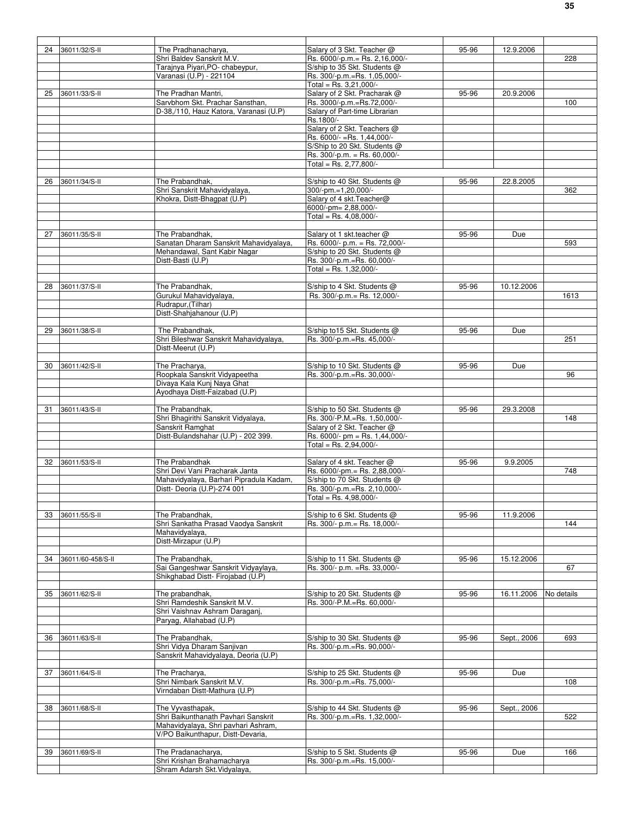| 24 | 36011/32/S-II     | The Pradhanacharya,                     | Salary of 3 Skt. Teacher @                                  | 95-96 | 12.9.2006   |            |
|----|-------------------|-----------------------------------------|-------------------------------------------------------------|-------|-------------|------------|
|    |                   | Shri Baldev Sanskrit M.V.               | Rs. 6000/-p.m.= Rs. 2,16,000/-                              |       |             | 228        |
|    |                   | Tarajnya Piyari, PO- chabeypur,         | S/ship to 35 Skt. Students @                                |       |             |            |
|    |                   | Varanasi (U.P) - 221104                 | Rs. 300/-p.m.=Rs. 1,05,000/-                                |       |             |            |
|    |                   |                                         | Total = Rs. $3,21,000/-$                                    |       |             |            |
| 25 | 36011/33/S-II     | The Pradhan Mantri,                     | Salary of 2 Skt. Pracharak @                                | 95-96 | 20.9.2006   |            |
|    |                   | Sarvbhom Skt. Prachar Sansthan,         | Rs. 3000/-p.m.=Rs.72,000/-                                  |       |             | 100        |
|    |                   | D-38./110. Hauz Katora, Varanasi (U.P)  | Salary of Part-time Librarian                               |       |             |            |
|    |                   |                                         | Rs.1800/-                                                   |       |             |            |
|    |                   |                                         | Salary of 2 Skt. Teachers @                                 |       |             |            |
|    |                   |                                         | Rs. 6000/- = Rs. 1.44.000/-                                 |       |             |            |
|    |                   |                                         | S/Ship to 20 Skt. Students @                                |       |             |            |
|    |                   |                                         | Rs. $300/-p.m. = Rs. 60.000/-$                              |       |             |            |
|    |                   |                                         | Total = Rs. 2,77,800/-                                      |       |             |            |
|    |                   |                                         |                                                             |       |             |            |
| 26 | 36011/34/S-II     | The Prabandhak,                         | S/ship to 40 Skt. Students @                                | 95-96 | 22.8.2005   |            |
|    |                   | Shri Sanskrit Mahavidyalaya,            | 300/-pm.=1,20,000/-                                         |       |             | 362        |
|    |                   | Khokra, Distt-Bhagpat (U.P)             | Salary of 4 skt. Teacher@                                   |       |             |            |
|    |                   |                                         | 6000/-pm= 2,88,000/-                                        |       |             |            |
|    |                   |                                         | Total = Rs. $4.08,000/-$                                    |       |             |            |
|    |                   |                                         |                                                             |       |             |            |
| 27 | 36011/35/S-II     | The Prabandhak,                         | Salary ot 1 skt.teacher @                                   | 95-96 | Due         |            |
|    |                   | Sanatan Dharam Sanskrit Mahavidyalaya,  | Rs. 6000/- p.m. = Rs. 72,000/-                              |       |             | 593        |
|    |                   | Mehandawal, Sant Kabir Nagar            | S/ship to 20 Skt. Students @                                |       |             |            |
|    |                   | Distt-Basti (U.P)                       | Rs. 300/-p.m.=Rs. 60,000/-                                  |       |             |            |
|    |                   |                                         | Total = Rs. $1,32,000/-$                                    |       |             |            |
|    |                   |                                         |                                                             |       |             |            |
| 28 | 36011/37/S-II     | The Prabandhak,                         | S/ship to 4 Skt. Students @                                 | 95-96 | 10.12.2006  |            |
|    |                   | Gurukul Mahavidyalaya,                  | Rs. 300/-p.m.= Rs. 12,000/-                                 |       |             | 1613       |
|    |                   | Rudrapur, (Tilhar)                      |                                                             |       |             |            |
|    |                   | Distt-Shahjahanour (U.P)                |                                                             |       |             |            |
|    |                   |                                         |                                                             |       |             |            |
| 29 | 36011/38/S-II     | The Prabandhak,                         | S/ship to 15 Skt. Students @                                | 95-96 | Due         |            |
|    |                   | Shri Bileshwar Sanskrit Mahavidyalaya,  | Rs. 300/-p.m.=Rs. 45,000/-                                  |       |             | 251        |
|    |                   | Distt-Meerut (U.P)                      |                                                             |       |             |            |
|    |                   |                                         |                                                             |       |             |            |
| 30 | 36011/42/S-II     | The Pracharya,                          | S/ship to 10 Skt. Students @                                | 95-96 | Due         |            |
|    |                   | Roopkala Sanskrit Vidyapeetha           | Rs. 300/-p.m.=Rs. 30,000/-                                  |       |             | 96         |
|    |                   | Divaya Kala Kunj Naya Ghat              |                                                             |       |             |            |
|    |                   | Ayodhaya Distt-Faizabad (U.P)           |                                                             |       |             |            |
|    |                   |                                         |                                                             |       |             |            |
| 31 | 36011/43/S-II     | The Prabandhak,                         | S/ship to 50 Skt. Students @                                | 95-96 | 29.3.2008   |            |
|    |                   |                                         |                                                             |       |             | 148        |
|    |                   | Shri Bhagirithi Sanskrit Vidyalaya,     | Rs. 300/-P.M.=Rs. 1,50,000/-                                |       |             |            |
|    |                   | Sanskrit Ramghat                        | Salary of 2 Skt. Teacher @                                  |       |             |            |
|    |                   | Distt-Bulandshahar (U.P) - 202 399.     | Rs. 6000/- pm = Rs. 1,44,000/-<br>Total = Rs. $2,94,000$ /- |       |             |            |
|    |                   |                                         |                                                             |       |             |            |
|    |                   |                                         |                                                             |       |             |            |
| 32 | 36011/53/S-II     | The Prabandhak                          | Salary of 4 skt. Teacher @                                  | 95-96 | 9.9.2005    |            |
|    |                   | Shri Devi Vani Pracharak Janta          | Rs. 6000/-pm.= Rs. 2,88,000/-                               |       |             | 748        |
|    |                   | Mahavidyalaya, Barhari Pipradula Kadam, | S/ship to 70 Skt. Students @                                |       |             |            |
|    |                   | Distt- Deoria (U.P)-274 001             | Rs. 300/-p.m.=Rs. 2,10,000/-                                |       |             |            |
|    |                   |                                         | Total = Rs. 4,98,000/-                                      |       |             |            |
|    |                   |                                         |                                                             |       |             |            |
| 33 | 36011/55/S-II     | The Prabandhak,                         | S/ship to 6 Skt. Students @                                 | 95-96 | 11.9.2006   |            |
|    |                   | Shri Sankatha Prasad Vaodya Sanskrit    | Rs. 300/- p.m.= Rs. 18,000/-                                |       |             | 144        |
|    |                   | Mahavidyalaya,                          |                                                             |       |             |            |
|    |                   | Distt-Mirzapur (U.P)                    |                                                             |       |             |            |
|    |                   |                                         |                                                             |       |             |            |
| 34 | 36011/60-458/S-II | The Prabandhak,                         | S/ship to 11 Skt. Students @                                | 95-96 | 15.12.2006  |            |
|    |                   | Sai Gangeshwar Sanskrit Vidyaylaya,     | Rs. 300/- p.m. = Rs. 33,000/-                               |       |             | 67         |
|    |                   | Shikghabad Distt- Firojabad (U.P)       |                                                             |       |             |            |
|    |                   |                                         |                                                             |       |             |            |
| 35 | 36011/62/S-II     | The prabandhak,                         | S/ship to 20 Skt. Students @                                | 95-96 | 16.11.2006  | No details |
|    |                   | Shri Ramdeshik Sanskrit M.V.            | Rs. 300/-P.M.=Rs. 60.000/-                                  |       |             |            |
|    |                   | Shri Vaishnav Ashram Daraganj,          |                                                             |       |             |            |
|    |                   | Paryag, Allahabad (U.P)                 |                                                             |       |             |            |
|    |                   |                                         |                                                             |       |             |            |
| 36 | 36011/63/S-II     | The Prabandhak,                         | S/ship to 30 Skt. Students @                                | 95-96 | Sept., 2006 | 693        |
|    |                   | Shri Vidya Dharam Sanjivan              | Rs. 300/-p.m.=Rs. 90,000/-                                  |       |             |            |
|    |                   | Sanskrit Mahavidyalaya, Deoria (U.P)    |                                                             |       |             |            |
|    |                   |                                         |                                                             |       |             |            |
| 37 | 36011/64/S-II     | The Pracharya,                          | S/ship to 25 Skt. Students @                                | 95-96 | Due         |            |
|    |                   | Shri Nimbark Sanskrit M.V.              | Rs. 300/-p.m.=Rs. 75,000/-                                  |       |             | 108        |
|    |                   | Virndaban Distt-Mathura (U.P)           |                                                             |       |             |            |
|    |                   |                                         |                                                             |       |             |            |
| 38 | 36011/68/S-II     | The Vyvasthapak,                        | S/ship to 44 Skt. Students @                                | 95-96 | Sept., 2006 |            |
|    |                   | Shri Baikunthanath Pavhari Sanskrit     | Rs. 300/-p.m.=Rs. 1,32,000/-                                |       |             | 522        |
|    |                   | Mahavidyalaya, Shri pavhari Ashram,     |                                                             |       |             |            |
|    |                   | V/PO Baikunthapur, Distt-Devaria,       |                                                             |       |             |            |
|    |                   |                                         |                                                             |       |             |            |
| 39 | 36011/69/S-II     | The Pradanacharya,                      | S/ship to 5 Skt. Students @                                 | 95-96 | Due         | 166        |
|    |                   | Shri Krishan Brahamacharva              | Rs. 300/-p.m.=Rs. 15,000/-                                  |       |             |            |
|    |                   | Shram Adarsh Skt. Vidyalaya,            |                                                             |       |             |            |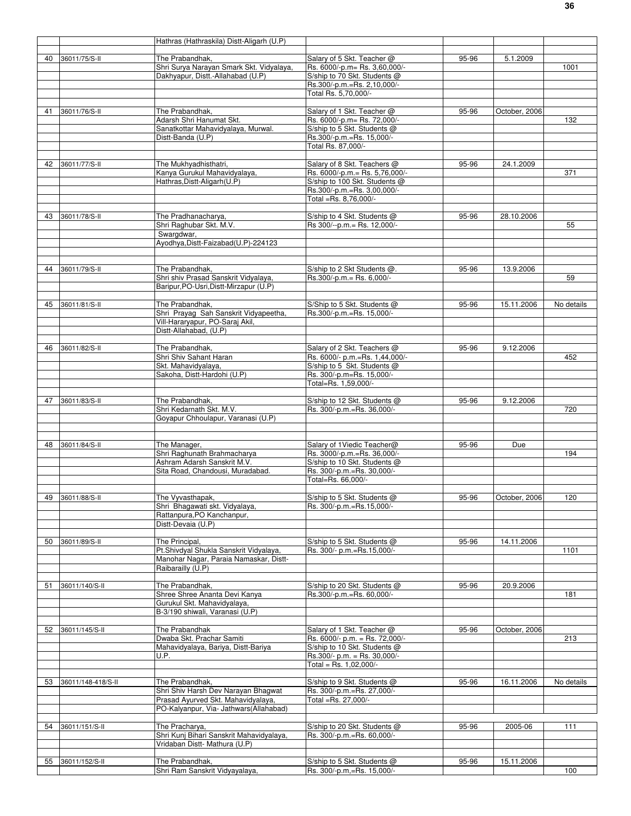|    |                    | Hathras (Hathraskila) Distt-Aligarh (U.P)                                        |                                                               |       |               |            |
|----|--------------------|----------------------------------------------------------------------------------|---------------------------------------------------------------|-------|---------------|------------|
|    |                    |                                                                                  |                                                               |       |               |            |
| 40 | 36011/75/S-II      | The Prabandhak,<br>Shri Surya Narayan Smark Skt. Vidyalaya,                      | Salary of 5 Skt. Teacher @<br>Rs. 6000/-p.m= Rs. 3,60,000/-   | 95-96 | 5.1.2009      | 1001       |
|    |                    | Dakhyapur, Distt.-Allahabad (U.P)                                                | S/ship to 70 Skt. Students @                                  |       |               |            |
|    |                    |                                                                                  | Rs.300/-p.m.=Rs. 2,10,000/-                                   |       |               |            |
|    |                    |                                                                                  | Total Rs. 5,70,000/-                                          |       |               |            |
|    |                    |                                                                                  |                                                               |       |               |            |
| 41 | 36011/76/S-II      | The Prabandhak,<br>Adarsh Shri Hanumat Skt.                                      | Salary of 1 Skt. Teacher @<br>Rs. 6000/-p.m= Rs. 72,000/-     | 95-96 | October, 2006 | 132        |
|    |                    | Sanatkottar Mahavidyalaya, Murwal.                                               | S/ship to 5 Skt. Students @                                   |       |               |            |
|    |                    | Distt-Banda (U.P)                                                                | Rs.300/-p.m.=Rs. 15,000/-                                     |       |               |            |
|    |                    |                                                                                  | Total Rs. 87,000/-                                            |       |               |            |
|    |                    |                                                                                  |                                                               |       |               |            |
| 42 | 36011/77/S-II      | The Mukhyadhisthatri,<br>Kanya Gurukul Mahavidyalaya,                            | Salary of 8 Skt. Teachers @<br>Rs. 6000/-p.m.= Rs. 5,76,000/- | 95-96 | 24.1.2009     | 371        |
|    |                    | Hathras, Distt-Aligarh (U.P)                                                     | S/ship to 100 Skt. Students @                                 |       |               |            |
|    |                    |                                                                                  | Rs.300/-p.m.=Rs.3,00,000/-                                    |       |               |            |
|    |                    |                                                                                  | Total =Rs. 8,76,000/-                                         |       |               |            |
|    |                    |                                                                                  |                                                               |       |               |            |
| 43 | 36011/78/S-II      | The Pradhanacharya,<br>Shri Raghubar Skt. M.V.                                   | S/ship to 4 Skt. Students @<br>Rs 300/--p.m.= Rs. 12,000/-    | 95-96 | 28.10.2006    | 55         |
|    |                    | Swargdwar,                                                                       |                                                               |       |               |            |
|    |                    | Ayodhya, Distt-Faizabad(U.P)-224123                                              |                                                               |       |               |            |
|    |                    |                                                                                  |                                                               |       |               |            |
|    |                    |                                                                                  |                                                               |       |               |            |
| 44 | 36011/79/S-II      | The Prabandhak,<br>Shri shiv Prasad Sanskrit Vidyalaya,                          | S/ship to 2 Skt Students @.<br>Rs.300/-p.m.= Rs. 6,000/-      | 95-96 | 13.9.2006     | 59         |
|    |                    | Baripur, PO-Usri, Distt-Mirzapur (U.P)                                           |                                                               |       |               |            |
|    |                    |                                                                                  |                                                               |       |               |            |
| 45 | 36011/81/S-II      | The Prabandhak,                                                                  | S/Ship to 5 Skt. Students @                                   | 95-96 | 15.11.2006    | No details |
|    |                    | Shri Prayag Sah Sanskrit Vidyapeetha,                                            | Rs.300/-p.m.=Rs. 15,000/-                                     |       |               |            |
|    |                    | Vill-Hararyapur, PO-Saraj Akil,                                                  |                                                               |       |               |            |
|    |                    | Distt-Allahabad, (U.P)                                                           |                                                               |       |               |            |
| 46 | 36011/82/S-II      | The Prabandhak,                                                                  | Salary of 2 Skt. Teachers @                                   | 95-96 | 9.12.2006     |            |
|    |                    | Shri Shiv Sahant Haran                                                           | Rs. 6000/- p.m.=Rs. 1,44,000/-                                |       |               | 452        |
|    |                    | Skt. Mahavidyalaya,                                                              | S/ship to 5 Skt. Students @                                   |       |               |            |
|    |                    | Sakoha, Distt-Hardohi (U.P)                                                      | Rs. 300/-p.m=Rs. 15,000/-                                     |       |               |            |
|    |                    |                                                                                  | Total=Rs. 1,59,000/-                                          |       |               |            |
| 47 | 36011/83/S-II      | The Prabandhak,                                                                  | S/ship to 12 Skt. Students @                                  | 95-96 | 9.12.2006     |            |
|    |                    | Shri Kedarnath Skt. M.V.                                                         | Rs. 300/-p.m.=Rs. 36,000/-                                    |       |               | 720        |
|    |                    | Goyapur Chhoulapur, Varanasi (U.P)                                               |                                                               |       |               |            |
|    |                    |                                                                                  |                                                               |       |               |            |
| 48 | 36011/84/S-II      | The Manager,                                                                     | Salary of 1 Viedic Teacher@                                   | 95-96 | Due           |            |
|    |                    | Shri Raghunath Brahmacharya                                                      | Rs. 3000/-p.m.=Rs. 36,000/-                                   |       |               | 194        |
|    |                    | Ashram Adarsh Sanskrit M.V.                                                      | S/ship to 10 Skt. Students @                                  |       |               |            |
|    |                    | Sita Road, Chandousi, Muradabad.                                                 | Rs. 300/-p.m.=Rs. 30,000/-                                    |       |               |            |
|    |                    |                                                                                  | Total=Rs. 66.000/-                                            |       |               |            |
|    | 49 36011/88/S-II   |                                                                                  | S/ship to 5 Skt. Students @                                   |       |               |            |
|    |                    | The Vyvasthapak,<br>Shri Bhagawati skt. Vidyalaya,                               | Rs. 300/-p.m.=Rs.15,000/-                                     | 95-96 | October, 2006 | 120        |
|    |                    | Rattanpura, PO Kanchanpur,                                                       |                                                               |       |               |            |
|    |                    | Distt-Devaia (U.P)                                                               |                                                               |       |               |            |
|    |                    |                                                                                  |                                                               |       |               |            |
| 50 | 36011/89/S-II      | The Principal.                                                                   | S/ship to 5 Skt. Students @                                   | 95-96 | 14.11.2006    |            |
|    |                    | Pt.Shivdyal Shukla Sanskrit Vidyalaya,<br>Manohar Nagar, Paraia Namaskar, Distt- | Rs. 300/- p.m.=Rs.15,000/-                                    |       |               | 1101       |
|    |                    | Raibarailly (U.P)                                                                |                                                               |       |               |            |
|    |                    |                                                                                  |                                                               |       |               |            |
| 51 | 36011/140/S-II     | The Prabandhak,                                                                  | S/ship to 20 Skt. Students @                                  | 95-96 | 20.9.2006     |            |
|    |                    | Shree Shree Ananta Devi Kanya                                                    | Rs.300/-p.m.=Rs. 60,000/-                                     |       |               | 181        |
|    |                    | Gurukul Skt. Mahavidyalaya,<br>B-3/190 shiwali, Varanasi (U.P)                   |                                                               |       |               |            |
|    |                    |                                                                                  |                                                               |       |               |            |
| 52 | 36011/145/S-II     | The Prabandhak                                                                   | Salary of 1 Skt. Teacher @                                    | 95-96 | October, 2006 |            |
|    |                    | Dwaba Skt. Prachar Samiti                                                        | Rs. 6000/- p.m. = Rs. 72,000/-                                |       |               | 213        |
|    |                    | Mahavidyalaya, Bariya, Distt-Bariya                                              | S/ship to 10 Skt. Students @                                  |       |               |            |
|    |                    | U.P.                                                                             | Rs.300/- p.m. = Rs. 30,000/-<br>Total = Rs. 1,02,000/-        |       |               |            |
|    |                    |                                                                                  |                                                               |       |               |            |
| 53 | 36011/148-418/S-II | The Prabandhak,                                                                  | S/ship to 9 Skt. Students @                                   | 95-96 | 16.11.2006    | No details |
|    |                    | Shri Shiv Harsh Dev Narayan Bhagwat                                              | Rs. 300/-p.m.=Rs. 27,000/-                                    |       |               |            |
|    |                    | Prasad Ayurved Skt. Mahavidyalaya,                                               | Total =Rs. 27,000/-                                           |       |               |            |
|    |                    | PO-Kalyanpur, Via- Jathwars(Allahabad)                                           |                                                               |       |               |            |
| 54 | 36011/151/S-II     | The Pracharya,                                                                   | S/ship to 20 Skt. Students @                                  | 95-96 | 2005-06       | 111        |
|    |                    | Shri Kunj Bihari Sanskrit Mahavidyalaya,                                         | Rs. 300/-p.m.=Rs. 60,000/-                                    |       |               |            |
|    |                    | Vridaban Distt- Mathura (U.P)                                                    |                                                               |       |               |            |
|    |                    |                                                                                  |                                                               |       |               |            |
|    | 55 36011/152/S-II  | The Prabandhak,<br>Shri Ram Sanskrit Vidyayalaya,                                | S/ship to 5 Skt. Students @<br>Rs. 300/-p.m,=Rs. 15,000/-     | 95-96 | 15.11.2006    | 100        |
|    |                    |                                                                                  |                                                               |       |               |            |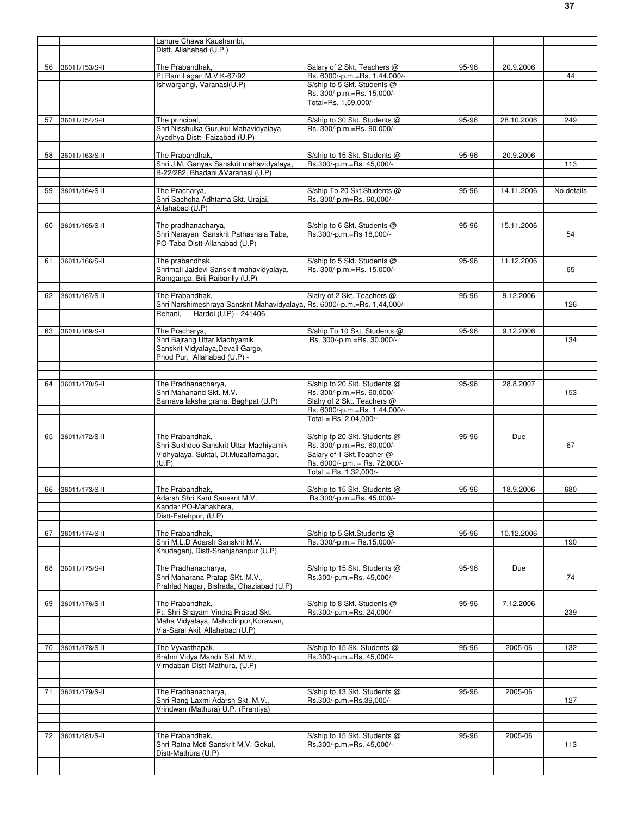|    |                | Lahure Chawa Kaushambi,                                                                                       |                                                           |           |            |            |
|----|----------------|---------------------------------------------------------------------------------------------------------------|-----------------------------------------------------------|-----------|------------|------------|
|    |                | Distt. Allahabad (U.P.)                                                                                       |                                                           |           |            |            |
| 56 | 36011/153/S-II | The Prabandhak,                                                                                               | Salary of 2 Skt. Teachers @                               | $95 - 96$ | 20.9.2006  |            |
|    |                | Pt.Ram Lagan M.V.K-67/92                                                                                      | Rs. 6000/-p.m.=Rs. 1,44,000/-                             |           |            | 44         |
|    |                | Ishwargangi, Varanasi(U.P)                                                                                    | S/ship to 5 Skt. Students @                               |           |            |            |
|    |                |                                                                                                               | Rs. 300/-p.m.=Rs. 15,000/-                                |           |            |            |
|    |                |                                                                                                               | Total=Rs. 1,59,000/-                                      |           |            |            |
| 57 | 36011/154/S-II | The principal,                                                                                                | S/ship to 30 Skt. Students @                              | 95-96     | 28.10.2006 | 249        |
|    |                | Shri Nisshulka Gurukul Mahavidyalaya,                                                                         | Rs. 300/-p.m.=Rs. 90,000/-                                |           |            |            |
|    |                | Avodhva Distt- Faizabad (U.P)                                                                                 |                                                           |           |            |            |
|    |                |                                                                                                               |                                                           |           |            |            |
| 58 | 36011/163/S-II | The Prabandhak,<br>Shri J.M. Ganyak Sanskrit mahavidyalaya,                                                   | S/ship to 15 Skt. Students @<br>Rs.300/-p.m.=Rs. 45,000/- | 95-96     | 20.9.2006  | 113        |
|    |                | B-22/282, Bhadani, & Varanasi (U.P)                                                                           |                                                           |           |            |            |
|    |                |                                                                                                               |                                                           |           |            |            |
| 59 | 36011/164/S-II | The Pracharya,                                                                                                | S/ship To 20 Skt.Students @                               | 95-96     | 14.11.2006 | No details |
|    |                | Shri Sachcha Adhtama Skt. Urajai,<br>Allahabad (U.P)                                                          | Rs. 300/-p.m=Rs. 60,000/--                                |           |            |            |
|    |                |                                                                                                               |                                                           |           |            |            |
| 60 | 36011/165/S-II | The pradhanacharya,                                                                                           | S/ship to 6 Skt. Students @                               | 95-96     | 15.11.2006 |            |
|    |                | Shri Narayan Sanskrit Pathashala Taba,                                                                        | Rs.300/-p.m.=Rs 18,000/-                                  |           |            | 54         |
|    |                | PO-Taba Distt-Allahabad (U.P)                                                                                 |                                                           |           |            |            |
| 61 | 36011/166/S-II | The prabandhak,                                                                                               | S/ship to 5 Skt. Students @                               | 95-96     | 11.12.2006 |            |
|    |                | Shrimati Jaidevi Sanskrit mahavidyalaya,                                                                      | Rs. 300/-p.m.=Rs. 15,000/-                                |           |            | 65         |
|    |                | Ramganga, Brij Raibarilly (U.P)                                                                               |                                                           |           |            |            |
|    |                |                                                                                                               |                                                           |           |            |            |
| 62 | 36011/167/S-II | The Prabandhak,                                                                                               | Slalry of 2 Skt. Teachers @                               | 95-96     | 9.12.2006  |            |
|    |                | Shri Narshimeshraya Sanskrit Mahavidyalaya, Rs. 6000/-p.m.=Rs. 1,44,000/-<br>Rehani.<br>Hardoi (U.P) - 241406 |                                                           |           |            | 126        |
|    |                |                                                                                                               |                                                           |           |            |            |
| 63 | 36011/169/S-II | The Pracharya,                                                                                                | S/ship To 10 Skt. Students @                              | 95-96     | 9.12.2006  |            |
|    |                | Shri Bajrang Uttar Madhyamik                                                                                  | Rs. 300/-p.m.=Rs. 30,000/-                                |           |            | 134        |
|    |                | Sanskrit Vidyalaya, Devali Gargo,                                                                             |                                                           |           |            |            |
|    |                | Phod Pur, Allahabad (U.P) -                                                                                   |                                                           |           |            |            |
|    |                |                                                                                                               |                                                           |           |            |            |
| 64 | 36011/170/S-II | The Pradhanacharya,                                                                                           | S/ship to 20 Skt. Students @                              | 95-96     | 28.8.2007  |            |
|    |                | Shri Mahanand Skt. M.V.                                                                                       | Rs. 300/-p.m.=Rs. 60,000/-                                |           |            | 153        |
|    |                | Barnava laksha graha, Baghpat (U.P)                                                                           | Slalry of 2 Skt. Teachers @                               |           |            |            |
|    |                |                                                                                                               | Rs. 6000/-p.m.=Rs. 1,44,000/-<br>Total = Rs. 2,04,000/-   |           |            |            |
|    |                |                                                                                                               |                                                           |           |            |            |
| 65 | 36011/172/S-II | The Prabandhak,                                                                                               | S/ship tp 20 Skt. Students @                              | 95-96     | Due        |            |
|    |                | Shri Sukhdeo Sanskrit Uttar Madhiyamik                                                                        | Rs. 300/-p.m.=Rs. 60,000/-                                |           |            | 67         |
|    |                | Vidhyalaya, Suktal, Dt.Muzaffarnagar,                                                                         | Salary of 1 Skt. Teacher @                                |           |            |            |
|    |                | (U.P)                                                                                                         | Rs. 6000/- pm. = Rs. 72,000/-<br>Total = Rs. $1,32,000/-$ |           |            |            |
|    |                |                                                                                                               |                                                           |           |            |            |
| 66 | 36011/173/S-II | The Prabandhak,                                                                                               | S/ship to 15 Skt. Students @                              | 95-96     | 18.9.2006  | 680        |
|    |                | Adarsh Shri Kant Sanskrit M.V.,                                                                               | Rs.300/-p.m.=Rs. 45,000/-                                 |           |            |            |
|    |                | Kandar PO-Mahakhera,                                                                                          |                                                           |           |            |            |
|    |                | Distt-Fatehpur, (U.P)                                                                                         |                                                           |           |            |            |
| 67 | 36011/174/S-II | The Prabandhak,                                                                                               | S/ship tp 5 Skt.Students @                                | 95-96     | 10.12.2006 |            |
|    |                | Shri M.L.D Adarsh Sanskrit M.V.                                                                               | Rs. 300/-p.m.= Rs.15,000/-                                |           |            | 190        |
|    |                | Khudaganj, Distt-Shahjahanpur (U.P)                                                                           |                                                           |           |            |            |
|    |                |                                                                                                               |                                                           |           |            |            |
| 68 | 36011/175/S-II | The Pradhanacharya.<br>Shri Maharana Pratap SKt. M.V.                                                         | S/ship tp 15 Skt. Students @<br>Rs.300/-p.m.=Rs. 45,000/- | 95-96     | Due        | 74         |
|    |                | Prahlad Nagar, Bishada, Ghaziabad (U.P)                                                                       |                                                           |           |            |            |
|    |                |                                                                                                               |                                                           |           |            |            |
| 69 | 36011/176/S-II | The Prabandhak,                                                                                               | S/ship to 8 Skt. Students @                               | 95-96     | 7.12.2006  |            |
|    |                | Pt. Shri Shayam Vindra Prasad Skt.                                                                            | Rs.300/-p.m.=Rs. 24,000/-                                 |           |            | 239        |
|    |                | Maha Vidyalaya, Mahodinpur, Korawan,<br>Via-Sarai Akil, Allahabad (U.P)                                       |                                                           |           |            |            |
|    |                |                                                                                                               |                                                           |           |            |            |
| 70 | 36011/178/S-II | The Vyvasthapak,                                                                                              | S/ship to 15 Sk. Students @                               | 95-96     | 2005-06    | 132        |
|    |                | Brahm Vidya Mandir Skt. M.V.,                                                                                 | Rs.300/-p.m.=Rs. 45,000/-                                 |           |            |            |
|    |                | Virndaban Distt-Mathura, (U.P)                                                                                |                                                           |           |            |            |
|    |                |                                                                                                               |                                                           |           |            |            |
| 71 | 36011/179/S-II | The Pradhanacharya,                                                                                           | S/ship to 13 Skt. Students @                              | 95-96     | 2005-06    |            |
|    |                | Shri Rang Laxmi Adarsh Skt. M.V.,                                                                             | Rs.300/-p.m.=Rs.39,000/-                                  |           |            | 127        |
|    |                | Vrindwan (Mathura) U.P. (Prantiya)                                                                            |                                                           |           |            |            |
|    |                |                                                                                                               |                                                           |           |            |            |
|    | 36011/181/S-II | The Prabandhak,                                                                                               |                                                           |           | 2005-06    |            |
| 72 |                | Shri Ratna Moti Sanskrit M.V. Gokul,                                                                          | S/ship to 15 Skt. Students @<br>Rs.300/-p.m.=Rs. 45,000/- | 95-96     |            | 113        |
|    |                | Distt-Mathura (U.P)                                                                                           |                                                           |           |            |            |
|    |                |                                                                                                               |                                                           |           |            |            |
|    |                |                                                                                                               |                                                           |           |            |            |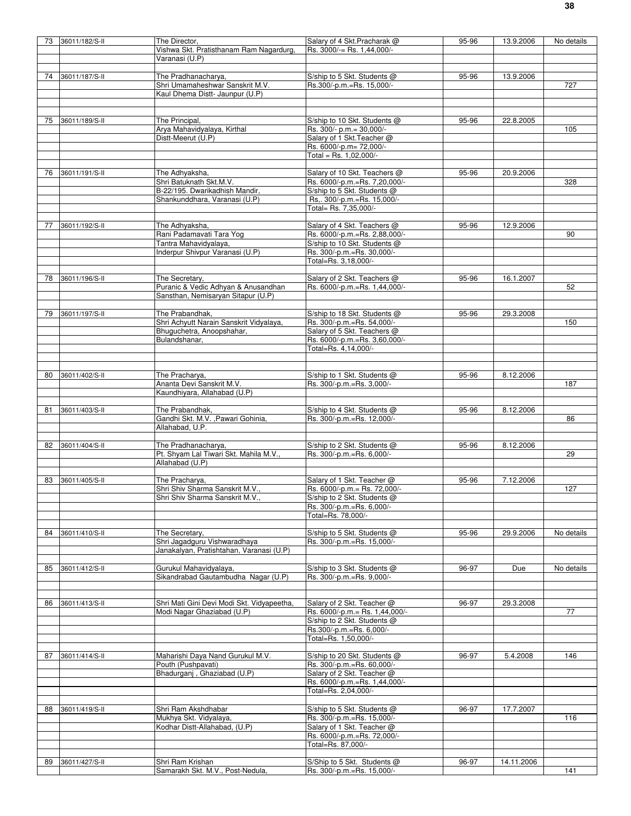| 73 | 36011/182/S-II | The Director,                              | Salary of 4 Skt. Pracharak @                             | 95-96 | 13.9.2006  | No details |
|----|----------------|--------------------------------------------|----------------------------------------------------------|-------|------------|------------|
|    |                | Vishwa Skt. Pratisthanam Ram Nagardurg,    | Rs. 3000/-= Rs. 1.44.000/-                               |       |            |            |
|    |                | Varanasi (U.P)                             |                                                          |       |            |            |
|    |                |                                            |                                                          |       |            |            |
| 74 | 36011/187/S-II | The Pradhanacharya,                        | S/ship to 5 Skt. Students @                              | 95-96 | 13.9.2006  |            |
|    |                | Shri Umamaheshwar Sanskrit M.V.            | Rs.300/-p.m.=Rs. 15,000/-                                |       |            | 727        |
|    |                | Kaul Dhema Distt- Jaunpur (U.P)            |                                                          |       |            |            |
|    |                |                                            |                                                          |       |            |            |
|    |                |                                            |                                                          |       |            |            |
|    |                |                                            |                                                          |       |            |            |
| 75 | 36011/189/S-II | The Principal,                             | S/ship to 10 Skt. Students @                             | 95-96 | 22.8.2005  |            |
|    |                | Arya Mahavidyalaya, Kirthal                | Rs. 300/- p.m.= 30,000/-                                 |       |            | 105        |
|    |                | Distt-Meerut (U.P)                         | Salary of 1 Skt. Teacher @                               |       |            |            |
|    |                |                                            | Rs. 6000/-p.m= 72,000/-                                  |       |            |            |
|    |                |                                            | Total = Rs. $1.02.000/-$                                 |       |            |            |
|    |                |                                            |                                                          |       |            |            |
| 76 | 36011/191/S-II | The Adhyaksha,                             | Salary of 10 Skt. Teachers @                             | 95-96 | 20.9.2006  |            |
|    |                | Shri Batuknath Skt.M.V.                    | Rs. 6000/-p.m.=Rs. 7,20,000/-                            |       |            | 328        |
|    |                | B-22/195. Dwarikadhish Mandir,             | S/ship to 5 Skt. Students @                              |       |            |            |
|    |                | Shankunddhara, Varanasi (U.P)              | Rs., 300/-p.m.=Rs. 15,000/-                              |       |            |            |
|    |                |                                            | Total= Rs. 7,35,000/-                                    |       |            |            |
|    |                |                                            |                                                          |       |            |            |
|    |                |                                            |                                                          |       |            |            |
| 77 | 36011/192/S-II | The Adhyaksha,                             | Salary of 4 Skt. Teachers @                              | 95-96 | 12.9.2006  |            |
|    |                | Rani Padamavati Tara Yog                   | Rs. 6000/-p.m.=Rs. 2,88,000/-                            |       |            | 90         |
|    |                | Tantra Mahavidyalaya,                      | S/ship to 10 Skt. Students @                             |       |            |            |
|    |                | Inderpur Shivpur Varanasi (U.P)            | Rs. 300/-p.m.=Rs. 30,000/-                               |       |            |            |
|    |                |                                            | Total=Rs. 3,18,000/-                                     |       |            |            |
|    |                |                                            |                                                          |       |            |            |
| 78 | 36011/196/S-II | The Secretary,                             | Salary of 2 Skt. Teachers @                              | 95-96 | 16.1.2007  |            |
|    |                | Puranic & Vedic Adhyan & Anusandhan        | Rs. 6000/-p.m.=Rs. 1,44,000/-                            |       |            | 52         |
|    |                | Sansthan, Nemisaryan Sitapur (U.P)         |                                                          |       |            |            |
|    |                |                                            |                                                          |       |            |            |
|    |                |                                            |                                                          |       |            |            |
| 79 | 36011/197/S-II | The Prabandhak,                            | S/ship to 18 Skt. Students @                             | 95-96 | 29.3.2008  |            |
|    |                | Shri Achyutt Narain Sanskrit Vidyalaya,    | Rs. 300/-p.m.=Rs. 54,000/-                               |       |            | 150        |
|    |                | Bhuguchetra, Anoopshahar,                  | Salary of 5 Skt. Teachers @                              |       |            |            |
|    |                | Bulandshanar,                              | Rs. 6000/-p.m.=Rs. 3,60,000/-                            |       |            |            |
|    |                |                                            | Total=Rs. 4,14,000/-                                     |       |            |            |
|    |                |                                            |                                                          |       |            |            |
|    |                |                                            |                                                          |       |            |            |
| 80 | 36011/402/S-II | The Pracharya,                             | S/ship to 1 Skt. Students @                              | 95-96 | 8.12.2006  |            |
|    |                | Ananta Devi Sanskrit M.V.                  | Rs. 300/-p.m.=Rs. 3,000/-                                |       |            | 187        |
|    |                | Kaundhiyara, Allahabad (U.P)               |                                                          |       |            |            |
|    |                |                                            |                                                          |       |            |            |
|    |                |                                            |                                                          |       |            |            |
| 81 | 36011/403/S-II | The Prabandhak,                            | S/ship to 4 Skt. Students @                              | 95-96 | 8.12.2006  |            |
|    |                | Gandhi Skt. M.V. , Pawari Gohinia,         | Rs. 300/-p.m.=Rs. 12,000/-                               |       |            | 86         |
|    |                | Allahabad, U.P.                            |                                                          |       |            |            |
|    |                |                                            |                                                          |       |            |            |
| 82 | 36011/404/S-II | The Pradhanacharya,                        | S/ship to 2 Skt. Students @                              | 95-96 | 8.12.2006  |            |
|    |                | Pt. Shyam Lal Tiwari Skt. Mahila M.V.,     | Rs. 300/-p.m.=Rs. 6,000/-                                |       |            | 29         |
|    |                | Allahabad (U.P)                            |                                                          |       |            |            |
|    |                |                                            |                                                          |       |            |            |
| 83 | 36011/405/S-II | The Pracharya,                             | Salary of 1 Skt. Teacher @                               | 95-96 | 7.12.2006  |            |
|    |                | Shri Shiv Sharma Sanskrit M.V.,            | Rs. 6000/-p.m.= Rs. 72,000/-                             |       |            | 127        |
|    |                | Shri Shiv Sharma Sanskrit M.V.,            |                                                          |       |            |            |
|    |                |                                            | S/ship to 2 Skt. Students @<br>Rs. 300/-p.m.=Rs. 6,000/- |       |            |            |
|    |                |                                            |                                                          |       |            |            |
|    |                |                                            | Total=Rs. 78,000/-                                       |       |            |            |
|    |                |                                            |                                                          |       |            |            |
| 84 | 36011/410/S-II | The Secretary,                             | S/ship to 5 Skt. Students @                              | 95-96 | 29.9.2006  | No details |
|    |                | Shri Jagadguru Vishwaradhaya               | Rs. 300/-p.m.=Rs. 15,000/-                               |       |            |            |
|    |                | Janakalyan, Pratishtahan, Varanasi (U.P)   |                                                          |       |            |            |
|    |                |                                            |                                                          |       |            |            |
| 85 | 36011/412/S-II | Gurukul Mahavidyalaya,                     | S/ship to 3 Skt. Students @                              | 96-97 | Due        | No details |
|    |                | Sikandrabad Gautambudha Nagar (U.P)        | Rs. 300/-p.m.=Rs. 9,000/-                                |       |            |            |
|    |                |                                            |                                                          |       |            |            |
|    |                |                                            |                                                          |       |            |            |
| 86 | 36011/413/S-II | Shri Mati Gini Devi Modi Skt. Vidyapeetha, | Salary of 2 Skt. Teacher @                               | 96-97 | 29.3.2008  |            |
|    |                |                                            |                                                          |       |            | 77         |
|    |                | Modi Nagar Ghaziabad (U.P)                 | Rs. 6000/-p.m.= Rs. 1,44,000/-                           |       |            |            |
|    |                |                                            | S/ship to 2 Skt. Students @                              |       |            |            |
|    |                |                                            | Rs.300/-p.m.=Rs. 6,000/-                                 |       |            |            |
|    |                |                                            | Total=Rs. 1,50,000/-                                     |       |            |            |
|    |                |                                            |                                                          |       |            |            |
| 87 | 36011/414/S-II | Maharishi Daya Nand Gurukul M.V.           | S/ship to 20 Skt. Students @                             | 96-97 | 5.4.2008   | 146        |
|    |                | Pouth (Pushpavati)                         | Rs. 300/-p.m.=Rs. 60,000/-                               |       |            |            |
|    |                | Bhadurganj, Ghaziabad (U.P)                | Salary of 2 Skt. Teacher @                               |       |            |            |
|    |                |                                            | Rs. 6000/-p.m.=Rs. 1,44,000/-                            |       |            |            |
|    |                |                                            | Total=Rs. 2,04,000/-                                     |       |            |            |
|    |                |                                            |                                                          |       |            |            |
|    |                |                                            |                                                          |       |            |            |
| 88 | 36011/419/S-II | Shri Ram Akshdhabar                        | S/ship to 5 Skt. Students @                              | 96-97 | 17.7.2007  |            |
|    |                | Mukhya Skt. Vidyalaya,                     | Rs. 300/-p.m.=Rs. 15,000/-                               |       |            | 116        |
|    |                | Kodhar Distt-Allahabad, (U.P)              | Salary of 1 Skt. Teacher @                               |       |            |            |
|    |                |                                            | Rs. 6000/-p.m.=Rs. 72,000/-                              |       |            |            |
|    |                |                                            | Total=Rs. 87,000/-                                       |       |            |            |
|    |                |                                            |                                                          |       |            |            |
| 89 | 36011/427/S-II | Shri Ram Krishan                           | S/Ship to 5 Skt. Students @                              | 96-97 | 14.11.2006 |            |
|    |                | Samarakh Skt. M.V., Post-Nedula,           | Rs. 300/-p.m.=Rs. 15,000/-                               |       |            | 141        |
|    |                |                                            |                                                          |       |            |            |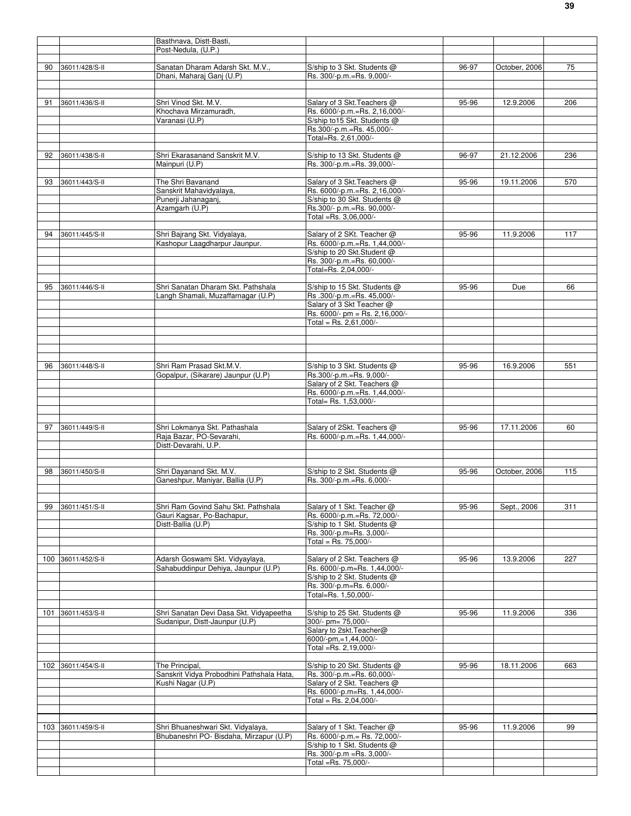|     |                    | Basthnava, Distt-Basti,                                        |                                                              |       |               |     |
|-----|--------------------|----------------------------------------------------------------|--------------------------------------------------------------|-------|---------------|-----|
|     |                    | Post-Nedula, (U.P.)                                            |                                                              |       |               |     |
|     |                    |                                                                |                                                              |       |               |     |
| 90  | 36011/428/S-II     | Sanatan Dharam Adarsh Skt. M.V.,                               | S/ship to 3 Skt. Students @                                  | 96-97 | October, 2006 | 75  |
|     |                    | Dhani, Maharaj Ganj (U.P)                                      | Rs. 300/-p.m.=Rs. 9,000/-                                    |       |               |     |
|     |                    |                                                                |                                                              |       |               |     |
| 91  | 36011/436/S-II     | Shri Vinod Skt. M.V.                                           | Salary of 3 Skt. Teachers @                                  | 95-96 | 12.9.2006     | 206 |
|     |                    | Khochava Mirzamuradh,                                          | Rs. 6000/-p.m.=Rs. 2,16,000/-                                |       |               |     |
|     |                    | Varanasi (U.P)                                                 | S/ship to 15 Skt. Students @                                 |       |               |     |
|     |                    |                                                                | Rs.300/-p.m.=Rs. 45,000/-                                    |       |               |     |
|     |                    |                                                                | Total=Rs. 2,61,000/-                                         |       |               |     |
| 92  | 36011/438/S-II     | Shri Ekarasanand Sanskrit M.V.                                 | S/ship to 13 Skt. Students @                                 | 96-97 | 21.12.2006    | 236 |
|     |                    | Mainpuri (U.P)                                                 | Rs. 300/-p.m.=Rs. 39,000/-                                   |       |               |     |
|     |                    |                                                                |                                                              |       |               |     |
| 93  | 36011/443/S-II     | The Shri Bavanand                                              | Salary of 3 Skt. Teachers @                                  | 95-96 | 19.11.2006    | 570 |
|     |                    | Sanskrit Mahavidyalaya,                                        | Rs. 6000/-p.m.=Rs. 2,16,000/-                                |       |               |     |
|     |                    | Punerji Jahanaganj,                                            | S/ship to 30 Skt. Students @                                 |       |               |     |
|     |                    | Azamgarh (U.P)                                                 | Rs.300/- p.m.=Rs. 90,000/-                                   |       |               |     |
|     |                    |                                                                | Total =Rs. 3,06,000/-                                        |       |               |     |
| 94  | 36011/445/S-II     | Shri Bajrang Skt. Vidyalaya,                                   | Salary of 2 SKt. Teacher @                                   | 95-96 | 11.9.2006     | 117 |
|     |                    | Kashopur Laagdharpur Jaunpur.                                  | Rs. 6000/-p.m.=Rs. 1,44,000/-                                |       |               |     |
|     |                    |                                                                | S/ship to 20 Skt.Student @                                   |       |               |     |
|     |                    |                                                                | Rs. 300/-p.m.=Rs. 60,000/-                                   |       |               |     |
|     |                    |                                                                | Total=Rs. 2,04,000/-                                         |       |               |     |
|     |                    |                                                                |                                                              |       |               |     |
| 95  | 36011/446/S-II     | Shri Sanatan Dharam Skt. Pathshala                             | S/ship to 15 Skt. Students @<br>Rs .300/-p.m.=Rs. 45,000/-   | 95-96 | Due           | 66  |
|     |                    | Langh Shamali, Muzaffarnagar (U.P)                             | Salary of 3 Skt Teacher @                                    |       |               |     |
|     |                    |                                                                | Rs. 6000/- pm = Rs. 2,16,000/-                               |       |               |     |
|     |                    |                                                                | Total = Rs. $2,61,000/-$                                     |       |               |     |
|     |                    |                                                                |                                                              |       |               |     |
|     |                    |                                                                |                                                              |       |               |     |
|     |                    |                                                                |                                                              |       |               |     |
|     |                    |                                                                |                                                              |       |               |     |
| 96  | 36011/448/S-II     | Shri Ram Prasad Skt.M.V.<br>Gopalpur, (Sikarare) Jaunpur (U.P) | S/ship to 3 Skt. Students @<br>Rs.300/-p.m.=Rs. 9,000/-      | 95-96 | 16.9.2006     | 551 |
|     |                    |                                                                | Salary of 2 Skt. Teachers @                                  |       |               |     |
|     |                    |                                                                | Rs. 6000/-p.m.=Rs. 1,44,000/-                                |       |               |     |
|     |                    |                                                                | Total= Rs. 1,53,000/-                                        |       |               |     |
|     |                    |                                                                |                                                              |       |               |     |
|     |                    |                                                                |                                                              |       |               |     |
| 97  | 36011/449/S-II     | Shri Lokmanya Skt. Pathashala                                  | Salary of 2Skt. Teachers @                                   | 95-96 | 17.11.2006    | 60  |
|     |                    | Raja Bazar, PO-Sevarahi,<br>Distt-Devarahi, U.P.               | Rs. 6000/-p.m.=Rs. 1,44,000/-                                |       |               |     |
|     |                    |                                                                |                                                              |       |               |     |
|     |                    |                                                                |                                                              |       |               |     |
| 98  | 36011/450/S-II     | Shri Dayanand Skt. M.V.                                        | S/ship to 2 Skt. Students @                                  | 95-96 | October, 2006 | 115 |
|     |                    | Ganeshpur, Manivar, Ballia (U.P)                               | Rs. 300/-p.m.=Rs. 6,000/-                                    |       |               |     |
|     |                    |                                                                |                                                              |       |               |     |
|     |                    | Shri Ram Govind Sahu Skt. Pathshala                            | Salary of 1 Skt. Teacher @                                   |       |               |     |
| 99  | 36011/451/S-II     | Gauri Kagsar, Po-Bachapur,                                     | Rs. 6000/-p.m.=Rs. 72,000/-                                  | 95-96 | Sept., 2006   | 311 |
|     |                    | Distt-Ballia (U.P)                                             | S/ship to 1 Skt. Students @                                  |       |               |     |
|     |                    |                                                                | Rs. 300/-p.m=Rs. 3,000/-                                     |       |               |     |
|     |                    |                                                                | Total = Rs. $75,000/-$                                       |       |               |     |
|     |                    |                                                                |                                                              |       |               |     |
|     | 100 36011/452/S-II | Adarsh Goswami Skt. Vidyaylaya,                                | Salary of 2 Skt. Teachers @                                  | 95-96 | 13.9.2006     | 227 |
|     |                    | Sahabuddinpur Dehiya, Jaunpur (U.P)                            | Rs. 6000/-p.m=Rs. 1,44,000/-                                 |       |               |     |
|     |                    |                                                                | S/ship to 2 Skt. Students @<br>Rs. 300/-p.m=Rs. 6,000/-      |       |               |     |
|     |                    |                                                                | Total=Rs. 1.50.000/-                                         |       |               |     |
|     |                    |                                                                |                                                              |       |               |     |
| 101 | 36011/453/S-II     | Shri Sanatan Devi Dasa Skt. Vidyapeetha                        | S/ship to 25 Skt. Students @                                 | 95-96 | 11.9.2006     | 336 |
|     |                    | Sudanipur, Distt-Jaunpur (U.P)                                 | 300/- pm= 75,000/-                                           |       |               |     |
|     |                    |                                                                | Salary to 2skt. Teacher@                                     |       |               |     |
|     |                    |                                                                | 6000/-pm,=1,44,000/-                                         |       |               |     |
|     |                    |                                                                | Total =Rs. 2,19,000/-                                        |       |               |     |
|     | 102 36011/454/S-II | The Principal,                                                 | S/ship to 20 Skt. Students @                                 | 95-96 | 18.11.2006    | 663 |
|     |                    | Sanskrit Vidya Probodhini Pathshala Hata,                      | Rs. 300/-p.m.=Rs. 60,000/-                                   |       |               |     |
|     |                    | Kushi Nagar (U.P)                                              | Salary of 2 Skt. Teachers @                                  |       |               |     |
|     |                    |                                                                | Rs. 6000/-p.m=Rs. 1,44,000/-                                 |       |               |     |
|     |                    |                                                                | Total = Rs. 2,04,000/-                                       |       |               |     |
|     |                    |                                                                |                                                              |       |               |     |
|     |                    |                                                                |                                                              |       |               |     |
|     | 103 36011/459/S-II | Shri Bhuaneshwari Skt. Vidyalaya,                              | Salary of 1 Skt. Teacher @                                   | 95-96 | 11.9.2006     | 99  |
|     |                    | Bhubaneshri PO- Bisdaha, Mirzapur (U.P)                        | Rs. 6000/-p.m. = Rs. 72,000/-<br>S/ship to 1 Skt. Students @ |       |               |     |
|     |                    |                                                                | Rs. 300/-p.m = Rs. 3,000/-                                   |       |               |     |
|     |                    |                                                                | Total =Rs. 75,000/-                                          |       |               |     |
|     |                    |                                                                |                                                              |       |               |     |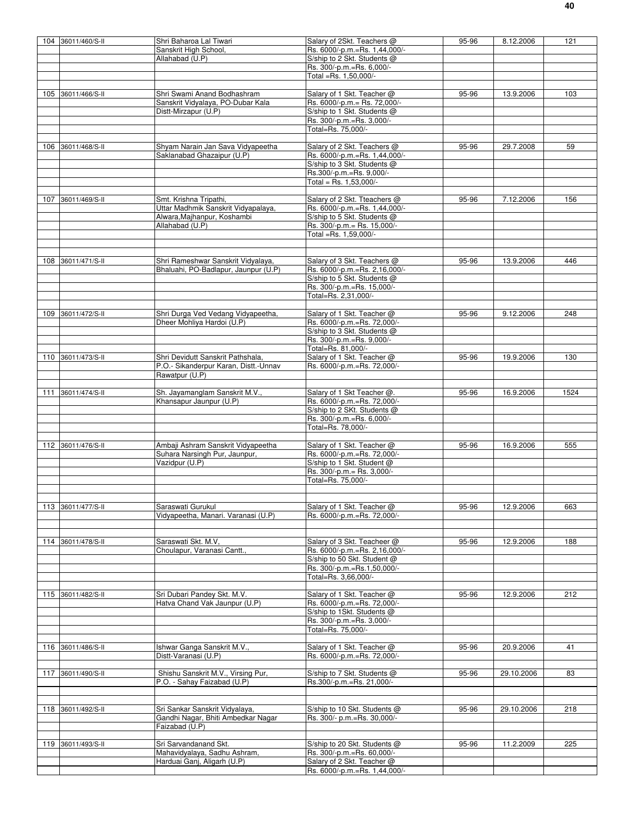|     | 104 36011/460/S-II | Shri Baharoa Lal Tiwari               | Salary of 2Skt. Teachers @    | 95-96 | 8.12.2006  | 121  |
|-----|--------------------|---------------------------------------|-------------------------------|-------|------------|------|
|     |                    | Sanskrit High School,                 | Rs. 6000/-p.m.=Rs. 1,44,000/- |       |            |      |
|     |                    | Allahabad (U.P)                       | S/ship to 2 Skt. Students @   |       |            |      |
|     |                    |                                       | Rs. 300/-p.m.=Rs. 6,000/-     |       |            |      |
|     |                    |                                       | Total =Rs. 1,50,000/-         |       |            |      |
|     |                    |                                       |                               |       |            |      |
|     |                    |                                       |                               |       |            |      |
|     | 105 36011/466/S-II | Shri Swami Anand Bodhashram           | Salary of 1 Skt. Teacher @    | 95-96 | 13.9.2006  | 103  |
|     |                    | Sanskrit Vidyalaya, PO-Dubar Kala     | Rs. 6000/-p.m.= Rs. 72,000/-  |       |            |      |
|     |                    | Distt-Mirzapur (U.P)                  | S/ship to 1 Skt. Students @   |       |            |      |
|     |                    |                                       | Rs. 300/-p.m.=Rs. 3,000/-     |       |            |      |
|     |                    |                                       | Total=Rs. 75,000/-            |       |            |      |
|     |                    |                                       |                               |       |            |      |
|     |                    |                                       |                               |       |            |      |
| 106 | 36011/468/S-II     | Shvam Narain Jan Sava Vidvapeetha     | Salary of 2 Skt. Teachers @   | 95-96 | 29.7.2008  | 59   |
|     |                    | Saklanabad Ghazaipur (U.P)            | Rs. 6000/-p.m.=Rs. 1,44,000/- |       |            |      |
|     |                    |                                       | S/ship to 3 Skt. Students @   |       |            |      |
|     |                    |                                       | Rs.300/-p.m.=Rs. 9,000/-      |       |            |      |
|     |                    |                                       | Total = Rs. $1,53,000/-$      |       |            |      |
|     |                    |                                       |                               |       |            |      |
|     |                    |                                       |                               |       |            |      |
|     | 107 36011/469/S-II | Smt. Krishna Tripathi,                | Salary of 2 Skt. Tteachers @  | 95-96 | 7.12.2006  | 156  |
|     |                    | Uttar Madhmik Sanskrit Vidyapalaya,   | Rs. 6000/-p.m.=Rs. 1,44,000/- |       |            |      |
|     |                    | Alwara, Majhanpur, Koshambi           | S/ship to 5 Skt. Students @   |       |            |      |
|     |                    | Allahabad (U.P)                       | Rs. 300/-p.m.= Rs. 15,000/-   |       |            |      |
|     |                    |                                       | Total =Rs. 1,59,000/-         |       |            |      |
|     |                    |                                       |                               |       |            |      |
|     |                    |                                       |                               |       |            |      |
|     |                    |                                       |                               |       |            |      |
|     | 108 36011/471/S-II | Shri Rameshwar Sanskrit Vidyalaya,    | Salary of 3 Skt. Teachers @   | 95-96 | 13.9.2006  | 446  |
|     |                    | Bhaluahi, PO-Badlapur, Jaunpur (U.P)  | Rs. 6000/-p.m.=Rs. 2,16,000/- |       |            |      |
|     |                    |                                       | S/ship to 5 Skt. Students @   |       |            |      |
|     |                    |                                       |                               |       |            |      |
|     |                    |                                       | Rs. 300/-p.m.=Rs. 15,000/-    |       |            |      |
|     |                    |                                       | Total=Rs. 2,31,000/-          |       |            |      |
|     |                    |                                       |                               |       |            |      |
| 109 | 36011/472/S-II     | Shri Durga Ved Vedang Vidyapeetha,    | Salary of 1 Skt. Teacher @    | 95-96 | 9.12.2006  | 248  |
|     |                    | Dheer Mohliya Hardoi (U.P)            | Rs. 6000/-p.m.=Rs. 72,000/-   |       |            |      |
|     |                    |                                       |                               |       |            |      |
|     |                    |                                       | S/ship to 3 Skt. Students @   |       |            |      |
|     |                    |                                       | Rs. 300/-p.m.=Rs. 9,000/-     |       |            |      |
|     |                    |                                       | Total=Rs. 81,000/-            |       |            |      |
|     | 110 36011/473/S-II | Shri Devidutt Sanskrit Pathshala      | Salary of 1 Skt. Teacher @    | 95-96 | 19.9.2006  | 130  |
|     |                    | P.O.- Sikanderpur Karan, Distt.-Unnav | Rs. 6000/-p.m.=Rs. 72,000/-   |       |            |      |
|     |                    |                                       |                               |       |            |      |
|     |                    | Rawatpur (U.P)                        |                               |       |            |      |
|     |                    |                                       |                               |       |            |      |
| 111 | 36011/474/S-II     | Sh. Jayamanglam Sanskrit M.V.,        | Salary of 1 Skt Teacher @.    | 95-96 | 16.9.2006  | 1524 |
|     |                    | Khansapur Jaunpur (U.P)               | Rs. 6000/-p.m.=Rs. 72,000/-   |       |            |      |
|     |                    |                                       | S/ship to 2 SKt. Students @   |       |            |      |
|     |                    |                                       |                               |       |            |      |
|     |                    |                                       | Rs. 300/-p.m.=Rs. 6,000/-     |       |            |      |
|     |                    |                                       | Total=Rs. 78,000/-            |       |            |      |
|     |                    |                                       |                               |       |            |      |
|     | 112 36011/476/S-II | Ambaji Ashram Sanskrit Vidyapeetha    | Salary of 1 Skt. Teacher @    | 95-96 | 16.9.2006  | 555  |
|     |                    | Suhara Narsingh Pur, Jaunpur,         | Rs. 6000/-p.m.=Rs. 72,000/-   |       |            |      |
|     |                    |                                       |                               |       |            |      |
|     |                    | Vazidpur (U.P)                        | S/ship to 1 Skt. Student @    |       |            |      |
|     |                    |                                       | Rs. 300/-p.m.= Rs. 3,000/-    |       |            |      |
|     |                    |                                       | Total=Rs. 75,000/-            |       |            |      |
|     |                    |                                       |                               |       |            |      |
|     |                    |                                       |                               |       |            |      |
|     | 113 36011/477/S-II | Saraswati Gurukul                     | Salary of 1 Skt. Teacher @    | 95-96 | 12.9.2006  | 663  |
|     |                    |                                       |                               |       |            |      |
|     |                    | Vidyapeetha, Manari. Varanasi (U.P)   | Rs. 6000/-p.m.=Rs. 72,000/-   |       |            |      |
|     |                    |                                       |                               |       |            |      |
|     |                    |                                       |                               |       |            |      |
|     | 114 36011/478/S-II | Saraswati Skt. M.V,                   | Salary of 3 Skt. Teacheer @   | 95-96 | 12.9.2006  | 188  |
|     |                    | Choulapur, Varanasi Cantt.,           | Rs. 6000/-p.m.=Rs. 2,16,000/- |       |            |      |
|     |                    |                                       |                               |       |            |      |
|     |                    |                                       | S/ship to 50 Skt. Student @   |       |            |      |
|     |                    |                                       | Rs. 300/-p.m.=Rs.1,50,000/-   |       |            |      |
|     |                    |                                       | Total=Rs. 3,66,000/-          |       |            |      |
|     |                    |                                       |                               |       |            |      |
|     | 115 36011/482/S-II | Sri Dubari Pandey Skt. M.V.           | Salary of 1 Skt. Teacher @    | 95-96 | 12.9.2006  | 212  |
|     |                    |                                       |                               |       |            |      |
|     |                    | Hatva Chand Vak Jaunpur (U.P)         | Rs. 6000/-p.m.=Rs. 72,000/-   |       |            |      |
|     |                    |                                       | S/ship to 1Skt. Students @    |       |            |      |
|     |                    |                                       | Rs. 300/-p.m.=Rs. 3,000/-     |       |            |      |
|     |                    |                                       | Total=Rs. 75,000/-            |       |            |      |
|     |                    |                                       |                               |       |            |      |
|     |                    |                                       |                               |       |            |      |
|     | 116 36011/486/S-II | Ishwar Ganga Sanskrit M.V.,           | Salary of 1 Skt. Teacher @    | 95-96 | 20.9.2006  | 41   |
|     |                    | Distt-Varanasi (U.P)                  | Rs. 6000/-p.m.=Rs. 72,000/-   |       |            |      |
|     |                    |                                       |                               |       |            |      |
| 117 | 36011/490/S-II     | Shishu Sanskrit M.V., Virsing Pur,    | S/ship to 7 Skt. Students @   | 95-96 | 29.10.2006 | 83   |
|     |                    | P.O. - Sahay Faizabad (U.P)           | Rs.300/-p.m.=Rs. 21,000/-     |       |            |      |
|     |                    |                                       |                               |       |            |      |
|     |                    |                                       |                               |       |            |      |
|     |                    |                                       |                               |       |            |      |
|     | 118 36011/492/S-II | Sri Sankar Sanskrit Vidyalaya,        | S/ship to 10 Skt. Students @  | 95-96 | 29.10.2006 | 218  |
|     |                    | Gandhi Nagar, Bhiti Ambedkar Nagar    | Rs. 300/- p.m.=Rs. 30,000/-   |       |            |      |
|     |                    | Faizabad (U.P)                        |                               |       |            |      |
|     |                    |                                       |                               |       |            |      |
|     |                    |                                       |                               |       |            |      |
|     | 119 36011/493/S-II | Sri Sarvandanand Skt.                 | S/ship to 20 Skt. Students @  | 95-96 | 11.2.2009  | 225  |
|     |                    | Mahavidyalaya, Sadhu Ashram,          | Rs. 300/-p.m.=Rs. 60,000/-    |       |            |      |
|     |                    | Harduai Ganj, Aligarh (U.P)           | Salary of 2 Skt. Teacher @    |       |            |      |
|     |                    |                                       | Rs. 6000/-p.m.=Rs. 1,44,000/- |       |            |      |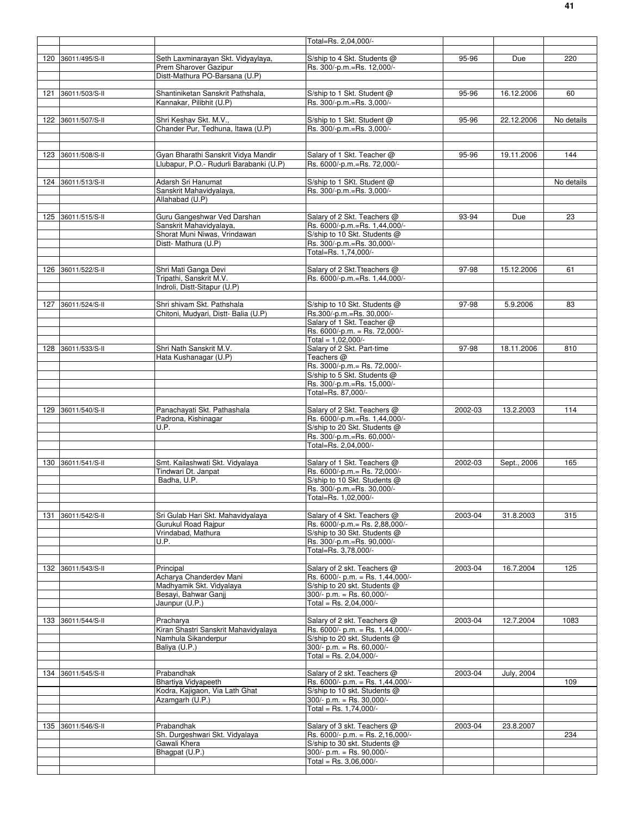|                    |                                                               | Total=Rs. 2,04,000/-                                            |         |             |            |
|--------------------|---------------------------------------------------------------|-----------------------------------------------------------------|---------|-------------|------------|
|                    |                                                               |                                                                 |         |             | 220        |
| 120 36011/495/S-II | Seth Laxminarayan Skt. Vidyaylaya,<br>Prem Sharover Gazipur   | S/ship to 4 Skt. Students @<br>Rs. 300/-p.m.=Rs. 12,000/-       | 95-96   | Due         |            |
|                    | Distt-Mathura PO-Barsana (U.P)                                |                                                                 |         |             |            |
|                    |                                                               |                                                                 |         |             |            |
| 121 36011/503/S-II | Shantiniketan Sanskrit Pathshala,<br>Kannakar, Pilibhit (U.P) | S/ship to 1 Skt. Student @<br>Rs. 300/-p.m.=Rs. 3,000/-         | 95-96   | 16.12.2006  | 60         |
|                    |                                                               |                                                                 |         |             |            |
| 122 36011/507/S-II | Shri Keshav Skt. M.V.,                                        | S/ship to 1 Skt. Student @                                      | 95-96   | 22.12.2006  | No details |
|                    | Chander Pur, Tedhuna, Itawa (U.P)                             | Rs. 300/-p.m.=Rs. 3,000/-                                       |         |             |            |
|                    |                                                               |                                                                 |         |             |            |
| 123 36011/508/S-II | Gyan Bharathi Sanskrit Vidya Mandir                           | Salary of 1 Skt. Teacher @                                      | 95-96   | 19.11.2006  | 144        |
|                    | Llubapur, P.O.- Rudurli Barabanki (U.P)                       | Rs. 6000/-p.m.=Rs. 72,000/-                                     |         |             |            |
| 124 36011/513/S-II | Adarsh Sri Hanumat                                            | S/ship to 1 SKt. Student @                                      |         |             | No details |
|                    | Sanskrit Mahavidyalaya,                                       | Rs. 300/-p.m.=Rs. 3,000/-                                       |         |             |            |
|                    | Allahabad (U.P)                                               |                                                                 |         |             |            |
| 125 36011/515/S-II | Guru Gangeshwar Ved Darshan                                   | Salary of 2 Skt. Teachers @                                     | 93-94   | Due         | 23         |
|                    | Sanskrit Mahavidyalaya,                                       | Rs. 6000/-p.m.=Rs. 1,44,000/-                                   |         |             |            |
|                    | Shorat Muni Niwas, Vrindawan<br>Distt- Mathura (U.P)          | S/ship to 10 Skt. Students @<br>Rs. 300/-p.m.=Rs. 30,000/-      |         |             |            |
|                    |                                                               | Total=Rs. 1,74,000/-                                            |         |             |            |
|                    |                                                               |                                                                 |         |             |            |
| 126 36011/522/S-II | Shri Mati Ganga Devi                                          | Salary of 2 Skt. Tteachers @<br>Rs. 6000/-p.m.=Rs. 1,44,000/-   | 97-98   | 15.12.2006  | 61         |
|                    | Tripathi, Sanskrit M.V.<br>Indroli, Distt-Sitapur (U.P)       |                                                                 |         |             |            |
|                    |                                                               |                                                                 |         |             |            |
| 127 36011/524/S-II | Shri shivam Skt. Pathshala                                    | S/ship to 10 Skt. Students @                                    | 97-98   | 5.9.2006    | 83         |
|                    | Chitoni, Mudyari, Distt- Balia (U.P)                          | Rs.300/-p.m.=Rs. 30,000/-<br>Salary of 1 Skt. Teacher @         |         |             |            |
|                    |                                                               | Rs. 6000/-p.m. = Rs. 72,000/-                                   |         |             |            |
|                    |                                                               | Total = $1,02,000/-$                                            |         |             |            |
| 128 36011/533/S-II | Shri Nath Sanskrit M.V.<br>Hata Kushanagar (U.P)              | Salary of 2 Skt. Part-time<br>Teachers @                        | 97-98   | 18.11.2006  | 810        |
|                    |                                                               | Rs. 3000/-p.m.= Rs. 72,000/-                                    |         |             |            |
|                    |                                                               | S/ship to 5 Skt. Students @                                     |         |             |            |
|                    |                                                               | Rs. 300/-p.m.=Rs. 15,000/-<br>Total=Rs. 87,000/-                |         |             |            |
|                    |                                                               |                                                                 |         |             |            |
| 129 36011/540/S-II | Panachayati Skt. Pathashala                                   | Salary of 2 Skt. Teachers @                                     | 2002-03 | 13.2.2003   | 114        |
|                    | Padrona, Kishinagar<br>U.P.                                   | Rs. 6000/-p.m.=Rs. 1,44,000/-<br>S/ship to 20 Skt. Students @   |         |             |            |
|                    |                                                               | Rs. 300/-p.m.=Rs. 60,000/-                                      |         |             |            |
|                    |                                                               | Total=Rs. 2.04.000/-                                            |         |             |            |
| 130 36011/541/S-II | Smt. Kailashwati Skt. Vidyalaya                               | Salary of 1 Skt. Teachers @                                     | 2002-03 | Sept., 2006 | 165        |
|                    | Tindwari Dt. Janpat                                           | Rs. 6000/-p.m.= Rs. 72,000/-                                    |         |             |            |
|                    | Badha, U.P.                                                   | S/ship to 10 Skt. Students @                                    |         |             |            |
|                    |                                                               | Rs. 300/-p.m.=Rs. 30,000/-<br>Total=Rs. 1,02,000/-              |         |             |            |
|                    |                                                               |                                                                 |         |             |            |
| 131 36011/542/S-II | Sri Gulab Hari Skt. Mahavidyalaya                             | Salary of 4 Skt. Teachers @                                     | 2003-04 | 31.8.2003   | 315        |
|                    | Gurukul Road Rajpur                                           | Rs. 6000/-p.m.= Rs. 2,88,000/-                                  |         |             |            |
|                    | Vrindabad, Mathura<br>U.P.                                    | S/ship to 30 Skt. Students @<br>Rs. 300/-p.m.=Rs. 90,000/-      |         |             |            |
|                    |                                                               | Total=Rs. 3,78,000/-                                            |         |             |            |
|                    |                                                               |                                                                 |         |             |            |
| 132 36011/543/S-II | Principal<br>Acharya Chanderdev Mani                          | Salary of 2 skt. Teachers @<br>Rs. 6000/- p.m. = Rs. 1,44,000/- | 2003-04 | 16.7.2004   | 125        |
|                    | Madhyamik Skt. Vidyalaya                                      | S/ship to 20 skt. Students @                                    |         |             |            |
|                    | Besayi, Bahwar Ganjj                                          | $300/- p.m. = Rs. 60,000/-$                                     |         |             |            |
|                    | Jaunpur (U.P.)                                                | Total = Rs. 2,04,000/-                                          |         |             |            |
| 133 36011/544/S-II | Pracharya                                                     | Salary of 2 skt. Teachers @                                     | 2003-04 | 12.7.2004   | 1083       |
|                    | Kiran Shastri Sanskrit Mahavidyalaya                          | Rs. 6000/- p.m. = Rs. 1,44,000/-                                |         |             |            |
|                    | Namhula Sikanderpur<br>Baliya (U.P.)                          | S/ship to 20 skt. Students @<br>$300/- p.m. = Rs. 60,000/-$     |         |             |            |
|                    |                                                               | Total = Rs. $2,04,000/-$                                        |         |             |            |
|                    |                                                               |                                                                 |         |             |            |
| 134 36011/545/S-II | Prabandhak<br>Bhartiya Vidyapeeth                             | Salary of 2 skt. Teachers @<br>Rs. 6000/- p.m. = Rs. 1,44,000/- | 2003-04 | July, 2004  | 109        |
|                    | Kodra, Kajigaon, Via Lath Ghat                                | S/ship to 10 skt. Students @                                    |         |             |            |
|                    | Azamgarh (U.P.)                                               | $300/- p.m. = Rs. 30,000/-$                                     |         |             |            |
|                    |                                                               | Total = Rs. $1,74,000/-$                                        |         |             |            |
| 135 36011/546/S-II | Prabandhak                                                    | Salary of 3 skt. Teachers @                                     | 2003-04 | 23.8.2007   |            |
|                    | Sh. Durgeshwari Skt. Vidyalaya                                | Rs. 6000/- p.m. = Rs. 2,16,000/-                                |         |             | 234        |
|                    | Gawali Khera<br>Bhagpat (U.P.)                                | S/ship to 30 skt. Students @<br>$300/- p.m. = Rs. 90,000/-$     |         |             |            |
|                    |                                                               | Total = Rs. $3,06,000/-$                                        |         |             |            |
|                    |                                                               |                                                                 |         |             |            |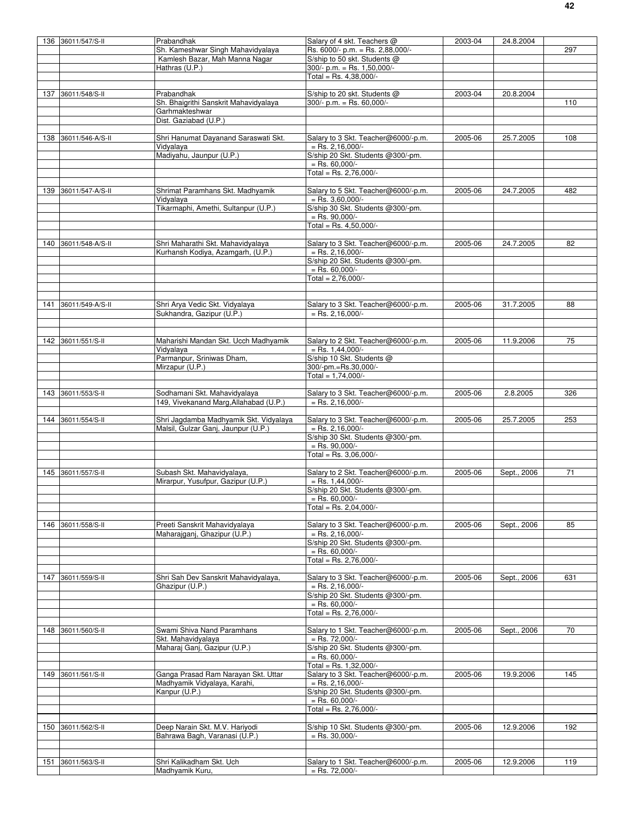|     | 136 36011/547/S-II   | Prabandhak                                                             | Salary of 4 skt. Teachers @                                   | 2003-04 | 24.8.2004   |     |
|-----|----------------------|------------------------------------------------------------------------|---------------------------------------------------------------|---------|-------------|-----|
|     |                      | Sh. Kameshwar Singh Mahavidyalaya                                      | Rs. 6000/- p.m. = Rs. 2,88,000/-                              |         |             | 297 |
|     |                      | Kamlesh Bazar, Mah Manna Nagar                                         | S/ship to 50 skt. Students @<br>$300/- p.m. = Rs. 1,50,000/-$ |         |             |     |
|     |                      | Hathras (U.P.)                                                         | Total = Rs. $4,38,000/-$                                      |         |             |     |
|     |                      |                                                                        |                                                               |         |             |     |
|     | 137 36011/548/S-II   | Prabandhak                                                             | S/ship to 20 skt. Students @                                  | 2003-04 | 20.8.2004   |     |
|     |                      | Sh. Bhaigrithi Sanskrit Mahavidyalaya<br>Garhmakteshwar                | $300/- p.m. = Rs. 60,000/-$                                   |         |             | 110 |
|     |                      | Dist. Gaziabad (U.P.)                                                  |                                                               |         |             |     |
|     |                      |                                                                        |                                                               |         |             |     |
|     | 138 36011/546-A/S-II | Shri Hanumat Dayanand Saraswati Skt.                                   | Salary to 3 Skt. Teacher@6000/-p.m.                           | 2005-06 | 25.7.2005   | 108 |
|     |                      | Vidyalaya<br>Madiyahu, Jaunpur (U.P.)                                  | $=$ Rs. 2,16,000/-<br>S/ship 20 Skt. Students @300/-pm.       |         |             |     |
|     |                      |                                                                        | $=$ Rs. 60.000/-                                              |         |             |     |
|     |                      |                                                                        | Total = Rs. 2,76,000/-                                        |         |             |     |
|     |                      |                                                                        |                                                               |         |             |     |
| 139 | 36011/547-A/S-II     | Shrimat Paramhans Skt. Madhyamik                                       | Salary to 5 Skt. Teacher@6000/-p.m.<br>$=$ Rs. 3,60,000/-     | 2005-06 | 24.7.2005   | 482 |
|     |                      | Vidyalaya<br>Tikarmaphi, Amethi, Sultanpur (U.P.)                      | S/ship 30 Skt. Students @300/-pm.                             |         |             |     |
|     |                      |                                                                        | $=$ Rs. 90,000/-                                              |         |             |     |
|     |                      |                                                                        | Total = Rs. $4,50,000/-$                                      |         |             |     |
|     |                      |                                                                        |                                                               |         |             | 82  |
|     | 140 36011/548-A/S-II | Shri Maharathi Skt. Mahavidyalaya<br>Kurhansh Kodiya, Azamgarh, (U.P.) | Salary to 3 Skt. Teacher@6000/-p.m.<br>$=$ Rs. 2,16,000/-     | 2005-06 | 24.7.2005   |     |
|     |                      |                                                                        | S/ship 20 Skt. Students @300/-pm.                             |         |             |     |
|     |                      |                                                                        | $=$ Rs. 60,000/-                                              |         |             |     |
|     |                      |                                                                        | Total = $2,76,000/-$                                          |         |             |     |
|     |                      |                                                                        |                                                               |         |             |     |
|     | 141 36011/549-A/S-II | Shri Arya Vedic Skt. Vidyalaya                                         | Salary to 3 Skt. Teacher@6000/-p.m.                           | 2005-06 | 31.7.2005   | 88  |
|     |                      | Sukhandra, Gazipur (U.P.)                                              | $=$ Rs. 2,16,000/-                                            |         |             |     |
|     |                      |                                                                        |                                                               |         |             |     |
|     |                      |                                                                        |                                                               |         |             |     |
|     | 142 36011/551/S-II   | Maharishi Mandan Skt. Ucch Madhyamik<br>Vidyalaya                      | Salary to 2 Skt. Teacher@6000/-p.m.<br>$=$ Rs. 1,44,000/-     | 2005-06 | 11.9.2006   | 75  |
|     |                      | Parmanpur, Sriniwas Dham,                                              | S/ship 10 Skt. Students @                                     |         |             |     |
|     |                      | Mirzapur (U.P.)                                                        | 300/-pm.=Rs.30,000/-                                          |         |             |     |
|     |                      |                                                                        | Total = $1,74,000/-$                                          |         |             |     |
|     |                      |                                                                        |                                                               |         |             |     |
|     | 143 36011/553/S-II   | Sodhamani Skt. Mahavidyalaya<br>149, Vivekanand Marg, Allahabad (U.P.) | Salary to 3 Skt. Teacher@6000/-p.m.<br>$=$ Rs. 2,16,000/-     | 2005-06 | 2.8.2005    | 326 |
|     |                      |                                                                        |                                                               |         |             |     |
| 144 | 36011/554/S-II       | Shri Jagdamba Madhyamik Skt. Vidyalaya                                 | Salary to 3 Skt. Teacher@6000/-p.m.                           | 2005-06 | 25.7.2005   | 253 |
|     |                      | Malsil, Gulzar Ganj, Jaunpur (U.P.)                                    | $=$ Rs. 2,16,000/-                                            |         |             |     |
|     |                      |                                                                        | S/ship 30 Skt. Students @300/-pm.<br>$=$ Rs. 90.000/-         |         |             |     |
|     |                      |                                                                        | Total = Rs. $3,06,000/-$                                      |         |             |     |
|     |                      |                                                                        |                                                               |         |             |     |
|     | 145 36011/557/S-II   | Subash Skt. Mahavidyalaya,                                             | Salary to 2 Skt. Teacher@6000/-p.m.                           | 2005-06 | Sept., 2006 | 71  |
|     |                      | Mirarpur, Yusufpur, Gazipur (U.P.)                                     | $=$ Rs. 1,44,000/-<br>S/ship 20 Skt. Students @300/-pm.       |         |             |     |
|     |                      |                                                                        | $=$ Rs. 60,000/-                                              |         |             |     |
|     |                      |                                                                        | Total = Rs. 2,04,000/-                                        |         |             |     |
|     |                      |                                                                        |                                                               |         |             |     |
|     | 146 36011/558/S-II   | Preeti Sanskrit Mahavidyalaya                                          | Salary to 3 Skt. Teacher@6000/-p.m.<br>$=$ Rs. 2,16,000/-     | 2005-06 | Sept., 2006 | 85  |
|     |                      | Maharajganj, Ghazipur (U.P.)                                           | S/ship 20 Skt. Students @300/-pm.                             |         |             |     |
|     |                      |                                                                        | $=$ Rs. 60,000/-                                              |         |             |     |
|     |                      |                                                                        | Total = Rs. 2,76,000/-                                        |         |             |     |
|     |                      |                                                                        |                                                               |         |             |     |
|     | 147 36011/559/S-II   | Shri Sah Dev Sanskrit Mahavidyalaya,                                   | Salary to 3 Skt. Teacher@6000/-p.m.<br>$=$ Rs. 2,16,000/-     | 2005-06 | Sept., 2006 | 631 |
|     |                      | Ghazipur (U.P.)                                                        | S/ship 20 Skt. Students @300/-pm.                             |         |             |     |
|     |                      |                                                                        | $=$ Rs. 60,000/-                                              |         |             |     |
|     |                      |                                                                        | Total = Rs. 2,76,000/-                                        |         |             |     |
|     |                      |                                                                        |                                                               |         |             |     |
| 148 | 36011/560/S-II       | Swami Shiva Nand Paramhans<br>Skt. Mahavidyalaya                       | Salary to 1 Skt. Teacher@6000/-p.m.<br>$=$ Rs. 72,000/-       | 2005-06 | Sept., 2006 | 70  |
|     |                      | Maharaj Ganj, Gazipur (U.P.)                                           | S/ship 20 Skt. Students @300/-pm.                             |         |             |     |
|     |                      |                                                                        | $=$ Rs. 60,000/-                                              |         |             |     |
|     |                      |                                                                        | Total = Rs. 1,32,000/-                                        |         |             |     |
|     | 149 36011/561/S-II   | Ganga Prasad Ram Narayan Skt. Uttar                                    | Salary to 3 Skt. Teacher@6000/-p.m.                           | 2005-06 | 19.9.2006   | 145 |
|     |                      | Madhyamik Vidyalaya, Karahi,<br>Kanpur (U.P.)                          | $=$ Rs. 2,16,000/-<br>S/ship 20 Skt. Students @300/-pm.       |         |             |     |
|     |                      |                                                                        | $=$ Rs. 60,000/-                                              |         |             |     |
|     |                      |                                                                        | Total = Rs. 2,76,000/-                                        |         |             |     |
|     |                      |                                                                        |                                                               |         |             |     |
|     | 150 36011/562/S-II   | Deep Narain Skt. M.V. Hariyodi<br>Bahrawa Bagh, Varanasi (U.P.)        | S/ship 10 Skt. Students @300/-pm.<br>$=$ Rs. 30,000/-         | 2005-06 | 12.9.2006   | 192 |
|     |                      |                                                                        |                                                               |         |             |     |
|     |                      |                                                                        |                                                               |         |             |     |
|     | 151 36011/563/S-II   | Shri Kalikadham Skt. Uch                                               | Salary to 1 Skt. Teacher@6000/-p.m.                           | 2005-06 | 12.9.2006   | 119 |
|     |                      | Madhyamik Kuru,                                                        | $=$ Rs. 72,000/-                                              |         |             |     |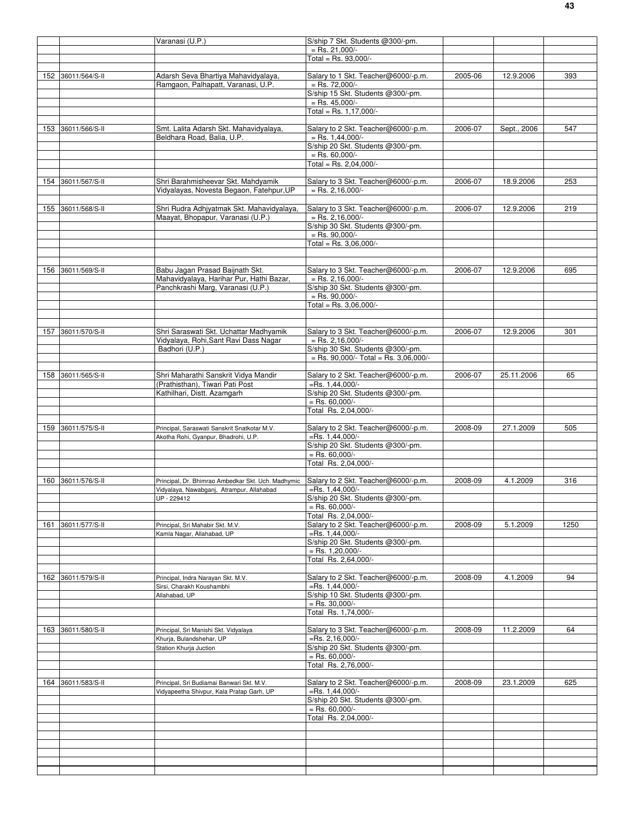|     |                    | Varanasi (U.P.)                                                                      | S/ship 7 Skt. Students @300/-pm.                          |         |             |      |
|-----|--------------------|--------------------------------------------------------------------------------------|-----------------------------------------------------------|---------|-------------|------|
|     |                    |                                                                                      | $=$ Rs. 21,000/-                                          |         |             |      |
|     |                    |                                                                                      | $Total = Rs. 93,000/-$                                    |         |             |      |
|     |                    |                                                                                      |                                                           |         |             |      |
|     | 152 36011/564/S-II | Adarsh Seva Bhartiya Mahavidyalaya,<br>Ramgaon, Palhapatt, Varanasi, U.P.            | Salary to 1 Skt. Teacher@6000/-p.m.<br>$=$ Rs. 72,000/-   | 2005-06 | 12.9.2006   | 393  |
|     |                    |                                                                                      | S/ship 15 Skt. Students @300/-pm.                         |         |             |      |
|     |                    |                                                                                      | $=$ Rs. 45,000/-                                          |         |             |      |
|     |                    |                                                                                      | Total = Rs. $1,17,000/-$                                  |         |             |      |
|     |                    |                                                                                      |                                                           |         |             |      |
|     | 153 36011/566/S-II | Smt. Lalita Adarsh Skt. Mahavidyalaya,<br>Beldhara Road, Balia, U.P.                 | Salary to 2 Skt. Teacher@6000/-p.m.<br>$=$ Rs. 1,44,000/- | 2006-07 | Sept., 2006 | 547  |
|     |                    |                                                                                      | S/ship 20 Skt. Students @300/-pm.                         |         |             |      |
|     |                    |                                                                                      | $=$ Rs. 60,000/-                                          |         |             |      |
|     |                    |                                                                                      | Total = Rs. 2,04,000/-                                    |         |             |      |
|     |                    |                                                                                      |                                                           |         |             |      |
|     | 154 36011/567/S-II | Shri Barahmisheevar Skt. Mahdyamik<br>Vidyalayas, Novesta Begaon, Fatehpur,UP        | Salary to 3 Skt. Teacher@6000/-p.m.<br>$=$ Rs. 2,16,000/- | 2006-07 | 18.9.2006   | 253  |
|     |                    |                                                                                      |                                                           |         |             |      |
|     | 155 36011/568/S-II | Shri Rudra Adhjyatmak Skt. Mahavidyalaya,                                            | Salary to 3 Skt. Teacher@6000/-p.m.                       | 2006-07 | 12.9.2006   | 219  |
|     |                    | Maayat, Bhopapur, Varanasi (U.P.)                                                    | $=$ Rs. 2,16,000/-                                        |         |             |      |
|     |                    |                                                                                      | S/ship 30 Skt. Students @300/-pm.                         |         |             |      |
|     |                    |                                                                                      | $=$ Rs. 90,000/-                                          |         |             |      |
|     |                    |                                                                                      | Total = Rs. $3,06,000/-$                                  |         |             |      |
|     |                    |                                                                                      |                                                           |         |             |      |
|     | 156 36011/569/S-II | Babu Jagan Prasad Baijnath Skt.                                                      | Salary to 3 Skt. Teacher@6000/-p.m.                       | 2006-07 | 12.9.2006   | 695  |
|     |                    | Mahavidyalaya, Harihar Pur, Hathi Bazar,                                             | $=$ Rs. 2,16,000/-                                        |         |             |      |
|     |                    | Panchkrashi Marg, Varanasi (U.P.)                                                    | S/ship 30 Skt. Students @300/-pm.                         |         |             |      |
|     |                    |                                                                                      | $=$ Rs. 90,000/-                                          |         |             |      |
|     |                    |                                                                                      | Total = Rs. $3,06,000/-$                                  |         |             |      |
|     |                    |                                                                                      |                                                           |         |             |      |
|     | 157 36011/570/S-II | Shri Saraswati Skt. Uchattar Madhyamik                                               | Salary to 3 Skt. Teacher@6000/-p.m.                       | 2006-07 | 12.9.2006   | 301  |
|     |                    | Vidyalaya, Rohi,Sant Ravi Dass Nagar                                                 | $=$ Rs. 2,16,000/-                                        |         |             |      |
|     |                    | Badhori (U.P.)                                                                       | S/ship 30 Skt. Students @300/-pm.                         |         |             |      |
|     |                    |                                                                                      | $=$ Rs. 90,000/- Total = Rs. 3,06,000/-                   |         |             |      |
| 158 | 36011/565/S-II     | Shri Maharathi Sanskrit Vidya Mandir                                                 | Salary to 2 Skt. Teacher@6000/-p.m.                       | 2006-07 | 25.11.2006  | 65   |
|     |                    | (Prathisthan), Tiwari Pati Post                                                      | $=$ Rs. 1,44,000/-                                        |         |             |      |
|     |                    | Kathilhari, Distt. Azamgarh                                                          | S/ship 20 Skt. Students @300/-pm.                         |         |             |      |
|     |                    |                                                                                      | $=$ Rs. 60,000/-                                          |         |             |      |
|     |                    |                                                                                      | Total Rs. 2,04,000/-                                      |         |             |      |
|     |                    |                                                                                      |                                                           |         |             |      |
|     | 159 36011/575/S-II | Principal, Saraswati Sanskrit Snatkotar M.V.<br>Akotha Rohi, Gyanpur, Bhadrohi, U.P. | Salary to 2 Skt. Teacher@6000/-p.m.<br>$=$ Rs. 1,44,000/- | 2008-09 | 27.1.2009   | 505  |
|     |                    |                                                                                      | S/ship 20 Skt. Students @300/-pm.                         |         |             |      |
|     |                    |                                                                                      | $=$ Rs. 60,000/-                                          |         |             |      |
|     |                    |                                                                                      | Total Rs. 2,04,000/-                                      |         |             |      |
|     |                    |                                                                                      |                                                           |         |             |      |
|     | 160 36011/576/S-II | Principal, Dr. Bhimrao Ambedkar Skt. Uch. Madhymic                                   | Salary to 2 Skt. Teacher@6000/-p.m.<br>$=$ Rs. 1,44,000/- | 2008-09 | 4.1.2009    | 316  |
|     |                    | Vidyalaya, Nawabganj, Atrampur, Allahabad<br>UP - 229412                             | S/ship 20 Skt. Students @300/-pm.                         |         |             |      |
|     |                    |                                                                                      | $=$ Rs. 60,000/-                                          |         |             |      |
|     |                    |                                                                                      | Total Rs. 2,04,000/-                                      |         |             |      |
| 161 | 36011/577/S-II     | Principal, Sri Mahabir Skt. M.V.                                                     | Salary to 2 Skt. Teacher@6000/-p.m.                       | 2008-09 | 5.1.2009    | 1250 |
|     |                    | Kamla Nagar, Allahabad, UP                                                           | $=$ Rs. 1,44,000/-                                        |         |             |      |
|     |                    |                                                                                      | S/ship 20 Skt. Students @300/-pm.<br>$=$ Rs. 1,20,000/-   |         |             |      |
|     |                    |                                                                                      | Total Rs. 2.64.000/-                                      |         |             |      |
|     |                    |                                                                                      |                                                           |         |             |      |
|     | 162 36011/579/S-II | Principal, Indra Narayan Skt. M.V.                                                   | Salary to 2 Skt. Teacher@6000/-p.m.                       | 2008-09 | 4.1.2009    | 94   |
|     |                    | Sirsi, Charakh Koushambhi                                                            | $=$ Rs. 1,44,000/-                                        |         |             |      |
|     |                    | Allahabad, UP                                                                        | S/ship 10 Skt. Students @300/-pm.<br>$=$ Rs. 30,000/-     |         |             |      |
|     |                    |                                                                                      | Total Rs. 1,74,000/-                                      |         |             |      |
|     |                    |                                                                                      |                                                           |         |             |      |
|     | 163 36011/580/S-II | Principal, Sri Manishi Skt. Vidyalaya                                                | Salary to 3 Skt. Teacher@6000/-p.m.                       | 2008-09 | 11.2.2009   | 64   |
|     |                    | Khurja, Bulandshehar, UP                                                             | $=$ Rs. 2,16,000/-                                        |         |             |      |
|     |                    | Station Khurja Juction                                                               | S/ship 20 Skt. Students @300/-pm.<br>$=$ Rs. 60,000/-     |         |             |      |
|     |                    |                                                                                      | Total Rs. 2,76,000/-                                      |         |             |      |
|     |                    |                                                                                      |                                                           |         |             |      |
|     | 164 36011/583/S-II | Principal, Sri Budiamai Banwari Skt. M.V.                                            | Salary to 2 Skt. Teacher@6000/-p.m.                       | 2008-09 | 23.1.2009   | 625  |
|     |                    | Vidyapeetha Shivpur, Kala Pratap Garh, UP                                            | $=$ Rs. 1,44,000/-                                        |         |             |      |
|     |                    |                                                                                      | S/ship 20 Skt. Students @300/-pm.                         |         |             |      |
|     |                    |                                                                                      | $=$ Rs. 60,000/-<br>Total Rs. 2,04,000/-                  |         |             |      |
|     |                    |                                                                                      |                                                           |         |             |      |
|     |                    |                                                                                      |                                                           |         |             |      |
|     |                    |                                                                                      |                                                           |         |             |      |
|     |                    |                                                                                      |                                                           |         |             |      |
|     |                    |                                                                                      |                                                           |         |             |      |
|     |                    |                                                                                      |                                                           |         |             |      |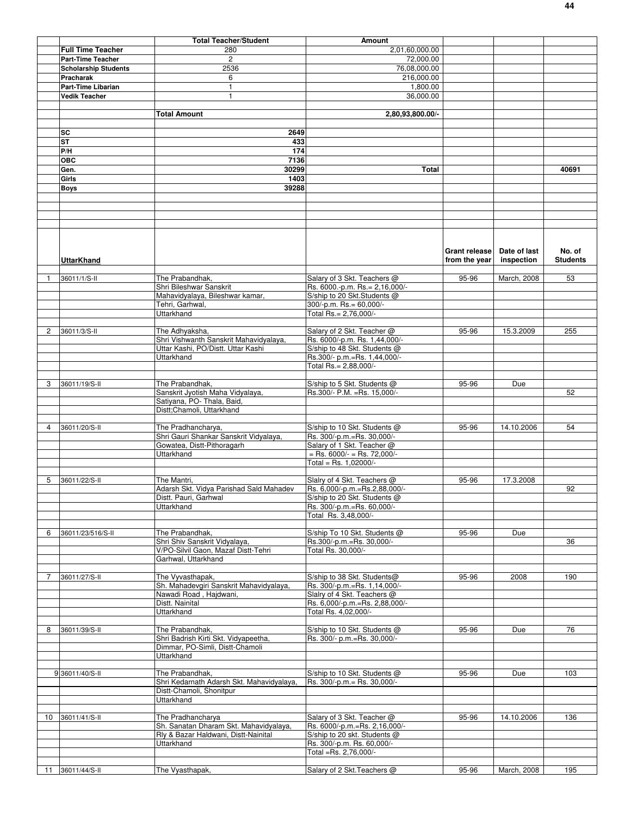|                |                             | <b>Total Teacher/Student</b>                                | Amount                                                            |               |              |                 |
|----------------|-----------------------------|-------------------------------------------------------------|-------------------------------------------------------------------|---------------|--------------|-----------------|
|                | <b>Full Time Teacher</b>    | 280                                                         | 2,01,60,000.00                                                    |               |              |                 |
|                | <b>Part-Time Teacher</b>    | $\overline{c}$                                              | 72,000.00                                                         |               |              |                 |
|                | <b>Scholarship Students</b> | 2536                                                        | 76,08,000.00                                                      |               |              |                 |
|                |                             |                                                             | 216,000.00                                                        |               |              |                 |
|                | Pracharak                   | 6                                                           |                                                                   |               |              |                 |
|                | <b>Part-Time Libarian</b>   | $\mathbf{1}$                                                | 1,800.00                                                          |               |              |                 |
|                | <b>Vedik Teacher</b>        | 1                                                           | 36,000.00                                                         |               |              |                 |
|                |                             |                                                             |                                                                   |               |              |                 |
|                |                             | <b>Total Amount</b>                                         | 2,80,93,800.00/-                                                  |               |              |                 |
|                |                             |                                                             |                                                                   |               |              |                 |
|                | SC                          | 2649                                                        |                                                                   |               |              |                 |
|                | <b>ST</b>                   | 433                                                         |                                                                   |               |              |                 |
|                | P/H                         | $\frac{174}{2}$                                             |                                                                   |               |              |                 |
|                | <b>OBC</b>                  | 7136                                                        |                                                                   |               |              |                 |
|                | Gen.                        | 30299                                                       | Total                                                             |               |              | 40691           |
|                | Girls                       | 1403                                                        |                                                                   |               |              |                 |
|                |                             | 39288                                                       |                                                                   |               |              |                 |
|                | <b>Boys</b>                 |                                                             |                                                                   |               |              |                 |
|                |                             |                                                             |                                                                   |               |              |                 |
|                |                             |                                                             |                                                                   |               |              |                 |
|                |                             |                                                             |                                                                   |               |              |                 |
|                |                             |                                                             |                                                                   |               |              |                 |
|                |                             |                                                             |                                                                   |               |              |                 |
|                |                             |                                                             |                                                                   |               |              |                 |
|                |                             |                                                             |                                                                   | Grant release | Date of last | No. of          |
|                | <b>UttarKhand</b>           |                                                             |                                                                   | from the year | inspection   | <b>Students</b> |
|                |                             |                                                             |                                                                   |               |              |                 |
| 1              | 36011/1/S-II                | The Prabandhak,                                             | Salary of 3 Skt. Teachers @                                       | 95-96         | March, 2008  | 53              |
|                |                             | Shri Bileshwar Sanskrit                                     | Rs. 6000.-p.m. Rs.= 2,16,000/-                                    |               |              |                 |
|                |                             | Mahavidyalaya, Bileshwar kamar,                             | S/ship to 20 Skt.Students @                                       |               |              |                 |
|                |                             | Tehri, Garhwal.                                             | 300/-p.m. Rs.= 60,000/-                                           |               |              |                 |
|                |                             | Uttarkhand                                                  | Total Rs.= 2,76,000/-                                             |               |              |                 |
|                |                             |                                                             |                                                                   |               |              |                 |
| $\overline{c}$ | 36011/3/S-II                | The Adhyaksha,                                              | Salary of 2 Skt. Teacher @                                        | 95-96         | 15.3.2009    | 255             |
|                |                             | Shri Vishwanth Sanskrit Mahavidyalaya,                      | Rs. 6000/-p.m. Rs. 1,44,000/-                                     |               |              |                 |
|                |                             | Uttar Kashi, PO/Distt. Uttar Kashi                          | S/ship to 48 Skt. Students @                                      |               |              |                 |
|                |                             | Uttarkhand                                                  | Rs.300/- p.m.=Rs. 1,44,000/-                                      |               |              |                 |
|                |                             |                                                             | Total Rs.= 2,88,000/-                                             |               |              |                 |
|                |                             |                                                             |                                                                   |               |              |                 |
| 3              | 36011/19/S-II               | The Prabandhak,                                             | S/ship to 5 Skt. Students @                                       | 95-96         | Due          |                 |
|                |                             | Sanskrit Jyotish Maha Vidyalaya,                            | Rs.300/- P.M. = Rs. 15,000/-                                      |               |              | 52              |
|                |                             | Satiyana, PO- Thala, Baid,                                  |                                                                   |               |              |                 |
|                |                             | Distt;Chamoli, Uttarkhand                                   |                                                                   |               |              |                 |
|                |                             |                                                             |                                                                   |               |              |                 |
| $\overline{4}$ | 36011/20/S-II               | The Pradhancharya,                                          | S/ship to 10 Skt. Students @                                      | 95-96         | 14.10.2006   | 54              |
|                |                             | Shri Gauri Shankar Sanskrit Vidyalaya,                      | Rs. 300/-p.m.=Rs. 30,000/-                                        |               |              |                 |
|                |                             | Gowatea, Distt-Pithoragarh                                  | Salary of 1 Skt. Teacher @                                        |               |              |                 |
|                |                             | Uttarkhand                                                  | $=$ Rs. 6000/- $=$ Rs. 72,000/-                                   |               |              |                 |
|                |                             |                                                             | Total = Rs. 1,02000/-                                             |               |              |                 |
|                |                             |                                                             |                                                                   |               |              |                 |
| 5              | 36011/22/S-II               | The Mantri,                                                 | Slalry of 4 Skt. Teachers @                                       | 95-96         | 17.3.2008    |                 |
|                |                             | Adarsh Skt. Vidya Parishad Sald Mahadev                     | Rs. 6,000/-p.m.=Rs.2,88,000/-                                     |               |              | 92              |
|                |                             |                                                             |                                                                   |               |              |                 |
|                |                             | Distt. Pauri, Garhwal<br>Uttarkhand                         | S/ship to 20 Skt. Students $\omega$<br>Rs. 300/-p.m.=Rs. 60,000/- |               |              |                 |
|                |                             |                                                             | Total Rs. 3,48,000/-                                              |               |              |                 |
|                |                             |                                                             |                                                                   |               |              |                 |
| 6              | 36011/23/516/S-II           | The Prabandhak.                                             | S/ship To 10 Skt. Students @                                      | 95-96         | Due          |                 |
|                |                             | Shri Shiv Sanskrit Vidyalaya,                               | Rs.300/-p.m.=Rs. 30,000/-                                         |               |              | 36              |
|                |                             | V/PO-Silvil Gaon, Mazaf Distt-Tehri                         | Total Rs. 30,000/-                                                |               |              |                 |
|                |                             | Garhwal, Uttarkhand                                         |                                                                   |               |              |                 |
|                |                             |                                                             |                                                                   |               |              |                 |
|                |                             |                                                             |                                                                   |               |              |                 |
| 7              | 36011/27/S-II               | The Vyvasthapak,<br>Sh. Mahadevgiri Sanskrit Mahavidyalaya, | S/ship to 38 Skt. Students@<br>Rs. 300/-p.m.=Rs. 1,14,000/-       | 95-96         | 2008         | 190             |
|                |                             |                                                             |                                                                   |               |              |                 |
|                |                             | Nawadi Road, Hajdwani,<br>Distt. Nainital                   | Slalry of 4 Skt. Teachers @<br>Rs. 6,000/-p.m.=Rs. 2,88,000/-     |               |              |                 |
|                |                             |                                                             |                                                                   |               |              |                 |
|                |                             | Uttarkhand                                                  | Total Rs. 4,02,000/-                                              |               |              |                 |
| 8              | 36011/39/S-II               | The Prabandhak,                                             | S/ship to 10 Skt. Students @                                      | 95-96         | Due          | 76              |
|                |                             | Shri Badrish Kirti Skt. Vidyapeetha,                        | Rs. 300/- p.m.=Rs. 30,000/-                                       |               |              |                 |
|                |                             | Dimmar, PO-Simli, Distt-Chamoli                             |                                                                   |               |              |                 |
|                |                             | <b>Uttarkhand</b>                                           |                                                                   |               |              |                 |
|                |                             |                                                             |                                                                   |               |              |                 |
|                | 9 36011/40/S-II             | The Prabandhak,                                             | S/ship to 10 Skt. Students @                                      | 95-96         | Due          | 103             |
|                |                             | Shri Kedarnath Adarsh Skt. Mahavidyalaya,                   | Rs. 300/-p.m.= Rs. 30,000/-                                       |               |              |                 |
|                |                             | Distt-Chamoli, Shonitpur                                    |                                                                   |               |              |                 |
|                |                             | Uttarkhand                                                  |                                                                   |               |              |                 |
|                |                             |                                                             |                                                                   |               |              |                 |
| 10             | 36011/41/S-II               | The Pradhancharya                                           | Salary of 3 Skt. Teacher @                                        | 95-96         | 14.10.2006   | 136             |
|                |                             | Sh. Sanatan Dharam Skt. Mahavidyalaya,                      | Rs. 6000/-p.m.=Rs. 2,16,000/-                                     |               |              |                 |
|                |                             | Rly & Bazar Haldwani, Distt-Nainital                        | S/ship to 20 skt. Students @                                      |               |              |                 |
|                |                             | <b>Uttarkhand</b>                                           | Rs. 300/-p.m. Rs. 60,000/-                                        |               |              |                 |
|                |                             |                                                             | Total =Rs. 2,76,000/-                                             |               |              |                 |
|                |                             |                                                             |                                                                   |               |              |                 |
|                | 11 36011/44/S-II            | The Vyasthapak,                                             | Salary of 2 Skt. Teachers @                                       | 95-96         | March, 2008  | 195             |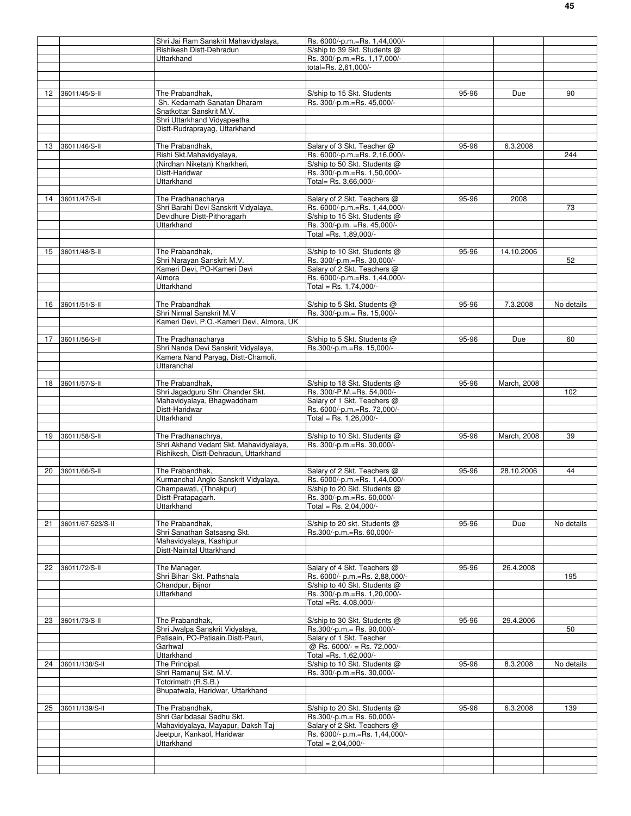|    |                   | Shri Jai Ram Sanskrit Mahavidyalaya,                       | Rs. 6000/-p.m.=Rs. 1,44,000/-  |       |             |            |
|----|-------------------|------------------------------------------------------------|--------------------------------|-------|-------------|------------|
|    |                   | Rishikesh Distt-Dehradun                                   | S/ship to 39 Skt. Students @   |       |             |            |
|    |                   | Uttarkhand                                                 | Rs. 300/-p.m.=Rs. 1,17,000/-   |       |             |            |
|    |                   |                                                            | total=Rs. 2,61,000/-           |       |             |            |
|    |                   |                                                            |                                |       |             |            |
|    |                   |                                                            |                                |       |             |            |
| 12 | 36011/45/S-II     | The Prabandhak,                                            | S/ship to 15 Skt. Students     | 95-96 | Due         | 90         |
|    |                   | Sh. Kedarnath Sanatan Dharam                               | Rs. 300/-p.m.=Rs. 45,000/-     |       |             |            |
|    |                   | Snatkottar Sanskrit M.V.                                   |                                |       |             |            |
|    |                   | Shri Uttarkhand Vidyapeetha                                |                                |       |             |            |
|    |                   | Distt-Rudraprayag, Uttarkhand                              |                                |       |             |            |
|    |                   |                                                            |                                |       |             |            |
|    | 13 36011/46/S-II  | The Prabandhak,                                            | Salary of 3 Skt. Teacher @     | 95-96 | 6.3.2008    |            |
|    |                   | Rishi Skt.Mahavidyalaya,                                   | Rs. 6000/-p.m.=Rs. 2,16,000/-  |       |             | 244        |
|    |                   | (Nirdhan Niketan) Kharkheri,                               | S/ship to 50 Skt. Students @   |       |             |            |
|    |                   | Distt-Haridwar                                             | Rs. 300/-p.m.=Rs. 1,50,000/-   |       |             |            |
|    |                   | <b>Uttarkhand</b>                                          | Total= Rs. 3,66,000/-          |       |             |            |
|    |                   |                                                            |                                |       |             |            |
|    |                   |                                                            |                                |       |             |            |
| 14 | 36011/47/S-II     | The Pradhanacharya<br>Shri Barahi Devi Sanskrit Vidyalaya, | Salary of 2 Skt. Teachers @    | 95-96 | 2008        | 73         |
|    |                   |                                                            | Rs. 6000/-p.m.=Rs. 1,44,000/-  |       |             |            |
|    |                   | Devidhure Distt-Pithoragarh                                | S/ship to 15 Skt. Students @   |       |             |            |
|    |                   | Uttarkhand                                                 | Rs. 300/-p.m. = Rs. 45,000/-   |       |             |            |
|    |                   |                                                            | Total =Rs. 1,89,000/-          |       |             |            |
|    |                   |                                                            |                                |       |             |            |
|    | 15 36011/48/S-II  | The Prabandhak,                                            | S/ship to 10 Skt. Students @   | 95-96 | 14.10.2006  |            |
|    |                   | Shri Narayan Sanskrit M.V.                                 | Rs. 300/-p.m.=Rs. 30,000/-     |       |             | 52         |
|    |                   | Kameri Devi, PO-Kameri Devi                                | Salary of 2 Skt. Teachers @    |       |             |            |
|    |                   | Almora                                                     | Rs. 6000/-p.m.=Rs. 1,44,000/-  |       |             |            |
|    |                   | Uttarkhand                                                 | Total = Rs. $1.74.000/-$       |       |             |            |
|    |                   |                                                            |                                |       |             |            |
| 16 | 36011/51/S-II     | The Prabandhak                                             | S/ship to 5 Skt. Students @    | 95-96 | 7.3.2008    | No details |
|    |                   | Shri Nirmal Sanskrit M.V                                   | Rs. 300/-p.m.= Rs. 15,000/-    |       |             |            |
|    |                   | Kameri Devi, P.O.-Kameri Devi, Almora, UK                  |                                |       |             |            |
|    |                   |                                                            |                                |       |             |            |
| 17 | 36011/56/S-II     | The Pradhanacharya                                         | S/ship to 5 Skt. Students @    | 95-96 | Due         | 60         |
|    |                   |                                                            | Rs.300/-p.m.=Rs. 15,000/-      |       |             |            |
|    |                   | Shri Nanda Devi Sanskrit Vidyalaya,                        |                                |       |             |            |
|    |                   | Kamera Nand Paryag, Distt-Chamoli,                         |                                |       |             |            |
|    |                   | Uttaranchal                                                |                                |       |             |            |
|    |                   |                                                            |                                |       |             |            |
| 18 | 36011/57/S-II     | The Prabandhak,                                            | S/ship to 18 Skt. Students @   | 95-96 | March, 2008 |            |
|    |                   | Shri Jagadguru Shri Chander Skt.                           | Rs. 300/-P.M.=Rs. 54,000/-     |       |             | 102        |
|    |                   | Mahavidyalaya, Bhagwaddham                                 | Salary of 1 Skt. Teachers @    |       |             |            |
|    |                   | Distt-Haridwar                                             | Rs. 6000/-p.m.=Rs. 72,000/-    |       |             |            |
|    |                   | Uttarkhand                                                 | Total = Rs. $1,26,000/-$       |       |             |            |
|    |                   |                                                            |                                |       |             |            |
| 19 | 36011/58/S-II     | The Pradhanachrya,                                         | S/ship to 10 Skt. Students @   | 95-96 | March, 2008 | 39         |
|    |                   | Shri Akhand Vedant Skt. Mahavidyalaya,                     | Rs. 300/-p.m.=Rs. 30,000/-     |       |             |            |
|    |                   |                                                            |                                |       |             |            |
|    |                   |                                                            |                                |       |             |            |
|    |                   | Rishikesh, Distt-Dehradun, Uttarkhand                      |                                |       |             |            |
|    |                   |                                                            |                                |       |             |            |
| 20 | 36011/66/S-II     | The Prabandhak.                                            | Salary of 2 Skt. Teachers @    | 95-96 | 28.10.2006  | 44         |
|    |                   | Kurmanchal Anglo Sanskrit Vidyalaya,                       | Rs. 6000/-p.m.=Rs. 1,44,000/-  |       |             |            |
|    |                   | Champawati. (Thnakpur)                                     | S/ship to 20 Skt. Students @   |       |             |            |
|    |                   | Distt-Pratapagarh.                                         | Rs. 300/-p.m.=Rs. 60,000/-     |       |             |            |
|    |                   | <b>Uttarkhand</b>                                          | Total = Rs. $2,04,000/-$       |       |             |            |
|    |                   |                                                            |                                |       |             |            |
| 21 | 36011/67-523/S-II | The Prabandhak,                                            | S/ship to 20 skt. Students @   | 95-96 | Due         | No details |
|    |                   | Shri Sanathan Satsasng Skt.                                | Rs.300/-p.m.=Rs. 60,000/-      |       |             |            |
|    |                   | Mahavidyalaya, Kashipur                                    |                                |       |             |            |
|    |                   | Distt-Nainital Uttarkhand                                  |                                |       |             |            |
|    |                   |                                                            |                                |       |             |            |
| 22 | 36011/72/S-II     | The Manager,                                               | Salary of 4 Skt. Teachers @    | 95-96 | 26.4.2008   |            |
|    |                   | Shri Bihari Skt. Pathshala                                 | Rs. 6000/- p.m.=Rs. 2,88,000/- |       |             | 195        |
|    |                   | Chandpur, Bijnor                                           | S/ship to 40 Skt. Students @   |       |             |            |
|    |                   | <b>Uttarkhand</b>                                          | Rs. 300/-p.m.=Rs. 1,20,000/-   |       |             |            |
|    |                   |                                                            | Total =Rs. 4,08,000/-          |       |             |            |
|    |                   |                                                            |                                |       |             |            |
| 23 | 36011/73/S-II     | The Prabandhak.                                            | S/ship to 30 Skt. Students @   | 95-96 | 29.4.2006   |            |
|    |                   | Shri Jwalpa Sanskrit Vidyalaya,                            | Rs.300/-p.m.= Rs. 90,000/-     |       |             | 50         |
|    |                   | Patisain, PO-Patisain.Distt-Pauri,                         | Salary of 1 Skt. Teacher       |       |             |            |
|    |                   | Garhwal                                                    | @ Rs. 6000/- = Rs. 72,000/-    |       |             |            |
|    |                   | Uttarkhand                                                 |                                |       |             |            |
|    |                   |                                                            | Total =Rs. 1,62,000/-          |       |             |            |
|    | 24 36011/138/S-II | The Principal,                                             | S/ship to 10 Skt. Students @   | 95-96 | 8.3.2008    | No details |
|    |                   | Shri Ramanuj Skt. M.V.                                     | Rs. 300/-p.m.=Rs. 30,000/-     |       |             |            |
|    |                   | Totdrimath (R.S.B.)                                        |                                |       |             |            |
|    |                   | Bhupatwala, Haridwar, Uttarkhand                           |                                |       |             |            |
|    |                   |                                                            |                                |       |             |            |
|    | 25 36011/139/S-II | The Prabandhak,                                            | S/ship to 20 Skt. Students @   | 95-96 | 6.3.2008    | 139        |
|    |                   | Shri Garibdasai Sadhu Skt.                                 | Rs.300/-p.m.= Rs. 60,000/-     |       |             |            |
|    |                   | Mahavidyalaya, Mayapur, Daksh Taj                          | Salary of 2 Skt. Teachers @    |       |             |            |
|    |                   | Jeetpur, Kankaol, Haridwar                                 | Rs. 6000/- p.m.=Rs. 1,44,000/- |       |             |            |
|    |                   | Uttarkhand                                                 | Total = $2,04,000/-$           |       |             |            |
|    |                   |                                                            |                                |       |             |            |
|    |                   |                                                            |                                |       |             |            |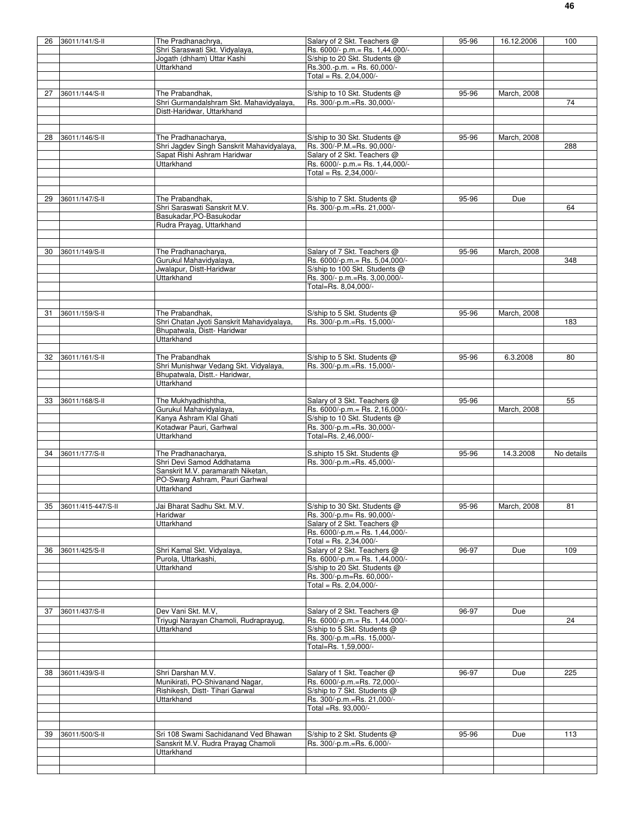| 26 | 36011/141/S-II     | The Pradhanachrya,                        | Salary of 2 Skt. Teachers @      | 95-96 | 16.12.2006  | 100        |
|----|--------------------|-------------------------------------------|----------------------------------|-------|-------------|------------|
|    |                    |                                           |                                  |       |             |            |
|    |                    | Shri Saraswati Skt. Vidyalaya,            | Rs. 6000/- p.m.= Rs. 1,44,000/-  |       |             |            |
|    |                    | Jogath (dhham) Uttar Kashi                | S/ship to 20 Skt. Students @     |       |             |            |
|    |                    | Uttarkhand                                | Rs.300 - p.m. = Rs. 60,000/-     |       |             |            |
|    |                    |                                           |                                  |       |             |            |
|    |                    |                                           | Total = Rs. $2,04,000/-$         |       |             |            |
|    |                    |                                           |                                  |       |             |            |
| 27 | 36011/144/S-II     | The Prabandhak,                           | S/ship to 10 Skt. Students @     | 95-96 | March, 2008 |            |
|    |                    | Shri Gurmandalshram Skt. Mahavidyalaya,   |                                  |       |             |            |
|    |                    |                                           | Rs. 300/-p.m.=Rs. 30,000/-       |       |             | 74         |
|    |                    | Distt-Haridwar, Uttarkhand                |                                  |       |             |            |
|    |                    |                                           |                                  |       |             |            |
|    |                    |                                           |                                  |       |             |            |
|    |                    |                                           |                                  |       |             |            |
| 28 | 36011/146/S-II     | The Pradhanacharya,                       | S/ship to 30 Skt. Students @     | 95-96 | March, 2008 |            |
|    |                    | Shri Jagdev Singh Sanskrit Mahavidyalaya, | Rs. 300/-P.M.=Rs. 90,000/-       |       |             | 288        |
|    |                    | Sapat Rishi Ashram Haridwar               | Salary of 2 Skt. Teachers @      |       |             |            |
|    |                    |                                           |                                  |       |             |            |
|    |                    | <b>Uttarkhand</b>                         | Rs. 6000/- p.m. = Rs. 1,44,000/- |       |             |            |
|    |                    |                                           | Total = Rs. $2,34,000/-$         |       |             |            |
|    |                    |                                           |                                  |       |             |            |
|    |                    |                                           |                                  |       |             |            |
|    |                    |                                           |                                  |       |             |            |
| 29 | 36011/147/S-II     | The Prabandhak,                           | S/ship to 7 Skt. Students @      | 95-96 | Due         |            |
|    |                    | Shri Saraswati Sanskrit M.V.              | Rs. 300/-p.m.=Rs. 21,000/-       |       |             | 64         |
|    |                    |                                           |                                  |       |             |            |
|    |                    | Basukadar, PO-Basukodar                   |                                  |       |             |            |
|    |                    | Rudra Prayag, Uttarkhand                  |                                  |       |             |            |
|    |                    |                                           |                                  |       |             |            |
|    |                    |                                           |                                  |       |             |            |
|    |                    |                                           |                                  |       |             |            |
| 30 | 36011/149/S-II     | The Pradhanacharya,                       | Salary of 7 Skt. Teachers @      | 95-96 | March, 2008 |            |
|    |                    | Gurukul Mahavidvalava.                    | Rs. 6000/-p.m.= Rs. 5,04,000/-   |       |             |            |
|    |                    |                                           |                                  |       |             | 348        |
|    |                    | Jwalapur, Distt-Haridwar                  | S/ship to 100 Skt. Students @    |       |             |            |
|    |                    | Uttarkhand                                | Rs. 300/- p.m.=Rs. 3,00,000/-    |       |             |            |
|    |                    |                                           |                                  |       |             |            |
|    |                    |                                           | Total=Rs. 8,04,000/-             |       |             |            |
|    |                    |                                           |                                  |       |             |            |
|    |                    |                                           |                                  |       |             |            |
|    |                    |                                           |                                  |       |             |            |
| 31 | 36011/159/S-II     | The Prabandhak,                           | S/ship to 5 Skt. Students @      | 95-96 | March, 2008 |            |
|    |                    | Shri Chatan Jyoti Sanskrit Mahavidyalaya, | Rs. 300/-p.m.=Rs. 15,000/-       |       |             | 183        |
|    |                    | Bhupatwala, Distt- Haridwar               |                                  |       |             |            |
|    |                    |                                           |                                  |       |             |            |
|    |                    | Uttarkhand                                |                                  |       |             |            |
|    |                    |                                           |                                  |       |             |            |
| 32 | 36011/161/S-II     | The Prabandhak                            | S/ship to 5 Skt. Students @      | 95-96 | 6.3.2008    | 80         |
|    |                    |                                           |                                  |       |             |            |
|    |                    | Shri Munishwar Vedang Skt. Vidyalaya,     | Rs. 300/-p.m.=Rs. 15,000/-       |       |             |            |
|    |                    | Bhupatwala, Distt.- Haridwar,             |                                  |       |             |            |
|    |                    |                                           |                                  |       |             |            |
|    |                    | <b>Uttarkhand</b>                         |                                  |       |             |            |
|    |                    |                                           |                                  |       |             |            |
| 33 | 36011/168/S-II     | The Mukhyadhishtha,                       | Salary of 3 Skt. Teachers @      | 95-96 |             | 55         |
|    |                    | Gurukul Mahavidyalaya,                    | Rs. 6000/-p.m.= Rs. 2,16,000/-   |       |             |            |
|    |                    |                                           |                                  |       | March, 2008 |            |
|    |                    |                                           |                                  |       |             |            |
|    |                    | Kanya Ashram Klal Ghati                   | S/ship to 10 Skt. Students @     |       |             |            |
|    |                    |                                           |                                  |       |             |            |
|    |                    | Kotadwar Pauri, Garhwal                   | Rs. 300/-p.m.=Rs. 30,000/-       |       |             |            |
|    |                    | Uttarkhand                                | Total=Rs. 2,46,000/-             |       |             |            |
|    |                    |                                           |                                  |       |             |            |
|    |                    |                                           |                                  |       |             |            |
| 34 | 36011/177/S-II     | The Pradhanacharya,                       | S.shipto 15 Skt. Students @      | 95-96 | 14.3.2008   | No details |
|    |                    | Shri Devi Samod Addhatama                 | Rs. 300/-p.m.=Rs. 45,000/-       |       |             |            |
|    |                    | Sanskrit M.V. paramarath Niketan,         |                                  |       |             |            |
|    |                    |                                           |                                  |       |             |            |
|    |                    | PO-Swarg Ashram, Pauri Garhwal            |                                  |       |             |            |
|    |                    | <b>Uttarkhand</b>                         |                                  |       |             |            |
|    |                    |                                           |                                  |       |             |            |
|    |                    |                                           |                                  |       |             |            |
| 35 | 36011/415-447/S-II | Jai Bharat Sadhu Skt. M.V.                | S/ship to 30 Skt. Students @     | 95-96 | March, 2008 | 81         |
|    |                    | Haridwar                                  | Rs. 300/-p.m= Rs. 90.000/-       |       |             |            |
|    |                    | Uttarkhand                                | Salary of 2 Skt. Teachers @      |       |             |            |
|    |                    |                                           |                                  |       |             |            |
|    |                    |                                           | Rs. 6000/-p.m.= Rs. 1,44,000/-   |       |             |            |
|    |                    |                                           | Total = Rs. 2,34,000/-           |       |             |            |
| 36 |                    | Shri Kamal Skt. Vidyalaya,                |                                  |       |             | 109        |
|    | 36011/425/S-II     |                                           | Salary of 2 Skt. Teachers @      | 96-97 | Due         |            |
|    |                    | Purola, Uttarkashi,                       | Rs. 6000/-p.m.= Rs. 1,44,000/-   |       |             |            |
|    |                    | Uttarkhand                                | S/ship to 20 Skt. Students @     |       |             |            |
|    |                    |                                           | Rs. 300/-p.m=Rs. 60,000/-        |       |             |            |
|    |                    |                                           |                                  |       |             |            |
|    |                    |                                           | Total = Rs. $2,04,000/-$         |       |             |            |
|    |                    |                                           |                                  |       |             |            |
|    |                    |                                           |                                  |       |             |            |
|    |                    |                                           |                                  |       |             |            |
| 37 | 36011/437/S-II     | Dev Vani Skt. M.V.                        | Salary of 2 Skt. Teachers @      | 96-97 | Due         |            |
|    |                    | Triyugi Narayan Chamoli, Rudraprayug,     | Rs. 6000/-p.m.= Rs. 1,44,000/-   |       |             | 24         |
|    |                    | Uttarkhand                                | S/ship to 5 Skt. Students @      |       |             |            |
|    |                    |                                           |                                  |       |             |            |
|    |                    |                                           | Rs. 300/-p.m.=Rs. 15,000/-       |       |             |            |
|    |                    |                                           | Total=Rs. 1,59,000/-             |       |             |            |
|    |                    |                                           |                                  |       |             |            |
|    |                    |                                           |                                  |       |             |            |
|    |                    |                                           |                                  |       |             |            |
| 38 | 36011/439/S-II     | Shri Darshan M.V.                         | Salary of 1 Skt. Teacher @       | 96-97 | Due         | 225        |
|    |                    |                                           |                                  |       |             |            |
|    |                    | Munikirati, PO-Shivanand Nagar,           | Rs. 6000/-p.m.=Rs. 72,000/-      |       |             |            |
|    |                    | Rishikesh, Distt- Tihari Garwal           | S/ship to 7 Skt. Students @      |       |             |            |
|    |                    | Uttarkhand                                | Rs. 300/-p.m.=Rs. 21,000/-       |       |             |            |
|    |                    |                                           |                                  |       |             |            |
|    |                    |                                           | Total =Rs. 93,000/-              |       |             |            |
|    |                    |                                           |                                  |       |             |            |
|    |                    |                                           |                                  |       |             |            |
|    |                    |                                           |                                  |       |             |            |
| 39 | 36011/500/S-II     | Sri 108 Swami Sachidanand Ved Bhawan      | S/ship to 2 Skt. Students @      | 95-96 | Due         | 113        |
|    |                    | Sanskrit M.V. Rudra Prayag Chamoli        | Rs. 300/-p.m.=Rs. 6,000/-        |       |             |            |
|    |                    |                                           |                                  |       |             |            |
|    |                    | Uttarkhand                                |                                  |       |             |            |
|    |                    |                                           |                                  |       |             |            |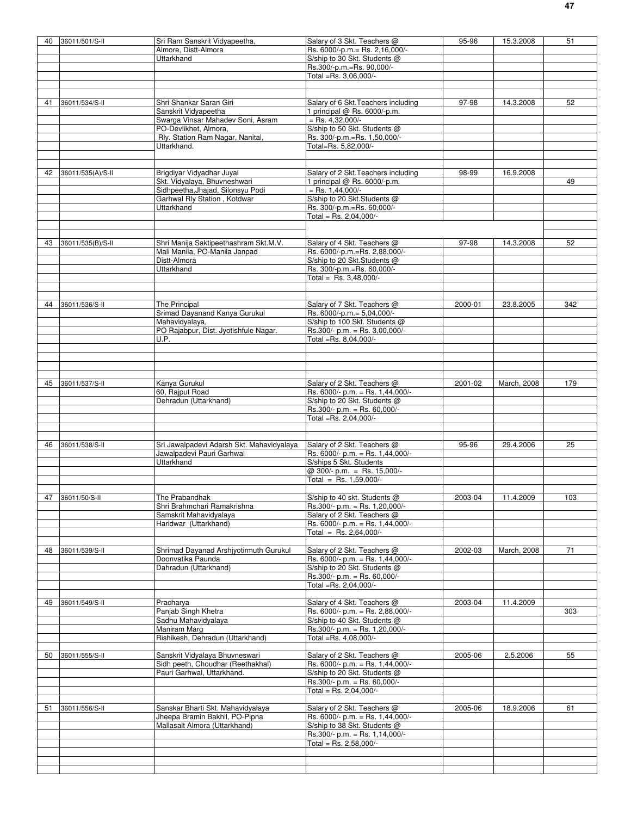| 40 | 36011/501/S-II    | Sri Ram Sanskrit Vidyapeetha,                             | Salary of 3 Skt. Teachers @                                     | 95-96   | 15.3.2008   | 51  |
|----|-------------------|-----------------------------------------------------------|-----------------------------------------------------------------|---------|-------------|-----|
|    |                   | Almore, Distt-Almora                                      | Rs. 6000/-p.m.= Rs. 2,16,000/-                                  |         |             |     |
|    |                   | Uttarkhand                                                | S/ship to 30 Skt. Students @                                    |         |             |     |
|    |                   |                                                           | Rs.300/-p.m.=Rs. 90,000/-                                       |         |             |     |
|    |                   |                                                           | Total =Rs. 3,06,000/-                                           |         |             |     |
|    |                   |                                                           |                                                                 |         |             |     |
| 41 | 36011/534/S-II    | Shri Shankar Saran Giri                                   | Salary of 6 Skt. Teachers including                             | 97-98   | 14.3.2008   | 52  |
|    |                   | Sanskrit Vidyapeetha                                      | 1 principal @ Rs. 6000/-p.m.                                    |         |             |     |
|    |                   | Swarga Vinsar Mahadev Soni, Asram                         | $=$ Rs. 4,32,000/-                                              |         |             |     |
|    |                   | PO-Devlikhet, Almora,                                     | S/ship to 50 Skt. Students @                                    |         |             |     |
|    |                   | Rly. Station Ram Nagar, Nanital                           | Rs. 300/-p.m.=Rs. 1,50,000/-                                    |         |             |     |
|    |                   | Uttarkhand.                                               | Total=Rs. 5,82,000/-                                            |         |             |     |
|    |                   |                                                           |                                                                 |         |             |     |
| 42 | 36011/535(A)/S-II |                                                           | Salary of 2 Skt. Teachers including                             | 98-99   | 16.9.2008   |     |
|    |                   | Brigdiyar Vidyadhar Juyal<br>Skt. Vidyalaya, Bhuvneshwari | 1 principal @ Rs. 6000/-p.m.                                    |         |             | 49  |
|    |                   | Sidhpeetha, Jhajad, Silonsyu Podi                         | $=$ Rs. 1,44,000/-                                              |         |             |     |
|    |                   | Garhwal Rly Station, Kotdwar                              | S/ship to 20 Skt.Students @                                     |         |             |     |
|    |                   | Uttarkhand                                                | Rs. 300/-p.m.=Rs. 60,000/-                                      |         |             |     |
|    |                   |                                                           | Total = Rs. 2,04,000/-                                          |         |             |     |
|    |                   |                                                           |                                                                 |         |             |     |
|    |                   |                                                           |                                                                 |         |             |     |
| 43 | 36011/535(B)/S-II | Shri Manija Saktipeethashram Skt.M.V.                     | Salary of 4 Skt. Teachers @                                     | 97-98   | 14.3.2008   | 52  |
|    |                   | Mali Manila, PO-Manila Janpad                             | Rs. 6000/-p.m.=Rs. 2,88,000/-                                   |         |             |     |
|    |                   | Distt-Almora<br>Uttarkhand                                | S/ship to 20 Skt.Students @<br>Rs. 300/-p.m.=Rs. 60,000/-       |         |             |     |
|    |                   |                                                           | Total = Rs. $3,48,000$ /-                                       |         |             |     |
|    |                   |                                                           |                                                                 |         |             |     |
|    |                   |                                                           |                                                                 |         |             |     |
| 44 | 36011/536/S-II    | The Principal                                             | Salary of 7 Skt. Teachers @                                     | 2000-01 | 23.8.2005   | 342 |
|    |                   | Srimad Dayanand Kanya Gurukul                             | Rs. 6000/-p.m.= 5,04,000/-                                      |         |             |     |
|    |                   | Mahavidyalaya,                                            | S/ship to 100 Skt. Students @                                   |         |             |     |
|    |                   | PO Rajabpur, Dist. Jyotishfule Nagar.                     | $Rs.300/- p.m. = Rs. 3,00,000/-$                                |         |             |     |
|    |                   | U.P.                                                      | Total =Rs. 8,04,000/-                                           |         |             |     |
|    |                   |                                                           |                                                                 |         |             |     |
|    |                   |                                                           |                                                                 |         |             |     |
|    |                   |                                                           |                                                                 |         |             |     |
|    |                   |                                                           |                                                                 |         |             | 179 |
| 45 | 36011/537/S-II    | Kanya Gurukul<br>60, Rajput Road                          | Salary of 2 Skt. Teachers @<br>Rs. 6000/- p.m. = Rs. 1,44,000/- | 2001-02 | March, 2008 |     |
|    |                   | Dehradun (Uttarkhand)                                     | S/ship to 20 Skt. Students @                                    |         |             |     |
|    |                   |                                                           | $Rs.300/- p.m. = Rs. 60,000/-$                                  |         |             |     |
|    |                   |                                                           | Total =Rs. 2,04,000/-                                           |         |             |     |
|    |                   |                                                           |                                                                 |         |             |     |
|    |                   |                                                           |                                                                 |         |             |     |
| 46 | 36011/538/S-II    | Sri Jawalpadevi Adarsh Skt. Mahavidyalaya                 | Salary of 2 Skt. Teachers @                                     | 95-96   | 29.4.2006   | 25  |
|    |                   | Jawalpadevi Pauri Garhwal                                 | Rs. 6000/- p.m. = Rs. 1,44,000/-                                |         |             |     |
|    |                   | Uttarkhand                                                | S/ships 5 Skt. Students                                         |         |             |     |
|    |                   |                                                           | @ 300/- p.m. = Rs. 15,000/-                                     |         |             |     |
|    |                   |                                                           | Total = Rs. $1,59,000/-$                                        |         |             |     |
| 47 | 36011/50/S-II     | The Prabandhak                                            | S/ship to 40 skt. Students @                                    | 2003-04 | 11.4.2009   | 103 |
|    |                   | Shri Brahmchari Ramakrishna                               | Rs.300/- p.m. = Rs. 1,20,000/-                                  |         |             |     |
|    |                   | Samskrit Mahavidyalaya                                    | Salary of 2 Skt. Teachers @                                     |         |             |     |
|    |                   | Haridwar (Uttarkhand)                                     | Rs. 6000/- p.m. = Rs. 1,44,000/-                                |         |             |     |
|    |                   |                                                           | Total = Rs. 2.64.000/-                                          |         |             |     |
|    |                   |                                                           |                                                                 |         |             |     |
| 48 | 36011/539/S-II    | Shrimad Dayanad Arshjyotirmuth Gurukul                    | Salary of 2 Skt. Teachers @                                     | 2002-03 | March, 2008 | 71  |
|    |                   | Doonvatika Paunda                                         | Rs. 6000/- p.m. = Rs. 1,44,000/-                                |         |             |     |
|    |                   | Dahradun (Uttarkhand)                                     | S/ship to 20 Skt. Students @                                    |         |             |     |
|    |                   |                                                           | Rs.300/- p.m. = Rs. 60,000/-                                    |         |             |     |
|    |                   |                                                           | Total =Rs. 2,04,000/-                                           |         |             |     |
| 49 | 36011/549/S-II    | Pracharya                                                 | Salary of 4 Skt. Teachers @                                     | 2003-04 | 11.4.2009   |     |
|    |                   | Panjab Singh Khetra                                       | Rs. 6000/- p.m. = Rs. 2,88,000/-                                |         |             | 303 |
|    |                   | Sadhu Mahavidyalaya                                       | S/ship to 40 Skt. Students @                                    |         |             |     |
|    |                   | Maniram Marg                                              | Rs.300/- p.m. = Rs. 1,20,000/-                                  |         |             |     |
|    |                   | Rishikesh, Dehradun (Uttarkhand)                          | Total =Rs. 4,08,000/-                                           |         |             |     |
|    |                   |                                                           |                                                                 |         |             |     |
| 50 | 36011/555/S-II    | Sanskrit Vidyalaya Bhuvneswari                            | Salary of 2 Skt. Teachers @                                     | 2005-06 | 2.5.2006    | 55  |
|    |                   | Sidh peeth, Choudhar (Reethakhal)                         | Rs. 6000/- p.m. = Rs. 1,44,000/-                                |         |             |     |
|    |                   | Pauri Garhwal, Uttarkhand.                                | S/ship to 20 Skt. Students @                                    |         |             |     |
|    |                   |                                                           | $Rs.300/- p.m. = Rs. 60,000/-$                                  |         |             |     |
|    |                   |                                                           | Total = Rs. $2,04,000/-$                                        |         |             |     |
| 51 | 36011/556/S-II    | Sanskar Bharti Skt. Mahavidyalaya                         | Salary of 2 Skt. Teachers @                                     | 2005-06 | 18.9.2006   | 61  |
|    |                   | Jheepa Bramin Bakhil, PO-Pipna                            | Rs. 6000/- p.m. = Rs. 1,44,000/-                                |         |             |     |
|    |                   | Mallasalt Almora (Uttarkhand)                             | S/ship to 38 Skt. Students @                                    |         |             |     |
|    |                   |                                                           | $Rs.300/- p.m. = Rs. 1,14,000/-$                                |         |             |     |
|    |                   |                                                           | Total = Rs. 2,58,000/-                                          |         |             |     |
|    |                   |                                                           |                                                                 |         |             |     |
|    |                   |                                                           |                                                                 |         |             |     |
|    |                   |                                                           |                                                                 |         |             |     |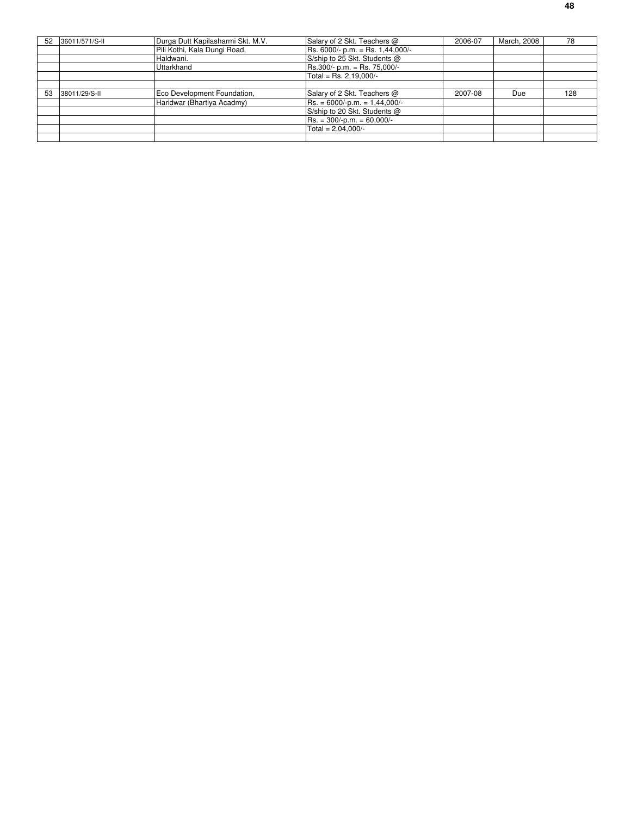| 52 | 36011/571/S-II | Durga Dutt Kapilasharmi Skt. M.V. | Salary of 2 Skt. Teachers @        | 2006-07 | March, 2008 | 78  |
|----|----------------|-----------------------------------|------------------------------------|---------|-------------|-----|
|    |                | Pili Kothi, Kala Dungi Road,      | $Rs. 6000/- p.m. = Rs. 1,44,000/-$ |         |             |     |
|    |                | Haldwani.                         | S/ship to 25 Skt. Students @       |         |             |     |
|    |                | Uttarkhand                        | $Rs.300/- p.m. = Rs. 75,000/-$     |         |             |     |
|    |                |                                   | Total = Rs. 2,19,000/-             |         |             |     |
|    |                |                                   |                                    |         |             |     |
| 53 | 38011/29/S-II  | Eco Development Foundation,       | Salary of 2 Skt. Teachers @        | 2007-08 | Due         | 128 |
|    |                | Haridwar (Bhartiya Acadmy)        | $Rs. = 6000/-p.m. = 1,44,000/-$    |         |             |     |
|    |                |                                   | S/ship to 20 Skt. Students @       |         |             |     |
|    |                |                                   | $Rs. = 300/-p.m. = 60,000/-$       |         |             |     |
|    |                |                                   | Total = $2.04.000/-$               |         |             |     |
|    |                |                                   |                                    |         |             |     |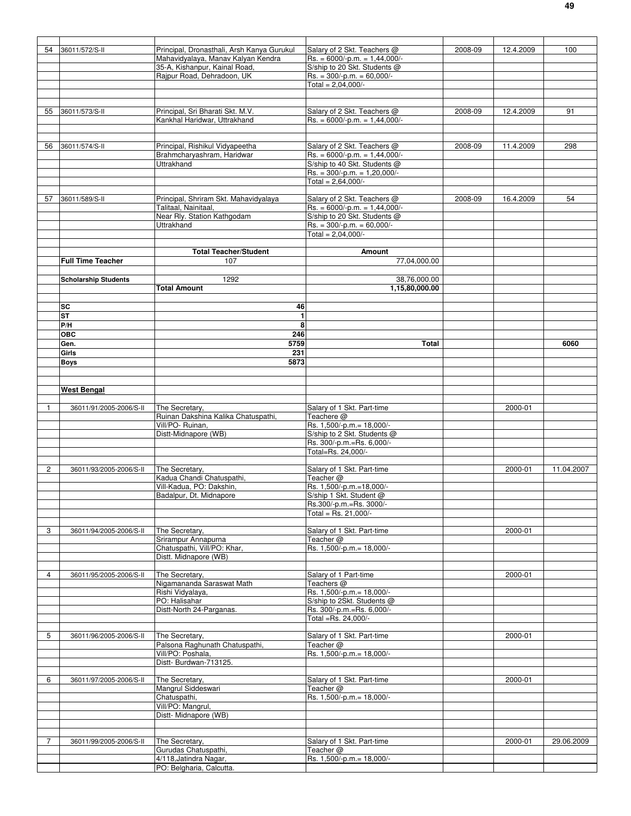| 54             | 36011/572/S-II              | Principal, Dronasthali, Arsh Kanya Gurukul | Salary of 2 Skt. Teachers @                       | 2008-09 | 12.4.2009 | 100        |
|----------------|-----------------------------|--------------------------------------------|---------------------------------------------------|---------|-----------|------------|
|                |                             | Mahavidyalaya, Manav Kalyan Kendra         | $Rs. = 6000/-p.m. = 1,44,000/-$                   |         |           |            |
|                |                             | 35-A, Kishanpur, Kainal Road,              | S/ship to 20 Skt. Students @                      |         |           |            |
|                |                             | Rajpur Road, Dehradoon, UK                 | $Rs. = 300/-p.m. = 60,000/-$                      |         |           |            |
|                |                             |                                            | Total = $2,04,000/-$                              |         |           |            |
|                |                             |                                            |                                                   |         |           |            |
|                |                             |                                            |                                                   |         |           |            |
| 55             | 36011/573/S-II              | Principal, Sri Bharati Skt. M.V.           | Salary of 2 Skt. Teachers @                       | 2008-09 | 12.4.2009 | 91         |
|                |                             | Kankhal Haridwar, Uttrakhand               | $Rs. = 6000/-p.m. = 1,44,000/-$                   |         |           |            |
|                |                             |                                            |                                                   |         |           |            |
|                |                             |                                            |                                                   |         |           |            |
| 56             | 36011/574/S-II              | Principal, Rishikul Vidyapeetha            | Salary of 2 Skt. Teachers @                       | 2008-09 | 11.4.2009 | 298        |
|                |                             | Brahmcharyashram, Haridwar                 | $Rs. = 6000/-p.m. = 1,44,000/-$                   |         |           |            |
|                |                             | Uttrakhand                                 | S/ship to 40 Skt. Students @                      |         |           |            |
|                |                             |                                            | $Rs. = 300/-p.m. = 1,20,000/-$                    |         |           |            |
|                |                             |                                            | Total = $2,64,000/-$                              |         |           |            |
|                |                             |                                            |                                                   |         |           |            |
| 57             | 36011/589/S-II              | Principal, Shriram Skt. Mahavidyalaya      | Salary of 2 Skt. Teachers @                       | 2008-09 | 16.4.2009 | 54         |
|                |                             | Talitaal, Nainitaal,                       | $Rs. = 6000/-p.m. = 1,44,000/-$                   |         |           |            |
|                |                             | Near Rly. Station Kathgodam                | S/ship to 20 Skt. Students @                      |         |           |            |
|                |                             | Uttrakhand                                 | $Rs. = 300/-p.m. = 60,000/-$                      |         |           |            |
|                |                             |                                            | Total = $2,04,000/-$                              |         |           |            |
|                |                             |                                            |                                                   |         |           |            |
|                |                             | <b>Total Teacher/Student</b>               | <b>Amount</b>                                     |         |           |            |
|                | <b>Full Time Teacher</b>    | 107                                        | 77,04,000.00                                      |         |           |            |
|                |                             |                                            |                                                   |         |           |            |
|                | <b>Scholarship Students</b> | 1292                                       | 38,76,000.00                                      |         |           |            |
|                |                             | Total Amount                               | 1,15,80,000.00                                    |         |           |            |
|                |                             |                                            |                                                   |         |           |            |
|                | SC                          | 46                                         |                                                   |         |           |            |
|                | SТ                          | $\mathbf{1}$                               |                                                   |         |           |            |
|                | P/H                         | 8                                          |                                                   |         |           |            |
|                | <b>OBC</b>                  | 246                                        |                                                   |         |           |            |
|                | Gen.                        | 5759                                       | Total                                             |         |           | 6060       |
|                | Girls                       | 231                                        |                                                   |         |           |            |
|                | <b>Boys</b>                 | 5873                                       |                                                   |         |           |            |
|                |                             |                                            |                                                   |         |           |            |
|                |                             |                                            |                                                   |         |           |            |
|                | <b>West Bengal</b>          |                                            |                                                   |         |           |            |
|                |                             |                                            |                                                   |         |           |            |
| 1              | 36011/91/2005-2006/S-II     | The Secretary,                             | Salary of 1 Skt. Part-time                        |         | 2000-01   |            |
|                |                             | Ruinan Dakshina Kalika Chatuspathi,        | Teachere @                                        |         |           |            |
|                |                             | Vill/PO-Ruinan,                            | Rs. 1,500/-p.m.= 18,000/-                         |         |           |            |
|                |                             | Distt-Midnapore (WB)                       | S/ship to 2 Skt. Students @                       |         |           |            |
|                |                             |                                            | Rs. 300/-p.m.=Rs. 6,000/-                         |         |           |            |
|                |                             |                                            | Total=Rs. 24,000/-                                |         |           |            |
|                |                             |                                            |                                                   |         |           |            |
| $\overline{2}$ | 36011/93/2005-2006/S-II     | The Secretary,                             | Salary of 1 Skt. Part-time                        |         | 2000-01   | 11.04.2007 |
|                |                             | Kadua Chandi Chatuspathi,                  | Teacher @                                         |         |           |            |
|                |                             | Vill-Kadua, PO: Dakshin,                   | Rs. 1,500/-p.m.=18,000/-                          |         |           |            |
|                |                             | Badalpur, Dt. Midnapore                    | S/ship 1 Skt. Student @                           |         |           |            |
|                |                             |                                            | Rs.300/-p.m.=Rs. 3000/-<br>Total = Rs. $21,000/-$ |         |           |            |
|                |                             |                                            |                                                   |         |           |            |
| 3              | 36011/94/2005-2006/S-II     | The Secretary,                             | Salary of 1 Skt. Part-time                        |         | 2000-01   |            |
|                |                             | Srirampur Annapurna                        | Teacher @                                         |         |           |            |
|                |                             | Chatuspathi, Vill/PO: Khar,                | Rs. 1,500/-p.m.= 18,000/-                         |         |           |            |
|                |                             | Distt. Midnapore (WB)                      |                                                   |         |           |            |
|                |                             |                                            |                                                   |         |           |            |
| 4              | 36011/95/2005-2006/S-II     | The Secretary,                             | Salary of 1 Part-time                             |         | 2000-01   |            |
|                |                             | Nigamananda Saraswat Math                  | Teachers @                                        |         |           |            |
|                |                             | Rishi Vidyalaya,                           | Rs. 1,500/-p.m.= 18,000/-                         |         |           |            |
|                |                             | PO: Halisahar                              | S/ship to 2Skt. Students @                        |         |           |            |
|                |                             | Distt-North 24-Parganas.                   | Rs. 300/-p.m.=Rs. 6,000/-                         |         |           |            |
|                |                             |                                            | Total =Rs. 24,000/-                               |         |           |            |
|                |                             |                                            |                                                   |         |           |            |
| 5              | 36011/96/2005-2006/S-II     | The Secretary,                             | Salary of 1 Skt. Part-time                        |         | 2000-01   |            |
|                |                             | Palsona Raghunath Chatuspathi,             | Teacher @                                         |         |           |            |
|                |                             | Vill/PO: Poshala,                          | Rs. 1,500/-p.m.= 18,000/-                         |         |           |            |
|                |                             | Distt- Burdwan-713125.                     |                                                   |         |           |            |
|                |                             |                                            |                                                   |         |           |            |
| 6              | 36011/97/2005-2006/S-II     | The Secretary,                             | Salary of 1 Skt. Part-time                        |         | 2000-01   |            |
|                |                             | Mangrul Siddeswari                         | Teacher $@$                                       |         |           |            |
|                |                             | Chatuspathi,                               | Rs. 1,500/-p.m.= 18,000/-                         |         |           |            |
|                |                             | Vill/PO: Mangrul,                          |                                                   |         |           |            |
|                |                             | Distt-Midnapore (WB)                       |                                                   |         |           |            |
|                |                             |                                            |                                                   |         |           |            |
|                |                             |                                            |                                                   |         |           |            |
| 7              | 36011/99/2005-2006/S-II     | The Secretary,                             | Salary of 1 Skt. Part-time                        |         | 2000-01   | 29.06.2009 |
|                |                             | Gurudas Chatuspathi,                       | Teacher @                                         |         |           |            |
|                |                             | 4/118, Jatindra Nagar,                     | Rs. 1,500/-p.m.= 18,000/-                         |         |           |            |
|                |                             | PO: Belgharia, Calcutta.                   |                                                   |         |           |            |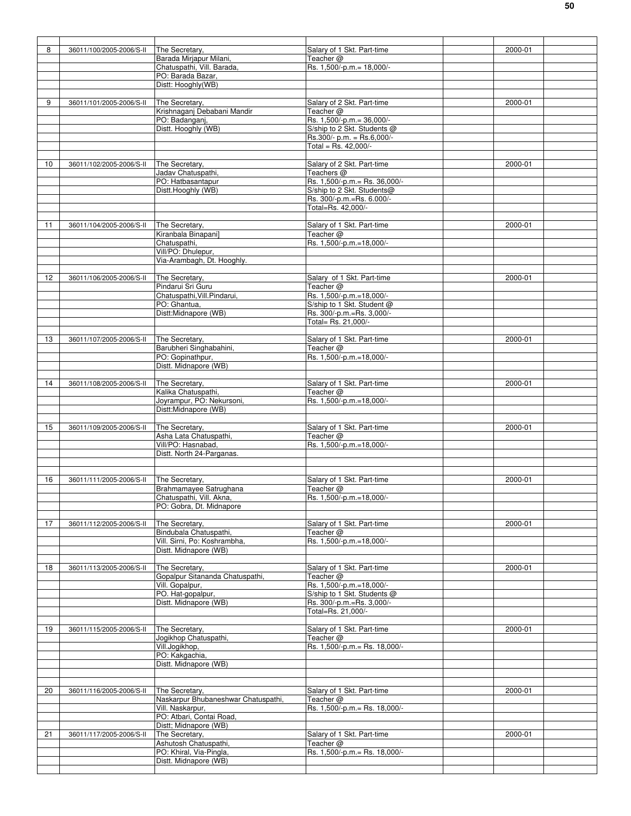| 8  | 36011/100/2005-2006/S-II | The Secretary.                      | Salary of 1 Skt. Part-time     | 2000-01 |
|----|--------------------------|-------------------------------------|--------------------------------|---------|
|    |                          | Barada Mirjapur Milani,             | Teacher @                      |         |
|    |                          |                                     |                                |         |
|    |                          | Chatuspathi, Vill. Barada,          | Rs. 1,500/-p.m.= 18,000/-      |         |
|    |                          | PO: Barada Bazar,                   |                                |         |
|    |                          | Distt: Hooghly(WB)                  |                                |         |
|    |                          |                                     |                                |         |
| 9  | 36011/101/2005-2006/S-II | The Secretary,                      | Salary of 2 Skt. Part-time     | 2000-01 |
|    |                          | Krishnaganj Debabani Mandir         | Teacher @                      |         |
|    |                          | PO: Badanganj,                      | Rs. 1,500/-p.m.= 36,000/-      |         |
|    |                          | Distt. Hooghly (WB)                 | S/ship to 2 Skt. Students @    |         |
|    |                          |                                     | Rs.300/- p.m. = Rs.6,000/-     |         |
|    |                          |                                     | Total = Rs. 42,000/-           |         |
|    |                          |                                     |                                |         |
| 10 | 36011/102/2005-2006/S-II | The Secretary,                      | Salary of 2 Skt. Part-time     | 2000-01 |
|    |                          | Jadav Chatuspathi,                  | Teachers <sup>@</sup>          |         |
|    |                          | PO: Hatbasantapur                   | Rs. 1,500/-p.m. = Rs. 36,000/- |         |
|    |                          | Distt.Hooghly (WB)                  | S/ship to 2 Skt. Students@     |         |
|    |                          |                                     | Rs. 300/-p.m.=Rs. 6.000/-      |         |
|    |                          |                                     | Total=Rs. 42,000/-             |         |
|    |                          |                                     |                                |         |
|    |                          |                                     |                                |         |
| 11 | 36011/104/2005-2006/S-II | The Secretary,                      | Salary of 1 Skt. Part-time     | 2000-01 |
|    |                          | Kiranbala Binapani]                 | Teacher @                      |         |
|    |                          | Chatuspathi,                        | Rs. 1,500/-p.m.=18,000/-       |         |
|    |                          | Vill/PO: Dhulepur,                  |                                |         |
|    |                          | Via-Arambagh, Dt. Hooghly.          |                                |         |
|    |                          |                                     |                                |         |
| 12 | 36011/106/2005-2006/S-II | The Secretary,                      | Salary of 1 Skt. Part-time     | 2000-01 |
|    |                          | Pindarui Sri Guru                   | Teacher @                      |         |
|    |                          | Chatuspathi, Vill. Pindarui,        | Rs. 1,500/-p.m.=18,000/-       |         |
|    |                          | PO: Ghantua,                        | S/ship to 1 Skt. Student @     |         |
|    |                          | Distt:Midnapore (WB)                | Rs. 300/-p.m.=Rs. 3,000/-      |         |
|    |                          |                                     | Total= Rs. 21.000/-            |         |
|    |                          |                                     |                                |         |
| 13 | 36011/107/2005-2006/S-II | The Secretary,                      | Salary of 1 Skt. Part-time     | 2000-01 |
|    |                          | Barubheri Singhabahini,             | Teacher @                      |         |
|    |                          |                                     |                                |         |
|    |                          | PO: Gopinathpur,                    | Rs. 1,500/-p.m.=18,000/-       |         |
|    |                          | Distt. Midnapore (WB)               |                                |         |
|    |                          |                                     |                                |         |
| 14 | 36011/108/2005-2006/S-II | The Secretary,                      | Salary of 1 Skt. Part-time     | 2000-01 |
|    |                          | Kalika Chatuspathi,                 | Teacher @                      |         |
|    |                          | Joyrampur, PO: Nekursoni,           | Rs. 1,500/-p.m.=18,000/-       |         |
|    |                          | Distt:Midnapore (WB)                |                                |         |
|    |                          |                                     |                                |         |
| 15 | 36011/109/2005-2006/S-II | The Secretary,                      | Salary of 1 Skt. Part-time     | 2000-01 |
|    |                          | Asha Lata Chatuspathi,              | Teacher @                      |         |
|    |                          | Vill/PO: Hasnabad,                  | Rs. 1,500/-p.m.=18,000/-       |         |
|    |                          |                                     |                                |         |
|    |                          |                                     |                                |         |
|    |                          | Distt. North 24-Parganas.           |                                |         |
|    |                          |                                     |                                |         |
|    |                          |                                     |                                |         |
| 16 | 36011/111/2005-2006/S-II | The Secretary,                      | Salary of 1 Skt. Part-time     | 2000-01 |
|    |                          | Brahmamayee Satrughana              | Teacher @                      |         |
|    |                          | Chatuspathi, Vill. Akna,            | Rs. 1,500/-p.m.=18,000/-       |         |
|    |                          | PO: Gobra, Dt. Midnapore            |                                |         |
|    |                          |                                     |                                |         |
| 17 | 36011/112/2005-2006/S-II | The Secretary,                      | Salary of 1 Skt. Part-time     | 2000-01 |
|    |                          | Bindubala Chatuspathi,              | Teacher @                      |         |
|    |                          | Vill. Sirni, Po: Koshrambha,        | Rs. 1,500/-p.m.=18,000/-       |         |
|    |                          | Distt. Midnapore (WB)               |                                |         |
|    |                          |                                     |                                |         |
| 18 | 36011/113/2005-2006/S-II | The Secretary,                      | Salary of 1 Skt. Part-time     | 2000-01 |
|    |                          | Gopalpur Sitananda Chatuspathi,     | Teacher @                      |         |
|    |                          | Vill. Gopalpur,                     | Rs. 1,500/-p.m.=18,000/-       |         |
|    |                          | PO. Hat-gopalpur,                   | S/ship to 1 Skt. Students @    |         |
|    |                          | Distt. Midnapore (WB)               | Rs. 300/-p.m.=Rs. 3,000/-      |         |
|    |                          |                                     | Total=Rs. 21,000/-             |         |
|    |                          |                                     |                                |         |
| 19 |                          |                                     |                                |         |
|    | 36011/115/2005-2006/S-II | The Secretary,                      | Salary of 1 Skt. Part-time     | 2000-01 |
|    |                          | Jogikhop Chatuspathi,               | Teacher @                      |         |
|    |                          | Vill.Jogikhop,                      | Rs. 1,500/-p.m. = Rs. 18,000/- |         |
|    |                          | PO: Kakgachia,                      |                                |         |
|    |                          | Distt. Midnapore (WB)               |                                |         |
|    |                          |                                     |                                |         |
|    |                          |                                     |                                |         |
| 20 | 36011/116/2005-2006/S-II | The Secretary,                      | Salary of 1 Skt. Part-time     | 2000-01 |
|    |                          | Naskarpur Bhubaneshwar Chatuspathi, | Teacher @                      |         |
|    |                          | Vill. Naskarpur,                    | Rs. 1,500/-p.m. = Rs. 18,000/- |         |
|    |                          | PO: Atbari, Contai Road,            |                                |         |
|    |                          | Distt; Midnapore (WB)               |                                |         |
| 21 | 36011/117/2005-2006/S-II | The Secretary,                      | Salary of 1 Skt. Part-time     | 2000-01 |
|    |                          | Ashutosh Chatuspathi,               | Teacher @                      |         |
|    |                          | PO: Khiral, Via-Pingla,             | Rs. 1,500/-p.m.= Rs. 18,000/-  |         |
|    |                          | Distt. Midnapore (WB)               |                                |         |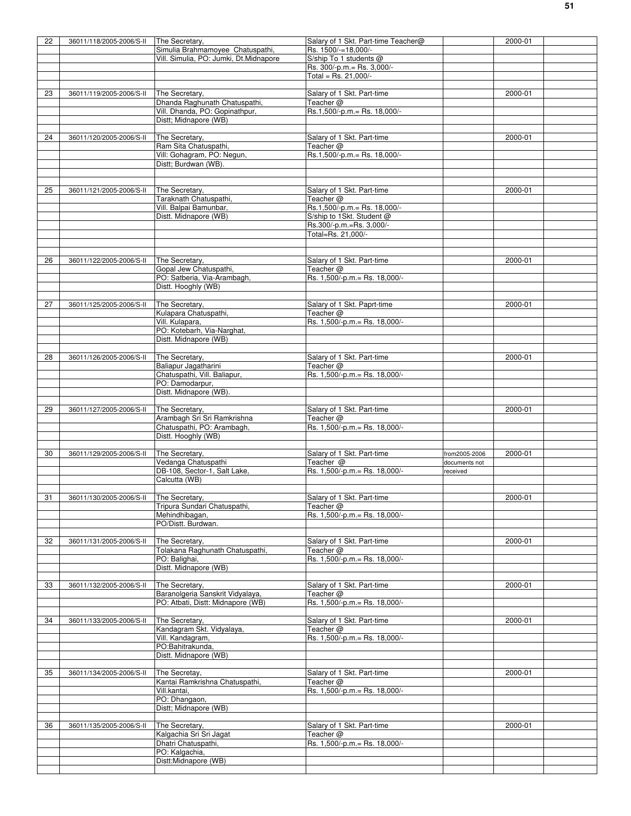| 22 | 36011/118/2005-2006/S-II                | The Secretary,                                      | Salary of 1 Skt. Part-time Teacher@         |               | 2000-01 |  |
|----|-----------------------------------------|-----------------------------------------------------|---------------------------------------------|---------------|---------|--|
|    |                                         | Simulia Brahmamoyee Chatuspathi,                    | Rs. 1500/-=18,000/-                         |               |         |  |
|    |                                         | Vill. Simulia, PO: Jumki, Dt.Midnapore              | S/ship To 1 students @                      |               |         |  |
|    |                                         |                                                     | Rs. 300/-p.m. = Rs. 3,000/-                 |               |         |  |
|    |                                         |                                                     | Total = Rs. $21,000/-$                      |               |         |  |
|    |                                         |                                                     |                                             |               |         |  |
| 23 | 36011/119/2005-2006/S-II                | The Secretary,<br>Dhanda Raghunath Chatuspathi,     | Salary of 1 Skt. Part-time                  |               | 2000-01 |  |
|    |                                         | Vill. Dhanda, PO: Gopinathpur,                      | Teacher @<br>Rs.1,500/-p.m.= Rs. 18,000/-   |               |         |  |
|    |                                         | Distt; Midnapore (WB)                               |                                             |               |         |  |
|    |                                         |                                                     |                                             |               |         |  |
| 24 | 36011/120/2005-2006/S-II                | The Secretary,                                      | Salary of 1 Skt. Part-time                  |               | 2000-01 |  |
|    |                                         | Ram Sita Chatuspathi,                               | Teacher @                                   |               |         |  |
|    |                                         | Vill: Gohagram, PO: Negun,                          | Rs.1,500/-p.m.= Rs. 18,000/-                |               |         |  |
|    |                                         | Distt; Burdwan (WB).                                |                                             |               |         |  |
|    |                                         |                                                     |                                             |               |         |  |
|    |                                         |                                                     |                                             |               |         |  |
| 25 | 36011/121/2005-2006/S-II                | The Secretary,                                      | Salary of 1 Skt. Part-time                  |               | 2000-01 |  |
|    |                                         | Taraknath Chatuspathi,<br>Vill. Balpai Bamunbar,    | Teacher @<br>Rs.1,500/-p.m.= Rs. 18,000/-   |               |         |  |
|    |                                         | Distt. Midnapore (WB)                               | S/ship to 1Skt. Student @                   |               |         |  |
|    |                                         |                                                     | Rs.300/-p.m.=Rs. 3,000/-                    |               |         |  |
|    |                                         |                                                     | Total=Rs. 21,000/-                          |               |         |  |
|    |                                         |                                                     |                                             |               |         |  |
|    |                                         |                                                     |                                             |               |         |  |
| 26 | 36011/122/2005-2006/S-II                | The Secretary,                                      | Salary of 1 Skt. Part-time                  |               | 2000-01 |  |
|    |                                         | Gopal Jew Chatuspathi,                              | Teacher $@$                                 |               |         |  |
|    |                                         | PO: Satberia, Via-Arambagh,                         | Rs. 1,500/-p.m.= Rs. 18,000/-               |               |         |  |
|    |                                         | Distt. Hooghly (WB)                                 |                                             |               |         |  |
|    |                                         |                                                     |                                             |               |         |  |
| 27 | 36011/125/2005-2006/S-II                | The Secretary,                                      | Salary of 1 Skt. Paprt-time                 |               | 2000-01 |  |
|    |                                         | Kulapara Chatuspathi,<br>Vill. Kulapara,            | Teacher @                                   |               |         |  |
|    |                                         | PO: Kotebarh, Via-Narghat,                          | Rs. 1,500/-p.m.= Rs. 18,000/-               |               |         |  |
|    |                                         | Distt. Midnapore (WB)                               |                                             |               |         |  |
|    |                                         |                                                     |                                             |               |         |  |
| 28 | 36011/126/2005-2006/S-II                | The Secretary,                                      | Salary of 1 Skt. Part-time                  |               | 2000-01 |  |
|    |                                         | Baliapur Jagatharini                                | Teacher @                                   |               |         |  |
|    |                                         | Chatuspathi, Vill. Baliapur,                        | Rs. 1,500/-p.m. = Rs. 18,000/-              |               |         |  |
|    |                                         | PO: Damodarpur,                                     |                                             |               |         |  |
|    |                                         | Distt. Midnapore (WB).                              |                                             |               |         |  |
|    |                                         |                                                     |                                             |               |         |  |
| 29 | 36011/127/2005-2006/S-II                | The Secretary,                                      | Salary of 1 Skt. Part-time                  |               | 2000-01 |  |
|    |                                         | Arambagh Sri Sri Ramkrishna                         | Teacher @                                   |               |         |  |
|    |                                         | Chatuspathi, PO: Arambagh,<br>Distt. Hooghly (WB)   | Rs. 1,500/-p.m.= Rs. 18,000/-               |               |         |  |
|    |                                         |                                                     |                                             |               |         |  |
| 30 | 36011/129/2005-2006/S-II                | The Secretary,                                      | Salary of 1 Skt. Part-time                  | from2005-2006 | 2000-01 |  |
|    |                                         |                                                     | Teacher @                                   | documents not |         |  |
|    |                                         |                                                     |                                             |               |         |  |
|    |                                         | Vedanga Chatuspathi<br>DB-108, Sector-1, Salt Lake, | Rs. 1,500/-p.m. = Rs. 18,000/-              | received      |         |  |
|    |                                         | Calcutta (WB)                                       |                                             |               |         |  |
|    |                                         |                                                     |                                             |               |         |  |
| 31 | 36011/130/2005-2006/S-II The Secretary, |                                                     | Salary of 1 Skt. Part-time                  |               | 2000-01 |  |
|    |                                         | Tripura Sundari Chatuspathi,                        | Teacher @                                   |               |         |  |
|    |                                         | Mehindhibagan,                                      | Rs. 1,500/-p.m. = Rs. 18,000/-              |               |         |  |
|    |                                         | PO/Distt. Burdwan.                                  |                                             |               |         |  |
|    |                                         |                                                     |                                             |               |         |  |
| 32 | 36011/131/2005-2006/S-II                | The Secretary,                                      | Salary of 1 Skt. Part-time                  |               | 2000-01 |  |
|    |                                         | Tolakana Raghunath Chatuspathi,                     | Teacher $@$                                 |               |         |  |
|    |                                         | PO: Balighai,                                       | Rs. 1,500/-p.m. = Rs. 18,000/-              |               |         |  |
|    |                                         | Distt. Midnapore (WB)                               |                                             |               |         |  |
| 33 | 36011/132/2005-2006/S-II                | The Secretary,                                      | Salary of 1 Skt. Part-time                  |               | 2000-01 |  |
|    |                                         | Baranolgeria Sanskrit Vidyalaya,                    | Teacher $@$                                 |               |         |  |
|    |                                         | PO: Atbati, Distt: Midnapore (WB)                   | Rs. 1,500/-p.m. = Rs. 18,000/-              |               |         |  |
|    |                                         |                                                     |                                             |               |         |  |
| 34 | 36011/133/2005-2006/S-II                | The Secretary.                                      | Salary of 1 Skt. Part-time                  |               | 2000-01 |  |
|    |                                         | Kandagram Skt. Vidyalaya,                           | Teacher $@$                                 |               |         |  |
|    |                                         | Vill. Kandagram,                                    | Rs. 1,500/-p.m. = Rs. 18,000/-              |               |         |  |
|    |                                         | PO:Bahitrakunda,                                    |                                             |               |         |  |
|    |                                         | Distt. Midnapore (WB)                               |                                             |               |         |  |
|    |                                         |                                                     |                                             |               |         |  |
| 35 | 36011/134/2005-2006/S-II                | The Secretay,                                       | Salary of 1 Skt. Part-time                  |               | 2000-01 |  |
|    |                                         | Kantai Ramkrishna Chatuspathi,<br>Vill.kantai,      | Teacher @<br>Rs. 1,500/-p.m. = Rs. 18,000/- |               |         |  |
|    |                                         | PO: Dhangaon,                                       |                                             |               |         |  |
|    |                                         | Distt; Midnapore (WB)                               |                                             |               |         |  |
|    |                                         |                                                     |                                             |               |         |  |
| 36 | 36011/135/2005-2006/S-II                | The Secretary,                                      | Salary of 1 Skt. Part-time                  |               | 2000-01 |  |
|    |                                         | Kalgachia Sri Sri Jagat                             | Teacher @                                   |               |         |  |
|    |                                         | Dhatri Chatuspathi,                                 | Rs. 1,500/-p.m. = Rs. 18,000/-              |               |         |  |
|    |                                         | PO: Kalgachia,<br>Distt:Midnapore (WB)              |                                             |               |         |  |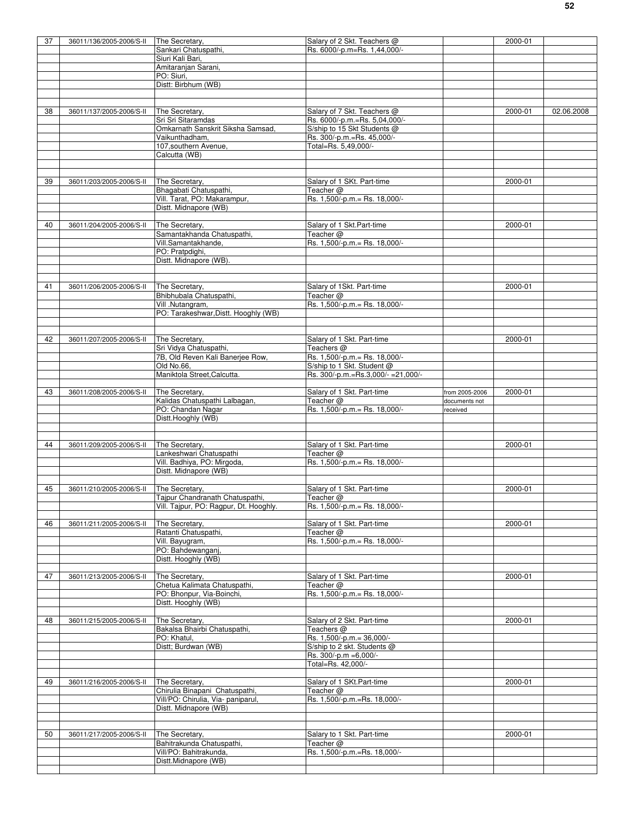| 37 | 36011/136/2005-2006/S-II | The Secretary,                         | Salary of 2 Skt. Teachers @         |                | 2000-01 |            |
|----|--------------------------|----------------------------------------|-------------------------------------|----------------|---------|------------|
|    |                          | Sankari Chatuspathi.                   | Rs. 6000/-p.m=Rs. 1,44,000/-        |                |         |            |
|    |                          | Siuri Kali Bari,                       |                                     |                |         |            |
|    |                          | Amitaranjan Sarani,                    |                                     |                |         |            |
|    |                          | PO: Siuri,                             |                                     |                |         |            |
|    |                          | Distt: Birbhum (WB)                    |                                     |                |         |            |
|    |                          |                                        |                                     |                |         |            |
|    |                          |                                        |                                     |                |         |            |
| 38 | 36011/137/2005-2006/S-II | The Secretary.                         | Salary of 7 Skt. Teachers @         |                | 2000-01 | 02.06.2008 |
|    |                          | Sri Sri Sitaramdas                     | Rs. 6000/-p.m.=Rs. 5,04,000/-       |                |         |            |
|    |                          | Omkarnath Sanskrit Siksha Samsad,      | S/ship to 15 Skt Students @         |                |         |            |
|    |                          | Vaikunthadham,                         | Rs. 300/-p.m.=Rs. 45,000/-          |                |         |            |
|    |                          | 107, southern Avenue,                  | Total=Rs. 5,49,000/-                |                |         |            |
|    |                          | Calcutta (WB)                          |                                     |                |         |            |
|    |                          |                                        |                                     |                |         |            |
|    |                          |                                        |                                     |                |         |            |
| 39 | 36011/203/2005-2006/S-II | The Secretary,                         | Salary of 1 SKt. Part-time          |                | 2000-01 |            |
|    |                          | Bhagabati Chatuspathi,                 | Teacher @                           |                |         |            |
|    |                          | Vill. Tarat, PO: Makarampur,           | Rs. 1,500/-p.m.= Rs. 18,000/-       |                |         |            |
|    |                          | Distt. Midnapore (WB)                  |                                     |                |         |            |
|    |                          |                                        |                                     |                |         |            |
| 40 | 36011/204/2005-2006/S-II | The Secretary,                         | Salary of 1 Skt.Part-time           |                | 2000-01 |            |
|    |                          | Samantakhanda Chatuspathi,             | Teacher @                           |                |         |            |
|    |                          | Vill.Samantakhande,                    | Rs. 1,500/-p.m. = Rs. 18,000/-      |                |         |            |
|    |                          | PO: Pratpdighi,                        |                                     |                |         |            |
|    |                          | Distt. Midnapore (WB).                 |                                     |                |         |            |
|    |                          |                                        |                                     |                |         |            |
|    |                          |                                        |                                     |                |         |            |
| 41 | 36011/206/2005-2006/S-II | The Secretary,                         | Salary of 1Skt. Part-time           |                | 2000-01 |            |
|    |                          | Bhibhubala Chatuspathi,                | Teacher @                           |                |         |            |
|    |                          | Vill .Nutangram,                       | Rs. 1,500/-p.m. = Rs. 18,000/-      |                |         |            |
|    |                          | PO: Tarakeshwar, Distt. Hooghly (WB)   |                                     |                |         |            |
|    |                          |                                        |                                     |                |         |            |
|    |                          |                                        |                                     |                |         |            |
| 42 | 36011/207/2005-2006/S-II | The Secretary,                         | Salary of 1 Skt. Part-time          |                | 2000-01 |            |
|    |                          | Sri Vidya Chatuspathi,                 | Teachers @                          |                |         |            |
|    |                          | 7B, Old Reven Kali Banerjee Row,       | Rs. 1,500/-p.m.= Rs. 18,000/-       |                |         |            |
|    |                          | Old No.66,                             | S/ship to 1 Skt. Student @          |                |         |            |
|    |                          | Maniktola Street, Calcutta.            | Rs. 300/-p.m.=Rs.3,000/- = 21,000/- |                |         |            |
|    |                          |                                        |                                     |                |         |            |
| 43 | 36011/208/2005-2006/S-II | The Secretary,                         | Salary of 1 Skt. Part-time          | from 2005-2006 | 2000-01 |            |
|    |                          | Kalidas Chatuspathi Lalbagan,          | Teacher @                           | documents not  |         |            |
|    |                          | PO: Chandan Nagar                      | Rs. 1,500/-p.m. = Rs. 18,000/-      | received       |         |            |
|    |                          | Distt.Hooghly (WB)                     |                                     |                |         |            |
|    |                          |                                        |                                     |                |         |            |
|    |                          |                                        |                                     |                |         |            |
| 44 | 36011/209/2005-2006/S-II | The Secretary,                         | Salary of 1 Skt. Part-time          |                | 2000-01 |            |
|    |                          | Lankeshwari Chatuspathi                | Teacher @                           |                |         |            |
|    |                          | Vill. Badhiya, PO: Mirgoda,            | Rs. 1,500/-p.m. = Rs. 18,000/-      |                |         |            |
|    |                          | Distt. Midnapore (WB)                  |                                     |                |         |            |
|    |                          |                                        |                                     |                |         |            |
| 45 | 36011/210/2005-2006/S-II | The Secretary,                         | Salary of 1 Skt. Part-time          |                | 2000-01 |            |
|    |                          | Tajpur Chandranath Chatuspathi,        | l eacher @                          |                |         |            |
|    |                          | Vill. Tajpur, PO: Ragpur, Dt. Hooghly. | Rs. 1,500/-p.m. = Rs. 18,000/-      |                |         |            |
|    |                          |                                        |                                     |                |         |            |
| 46 | 36011/211/2005-2006/S-II | The Secretary,                         | Salary of 1 Skt. Part-time          |                | 2000-01 |            |
|    |                          | Ratanti Chatuspathi,                   | Teacher @                           |                |         |            |
|    |                          | Vill. Bayugram,                        | Rs. 1,500/-p.m.= Rs. 18,000/-       |                |         |            |
|    |                          | PO: Bahdewanganj,                      |                                     |                |         |            |
|    |                          | Distt. Hooghly (WB)                    |                                     |                |         |            |
|    |                          |                                        |                                     |                |         |            |
| 47 | 36011/213/2005-2006/S-II | The Secretary,                         | Salary of 1 Skt. Part-time          |                | 2000-01 |            |
|    |                          | Chetua Kalimata Chatuspathi,           | Teacher @                           |                |         |            |
|    |                          | PO: Bhonpur, Via-Boinchi,              | Rs. 1,500/-p.m. = Rs. 18,000/-      |                |         |            |
|    |                          | Distt. Hooghly (WB)                    |                                     |                |         |            |
|    |                          |                                        |                                     |                |         |            |
| 48 | 36011/215/2005-2006/S-II | The Secretary,                         | Salary of 2 Skt. Part-time          |                | 2000-01 |            |
|    |                          | Bakalsa Bhairbi Chatuspathi,           | Teachers @                          |                |         |            |
|    |                          | PO: Khatul,                            | Rs. 1,500/-p.m. = 36,000/-          |                |         |            |
|    |                          | Distt; Burdwan (WB)                    | S/ship to 2 skt. Students @         |                |         |            |
|    |                          |                                        | Rs. 300/-p.m = 6,000/-              |                |         |            |
|    |                          |                                        | Total=Rs. 42,000/-                  |                |         |            |
|    |                          |                                        |                                     |                |         |            |
| 49 | 36011/216/2005-2006/S-II | The Secretary,                         | Salary of 1 SKt.Part-time           |                | 2000-01 |            |
|    |                          | Chirulia Binapani Chatuspathi,         | Teacher $@$                         |                |         |            |
|    |                          | Vill/PO: Chirulia, Via- paniparul,     | Rs. 1,500/-p.m.=Rs. 18,000/-        |                |         |            |
|    |                          | Distt. Midnapore (WB)                  |                                     |                |         |            |
|    |                          |                                        |                                     |                |         |            |
|    |                          |                                        |                                     |                |         |            |
| 50 | 36011/217/2005-2006/S-II | The Secretary,                         | Salary to 1 Skt. Part-time          |                | 2000-01 |            |
|    |                          | Bahitrakunda Chatuspathi,              | Teacher @                           |                |         |            |
|    |                          | Vill/PO: Bahitrakunda,                 | Rs. 1,500/-p.m.=Rs. 18,000/-        |                |         |            |
|    |                          | Distt.Midnapore (WB)                   |                                     |                |         |            |
|    |                          |                                        |                                     |                |         |            |
|    |                          |                                        |                                     |                |         |            |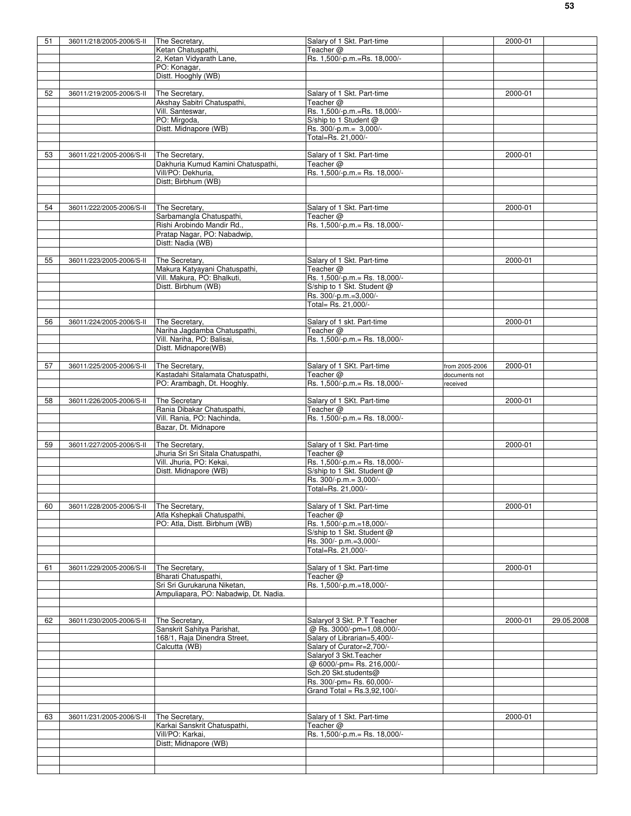| 51 | 36011/218/2005-2006/S-II | The Secretary,                        | Salary of 1 Skt. Part-time     |                | 2000-01 |            |
|----|--------------------------|---------------------------------------|--------------------------------|----------------|---------|------------|
|    |                          | Ketan Chatuspathi,                    | Teacher @                      |                |         |            |
|    |                          | 2, Ketan Vidyarath Lane,              | Rs. 1,500/-p.m.=Rs. 18,000/-   |                |         |            |
|    |                          | PO: Konagar,                          |                                |                |         |            |
|    |                          | Distt. Hooghly (WB)                   |                                |                |         |            |
|    |                          |                                       |                                |                |         |            |
| 52 | 36011/219/2005-2006/S-II | The Secretary,                        | Salary of 1 Skt. Part-time     |                | 2000-01 |            |
|    |                          | Akshay Sabitri Chatuspathi,           | Teacher @                      |                |         |            |
|    |                          | Vill. Santeswar,                      | Rs. 1,500/-p.m.=Rs. 18,000/-   |                |         |            |
|    |                          |                                       |                                |                |         |            |
|    |                          | PO: Mirgoda,                          | S/ship to 1 Student @          |                |         |            |
|    |                          | Distt. Midnapore (WB)                 | Rs. 300/-p.m.= 3,000/-         |                |         |            |
|    |                          |                                       | Total=Rs. 21,000/-             |                |         |            |
|    |                          |                                       |                                |                |         |            |
| 53 | 36011/221/2005-2006/S-II | The Secretary,                        | Salary of 1 Skt. Part-time     |                | 2000-01 |            |
|    |                          | Dakhuria Kumud Kamini Chatuspathi,    | Teacher @                      |                |         |            |
|    |                          | Vill/PO: Dekhuria.                    | Rs. 1,500/-p.m.= Rs. 18,000/-  |                |         |            |
|    |                          | Distt; Birbhum (WB)                   |                                |                |         |            |
|    |                          |                                       |                                |                |         |            |
|    |                          |                                       |                                |                |         |            |
| 54 | 36011/222/2005-2006/S-II | The Secretary,                        | Salary of 1 Skt. Part-time     |                | 2000-01 |            |
|    |                          | Sarbamangla Chatuspathi,              | Teacher @                      |                |         |            |
|    |                          | Rishi Arobindo Mandir Rd.,            | Rs. 1,500/-p.m.= Rs. 18,000/-  |                |         |            |
|    |                          | Pratap Nagar, PO: Nabadwip,           |                                |                |         |            |
|    |                          | Distt: Nadia (WB)                     |                                |                |         |            |
|    |                          |                                       |                                |                |         |            |
| 55 | 36011/223/2005-2006/S-II | The Secretary,                        | Salary of 1 Skt. Part-time     |                | 2000-01 |            |
|    |                          | Makura Katyayani Chatuspathi,         | Teacher $@$                    |                |         |            |
|    |                          | Vill. Makura, PO: Bhalkuti,           | Rs. 1,500/-p.m.= Rs. 18,000/-  |                |         |            |
|    |                          | Distt. Birbhum (WB)                   | S/ship to 1 Skt. Student @     |                |         |            |
|    |                          |                                       | Rs. 300/-p.m.=3,000/-          |                |         |            |
|    |                          |                                       | Total= Rs. 21,000/-            |                |         |            |
|    |                          |                                       |                                |                |         |            |
|    |                          |                                       |                                |                |         |            |
| 56 | 36011/224/2005-2006/S-II | The Secretary,                        | Salary of 1 skt. Part-time     |                | 2000-01 |            |
|    |                          | Nariha Jagdamba Chatuspathi,          | Teacher @                      |                |         |            |
|    |                          | Vill. Nariha, PO: Balisai,            | Rs. 1,500/-p.m.= Rs. 18,000/-  |                |         |            |
|    |                          | Distt. Midnapore(WB)                  |                                |                |         |            |
|    |                          |                                       |                                |                |         |            |
| 57 | 36011/225/2005-2006/S-II | The Secretary,                        | Salary of 1 SKt. Part-time     | from 2005-2006 | 2000-01 |            |
|    |                          | Kastadahi Sitalamata Chatuspathi,     | Teacher @                      | documents not  |         |            |
|    |                          | PO: Arambagh, Dt. Hooghly.            | Rs. 1,500/-p.m. = Rs. 18,000/- | received       |         |            |
|    |                          |                                       |                                |                |         |            |
| 58 | 36011/226/2005-2006/S-II | The Secretary                         | Salary of 1 SKt. Part-time     |                | 2000-01 |            |
|    |                          | Rania Dibakar Chatuspathi,            | Teacher @                      |                |         |            |
|    |                          | Vill. Rania, PO: Nachinda,            | Rs. 1,500/-p.m. = Rs. 18,000/- |                |         |            |
|    |                          | Bazar, Dt. Midnapore                  |                                |                |         |            |
|    |                          |                                       |                                |                |         |            |
| 59 | 36011/227/2005-2006/S-II | The Secretary,                        | Salary of 1 Skt. Part-time     |                | 2000-01 |            |
|    |                          | Jhuria Sri Sri Sitala Chatuspathi,    | Teacher $@$                    |                |         |            |
|    |                          | Vill. Jhuria, PO: Kekai,              | Rs. 1,500/-p.m. = Rs. 18,000/- |                |         |            |
|    |                          | Distt. Midnapore (WB)                 | S/ship to 1 Skt. Student @     |                |         |            |
|    |                          |                                       | Rs. 300/-p.m.= 3,000/-         |                |         |            |
|    |                          |                                       | Total=Rs. 21,000/-             |                |         |            |
|    |                          |                                       |                                |                |         |            |
|    |                          | The Secretary.                        |                                |                |         |            |
| 60 | 36011/228/2005-2006/S-II |                                       | Salary of 1 Skt. Part-time     |                | 2000-01 |            |
|    |                          | Atla Kshepkali Chatuspathi,           | Teacher $@$                    |                |         |            |
|    |                          |                                       |                                |                |         |            |
|    |                          | PO: Atla, Distt. Birbhum (WB)         | Rs. 1,500/-p.m.=18,000/-       |                |         |            |
|    |                          |                                       | S/ship to 1 Skt. Student @     |                |         |            |
|    |                          |                                       | Rs. 300/- p.m.=3,000/-         |                |         |            |
|    |                          |                                       | Total=Rs. 21,000/-             |                |         |            |
|    |                          |                                       |                                |                |         |            |
| 61 | 36011/229/2005-2006/S-II | The Secretary,                        | Salary of 1 Skt. Part-time     |                | 2000-01 |            |
|    |                          | Bharati Chatuspathi,                  | Teacher $@$                    |                |         |            |
|    |                          | Sri Sri Gurukaruna Niketan,           | Rs. 1,500/-p.m.=18,000/-       |                |         |            |
|    |                          | Ampuliapara, PO: Nabadwip, Dt. Nadia. |                                |                |         |            |
|    |                          |                                       |                                |                |         |            |
|    |                          |                                       |                                |                |         |            |
| 62 | 36011/230/2005-2006/S-II | The Secretary,                        | Salaryof 3 Skt. P.T Teacher    |                | 2000-01 | 29.05.2008 |
|    |                          | Sanskrit Sahitya Parishat,            | @ Rs. 3000/-pm=1,08,000/-      |                |         |            |
|    |                          | 168/1, Raja Dinendra Street,          | Salary of Librarian=5,400/-    |                |         |            |
|    |                          | Calcutta (WB)                         | Salary of Curator=2,700/-      |                |         |            |
|    |                          |                                       |                                |                |         |            |
|    |                          |                                       | Salaryof 3 Skt. Teacher        |                |         |            |
|    |                          |                                       | @ 6000/-pm= Rs. 216,000/-      |                |         |            |
|    |                          |                                       | Sch.20 Skt.students@           |                |         |            |
|    |                          |                                       | Rs. 300/-pm= Rs. 60,000/-      |                |         |            |
|    |                          |                                       | Grand Total = Rs.3,92,100/-    |                |         |            |
|    |                          |                                       |                                |                |         |            |
|    |                          |                                       |                                |                |         |            |
| 63 | 36011/231/2005-2006/S-II | The Secretary,                        | Salary of 1 Skt. Part-time     |                | 2000-01 |            |
|    |                          | Karkai Sanskrit Chatuspathi,          | Teacher @                      |                |         |            |
|    |                          | Vill/PO: Karkai,                      | Rs. 1,500/-p.m.= Rs. 18,000/-  |                |         |            |
|    |                          | Distt; Midnapore (WB)                 |                                |                |         |            |
|    |                          |                                       |                                |                |         |            |
|    |                          |                                       |                                |                |         |            |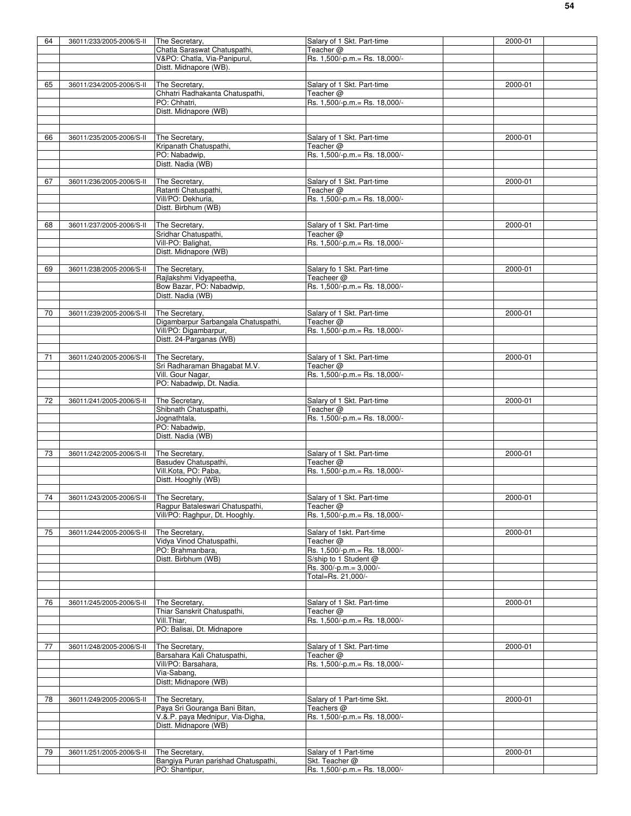| 64 | 36011/233/2005-2006/S-II                | The Secretary,                                   | Salary of 1 Skt. Part-time                  | 2000-01     |
|----|-----------------------------------------|--------------------------------------------------|---------------------------------------------|-------------|
|    |                                         | Chatla Saraswat Chatuspathi,                     | Teacher @                                   |             |
|    |                                         | V&PO: Chatla, Via-Panipurul,                     | Rs. 1,500/-p.m.= Rs. 18,000/-               |             |
|    |                                         | Distt. Midnapore (WB).                           |                                             |             |
|    |                                         |                                                  |                                             |             |
| 65 | 36011/234/2005-2006/S-II                | The Secretary,                                   | Salary of 1 Skt. Part-time                  | 2000-01     |
|    |                                         | Chhatri Radhakanta Chatuspathi,                  | Teacher $@$                                 |             |
|    |                                         | PO: Chhatri,                                     | Rs. 1,500/-p.m.= Rs. 18,000/-               |             |
|    |                                         | Distt. Midnapore (WB)                            |                                             |             |
|    |                                         |                                                  |                                             |             |
|    |                                         |                                                  |                                             |             |
| 66 | 36011/235/2005-2006/S-II                | The Secretary,                                   | Salary of 1 Skt. Part-time                  | 2000-01     |
|    |                                         | Kripanath Chatuspathi,                           | Teacher @                                   |             |
|    |                                         | PO: Nabadwip,                                    | Rs. 1,500/-p.m.= Rs. 18,000/-               |             |
|    |                                         | Distt. Nadia (WB)                                |                                             |             |
|    |                                         |                                                  |                                             |             |
| 67 | 36011/236/2005-2006/S-II                | The Secretary,                                   | Salary of 1 Skt. Part-time                  | 2000-01     |
|    |                                         | Ratanti Chatuspathi,                             | Teacher @                                   |             |
|    |                                         | Vill/PO: Dekhuria,                               | Rs. 1,500/-p.m. = Rs. 18,000/-              |             |
|    |                                         | Distt. Birbhum (WB)                              |                                             |             |
|    |                                         |                                                  |                                             |             |
| 68 | 36011/237/2005-2006/S-II                | The Secretary,                                   | Salary of 1 Skt. Part-time                  | 2000-01     |
|    |                                         | Sridhar Chatuspathi,                             | Teacher @                                   |             |
|    |                                         | Vill-PO: Balighat,                               | Rs. 1,500/-p.m. = Rs. 18,000/-              |             |
|    |                                         | Distt. Midnapore (WB)                            |                                             |             |
|    |                                         |                                                  |                                             |             |
| 69 | 36011/238/2005-2006/S-II                | The Secretary,                                   | Salary fo 1 Skt. Part-time                  | 2000-01     |
|    |                                         | Rajlakshmi Vidyapeetha,                          | Teacheer @                                  |             |
|    |                                         | Bow Bazar, PO: Nabadwip,                         | Rs. 1,500/-p.m.= Rs. 18,000/-               |             |
|    |                                         | Distt. Nadia (WB)                                |                                             |             |
|    |                                         |                                                  |                                             |             |
| 70 | 36011/239/2005-2006/S-II                | The Secretary,                                   | Salary of 1 Skt. Part-time                  | 2000-01     |
|    |                                         | Digambarpur Sarbangala Chatuspathi,              | Teacher @                                   |             |
|    |                                         |                                                  | Rs. 1,500/-p.m. = Rs. 18,000/-              |             |
|    |                                         | Vill/PO: Digambarpur,<br>Distt. 24-Parganas (WB) |                                             |             |
|    |                                         |                                                  |                                             |             |
|    |                                         |                                                  |                                             |             |
| 71 | 36011/240/2005-2006/S-II                | The Secretary,<br>Sri Radharaman Bhagabat M.V.   | Salary of 1 Skt. Part-time<br>Teacher $@$   | 2000-01     |
|    |                                         | Vill. Gour Nagar,                                | Rs. 1,500/-p.m.= Rs. 18,000/-               |             |
|    |                                         | PO: Nabadwip, Dt. Nadia.                         |                                             |             |
|    |                                         |                                                  |                                             |             |
| 72 |                                         | The Secretary,                                   | Salary of 1 Skt. Part-time                  |             |
|    | 36011/241/2005-2006/S-II                |                                                  | Teacher @                                   | 2000-01     |
|    |                                         | Shibnath Chatuspathi,                            |                                             |             |
|    |                                         | Jognathtala,<br>PO: Nabadwip,                    | Rs. 1,500/-p.m.= Rs. 18,000/-               |             |
|    |                                         |                                                  |                                             |             |
|    |                                         | Distt. Nadia (WB)                                |                                             |             |
|    |                                         |                                                  |                                             |             |
| 73 | 36011/242/2005-2006/S-II                | The Secretary,                                   | Salary of 1 Skt. Part-time                  | 2000-01     |
|    |                                         | Basudev Chatuspathi,                             | Teacher @                                   |             |
|    |                                         | Vill.Kota, PO: Paba,                             | Rs. 1,500/-p.m.= Rs. 18,000/-               |             |
|    |                                         | Distt. Hooghly (WB)                              |                                             |             |
|    |                                         |                                                  |                                             |             |
| 74 | 36011/243/2005-2006/S-II The Secretary, |                                                  | Salary of 1 Skt. Part-time                  | $2000 - 01$ |
|    |                                         | Ragpur Bataleswari Chatuspathi,                  | Teacher @                                   |             |
|    |                                         | Vill/PO: Raghpur, Dt. Hooghly.                   | Rs. 1,500/-p.m. = Rs. 18,000/-              |             |
|    |                                         |                                                  |                                             |             |
| 75 | 36011/244/2005-2006/S-II                | The Secretary,                                   | Salary of 1skt. Part-time                   | 2000-01     |
|    |                                         | Vidya Vinod Chatuspathi,                         | Teacher @                                   |             |
|    |                                         | PO: Brahmanbara,                                 | Rs. 1,500/-p.m.= Rs. 18,000/-               |             |
|    |                                         | Distt. Birbhum (WB)                              | S/ship to 1 Student @                       |             |
|    |                                         |                                                  | Rs. 300/-p.m.= 3,000/-                      |             |
|    |                                         |                                                  | Total=Rs. 21,000/-                          |             |
|    |                                         |                                                  |                                             |             |
|    |                                         |                                                  |                                             |             |
| 76 | 36011/245/2005-2006/S-II                | The Secretary,                                   | Salary of 1 Skt. Part-time                  | 2000-01     |
|    |                                         | Thiar Sanskrit Chatuspathi,                      | Teacher @<br>Rs. 1,500/-p.m. = Rs. 18,000/- |             |
|    |                                         | Vill.Thiar,                                      |                                             |             |
|    |                                         | PO: Balisai, Dt. Midnapore                       |                                             |             |
|    |                                         |                                                  |                                             |             |
| 77 | 36011/248/2005-2006/S-II                | The Secretary,                                   | Salary of 1 Skt. Part-time                  | 2000-01     |
|    |                                         | Barsahara Kali Chatuspathi,                      | Teacher @                                   |             |
|    |                                         | Vill/PO: Barsahara,                              | Rs. 1,500/-p.m.= Rs. 18,000/-               |             |
|    |                                         | Via-Sabang,                                      |                                             |             |
|    |                                         | Distt; Midnapore (WB)                            |                                             |             |
|    |                                         |                                                  |                                             |             |
| 78 | 36011/249/2005-2006/S-II                | The Secretary,                                   | Salary of 1 Part-time Skt.                  | 2000-01     |
|    |                                         | Paya Sri Gouranga Bani Bitan,                    | Teachers $@$                                |             |
|    |                                         | V.&.P. paya Mednipur, Via-Digha,                 | Rs. 1,500/-p.m.= Rs. 18,000/-               |             |
|    |                                         | Distt. Midnapore (WB)                            |                                             |             |
|    |                                         |                                                  |                                             |             |
|    |                                         |                                                  |                                             |             |
| 79 | 36011/251/2005-2006/S-II                | The Secretary,                                   | Salary of 1 Part-time                       | 2000-01     |
|    |                                         | Bangiya Puran parishad Chatuspathi,              | Skt. Teacher @                              |             |
|    |                                         | PO: Shantipur,                                   | Rs. 1,500/-p.m.= Rs. 18,000/-               |             |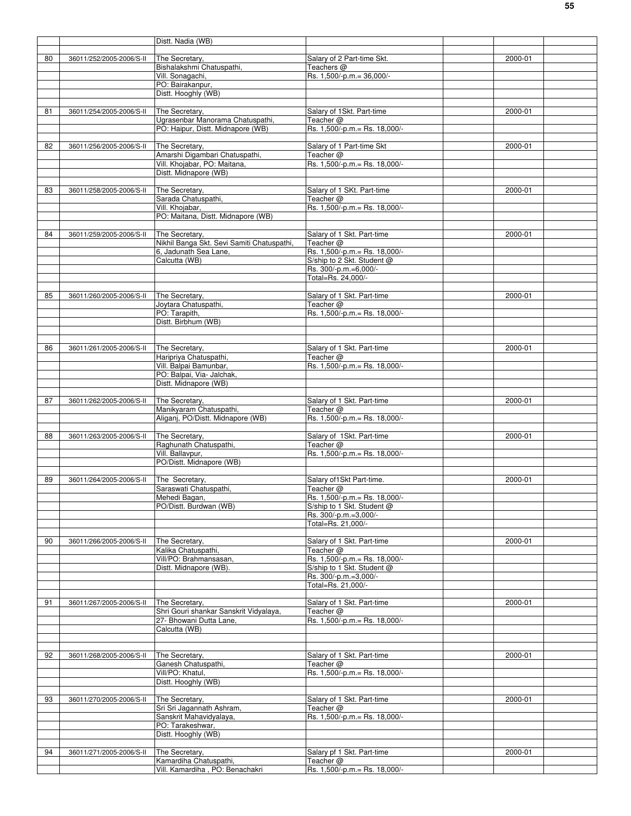|    |                          | Distt. Nadia (WB)                                                     |                                               |             |
|----|--------------------------|-----------------------------------------------------------------------|-----------------------------------------------|-------------|
|    |                          |                                                                       |                                               |             |
| 80 | 36011/252/2005-2006/S-II | The Secretary,                                                        | Salary of 2 Part-time Skt.                    | $2000 - 01$ |
|    |                          | Bishalakshmi Chatuspathi,<br>Vill. Sonagachi,                         | Teachers $@$<br>Rs. 1,500/-p.m.= 36,000/-     |             |
|    |                          | PO: Bairakanpur,                                                      |                                               |             |
|    |                          | Distt. Hooghly (WB)                                                   |                                               |             |
|    |                          |                                                                       |                                               |             |
| 81 | 36011/254/2005-2006/S-II | The Secretary.                                                        | Salary of 1Skt. Part-time                     | 2000-01     |
|    |                          | Ugrasenbar Manorama Chatuspathi,<br>PO: Haipur, Distt. Midnapore (WB) | Teacher $@$<br>Rs. 1,500/-p.m. = Rs. 18,000/- |             |
|    |                          |                                                                       |                                               |             |
| 82 | 36011/256/2005-2006/S-II | The Secretary,                                                        | Salary of 1 Part-time Skt                     | 2000-01     |
|    |                          | Amarshi Digambari Chatuspathi,                                        | Teacher $@$                                   |             |
|    |                          | Vill. Khojabar, PO: Maitana,                                          | Rs. 1,500/-p.m. = Rs. 18,000/-                |             |
|    |                          | Distt. Midnapore (WB)                                                 |                                               |             |
| 83 | 36011/258/2005-2006/S-II | The Secretary,                                                        | Salary of 1 SKt. Part-time                    | 2000-01     |
|    |                          | Sarada Chatuspathi,                                                   | Teacher $@$                                   |             |
|    |                          | Vill. Khojabar,                                                       | Rs. 1,500/-p.m. = Rs. 18,000/-                |             |
|    |                          | PO: Maitana, Distt. Midnapore (WB)                                    |                                               |             |
| 84 |                          |                                                                       |                                               |             |
|    | 36011/259/2005-2006/S-II | The Secretary,<br>Nikhil Banga Skt. Sevi Samiti Chatuspathi,          | Salary of 1 Skt. Part-time<br>Teacher $@$     | 2000-01     |
|    |                          | 6, Jadunath Sea Lane,                                                 | Rs. 1,500/-p.m.= Rs. 18,000/-                 |             |
|    |                          | Calcutta (WB)                                                         | S/ship to 2 Skt. Student @                    |             |
|    |                          |                                                                       | Rs. 300/-p.m.=6,000/-                         |             |
|    |                          |                                                                       | Total=Rs. 24,000/-                            |             |
| 85 | 36011/260/2005-2006/S-II | The Secretary,                                                        | Salary of 1 Skt. Part-time                    | 2000-01     |
|    |                          | Joytara Chatuspathi,                                                  | Teacher @                                     |             |
|    |                          | PO: Tarapith,                                                         | Rs. 1,500/-p.m.= Rs. 18,000/-                 |             |
|    |                          | Distt. Birbhum (WB)                                                   |                                               |             |
|    |                          |                                                                       |                                               |             |
| 86 | 36011/261/2005-2006/S-II | The Secretary,                                                        | Salary of 1 Skt. Part-time                    | 2000-01     |
|    |                          | Haripriya Chatuspathi,                                                | Teacher $@$                                   |             |
|    |                          | Vill. Balpai Bamunbar,                                                | Rs. 1,500/-p.m.= Rs. 18,000/-                 |             |
|    |                          | PO: Balpai, Via- Jalchak,                                             |                                               |             |
|    |                          | Distt. Midnapore (WB)                                                 |                                               |             |
| 87 | 36011/262/2005-2006/S-II | The Secretary,                                                        | Salary of 1 Skt. Part-time                    | 2000-01     |
|    |                          | Manikyaram Chatuspathi,                                               | Teacher $@$                                   |             |
|    |                          | Aliganj, PO/Distt. Midnapore (WB)                                     | Rs. 1,500/-p.m.= Rs. 18,000/-                 |             |
|    |                          |                                                                       |                                               |             |
| 88 | 36011/263/2005-2006/S-II | The Secretary,                                                        | Salary of 1Skt. Part-time                     | 2000-01     |
|    |                          | Raghunath Chatuspathi,<br>Vill. Ballavpur,                            | Teacher $@$<br>Rs. 1,500/-p.m. = Rs. 18,000/- |             |
|    |                          | PO/Distt. Midnapore (WB)                                              |                                               |             |
|    |                          |                                                                       |                                               |             |
| 89 | 36011/264/2005-2006/S-II | The Secretary,                                                        | Salary of 1 Skt Part-time.                    | 2000-01     |
|    |                          | Saraswati Chatuspathi,                                                | Teacher @<br>Rs. 1,500/-p.m. = Rs. 18,000/-   |             |
|    |                          | Mehedi Bagan,<br>PO/Distt. Burdwan (WB)                               | S/ship to 1 Skt. Student @                    |             |
|    |                          |                                                                       | Rs. 300/-p.m.=3,000/-                         |             |
|    |                          |                                                                       | Total=Rs. 21,000/-                            |             |
|    |                          |                                                                       |                                               |             |
| 90 | 36011/266/2005-2006/S-II | The Secretary,                                                        | Salary of 1 Skt. Part-time                    | 2000-01     |
|    |                          | Kalika Chatuspathi,<br>Vill/PO: Brahmansasan,                         | Teacher $@$<br>Rs. 1,500/-p.m. = Rs. 18,000/- |             |
|    |                          | Distt. Midnapore (WB).                                                | S/ship to 1 Skt. Student @                    |             |
|    |                          |                                                                       | Rs. 300/-p.m.=3,000/-                         |             |
|    |                          |                                                                       | Total=Rs. 21,000/-                            |             |
|    |                          |                                                                       |                                               | 2000-01     |
| 91 | 36011/267/2005-2006/S-II | The Secretary,<br>Shri Gouri shankar Sanskrit Vidyalaya,              | Salary of 1 Skt. Part-time<br>Teacher $@$     |             |
|    |                          | 27- Bhowani Dutta Lane,                                               | Rs. 1,500/-p.m. = Rs. 18,000/-                |             |
|    |                          | Calcutta (WB)                                                         |                                               |             |
|    |                          |                                                                       |                                               |             |
| 92 | 36011/268/2005-2006/S-II | The Secretary,                                                        | Salary of 1 Skt. Part-time                    | 2000-01     |
|    |                          | Ganesh Chatuspathi,                                                   | Teacher $@$                                   |             |
|    |                          | Vill/PO: Khatul,                                                      | Rs. 1,500/-p.m.= Rs. 18,000/-                 |             |
|    |                          | Distt. Hooghly (WB)                                                   |                                               |             |
|    |                          |                                                                       |                                               |             |
| 93 | 36011/270/2005-2006/S-II | The Secretary,<br>Sri Sri Jagannath Ashram,                           | Salary of 1 Skt. Part-time<br>Teacher @       | 2000-01     |
|    |                          | Sanskrit Mahavidyalaya,                                               | Rs. 1,500/-p.m. = Rs. 18,000/-                |             |
|    |                          | PO: Tarakeshwar,                                                      |                                               |             |
|    |                          | Distt. Hooghly (WB)                                                   |                                               |             |
|    |                          |                                                                       |                                               |             |
|    |                          |                                                                       |                                               |             |
| 94 | 36011/271/2005-2006/S-II | The Secretary,<br>Kamardiha Chatuspathi,                              | Salary pf 1 Skt. Part-time<br>Teacher @       | 2000-01     |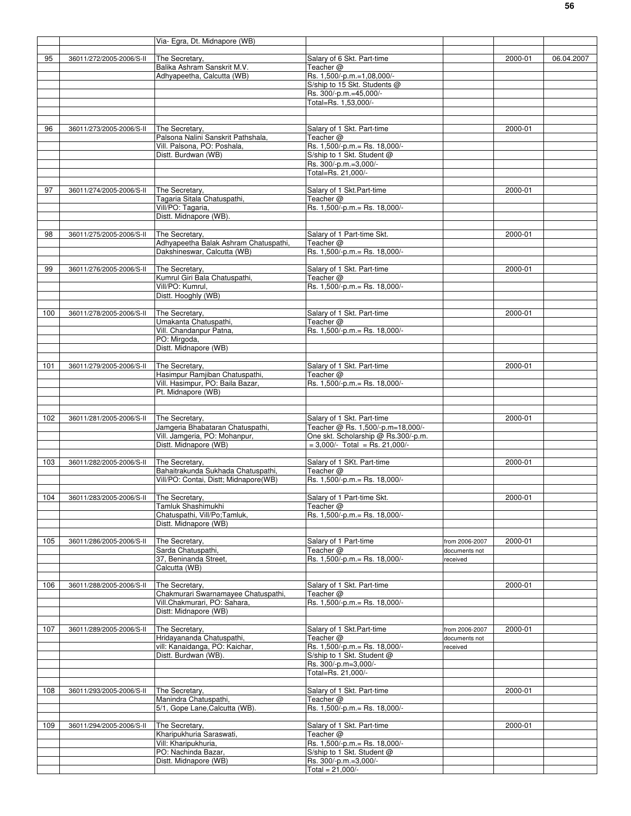|     |                                         | Via- Egra, Dt. Midnapore (WB)                                     |                                                                 |                |         |            |
|-----|-----------------------------------------|-------------------------------------------------------------------|-----------------------------------------------------------------|----------------|---------|------------|
|     |                                         |                                                                   |                                                                 |                |         |            |
| 95  | 36011/272/2005-2006/S-II                | The Secretary.                                                    | Salary of 6 Skt. Part-time                                      |                | 2000-01 | 06.04.2007 |
|     |                                         | Balika Ashram Sanskrit M.V.                                       | Teacher @                                                       |                |         |            |
|     |                                         | Adhyapeetha, Calcutta (WB)                                        | Rs. 1,500/-p.m.=1,08,000/-<br>S/ship to 15 Skt. Students @      |                |         |            |
|     |                                         |                                                                   | Rs. 300/-p.m.=45,000/-                                          |                |         |            |
|     |                                         |                                                                   | Total=Rs. 1,53,000/-                                            |                |         |            |
|     |                                         |                                                                   |                                                                 |                |         |            |
|     |                                         |                                                                   |                                                                 |                |         |            |
| 96  | 36011/273/2005-2006/S-II                | The Secretary,                                                    | Salary of 1 Skt. Part-time                                      |                | 2000-01 |            |
|     |                                         | Palsona Nalini Sanskrit Pathshala,<br>Vill. Palsona, PO: Poshala, | Teacher @<br>Rs. 1,500/-p.m.= Rs. 18,000/-                      |                |         |            |
|     |                                         | Distt. Burdwan (WB)                                               | S/ship to 1 Skt. Student @                                      |                |         |            |
|     |                                         |                                                                   | Rs. 300/-p.m.=3,000/-                                           |                |         |            |
|     |                                         |                                                                   | Total=Rs. 21,000/-                                              |                |         |            |
|     |                                         |                                                                   |                                                                 |                |         |            |
| 97  | 36011/274/2005-2006/S-II                | The Secretary,                                                    | Salary of 1 Skt.Part-time                                       |                | 2000-01 |            |
|     |                                         | Tagaria Sitala Chatuspathi,                                       | Teacher @                                                       |                |         |            |
|     |                                         | Vill/PO: Tagaria,                                                 | Rs. 1,500/-p.m.= Rs. 18,000/-                                   |                |         |            |
|     |                                         | Distt. Midnapore (WB).                                            |                                                                 |                |         |            |
|     |                                         |                                                                   |                                                                 |                |         |            |
| 98  | 36011/275/2005-2006/S-II                | The Secretary,<br>Adhyapeetha Balak Ashram Chatuspathi,           | Salary of 1 Part-time Skt.<br>Teacher @                         |                | 2000-01 |            |
|     |                                         | Dakshineswar, Calcutta (WB)                                       | Rs. 1,500/-p.m. = Rs. 18,000/-                                  |                |         |            |
|     |                                         |                                                                   |                                                                 |                |         |            |
| 99  | 36011/276/2005-2006/S-II                | The Secretary,                                                    | Salary of 1 Skt. Part-time                                      |                | 2000-01 |            |
|     |                                         | Kumrul Giri Bala Chatuspathi,                                     | Teacher @                                                       |                |         |            |
|     |                                         | Vill/PO: Kumrul,                                                  | Rs. 1,500/-p.m. = Rs. 18,000/-                                  |                |         |            |
|     |                                         | Distt. Hooghly (WB)                                               |                                                                 |                |         |            |
|     |                                         |                                                                   |                                                                 |                |         |            |
| 100 | 36011/278/2005-2006/S-II                | The Secretary,                                                    | Salary of 1 Skt. Part-time<br>Teacher @                         |                | 2000-01 |            |
|     |                                         | Umakanta Chatuspathi,<br>Vill. Chandanpur Patna,                  | Rs. 1,500/-p.m.= Rs. 18,000/-                                   |                |         |            |
|     |                                         | PO: Mirgoda,                                                      |                                                                 |                |         |            |
|     |                                         | Distt. Midnapore (WB)                                             |                                                                 |                |         |            |
|     |                                         |                                                                   |                                                                 |                |         |            |
| 101 | 36011/279/2005-2006/S-II                | The Secretary,                                                    | Salary of 1 Skt. Part-time                                      |                | 2000-01 |            |
|     |                                         | Hasimpur Ramjiban Chatuspathi,                                    | Teacher $@$                                                     |                |         |            |
|     |                                         | Vill. Hasimpur, PO: Baila Bazar,                                  | Rs. 1,500/-p.m. = Rs. 18,000/-                                  |                |         |            |
|     |                                         | Pt. Midnapore (WB)                                                |                                                                 |                |         |            |
|     |                                         |                                                                   |                                                                 |                |         |            |
|     |                                         |                                                                   |                                                                 |                |         |            |
| 102 | 36011/281/2005-2006/S-II                | The Secretary,<br>Jamgeria Bhabataran Chatuspathi,                | Salary of 1 Skt. Part-time<br>Teacher @ Rs. 1,500/-p.m=18,000/- |                | 2000-01 |            |
|     |                                         | Vill. Jamgeria, PO: Mohanpur,                                     | One skt. Scholarship @ Rs.300/-p.m.                             |                |         |            |
|     |                                         | Distt. Midnapore (WB)                                             | $= 3.000/-$ Total = Rs. 21.000/-                                |                |         |            |
|     |                                         |                                                                   |                                                                 |                |         |            |
| 103 | 36011/282/2005-2006/S-II                | The Secretary,                                                    | Salary of 1 SKt. Part-time                                      |                | 2000-01 |            |
|     |                                         | Bahaitrakunda Sukhada Chatuspathi,                                | Teacher $@$                                                     |                |         |            |
|     |                                         | Vill/PO: Contai, Distt; Midnapore(WB)                             | Rs. 1,500/-p.m.= Rs. 18,000/-                                   |                |         |            |
|     |                                         |                                                                   |                                                                 |                |         |            |
| 104 | 36011/283/2005-2006/S-II The Secretary, |                                                                   | Salary of 1 Part-time Skt.                                      |                | 2000-01 |            |
|     |                                         | Tamluk Shashimukhi<br>Chatuspathi, Vill/Po;Tamluk,                | Teacher @<br>Rs. 1,500/-p.m. = Rs. 18,000/-                     |                |         |            |
|     |                                         | Distt. Midnapore (WB)                                             |                                                                 |                |         |            |
|     |                                         |                                                                   |                                                                 |                |         |            |
| 105 | 36011/286/2005-2006/S-II                | The Secretary,                                                    | Salary of 1 Part-time                                           | from 2006-2007 | 2000-01 |            |
|     |                                         | Sarda Chatuspathi,                                                | Teacher @                                                       | documents not  |         |            |
|     |                                         | 37, Beninanda Street,                                             | Rs. 1,500/-p.m. = Rs. 18,000/-                                  | received       |         |            |
|     |                                         | Calcutta (WB)                                                     |                                                                 |                |         |            |
|     |                                         |                                                                   |                                                                 |                |         |            |
| 106 | 36011/288/2005-2006/S-II                | The Secretary,<br>Chakmurari Swarnamayee Chatuspathi,             | Salary of 1 Skt. Part-time                                      |                | 2000-01 |            |
|     |                                         | Vill.Chakmurari, PO: Sahara,                                      | Teacher $@$<br>Rs. 1,500/-p.m.= Rs. 18,000/-                    |                |         |            |
|     |                                         | Distt: Midnapore (WB)                                             |                                                                 |                |         |            |
|     |                                         |                                                                   |                                                                 |                |         |            |
| 107 | 36011/289/2005-2006/S-II                | The Secretary,                                                    | Salary of 1 Skt.Part-time                                       | from 2006-2007 | 2000-01 |            |
|     |                                         | Hridayananda Chatuspathi,                                         | Teacher @                                                       | documents not  |         |            |
|     |                                         | vill: Kanaidanga, PO: Kaichar,                                    | Rs. 1,500/-p.m.= Rs. 18,000/-                                   | received       |         |            |
|     |                                         | Distt. Burdwan (WB).                                              | S/ship to 1 Skt. Student @                                      |                |         |            |
|     |                                         |                                                                   | Rs. 300/-p.m=3,000/-                                            |                |         |            |
|     |                                         |                                                                   | Total=Rs. 21,000/-                                              |                |         |            |
| 108 |                                         | The Secretary,                                                    | Salary of 1 Skt. Part-time                                      |                | 2000-01 |            |
|     | 36011/293/2005-2006/S-II                | Manindra Chatuspathi,                                             | Teacher $@$                                                     |                |         |            |
|     |                                         | 5/1, Gope Lane, Calcutta (WB).                                    | Rs. 1,500/-p.m.= Rs. 18,000/-                                   |                |         |            |
|     |                                         |                                                                   |                                                                 |                |         |            |
| 109 | 36011/294/2005-2006/S-II                | The Secretary,                                                    | Salary of 1 Skt. Part-time                                      |                | 2000-01 |            |
|     |                                         | Kharipukhuria Saraswati,                                          | Teacher @                                                       |                |         |            |
|     |                                         | Vill: Kharipukhuria,                                              | Rs. 1,500/-p.m.= Rs. 18,000/-                                   |                |         |            |
|     |                                         | PO: Nachinda Bazar,                                               | S/ship to 1 Skt. Student @                                      |                |         |            |
|     |                                         | Distt. Midnapore (WB)                                             | Rs. 300/-p.m.=3,000/-                                           |                |         |            |
|     |                                         |                                                                   | Total = $21,000/-$                                              |                |         |            |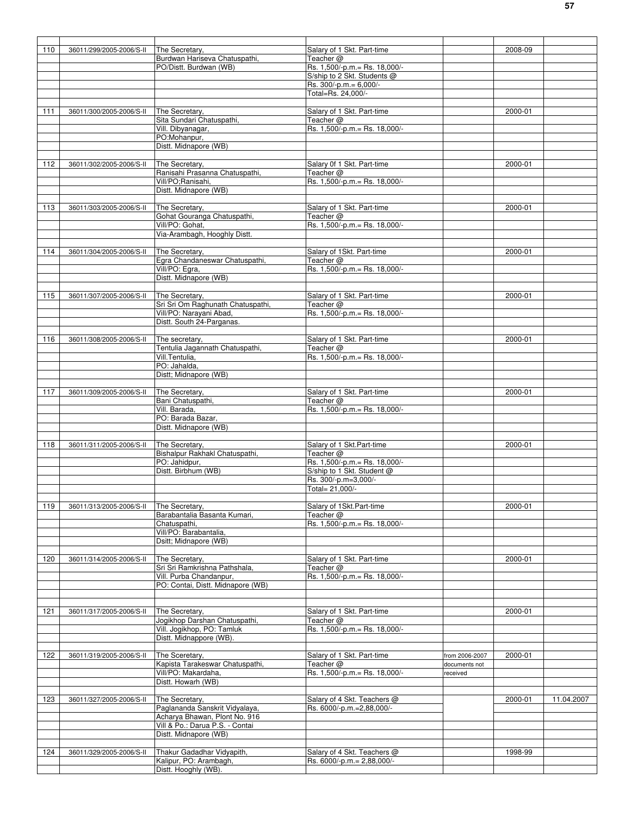| 110 |                          | The Secretary.                                       |                                                           |                | 2008-09 |            |
|-----|--------------------------|------------------------------------------------------|-----------------------------------------------------------|----------------|---------|------------|
|     | 36011/299/2005-2006/S-II | Burdwan Hariseva Chatuspathi,                        | Salary of 1 Skt. Part-time<br>Teacher $@$                 |                |         |            |
|     |                          | PO/Distt. Burdwan (WB)                               | Rs. 1,500/-p.m. = Rs. 18,000/-                            |                |         |            |
|     |                          |                                                      | S/ship to 2 Skt. Students @                               |                |         |            |
|     |                          |                                                      | Rs. 300/-p.m.= 6,000/-                                    |                |         |            |
|     |                          |                                                      | Total=Rs. 24,000/-                                        |                |         |            |
|     |                          |                                                      |                                                           |                |         |            |
| 111 | 36011/300/2005-2006/S-II | The Secretary.                                       | Salary of 1 Skt. Part-time                                |                | 2000-01 |            |
|     |                          | Sita Sundari Chatuspathi,                            | Teacher $@$                                               |                |         |            |
|     |                          | Vill. Dibyanagar,                                    | Rs. 1,500/-p.m. = Rs. 18,000/-                            |                |         |            |
|     |                          | PO:Mohanpur,                                         |                                                           |                |         |            |
|     |                          | Distt. Midnapore (WB)                                |                                                           |                |         |            |
|     |                          |                                                      |                                                           |                |         |            |
| 112 | 36011/302/2005-2006/S-II | The Secretary.                                       | Salary 0f 1 Skt. Part-time                                |                | 2000-01 |            |
|     |                          | Ranisahi Prasanna Chatuspathi,                       | Teacher $@$                                               |                |         |            |
|     |                          | Vill/PO;Ranisahi,                                    | Rs. 1,500/-p.m. = Rs. 18,000/-                            |                |         |            |
|     |                          | Distt. Midnapore (WB)                                |                                                           |                |         |            |
|     |                          |                                                      |                                                           |                |         |            |
| 113 | 36011/303/2005-2006/S-II | The Secretary,                                       | Salary of 1 Skt. Part-time                                |                | 2000-01 |            |
|     |                          | Gohat Gouranga Chatuspathi,                          | Teacher $@$                                               |                |         |            |
|     |                          | Vill/PO: Gohat,                                      | Rs. 1,500/-p.m. = Rs. 18,000/-                            |                |         |            |
|     |                          | Via-Arambagh, Hooghly Distt.                         |                                                           |                |         |            |
|     |                          |                                                      |                                                           |                |         |            |
| 114 | 36011/304/2005-2006/S-II | The Secretary,                                       | Salary of 1Skt. Part-time                                 |                | 2000-01 |            |
|     |                          | Egra Chandaneswar Chatuspathi,                       | Teacher @                                                 |                |         |            |
|     |                          | Vill/PO: Egra,                                       | Rs. 1,500/-p.m.= Rs. 18,000/-                             |                |         |            |
|     |                          | Distt. Midnapore (WB)                                |                                                           |                |         |            |
|     |                          |                                                      |                                                           |                |         |            |
| 115 | 36011/307/2005-2006/S-II | The Secretary,                                       | Salary of 1 Skt. Part-time                                |                | 2000-01 |            |
|     |                          | Sri Sri Om Raghunath Chatuspathi,                    | Teacher @                                                 |                |         |            |
|     |                          | Vill/PO: Narayani Abad,                              | Rs. 1,500/-p.m. = Rs. 18,000/-                            |                |         |            |
|     |                          | Distt. South 24-Parganas.                            |                                                           |                |         |            |
|     |                          |                                                      |                                                           |                |         |            |
| 116 | 36011/308/2005-2006/S-II | The secretary,                                       | Salary of 1 Skt. Part-time                                |                | 2000-01 |            |
|     |                          | Tentulia Jagannath Chatuspathi,                      | Teacher $@$                                               |                |         |            |
|     |                          | Vill.Tentulia,                                       | Rs. 1,500/-p.m.= Rs. 18,000/-                             |                |         |            |
|     |                          | PO: Jahalda,                                         |                                                           |                |         |            |
|     |                          | Distt; Midnapore (WB)                                |                                                           |                |         |            |
|     |                          |                                                      |                                                           |                |         |            |
| 117 | 36011/309/2005-2006/S-II | The Secretary,                                       | Salary of 1 Skt. Part-time                                |                | 2000-01 |            |
|     |                          | Bani Chatuspathi,                                    | Teacher $@$                                               |                |         |            |
|     |                          | Vill. Barada,                                        | Rs. 1,500/-p.m.= Rs. 18,000/-                             |                |         |            |
|     |                          | PO: Barada Bazar,                                    |                                                           |                |         |            |
|     |                          | Distt. Midnapore (WB)                                |                                                           |                |         |            |
|     |                          |                                                      |                                                           |                |         |            |
| 118 | 36011/311/2005-2006/S-II | The Secretary,                                       | Salary of 1 Skt.Part-time                                 |                | 2000-01 |            |
|     |                          | Bishalpur Rakhakl Chatuspathi,                       | Teacher $@$                                               |                |         |            |
|     |                          | PO: Jahidpur,                                        | Rs. 1,500/-p.m.= Rs. 18,000/-                             |                |         |            |
|     |                          | Distt. Birbhum (WB)                                  | S/ship to 1 Skt. Student @                                |                |         |            |
|     |                          |                                                      | Rs. 300/-p.m=3,000/-                                      |                |         |            |
|     |                          |                                                      | Total= 21,000/-                                           |                |         |            |
|     |                          |                                                      |                                                           |                |         |            |
| 119 | 36011/313/2005-2006/S-II | The Secretary,                                       | Salary of 1Skt.Part-time                                  |                | 2000-01 |            |
|     |                          | Barabantalia Basanta Kumari.                         | Teacher $@$                                               |                |         |            |
|     |                          | Chatuspathi,                                         | Rs. 1,500/-p.m. = Rs. 18,000/-                            |                |         |            |
|     |                          | Vill/PO: Barabantalia,                               |                                                           |                |         |            |
|     |                          | Dsitt; Midnapore (WB)                                |                                                           |                |         |            |
|     |                          |                                                      |                                                           |                |         |            |
| 120 | 36011/314/2005-2006/S-II | The Secretary,                                       | Salary of 1 Skt. Part-time                                |                | 2000-01 |            |
|     |                          | Sri Sri Ramkrishna Pathshala,                        | Teacher $@$                                               |                |         |            |
|     |                          | Vill. Purba Chandanpur,                              | Rs. 1,500/-p.m.= Rs. 18,000/-                             |                |         |            |
|     |                          | PO: Contai, Distt. Midnapore (WB)                    |                                                           |                |         |            |
|     |                          |                                                      |                                                           |                |         |            |
|     |                          |                                                      |                                                           |                |         |            |
| 121 |                          | The Secretary,                                       | Salary of 1 Skt. Part-time                                |                | 2000-01 |            |
|     | 36011/317/2005-2006/S-II |                                                      |                                                           |                |         |            |
|     |                          | Jogikhop Darshan Chatuspathi,                        | Teacher $@$                                               |                |         |            |
|     |                          | Vill. Jogikhop, PO: Tamluk                           | Rs. 1,500/-p.m. = Rs. 18,000/-                            |                |         |            |
|     |                          | Distt. Midnappore (WB).                              |                                                           |                |         |            |
|     |                          |                                                      |                                                           |                |         |            |
| 122 | 36011/319/2005-2006/S-II | The Sceretary.                                       | Salary of 1 Skt. Part-time                                | from 2006-2007 | 2000-01 |            |
|     |                          | Kapista Tarakeswar Chatuspathi,                      | Teacher $@$                                               | documents not  |         |            |
|     |                          | Vill/PO: Makardaha,                                  | Rs. 1,500/-p.m.= Rs. 18,000/-                             | received       |         |            |
|     |                          | Distt. Howarh (WB)                                   |                                                           |                |         |            |
|     |                          |                                                      |                                                           |                |         |            |
| 123 | 36011/327/2005-2006/S-II | The Secretary,                                       | Salary of 4 Skt. Teachers @                               |                | 2000-01 | 11.04.2007 |
|     |                          | Paglananda Sanskrit Vidyalaya,                       | Rs. 6000/-p.m.=2,88,000/-                                 |                |         |            |
|     |                          | Acharya Bhawan, Plont No. 916                        |                                                           |                |         |            |
|     |                          | Vill & Po.: Darua P.S. - Contai                      |                                                           |                |         |            |
|     |                          | Distt. Midnapore (WB)                                |                                                           |                |         |            |
|     |                          |                                                      |                                                           |                |         |            |
| 124 | 36011/329/2005-2006/S-II | Thakur Gadadhar Vidyapith,<br>Kalipur, PO: Arambagh, | Salary of 4 Skt. Teachers @<br>Rs. 6000/-p.m.= 2,88,000/- |                | 1998-99 |            |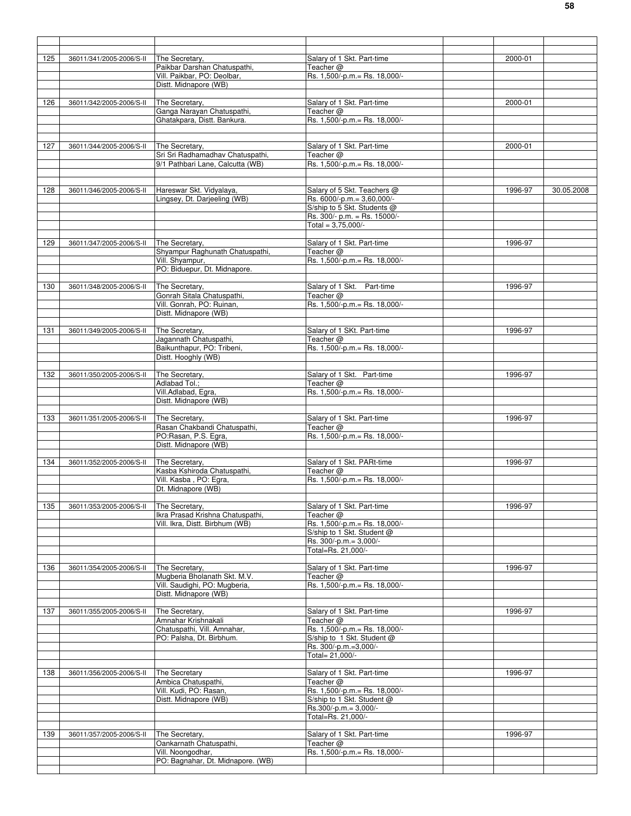| 125 | 36011/341/2005-2006/S-II | The Secretary.                           | Salary of 1 Skt. Part-time              | 2000-01 |            |
|-----|--------------------------|------------------------------------------|-----------------------------------------|---------|------------|
|     |                          | Paikbar Darshan Chatuspathi.             | Teacher @                               |         |            |
|     |                          | Vill. Paikbar, PO: Deolbar,              | Rs. 1,500/-p.m.= Rs. 18,000/-           |         |            |
|     |                          | Distt. Midnapore (WB)                    |                                         |         |            |
|     |                          |                                          |                                         |         |            |
| 126 | 36011/342/2005-2006/S-II | The Secretary,                           | Salary of 1 Skt. Part-time              | 2000-01 |            |
|     |                          | Ganga Narayan Chatuspathi,               | Teacher @                               |         |            |
|     |                          | Ghatakpara, Distt. Bankura.              | Rs. 1,500/-p.m. = Rs. 18,000/-          |         |            |
|     |                          |                                          |                                         |         |            |
|     |                          |                                          |                                         |         |            |
| 127 | 36011/344/2005-2006/S-II | The Secretary,                           | Salary of 1 Skt. Part-time              | 2000-01 |            |
|     |                          | Sri Sri Radhamadhav Chatuspathi,         | Teacher $@$                             |         |            |
|     |                          | 9/1 Pathbari Lane, Calcutta (WB)         | Rs. 1,500/-p.m. = Rs. 18,000/-          |         |            |
|     |                          |                                          |                                         |         |            |
|     |                          |                                          |                                         |         |            |
| 128 | 36011/346/2005-2006/S-II | Hareswar Skt. Vidyalaya,                 | Salary of 5 Skt. Teachers @             | 1996-97 | 30.05.2008 |
|     |                          | Lingsey, Dt. Darjeeling (WB)             | Rs. 6000/-p.m.= 3,60,000/-              |         |            |
|     |                          |                                          | S/ship to 5 Skt. Students @             |         |            |
|     |                          |                                          | Rs. 300/- p.m. = Rs. 15000/-            |         |            |
|     |                          |                                          | Total = $3,75,000/-$                    |         |            |
|     |                          |                                          |                                         |         |            |
| 129 | 36011/347/2005-2006/S-II | The Secretary,                           | Salary of 1 Skt. Part-time              | 1996-97 |            |
|     |                          | Shyampur Raghunath Chatuspathi,          | Teacher @                               |         |            |
|     |                          | Vill. Shyampur,                          | Rs. 1,500/-p.m.= Rs. 18,000/-           |         |            |
|     |                          | PO: Biduepur, Dt. Midnapore.             |                                         |         |            |
|     |                          |                                          |                                         |         |            |
| 130 | 36011/348/2005-2006/S-II | The Secretary,                           | Salary of 1 Skt. Part-time              | 1996-97 |            |
|     |                          | Gonrah Sitala Chatuspathi,               | Teacher @                               |         |            |
|     |                          | Vill. Gonrah, PO: Ruinan,                | Rs. 1,500/-p.m. = Rs. 18,000/-          |         |            |
|     |                          | Distt. Midnapore (WB)                    |                                         |         |            |
|     |                          |                                          |                                         |         |            |
|     |                          |                                          |                                         |         |            |
| 131 | 36011/349/2005-2006/S-II | The Secretary.<br>Jagannath Chatuspathi, | Salary of 1 SKt. Part-time<br>Teacher @ | 1996-97 |            |
|     |                          | Baikunthapur, PO: Tribeni,               | Rs. 1,500/-p.m. = Rs. 18,000/-          |         |            |
|     |                          | Distt. Hooghly (WB)                      |                                         |         |            |
|     |                          |                                          |                                         |         |            |
| 132 |                          | The Secretary,                           | Salary of 1 Skt. Part-time              | 1996-97 |            |
|     | 36011/350/2005-2006/S-II | Adlabad Tol.;                            | Teacher @                               |         |            |
|     |                          | Vill.Adlabad, Egra,                      | Rs. 1,500/-p.m.= Rs. 18,000/-           |         |            |
|     |                          | Distt. Midnapore (WB)                    |                                         |         |            |
|     |                          |                                          |                                         |         |            |
|     |                          |                                          |                                         |         |            |
| 133 | 36011/351/2005-2006/S-II | The Secretary,                           | Salary of 1 Skt. Part-time              | 1996-97 |            |
|     |                          | Rasan Chakbandi Chatuspathi,             | Teacher $@$                             |         |            |
|     |                          | PO:Rasan, P.S. Egra,                     | Rs. 1,500/-p.m. = Rs. 18,000/-          |         |            |
|     |                          | Distt. Midnapore (WB)                    |                                         |         |            |
|     |                          |                                          |                                         |         |            |
| 134 | 36011/352/2005-2006/S-II | The Secretary,                           | Salary of 1 Skt. PARt-time              | 1996-97 |            |
|     |                          | Kasba Kshiroda Chatuspathi,              | Teacher @                               |         |            |
|     |                          | Vill. Kasba, PO: Egra,                   | Rs. 1,500/-p.m.= Rs. 18,000/-           |         |            |
|     |                          | Dt. Midnapore (WB)                       |                                         |         |            |
|     |                          |                                          |                                         |         |            |
| 135 | 36011/353/2005-2006/S-II | The Secretary.                           | Salary of 1 Skt. Part-time              | 1996-97 |            |
|     |                          | Ikra Prasad Krishna Chatuspathi,         | Teacher @                               |         |            |
|     |                          | Vill. Ikra, Distt. Birbhum (WB)          | Rs. 1,500/-p.m. = Rs. 18,000/-          |         |            |
|     |                          |                                          | S/ship to 1 Skt. Student @              |         |            |
|     |                          |                                          | Rs. 300/-p.m.= 3,000/-                  |         |            |
|     |                          |                                          | Total=Rs. 21,000/-                      |         |            |
|     |                          |                                          |                                         |         |            |
| 136 | 36011/354/2005-2006/S-II | The Secretary,                           | Salary of 1 Skt. Part-time              | 1996-97 |            |
|     |                          | Mugberia Bholanath Skt. M.V.             | Teacher @                               |         |            |
|     |                          | Vill. Saudighi, PO: Mugberia,            | Rs. 1,500/-p.m. = Rs. 18,000/-          |         |            |
|     |                          | Distt. Midnapore (WB)                    |                                         |         |            |
|     |                          |                                          |                                         |         |            |
| 137 | 36011/355/2005-2006/S-II | The Secretary,                           | Salary of 1 Skt. Part-time              | 1996-97 |            |
|     |                          | Amnahar Krishnakali                      | Teacher $@$                             |         |            |
|     |                          | Chatuspathi, Vill. Amnahar,              | Rs. 1,500/-p.m. = Rs. 18,000/-          |         |            |
|     |                          | PO: Palsha, Dt. Birbhum.                 | S/ship to 1 Skt. Student @              |         |            |
|     |                          |                                          | Rs. 300/-p.m.=3,000/-                   |         |            |
|     |                          |                                          | Total= 21,000/-                         |         |            |
|     |                          |                                          |                                         |         |            |
| 138 | 36011/356/2005-2006/S-II | The Secretary                            | Salary of 1 Skt. Part-time              | 1996-97 |            |
|     |                          | Ambica Chatuspathi,                      | Teacher @                               |         |            |
|     |                          | Vill. Kudi, PO: Rasan,                   | Rs. 1,500/-p.m. = Rs. 18,000/-          |         |            |
|     |                          | Distt. Midnapore (WB)                    | S/ship to 1 Skt. Student @              |         |            |
|     |                          |                                          | Rs.300/-p.m.= 3,000/-                   |         |            |
|     |                          |                                          |                                         |         |            |
|     |                          |                                          | Total=Rs. 21,000/-                      |         |            |
|     |                          |                                          |                                         |         |            |
| 139 | 36011/357/2005-2006/S-II | The Secretary,                           | Salary of 1 Skt. Part-time              | 1996-97 |            |
|     |                          | Oankarnath Chatuspathi,                  | Teacher @                               |         |            |
|     |                          | Vill. Noongodhar,                        | Rs. 1,500/-p.m.= Rs. 18,000/-           |         |            |
|     |                          | PO: Bagnahar, Dt. Midnapore. (WB)        |                                         |         |            |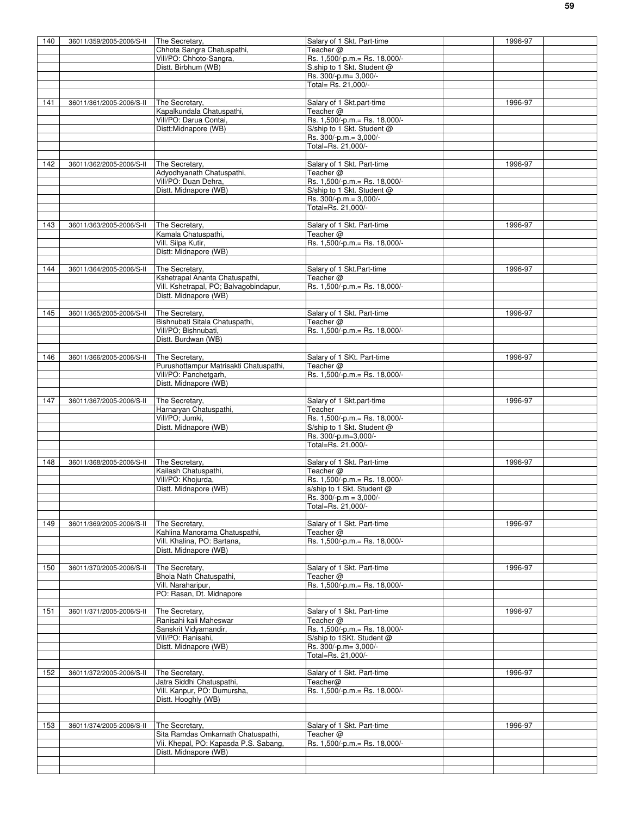| 140 | 36011/359/2005-2006/S-II | The Secretary,                         | Salary of 1 Skt. Part-time      | 1996-97 |  |
|-----|--------------------------|----------------------------------------|---------------------------------|---------|--|
|     |                          |                                        | Teacher $@$                     |         |  |
|     |                          | Chhota Sangra Chatuspathi,             |                                 |         |  |
|     |                          | Vill/PO: Chhoto-Sangra,                | Rs. 1,500/-p.m. = Rs. 18,000/-  |         |  |
|     |                          | Distt. Birbhum (WB)                    | S.ship to 1 Skt. Student @      |         |  |
|     |                          |                                        | Rs. 300/-p.m= 3,000/-           |         |  |
|     |                          |                                        | Total= Rs. 21,000/-             |         |  |
|     |                          |                                        |                                 |         |  |
| 141 | 36011/361/2005-2006/S-II | The Secretary,                         | Salary of 1 Skt.part-time       | 1996-97 |  |
|     |                          | Kapalkundala Chatuspathi,              | Teacher @                       |         |  |
|     |                          | Vill/PO: Darua Contai,                 | Rs. 1,500/-p.m. = Rs. 18,000/-  |         |  |
|     |                          |                                        |                                 |         |  |
|     |                          | Distt:Midnapore (WB)                   | S/ship to 1 Skt. Student @      |         |  |
|     |                          |                                        | Rs. 300/-p.m.= 3,000/-          |         |  |
|     |                          |                                        | Total=Rs. 21,000/-              |         |  |
|     |                          |                                        |                                 |         |  |
| 142 | 36011/362/2005-2006/S-II | The Secretary,                         | Salary of 1 Skt. Part-time      | 1996-97 |  |
|     |                          | Adyodhyanath Chatuspathi,              | Teacher $@$                     |         |  |
|     |                          | Vill/PO: Duan Dehra,                   | Rs. 1,500/-p.m. = Rs. 18,000/-  |         |  |
|     |                          | Distt. Midnapore (WB)                  | S/ship to 1 Skt. Student @      |         |  |
|     |                          |                                        | Rs. 300/-p.m.= 3,000/-          |         |  |
|     |                          |                                        |                                 |         |  |
|     |                          |                                        | Total=Rs. 21,000/-              |         |  |
|     |                          |                                        |                                 |         |  |
| 143 | 36011/363/2005-2006/S-II | The Secretary,                         | Salary of 1 Skt. Part-time      | 1996-97 |  |
|     |                          | Kamala Chatuspathi,                    | Teacher $@$                     |         |  |
|     |                          | Vill. Silpa Kutir,                     | Rs. 1,500/-p.m. = Rs. 18,000/-  |         |  |
|     |                          | Distt: Midnapore (WB)                  |                                 |         |  |
|     |                          |                                        |                                 |         |  |
| 144 | 36011/364/2005-2006/S-II | The Secretary,                         | Salary of 1 Skt.Part-time       | 1996-97 |  |
|     |                          | Kshetrapal Ananta Chatuspathi,         | Teacher $@$                     |         |  |
|     |                          | Vill. Kshetrapal, PO; Balvagobindapur, | Rs. 1,500/-p.m. = Rs. 18,000/-  |         |  |
|     |                          |                                        |                                 |         |  |
|     |                          | Distt. Midnapore (WB)                  |                                 |         |  |
|     |                          |                                        |                                 |         |  |
| 145 | 36011/365/2005-2006/S-II | The Secretary,                         | Salary of 1 Skt. Part-time      | 1996-97 |  |
|     |                          | Bishnubati Sitala Chatuspathi,         | Teacher $@$                     |         |  |
|     |                          | Vill/PO; Bishnubati,                   | Rs. 1,500/-p.m.= Rs. 18,000/-   |         |  |
|     |                          | Distt. Burdwan (WB)                    |                                 |         |  |
|     |                          |                                        |                                 |         |  |
| 146 | 36011/366/2005-2006/S-II | The Secretary,                         | Salary of 1 SKt. Part-time      | 1996-97 |  |
|     |                          | Purushottampur Matrisakti Chatuspathi, | Teacher $@$                     |         |  |
|     |                          | Vill/PO: Panchetgarh,                  | Rs. 1,500/-p.m. = Rs. 18,000/-  |         |  |
|     |                          | Distt. Midnapore (WB)                  |                                 |         |  |
|     |                          |                                        |                                 |         |  |
|     |                          |                                        |                                 |         |  |
| 147 | 36011/367/2005-2006/S-II | The Secretary,                         | Salary of 1 Skt.part-time       | 1996-97 |  |
|     |                          | Harnaryan Chatuspathi,                 | Teacher                         |         |  |
|     |                          | Vill/PO; Jumki,                        | Rs. 1,500/-p.m.= Rs. 18,000/-   |         |  |
|     |                          | Distt. Midnapore (WB)                  | S/ship to 1 Skt. Student @      |         |  |
|     |                          |                                        | Rs. 300/-p.m=3,000/-            |         |  |
|     |                          |                                        | Total=Rs. 21,000/-              |         |  |
|     |                          |                                        |                                 |         |  |
| 148 | 36011/368/2005-2006/S-II | The Secretary,                         | Salary of 1 Skt. Part-time      | 1996-97 |  |
|     |                          | Kailash Chatuspathi,                   | Teacher $@$                     |         |  |
|     |                          | Vill/PO: Khojurda,                     | $Rs. 1,500/-p.m = Rs. 18,000/-$ |         |  |
|     |                          |                                        |                                 |         |  |
|     |                          | Distt. Midnapore (WB)                  | s/ship to 1 Skt. Student @      |         |  |
|     |                          |                                        |                                 |         |  |
|     |                          |                                        | Rs. 300/-p.m = 3,000/-          |         |  |
|     |                          |                                        | Total=Rs. 21,000/-              |         |  |
|     |                          |                                        |                                 |         |  |
| 149 | 36011/369/2005-2006/S-II | The Secretary,                         | Salary of 1 Skt. Part-time      | 1996-97 |  |
|     |                          | Kahlina Manorama Chatuspathi,          | Teacher $@$                     |         |  |
|     |                          |                                        | Rs. 1,500/-p.m. = Rs. 18,000/-  |         |  |
|     |                          | Vill. Khalina, PO: Bartana,            |                                 |         |  |
|     |                          | Distt. Midnapore (WB)                  |                                 |         |  |
|     |                          |                                        |                                 |         |  |
| 150 | 36011/370/2005-2006/S-II | The Secretary,                         | Salary of 1 Skt. Part-time      | 1996-97 |  |
|     |                          | Bhola Nath Chatuspathi,                | Teacher $@$                     |         |  |
|     |                          | Vill. Naraharipur,                     | Rs. 1,500/-p.m.= Rs. 18,000/-   |         |  |
|     |                          | PO: Rasan, Dt. Midnapore               |                                 |         |  |
|     |                          |                                        |                                 |         |  |
| 151 | 36011/371/2005-2006/S-II | The Secretary,                         | Salary of 1 Skt. Part-time      | 1996-97 |  |
|     |                          | Ranisahi kali Maheswar                 | Teacher @                       |         |  |
|     |                          | Sanskrit Vidyamandir,                  | Rs. 1,500/-p.m. = Rs. 18,000/-  |         |  |
|     |                          | Vill/PO: Ranisahi,                     | S/ship to 1SKt. Student @       |         |  |
|     |                          |                                        |                                 |         |  |
|     |                          | Distt. Midnapore (WB)                  | Rs. 300/-p.m= 3,000/-           |         |  |
|     |                          |                                        | Total=Rs. 21,000/-              |         |  |
|     |                          |                                        |                                 |         |  |
| 152 | 36011/372/2005-2006/S-II | The Secretary.                         | Salary of 1 Skt. Part-time      | 1996-97 |  |
|     |                          | Jatra Siddhi Chatuspathi,              | Teacher@                        |         |  |
|     |                          | Vill. Kanpur, PO: Dumursha,            | Rs. 1,500/-p.m. = Rs. 18,000/-  |         |  |
|     |                          | Distt. Hooghly (WB)                    |                                 |         |  |
|     |                          |                                        |                                 |         |  |
|     |                          |                                        |                                 |         |  |
| 153 | 36011/374/2005-2006/S-II | The Secretary.                         | Salary of 1 Skt. Part-time      | 1996-97 |  |
|     |                          | Sita Ramdas Omkarnath Chatuspathi,     | Teacher $@$                     |         |  |
|     |                          | Vii. Khepal, PO: Kapasda P.S. Sabang,  | Rs. 1,500/-p.m. = Rs. 18,000/-  |         |  |
|     |                          | Distt. Midnapore (WB)                  |                                 |         |  |
|     |                          |                                        |                                 |         |  |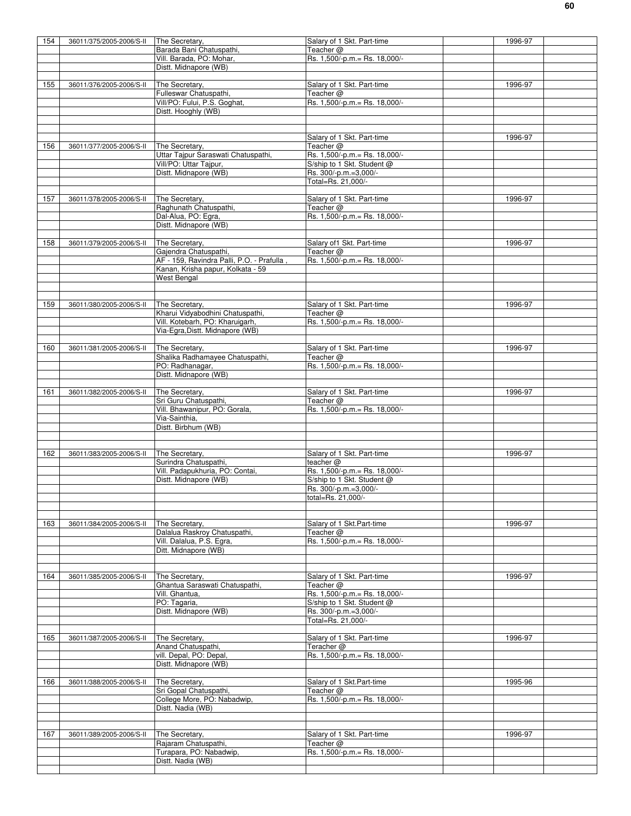| 154 | 36011/375/2005-2006/S-II | The Secretary,                                     | Salary of 1 Skt. Part-time                          | 1996-97 |  |
|-----|--------------------------|----------------------------------------------------|-----------------------------------------------------|---------|--|
|     |                          | Barada Bani Chatuspathi,                           | Teacher $@$                                         |         |  |
|     |                          | Vill. Barada, PO: Mohar,                           | Rs. 1,500/-p.m. = Rs. 18,000/-                      |         |  |
|     |                          | Distt. Midnapore (WB)                              |                                                     |         |  |
| 155 |                          |                                                    |                                                     |         |  |
|     | 36011/376/2005-2006/S-II | The Secretary,<br>Fulleswar Chatuspathi,           | Salary of 1 Skt. Part-time<br>Teacher @             | 1996-97 |  |
|     |                          | Vill/PO: Fului, P.S. Goghat,                       | Rs. 1,500/-p.m.= Rs. 18,000/-                       |         |  |
|     |                          | Distt. Hooghly (WB)                                |                                                     |         |  |
|     |                          |                                                    |                                                     |         |  |
|     |                          |                                                    |                                                     |         |  |
|     |                          |                                                    | Salary of 1 Skt. Part-time                          | 1996-97 |  |
| 156 | 36011/377/2005-2006/S-II | The Secretary,                                     | Teacher @                                           |         |  |
|     |                          | Uttar Tajpur Saraswati Chatuspathi,                | Rs. 1,500/-p.m.= Rs. 18,000/-                       |         |  |
|     |                          | Vill/PO: Uttar Tajpur,                             | S/ship to 1 Skt. Student @<br>Rs. 300/-p.m.=3,000/- |         |  |
|     |                          | Distt. Midnapore (WB)                              | Total=Rs. 21,000/-                                  |         |  |
|     |                          |                                                    |                                                     |         |  |
| 157 | 36011/378/2005-2006/S-II | The Secretary,                                     | Salary of 1 Skt. Part-time                          | 1996-97 |  |
|     |                          | Raghunath Chatuspathi,                             | Teacher @                                           |         |  |
|     |                          | Dal-Alua, PO: Egra,                                | Rs. 1,500/-p.m.= Rs. 18,000/-                       |         |  |
|     |                          | Distt. Midnapore (WB)                              |                                                     |         |  |
|     |                          |                                                    |                                                     |         |  |
| 158 | 36011/379/2005-2006/S-II | The Secretary,                                     | Salary of 1 Skt. Part-time                          | 1996-97 |  |
|     |                          | Gajendra Chatuspathi,                              | Teacher @                                           |         |  |
|     |                          | AF - 159, Ravindra Palli, P.O. - Prafulla          | Rs. 1,500/-p.m. = Rs. 18,000/-                      |         |  |
|     |                          | Kanan, Krisha papur, Kolkata - 59<br>West Bengal   |                                                     |         |  |
|     |                          |                                                    |                                                     |         |  |
|     |                          |                                                    |                                                     |         |  |
| 159 | 36011/380/2005-2006/S-II | The Secretary,                                     | Salary of 1 Skt. Part-time                          | 1996-97 |  |
|     |                          | Kharui Vidyabodhini Chatuspathi,                   | Teacher $@$                                         |         |  |
|     |                          | Vill. Kotebarh, PO: Kharuigarh,                    | Rs. 1,500/-p.m. = Rs. 18,000/-                      |         |  |
|     |                          | Via-Egra, Distt. Midnapore (WB)                    |                                                     |         |  |
|     |                          |                                                    |                                                     |         |  |
| 160 | 36011/381/2005-2006/S-II | The Secretary,                                     | Salary of 1 Skt. Part-time                          | 1996-97 |  |
|     |                          | Shalika Radhamayee Chatuspathi,<br>PO: Radhanagar, | Teacher $@$<br>Rs. 1,500/-p.m. = Rs. 18,000/-       |         |  |
|     |                          | Distt. Midnapore (WB)                              |                                                     |         |  |
|     |                          |                                                    |                                                     |         |  |
| 161 | 36011/382/2005-2006/S-II | The Secretary,                                     | Salary of 1 Skt. Part-time                          | 1996-97 |  |
|     |                          | Sri Guru Chatuspathi,                              | Teacher $@$                                         |         |  |
|     |                          | Vill. Bhawanipur, PO: Gorala,                      | Rs. 1,500/-p.m. = Rs. 18,000/-                      |         |  |
|     |                          | Via-Sainthia,                                      |                                                     |         |  |
|     |                          | Distt. Birbhum (WB)                                |                                                     |         |  |
|     |                          |                                                    |                                                     |         |  |
| 162 |                          | The Secretary,                                     |                                                     | 1996-97 |  |
|     | 36011/383/2005-2006/S-II | Surindra Chatuspathi,                              | Salary of 1 Skt. Part-time<br>teacher @             |         |  |
|     |                          | Vill. Padapukhuria, PO: Contai,                    | Rs. 1,500/-p.m.= Rs. 18,000/-                       |         |  |
|     |                          | Distt. Midnapore (WB)                              | S/ship to 1 Skt. Student @                          |         |  |
|     |                          |                                                    | Rs. 300/-p.m.=3,000/-                               |         |  |
|     |                          |                                                    | total=Rs. 21,000/-                                  |         |  |
|     |                          |                                                    |                                                     |         |  |
|     |                          |                                                    |                                                     |         |  |
| 163 | 36011/384/2005-2006/S-II | The Secretary,                                     | Salary of 1 Skt.Part-time                           | 1996-97 |  |
|     |                          | Dalalua Raskroy Chatuspathi,                       | Teacher @<br>Rs. 1,500/-p.m. = Rs. 18,000/-         |         |  |
|     |                          | Vill. Dalalua, P.S. Egra,<br>Ditt. Midnapore (WB)  |                                                     |         |  |
|     |                          |                                                    |                                                     |         |  |
|     |                          |                                                    |                                                     |         |  |
| 164 | 36011/385/2005-2006/S-II | The Secretary,                                     | Salary of 1 Skt. Part-time                          | 1996-97 |  |
|     |                          | Ghantua Saraswati Chatuspathi,                     | Teacher @                                           |         |  |
|     |                          | Vill. Ghantua,                                     | Rs. 1,500/-p.m. = Rs. 18,000/-                      |         |  |
|     |                          | PO: Tagaria,                                       | S/ship to 1 Skt. Student @                          |         |  |
|     |                          | Distt. Midnapore (WB)                              | Rs. 300/-p.m.=3,000/-                               |         |  |
|     |                          |                                                    | Total=Rs. 21,000/-                                  |         |  |
| 165 | 36011/387/2005-2006/S-II | The Secretary,                                     | Salary of 1 Skt. Part-time                          | 1996-97 |  |
|     |                          | Anand Chatuspathi,                                 | Teracher @                                          |         |  |
|     |                          | vill. Depal, PO: Depal,                            | Rs. 1,500/-p.m. = Rs. 18,000/-                      |         |  |
|     |                          | Distt. Midnapore (WB)                              |                                                     |         |  |
|     |                          |                                                    |                                                     |         |  |
| 166 | 36011/388/2005-2006/S-II | The Secretary,                                     | Salary of 1 Skt.Part-time                           | 1995-96 |  |
|     |                          | Sri Gopal Chatuspathi,                             | Teacher $@$                                         |         |  |
|     |                          | College More, PO: Nabadwip,                        | Rs. 1,500/-p.m. = Rs. 18,000/-                      |         |  |
|     |                          | Distt. Nadia (WB)                                  |                                                     |         |  |
|     |                          |                                                    |                                                     |         |  |
| 167 | 36011/389/2005-2006/S-II | The Secretary,                                     | Salary of 1 Skt. Part-time                          | 1996-97 |  |
|     |                          | Rajaram Chatuspathi,                               | $\overline{\mathsf{Teacher}}@$                      |         |  |
|     |                          | Turapara, PO: Nabadwip,                            | Rs. 1,500/-p.m. = Rs. 18,000/-                      |         |  |
|     |                          | Distt. Nadia (WB)                                  |                                                     |         |  |
|     |                          |                                                    |                                                     |         |  |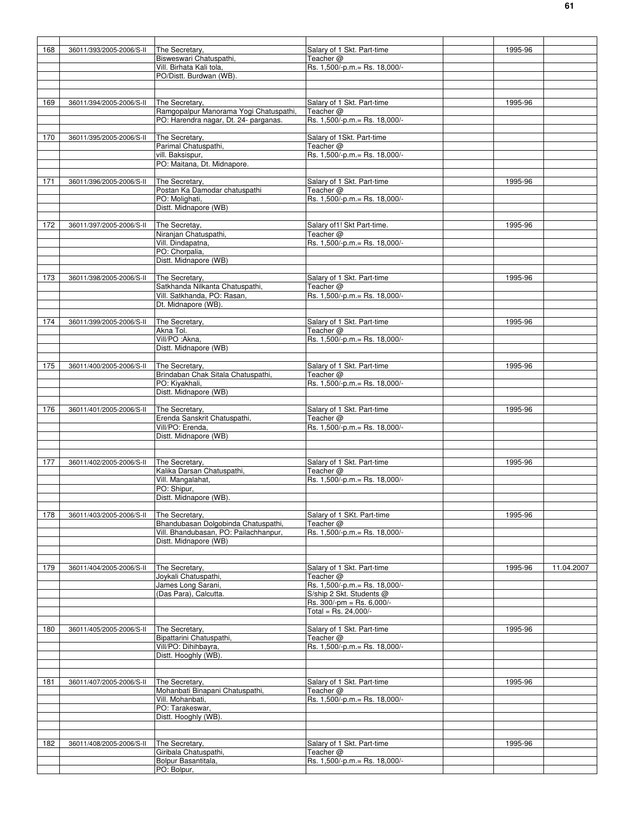| 168 | 36011/393/2005-2006/S-II | The Secretary,                         | Salary of 1 Skt. Part-time                                | 1995-96 |            |
|-----|--------------------------|----------------------------------------|-----------------------------------------------------------|---------|------------|
|     |                          | Bisweswari Chatuspathi,                | Teacher @                                                 |         |            |
|     |                          | Vill. Birhata Kali tola,               | Rs. 1,500/-p.m. = Rs. 18,000/-                            |         |            |
|     |                          | PO/Distt. Burdwan (WB).                |                                                           |         |            |
|     |                          |                                        |                                                           |         |            |
|     |                          |                                        |                                                           |         |            |
|     |                          |                                        |                                                           |         |            |
| 169 | 36011/394/2005-2006/S-II | The Secretary,                         | Salary of 1 Skt. Part-time                                | 1995-96 |            |
|     |                          | Ramgopalpur Manorama Yogi Chatuspathi, | Teacher @                                                 |         |            |
|     |                          | PO: Harendra nagar, Dt. 24- parganas.  | Rs. 1,500/-p.m. = Rs. 18,000/-                            |         |            |
|     |                          |                                        |                                                           |         |            |
| 170 | 36011/395/2005-2006/S-II | The Secretary,                         | Salary of 1Skt. Part-time                                 |         |            |
|     |                          | Parimal Chatuspathi,                   | Teacher @                                                 |         |            |
|     |                          | vill. Baksispur,                       | Rs. 1,500/-p.m.= Rs. 18,000/-                             |         |            |
|     |                          | PO: Maitana, Dt. Midnapore.            |                                                           |         |            |
|     |                          |                                        |                                                           |         |            |
| 171 | 36011/396/2005-2006/S-II | The Secretary,                         | Salary of 1 Skt. Part-time                                | 1995-96 |            |
|     |                          | Postan Ka Damodar chatuspathi          | Teacher @                                                 |         |            |
|     |                          | PO: Molighati,                         | Rs. 1,500/-p.m.= Rs. 18,000/-                             |         |            |
|     |                          | Distt. Midnapore (WB)                  |                                                           |         |            |
|     |                          |                                        |                                                           |         |            |
| 172 | 36011/397/2005-2006/S-II | The Secretay,                          | Salary of 1! Skt Part-time.                               | 1995-96 |            |
|     |                          | Niranjan Chatuspathi,                  | Teacher @                                                 |         |            |
|     |                          | Vill. Dindapatna,                      | Rs. 1,500/-p.m.= Rs. 18,000/-                             |         |            |
|     |                          | PO: Chorpalia,                         |                                                           |         |            |
|     |                          |                                        |                                                           |         |            |
|     |                          | Distt. Midnapore (WB)                  |                                                           |         |            |
|     |                          |                                        |                                                           |         |            |
| 173 | 36011/398/2005-2006/S-II | The Secretary,                         | Salary of 1 Skt. Part-time                                | 1995-96 |            |
|     |                          | Satkhanda Nilkanta Chatuspathi,        | Teacher $@$                                               |         |            |
|     |                          | Vill. Satkhanda, PO: Rasan,            | Rs. 1,500/-p.m.= Rs. 18,000/-                             |         |            |
|     |                          | Dt. Midnapore (WB).                    |                                                           |         |            |
|     |                          |                                        |                                                           |         |            |
| 174 | 36011/399/2005-2006/S-II | The Secretary,                         | Salary of 1 Skt. Part-time                                | 1995-96 |            |
|     |                          | Akna Tol.                              | Teacher @                                                 |         |            |
|     |                          | Vill/PO : Akna,                        | Rs. 1,500/-p.m. = Rs. 18,000/-                            |         |            |
|     |                          | Distt. Midnapore (WB)                  |                                                           |         |            |
|     |                          |                                        |                                                           |         |            |
| 175 | 36011/400/2005-2006/S-II | The Secretary,                         | Salary of 1 Skt. Part-time                                | 1995-96 |            |
|     |                          | Brindaban Chak Sitala Chatuspathi,     | Teacher @                                                 |         |            |
|     |                          | PO: Kiyakhali,                         | Rs. 1,500/-p.m. = Rs. 18,000/-                            |         |            |
|     |                          | Distt. Midnapore (WB)                  |                                                           |         |            |
|     |                          |                                        |                                                           |         |            |
|     |                          |                                        |                                                           |         |            |
| 176 | 36011/401/2005-2006/S-II | The Secretary,                         | Salary of 1 Skt. Part-time                                | 1995-96 |            |
|     |                          | Erenda Sanskrit Chatuspathi,           | Teacher @                                                 |         |            |
|     |                          | Vill/PO: Erenda,                       | Rs. 1,500/-p.m.= Rs. 18,000/-                             |         |            |
|     |                          | Distt. Midnapore (WB)                  |                                                           |         |            |
|     |                          |                                        |                                                           |         |            |
|     |                          |                                        |                                                           |         |            |
| 177 | 36011/402/2005-2006/S-II | The Secretary,                         | Salary of 1 Skt. Part-time                                | 1995-96 |            |
|     |                          | Kalika Darsan Chatuspathi,             | Teacher $@$                                               |         |            |
|     |                          | Vill. Mangalahat,                      | Rs. 1,500/-p.m.= Rs. 18,000/-                             |         |            |
|     |                          | PO: Shipur,                            |                                                           |         |            |
|     |                          | Distt. Midnapore (WB).                 |                                                           |         |            |
|     |                          |                                        |                                                           |         |            |
| 178 | 36011/403/2005-2006/S-II | The Secretary,                         | Salary of 1 SKt. Part-time                                | 1995-96 |            |
|     |                          | Bhandubasan Dolgobinda Chatuspathi,    | Teacher @                                                 |         |            |
|     |                          | Vill. Bhandubasan, PO: Pailachhanpur,  | Rs. 1,500/-p.m.= Rs. 18,000/-                             |         |            |
|     |                          | Distt. Midnapore (WB)                  |                                                           |         |            |
|     |                          |                                        |                                                           |         |            |
|     |                          |                                        |                                                           |         |            |
| 179 | 36011/404/2005-2006/S-II | The Secretary,                         | Salary of 1 Skt. Part-time                                | 1995-96 | 11.04.2007 |
|     |                          | Joykali Chatuspathi,                   | Teacher @                                                 |         |            |
|     |                          |                                        |                                                           |         |            |
|     |                          | James Long Sarani,                     | Rs. 1,500/-p.m.= Rs. 18,000/-<br>S/ship 2 Skt. Students @ |         |            |
|     |                          | (Das Para), Calcutta.                  |                                                           |         |            |
|     |                          |                                        | Rs. 300/-pm = Rs. 6,000/-                                 |         |            |
|     |                          |                                        | Total = Rs. 24,000/-                                      |         |            |
|     |                          |                                        |                                                           |         |            |
| 180 | 36011/405/2005-2006/S-II | The Secretary,                         | Salary of 1 Skt. Part-time                                | 1995-96 |            |
|     |                          | Bipattarini Chatuspathi,               | Teacher @                                                 |         |            |
|     |                          | Vill/PO: Dihihbayra,                   | Rs. 1,500/-p.m. = Rs. 18,000/-                            |         |            |
|     |                          | Distt. Hooghly (WB).                   |                                                           |         |            |
|     |                          |                                        |                                                           |         |            |
|     |                          |                                        |                                                           |         |            |
| 181 | 36011/407/2005-2006/S-II | The Secretary,                         | Salary of 1 Skt. Part-time                                | 1995-96 |            |
|     |                          | Mohanbati Binapani Chatuspathi,        | Teacher $@$                                               |         |            |
|     |                          | Vill. Mohanbati,                       | Rs. 1,500/-p.m.= Rs. 18,000/-                             |         |            |
|     |                          | PO: Tarakeswar,                        |                                                           |         |            |
|     |                          | Distt. Hooghly (WB).                   |                                                           |         |            |
|     |                          |                                        |                                                           |         |            |
|     |                          |                                        |                                                           |         |            |
| 182 | 36011/408/2005-2006/S-II | The Secretary,                         | Salary of 1 Skt. Part-time                                | 1995-96 |            |
|     |                          | Giribala Chatuspathi,                  | Teacher @                                                 |         |            |
|     |                          | Bolpur Basantitala,                    | Rs. 1,500/-p.m. = Rs. 18,000/-                            |         |            |
|     |                          | PO: Bolpur,                            |                                                           |         |            |
|     |                          |                                        |                                                           |         |            |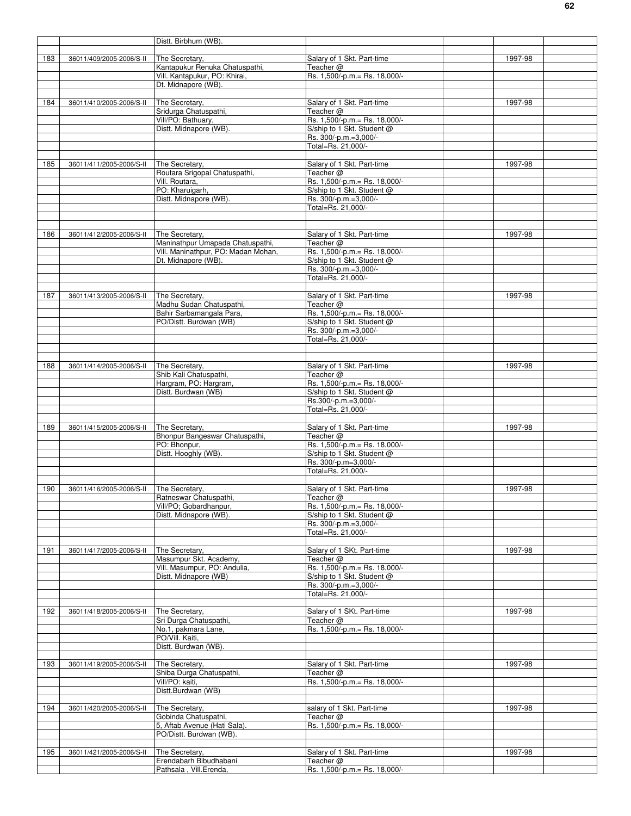|     |                          | Distt. Birbhum (WB).                                   |                                                              |         |
|-----|--------------------------|--------------------------------------------------------|--------------------------------------------------------------|---------|
|     |                          |                                                        |                                                              |         |
| 183 | 36011/409/2005-2006/S-II | The Secretary,                                         | Salary of 1 Skt. Part-time                                   | 1997-98 |
|     |                          | Kantapukur Renuka Chatuspathi.                         | Teacher @                                                    |         |
|     |                          | Vill. Kantapukur, PO: Khirai,                          | Rs. 1,500/-p.m. = Rs. 18,000/-                               |         |
|     |                          | Dt. Midnapore (WB).                                    |                                                              |         |
| 184 | 36011/410/2005-2006/S-II | The Secretary,                                         | Salary of 1 Skt. Part-time                                   | 1997-98 |
|     |                          | Sridurga Chatuspathi,                                  | Teacher @                                                    |         |
|     |                          | Vill/PO: Bathuary,                                     | Rs. 1,500/-p.m. = Rs. 18,000/-                               |         |
|     |                          | Distt. Midnapore (WB)                                  | S/ship to 1 Skt. Student @                                   |         |
|     |                          |                                                        | Rs. 300/-p.m.=3,000/-                                        |         |
|     |                          |                                                        | Total=Rs. 21,000/-                                           |         |
|     |                          |                                                        |                                                              |         |
| 185 | 36011/411/2005-2006/S-II | The Secretary,                                         | Salary of 1 Skt. Part-time                                   | 1997-98 |
|     |                          | Routara Srigopal Chatuspathi,                          | Teacher @                                                    |         |
|     |                          | Vill. Routara,<br>PO: Kharuigarh,                      | Rs. 1,500/-p.m. = Rs. 18,000/-<br>S/ship to 1 Skt. Student @ |         |
|     |                          | Distt. Midnapore (WB).                                 | Rs. 300/-p.m.=3,000/-                                        |         |
|     |                          |                                                        | Total=Rs. 21,000/-                                           |         |
|     |                          |                                                        |                                                              |         |
|     |                          |                                                        |                                                              |         |
| 186 | 36011/412/2005-2006/S-II | The Secretary,                                         | Salary of 1 Skt. Part-time                                   | 1997-98 |
|     |                          | Maninathpur Umapada Chatuspathi,                       | Teacher @                                                    |         |
|     |                          | Vill. Maninathpur, PO: Madan Mohan,                    | Rs. 1,500/-p.m.= Rs. 18,000/-                                |         |
|     |                          | Dt. Midnapore (WB)                                     | S/ship to 1 Skt. Student @                                   |         |
|     |                          |                                                        | Rs. 300/-p.m.=3,000/-                                        |         |
|     |                          |                                                        | Total=Rs. 21,000/-                                           |         |
| 187 | 36011/413/2005-2006/S-II | The Secretary,                                         | Salary of 1 Skt. Part-time                                   | 1997-98 |
|     |                          | Madhu Sudan Chatuspathi,                               | Teacher @                                                    |         |
|     |                          | Bahir Sarbamangala Para,                               | Rs. 1,500/-p.m. = Rs. 18,000/-                               |         |
|     |                          | PO/Distt. Burdwan (WB)                                 | S/ship to 1 Skt. Student @                                   |         |
|     |                          |                                                        | Rs. 300/-p.m.=3,000/-                                        |         |
|     |                          |                                                        | Total=Rs. 21,000/-                                           |         |
|     |                          |                                                        |                                                              |         |
|     |                          |                                                        |                                                              |         |
| 188 | 36011/414/2005-2006/S-II | The Secretary,                                         | Salary of 1 Skt. Part-time                                   | 1997-98 |
|     |                          | Shib Kali Chatuspathi,<br>Hargram, PO: Hargram,        | Teacher @<br>Rs. 1,500/-p.m.= Rs. 18,000/-                   |         |
|     |                          | Distt. Burdwan (WB)                                    | S/ship to 1 Skt. Student @                                   |         |
|     |                          |                                                        | Rs.300/-p.m.=3,000/-                                         |         |
|     |                          |                                                        | Total=Rs. 21,000/-                                           |         |
|     |                          |                                                        |                                                              |         |
| 189 | 36011/415/2005-2006/S-II | The Secretary,                                         | Salary of 1 Skt. Part-time                                   | 1997-98 |
|     |                          | Bhonpur Bangeswar Chatuspathi,                         | Teacher @                                                    |         |
|     |                          | PO: Bhonpur,                                           | Rs. 1,500/-p.m. = Rs. 18,000/-                               |         |
|     |                          | Distt. Hooghly (WB).                                   | S/ship to 1 Skt. Student @                                   |         |
|     |                          |                                                        | Rs. 300/-p.m=3,000/-<br>Total=Rs. 21,000/-                   |         |
|     |                          |                                                        |                                                              |         |
| 190 | 36011/416/2005-2006/S-II | The Secretary,                                         | Salary of 1 Skt. Part-time                                   | 1997-98 |
|     |                          | Ratneswar Chatuspathi,                                 | Teacher $@$                                                  |         |
|     |                          | Vill/PO; Gobardhanpur,                                 | Rs. 1,500/-p.m. = Rs. 18,000/-                               |         |
|     |                          | Distt. Midnapore (WB).                                 | S/ship to 1 Skt. Student @                                   |         |
|     |                          |                                                        | Rs. 300/-p.m.=3,000/-                                        |         |
|     |                          |                                                        | Total=Rs. 21,000/-                                           |         |
|     |                          |                                                        |                                                              |         |
| 191 | 36011/417/2005-2006/S-II | The Secretary,                                         | Salary of 1 SKt. Part-time<br>Teacher @                      | 1997-98 |
|     |                          | Masumpur Skt. Academy,<br>Vill. Masumpur, PO: Andulia, | Rs. 1,500/-p.m. = Rs. 18,000/-                               |         |
|     |                          | Distt. Midnapore (WB)                                  | S/ship to 1 Skt. Student @                                   |         |
|     |                          |                                                        | Rs. 300/-p.m.=3,000/-                                        |         |
|     |                          |                                                        | Total=Rs. 21,000/-                                           |         |
|     |                          |                                                        |                                                              |         |
| 192 | 36011/418/2005-2006/S-II | The Secretary,                                         | Salary of 1 SKt. Part-time                                   | 1997-98 |
|     |                          | Sri Durga Chatuspathi,                                 | Teacher @                                                    |         |
|     |                          | No.1, pakmara Lane,                                    | Rs. 1,500/-p.m. = Rs. 18,000/-                               |         |
|     |                          | PO/Vill. Kaiti,<br>Distt. Burdwan (WB).                |                                                              |         |
|     |                          |                                                        |                                                              |         |
| 193 | 36011/419/2005-2006/S-II | The Secretary,                                         | Salary of 1 Skt. Part-time                                   | 1997-98 |
|     |                          | Shiba Durga Chatuspathi,                               | Teacher @                                                    |         |
|     |                          | Vill/PO: kaiti,                                        | Rs. 1,500/-p.m. = Rs. 18,000/-                               |         |
|     |                          | Distt.Burdwan (WB)                                     |                                                              |         |
|     |                          |                                                        |                                                              |         |
| 194 | 36011/420/2005-2006/S-II | The Secretary,                                         | salary of 1 Skt. Part-time                                   | 1997-98 |
|     |                          | Gobinda Chatuspathi,                                   | Teacher @                                                    |         |
|     |                          | 5, Aftab Avenue (Hati Sala).                           | Rs. 1,500/-p.m. = Rs. 18,000/-                               |         |
|     |                          | PO/Distt. Burdwan (WB).                                |                                                              |         |
| 195 | 36011/421/2005-2006/S-II | The Secretary,                                         | Salary of 1 Skt. Part-time                                   | 1997-98 |
|     |                          | Erendabarh Bibudhabani                                 | Teacher @                                                    |         |
|     |                          | Pathsala, Vill.Erenda,                                 | Rs. 1,500/-p.m.= Rs. 18,000/-                                |         |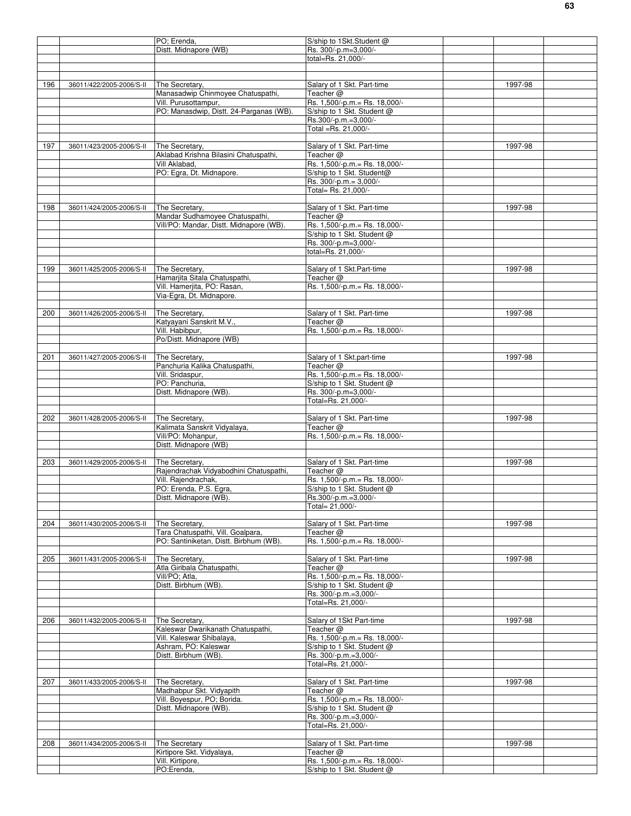|     |                          | PO; Erenda,                             | S/ship to 1Skt.Student @       |         |  |
|-----|--------------------------|-----------------------------------------|--------------------------------|---------|--|
|     |                          | Distt. Midnapore (WB)                   | Rs. 300/-p.m=3,000/-           |         |  |
|     |                          |                                         | total=Rs. 21,000/-             |         |  |
|     |                          |                                         |                                |         |  |
|     |                          |                                         |                                |         |  |
|     |                          |                                         |                                |         |  |
| 196 | 36011/422/2005-2006/S-II | The Secretary,                          | Salary of 1 Skt. Part-time     | 1997-98 |  |
|     |                          | Manasadwip Chinmoyee Chatuspathi,       | Teacher $@$                    |         |  |
|     |                          | Vill. Purusottampur,                    | Rs. 1,500/-p.m. = Rs. 18,000/- |         |  |
|     |                          | PO: Manasdwip, Distt. 24-Parganas (WB). | S/ship to 1 Skt. Student @     |         |  |
|     |                          |                                         | Rs.300/-p.m.=3,000/-           |         |  |
|     |                          |                                         | Total =Rs. 21,000/-            |         |  |
|     |                          |                                         |                                |         |  |
| 197 | 36011/423/2005-2006/S-II | The Secretary,                          | Salary of 1 Skt. Part-time     | 1997-98 |  |
|     |                          | Aklabad Krishna Bilasini Chatuspathi,   | Teacher @                      |         |  |
|     |                          | Vill Aklabad,                           | Rs. 1,500/-p.m.= Rs. 18,000/-  |         |  |
|     |                          | PO: Egra, Dt. Midnapore.                | S/ship to 1 Skt. Student@      |         |  |
|     |                          |                                         | Rs. 300/-p.m.= 3,000/-         |         |  |
|     |                          |                                         | Total= Rs. 21,000/-            |         |  |
|     |                          |                                         |                                |         |  |
|     |                          |                                         |                                |         |  |
| 198 | 36011/424/2005-2006/S-II | The Secretary,                          | Salary of 1 Skt. Part-time     | 1997-98 |  |
|     |                          | Mandar Sudhamoyee Chatuspathi,          | Teacher $@$                    |         |  |
|     |                          | Vill/PO: Mandar, Distt. Midnapore (WB). | Rs. 1,500/-p.m. = Rs. 18,000/- |         |  |
|     |                          |                                         | S/ship to 1 Skt. Student @     |         |  |
|     |                          |                                         | Rs. 300/-p.m=3,000/-           |         |  |
|     |                          |                                         | total=Rs. 21,000/-             |         |  |
|     |                          |                                         |                                |         |  |
| 199 | 36011/425/2005-2006/S-II | The Secretary.                          | Salary of 1 Skt.Part-time      | 1997-98 |  |
|     |                          | Hamarjita Sitala Chatuspathi,           |                                |         |  |
|     |                          |                                         | Teacher $@$                    |         |  |
|     |                          | Vill. Hamerjita, PO: Rasan,             | Rs. 1,500/-p.m. = Rs. 18,000/- |         |  |
|     |                          | Via-Egra, Dt. Midnapore.                |                                |         |  |
|     |                          |                                         |                                |         |  |
| 200 | 36011/426/2005-2006/S-II | The Secretary,                          | Salary of 1 Skt. Part-time     | 1997-98 |  |
|     |                          | Katyayani Sanskrit M.V.,                | Teacher $@$                    |         |  |
|     |                          | Vill. Habibpur,                         | Rs. 1,500/-p.m.= Rs. 18,000/-  |         |  |
|     |                          | Po/Distt. Midnapore (WB)                |                                |         |  |
|     |                          |                                         |                                |         |  |
| 201 | 36011/427/2005-2006/S-II | The Secretary,                          | Salary of 1 Skt.part-time      | 1997-98 |  |
|     |                          | Panchuria Kalika Chatuspathi,           | Teacher @                      |         |  |
|     |                          |                                         |                                |         |  |
|     |                          | Vill. Sridaspur,                        | Rs. 1,500/-p.m.= Rs. 18,000/-  |         |  |
|     |                          | PO: Panchuria,                          | S/ship to 1 Skt. Student @     |         |  |
|     |                          | Distt. Midnapore (WB).                  | Rs. 300/-p.m=3,000/-           |         |  |
|     |                          |                                         | Total=Rs. 21,000/-             |         |  |
|     |                          |                                         |                                |         |  |
| 202 | 36011/428/2005-2006/S-II | The Secretary,                          | Salary of 1 Skt. Part-time     | 1997-98 |  |
|     |                          | Kalimata Sanskrit Vidyalaya,            | Teacher @                      |         |  |
|     |                          | Vill/PO: Mohanpur,                      | Rs. 1,500/-p.m. = Rs. 18,000/- |         |  |
|     |                          | Distt. Midnapore (WB)                   |                                |         |  |
|     |                          |                                         |                                |         |  |
|     |                          |                                         |                                |         |  |
| 203 | 36011/429/2005-2006/S-II | The Secretary,                          | Salary of 1 Skt. Part-time     | 1997-98 |  |
|     |                          | Rajendrachak Vidyabodhini Chatuspathi,  | Teacher $@$                    |         |  |
|     |                          | Vill. Rajendrachak,                     | Rs. 1,500/-p.m. = Rs. 18,000/- |         |  |
|     |                          | PO: Erenda, P.S. Egra,                  | S/ship to 1 Skt. Student @     |         |  |
|     |                          | Distt. Midnapore (WB).                  | Rs.300/-p.m.=3,000/-           |         |  |
|     |                          |                                         | Total= 21,000/-                |         |  |
|     |                          |                                         |                                |         |  |
| 204 | 36011/430/2005-2006/S-II | The Secretary,                          | Salary of 1 Skt. Part-time     | 1997-98 |  |
|     |                          | Tara Chatuspathi, Vill. Goalpara,       | Teacher $@$                    |         |  |
|     |                          | PO: Santiniketan, Distt. Birbhum (WB).  | Rs. 1,500/-p.m. = Rs. 18,000/- |         |  |
|     |                          |                                         |                                |         |  |
|     |                          |                                         |                                |         |  |
| 205 | 36011/431/2005-2006/S-II | The Secretary,                          | Salary of 1 Skt. Part-time     | 1997-98 |  |
|     |                          | Atla Giribala Chatuspathi,              | Teacher @                      |         |  |
|     |                          | Vill/PO: Atla.                          | Rs. 1,500/-p.m. = Rs. 18,000/- |         |  |
|     |                          | Distt. Birbhum (WB).                    | S/ship to 1 Skt. Student @     |         |  |
|     |                          |                                         | Rs. 300/-p.m.=3,000/-          |         |  |
|     |                          |                                         | Total=Rs. 21,000/-             |         |  |
|     |                          |                                         |                                |         |  |
| 206 | 36011/432/2005-2006/S-II | The Secretary,                          | Salary of 1Skt Part-time       | 1997-98 |  |
|     |                          | Kaleswar Dwarikanath Chatuspathi,       | Teacher @                      |         |  |
|     |                          | Vill. Kaleswar Shibalaya,               | Rs. 1,500/-p.m. = Rs. 18,000/- |         |  |
|     |                          |                                         |                                |         |  |
|     |                          | Ashram, PO: Kaleswar                    | S/ship to 1 Skt. Student @     |         |  |
|     |                          | Distt. Birbhum (WB).                    | Rs. 300/-p.m.=3,000/-          |         |  |
|     |                          |                                         | Total=Rs. 21,000/-             |         |  |
|     |                          |                                         |                                |         |  |
| 207 | 36011/433/2005-2006/S-II | The Secretary,                          | Salary of 1 Skt. Part-time     | 1997-98 |  |
|     |                          | Madhabpur Skt. Vidyapith                | Teacher $@$                    |         |  |
|     |                          | Vill. Boyespur, PO; Borida.             | Rs. 1,500/-p.m. = Rs. 18,000/- |         |  |
|     |                          | Distt. Midnapore (WB).                  | S/ship to 1 Skt. Student @     |         |  |
|     |                          |                                         | Rs. 300/-p.m.=3,000/-          |         |  |
|     |                          |                                         | Total=Rs. 21,000/-             |         |  |
|     |                          |                                         |                                |         |  |
|     |                          |                                         |                                |         |  |
| 208 | 36011/434/2005-2006/S-II | The Secretary                           | Salary of 1 Skt. Part-time     | 1997-98 |  |
|     |                          | Kirtipore Skt. Vidyalaya,               | Teacher $@$                    |         |  |
|     |                          | Vill. Kirtipore,                        | Rs. 1,500/-p.m.= Rs. 18,000/-  |         |  |
|     |                          | PO:Erenda,                              | S/ship to 1 Skt. Student @     |         |  |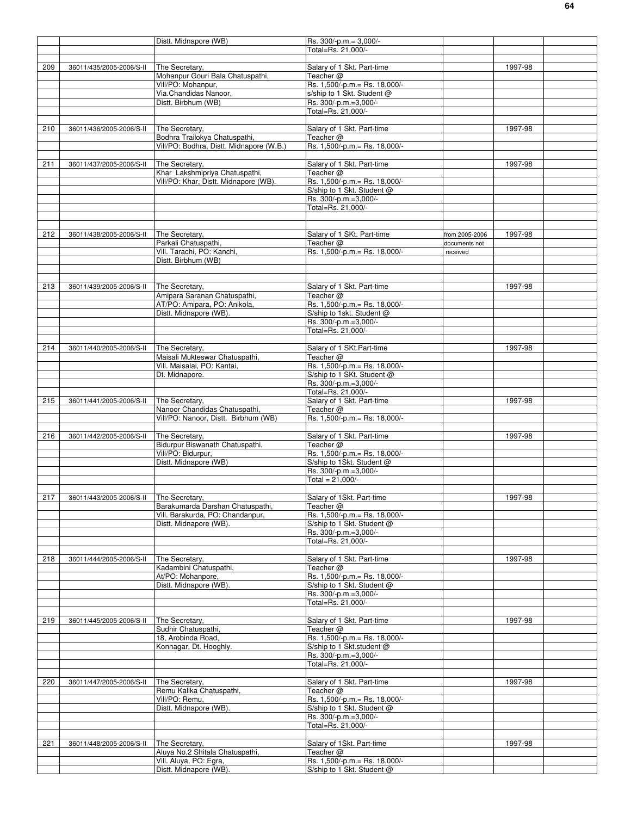|     |                                         | Distt. Midnapore (WB)                    | Rs. 300/-p.m.= 3,000/-         |                |         |  |
|-----|-----------------------------------------|------------------------------------------|--------------------------------|----------------|---------|--|
|     |                                         |                                          | Total=Rs. 21,000/-             |                |         |  |
|     |                                         |                                          |                                |                |         |  |
| 209 | 36011/435/2005-2006/S-II                | The Secretary.                           | Salary of 1 Skt. Part-time     |                | 1997-98 |  |
|     |                                         | Mohanpur Gouri Bala Chatuspathi,         | Teacher @                      |                |         |  |
|     |                                         |                                          |                                |                |         |  |
|     |                                         | Vill/PO: Mohanpur,                       | Rs. 1,500/-p.m.= Rs. 18,000/-  |                |         |  |
|     |                                         | Via.Chandidas Nanoor,                    | s/ship to 1 Skt. Student @     |                |         |  |
|     |                                         | Distt. Birbhum (WB)                      | Rs. 300/-p.m.=3,000/-          |                |         |  |
|     |                                         |                                          | Total=Rs. 21.000/-             |                |         |  |
|     |                                         |                                          |                                |                |         |  |
|     |                                         |                                          |                                |                |         |  |
| 210 | 36011/436/2005-2006/S-II                | The Secretary,                           | Salary of 1 Skt. Part-time     |                | 1997-98 |  |
|     |                                         | Bodhra Trailokya Chatuspathi,            | Teacher @                      |                |         |  |
|     |                                         | Vill/PO: Bodhra, Distt. Midnapore (W.B.) | Rs. 1,500/-p.m. = Rs. 18,000/- |                |         |  |
|     |                                         |                                          |                                |                |         |  |
| 211 | 36011/437/2005-2006/S-II                | The Secretary.                           | Salary of 1 Skt. Part-time     |                | 1997-98 |  |
|     |                                         |                                          |                                |                |         |  |
|     |                                         | Khar Lakshmipriya Chatuspathi,           | Teacher @                      |                |         |  |
|     |                                         | Vill/PO: Khar, Distt. Midnapore (WB).    | Rs. 1,500/-p.m. = Rs. 18,000/- |                |         |  |
|     |                                         |                                          | S/ship to 1 Skt. Student @     |                |         |  |
|     |                                         |                                          | Rs. 300/-p.m.=3,000/-          |                |         |  |
|     |                                         |                                          | Total=Rs. 21,000/-             |                |         |  |
|     |                                         |                                          |                                |                |         |  |
|     |                                         |                                          |                                |                |         |  |
|     |                                         |                                          |                                |                |         |  |
| 212 | 36011/438/2005-2006/S-II                | The Secretary.                           | Salary of 1 SKt. Part-time     | from 2005-2006 | 1997-98 |  |
|     |                                         | Parkali Chatuspathi,                     | Teacher @                      | documents not  |         |  |
|     |                                         | Vill. Tarachi, PO: Kanchi,               | Rs. 1,500/-p.m. = Rs. 18,000/- |                |         |  |
|     |                                         |                                          |                                | received       |         |  |
|     |                                         | Distt. Birbhum (WB)                      |                                |                |         |  |
|     |                                         |                                          |                                |                |         |  |
|     |                                         |                                          |                                |                |         |  |
| 213 | 36011/439/2005-2006/S-II                | The Secretary,                           | Salary of 1 Skt. Part-time     |                | 1997-98 |  |
|     |                                         | Amipara Saranan Chatuspathi,             |                                |                |         |  |
|     |                                         |                                          | Teacher @                      |                |         |  |
|     |                                         | AT/PO: Amipara, PO: Anikola,             | Rs. 1,500/-p.m. = Rs. 18,000/- |                |         |  |
|     |                                         | Distt. Midnapore (WB)                    | S/ship to 1skt. Student @      |                |         |  |
|     |                                         |                                          | Rs. 300/-p.m.=3,000/-          |                |         |  |
|     |                                         |                                          | Total=Rs. 21,000/-             |                |         |  |
|     |                                         |                                          |                                |                |         |  |
|     |                                         |                                          |                                |                |         |  |
| 214 | 36011/440/2005-2006/S-II                | The Secretary,                           | Salary of 1 SKt.Part-time      |                | 1997-98 |  |
|     |                                         | Maisali Mukteswar Chatuspathi,           | Teacher @                      |                |         |  |
|     |                                         | Vill. Maisalai, PO: Kantai,              | Rs. 1,500/-p.m.= Rs. 18,000/-  |                |         |  |
|     |                                         | Dt. Midnapore.                           | S/ship to 1 SKt. Student @     |                |         |  |
|     |                                         |                                          |                                |                |         |  |
|     |                                         |                                          | Rs. 300/-p.m.=3,000/-          |                |         |  |
|     |                                         |                                          | Total=Rs. 21,000/-             |                |         |  |
| 215 | 36011/441/2005-2006/S-II                | The Secretary.                           | Salary of 1 Skt. Part-time     |                | 1997-98 |  |
|     |                                         | Nanoor Chandidas Chatuspathi,            | Teacher @                      |                |         |  |
|     |                                         | Vill/PO: Nanoor, Distt. Birbhum (WB)     | Rs. 1,500/-p.m. = Rs. 18,000/- |                |         |  |
|     |                                         |                                          |                                |                |         |  |
|     |                                         |                                          |                                |                |         |  |
| 216 | 36011/442/2005-2006/S-II                | The Secretary,                           | Salary of 1 Skt. Part-time     |                | 1997-98 |  |
|     |                                         | Bidurpur Biswanath Chatuspathi,          | Teacher @                      |                |         |  |
|     |                                         | Vill/PO: Bidurpur,                       | Rs. 1,500/-p.m. = Rs. 18,000/- |                |         |  |
|     |                                         | Distt. Midnapore (WB)                    | S/ship to 1Skt. Student @      |                |         |  |
|     |                                         |                                          |                                |                |         |  |
|     |                                         |                                          | Rs. 300/-p.m.=3,000/-          |                |         |  |
|     |                                         |                                          | Total = 21,000/-               |                |         |  |
|     |                                         |                                          |                                |                |         |  |
| 217 | 36011/443/2005-2006/S-II The Secretary, |                                          | Salary of 1Skt. Part-time      |                | 1997-98 |  |
|     |                                         | Barakumarda Darshan Chatuspathi,         | Teacher @                      |                |         |  |
|     |                                         |                                          |                                |                |         |  |
|     |                                         | Vill. Barakurda, PO: Chandanpur,         | Rs. 1,500/-p.m. = Rs. 18,000/- |                |         |  |
|     |                                         | Distt. Midnapore (WB).                   | S/ship to 1 Skt. Student @     |                |         |  |
|     |                                         |                                          | Rs. 300/-p.m.=3,000/-          |                |         |  |
|     |                                         |                                          | Total=Rs. 21,000/-             |                |         |  |
|     |                                         |                                          |                                |                |         |  |
|     |                                         |                                          |                                |                |         |  |
| 218 | 36011/444/2005-2006/S-II                | The Secretary,                           | Salary of 1 Skt. Part-time     |                | 1997-98 |  |
|     |                                         | Kadambini Chatuspathi,                   | Teacher $@$                    |                |         |  |
|     |                                         | At/PO: Mohanpore,                        | Rs. 1,500/-p.m. = Rs. 18,000/- |                |         |  |
|     |                                         | Distt. Midnapore (WB)                    | S/ship to 1 Skt. Student @     |                |         |  |
|     |                                         |                                          |                                |                |         |  |
|     |                                         |                                          | Rs. 300/-p.m.=3,000/-          |                |         |  |
|     |                                         |                                          | Total=Rs. 21,000/-             |                |         |  |
|     |                                         |                                          |                                |                |         |  |
| 219 | 36011/445/2005-2006/S-II                | The Secretary,                           | Salary of 1 Skt. Part-time     |                | 1997-98 |  |
|     |                                         | Sudhir Chatuspathi,                      | Teacher @                      |                |         |  |
|     |                                         |                                          |                                |                |         |  |
|     |                                         | 18, Arobinda Road,                       | Rs. 1,500/-p.m. = Rs. 18,000/- |                |         |  |
|     |                                         | Konnagar, Dt. Hooghly.                   | S/ship to 1 Skt.student @      |                |         |  |
|     |                                         |                                          | Rs. 300/-p.m.=3,000/-          |                |         |  |
|     |                                         |                                          | Total=Rs. 21,000/-             |                |         |  |
|     |                                         |                                          |                                |                |         |  |
|     |                                         |                                          |                                |                |         |  |
| 220 | 36011/447/2005-2006/S-II                | The Secretary,                           | Salary of 1 Skt. Part-time     |                | 1997-98 |  |
|     |                                         | Remu Kalika Chatuspathi,                 | Teacher @                      |                |         |  |
|     |                                         | Vill/PO: Remu,                           | Rs. 1,500/-p.m. = Rs. 18,000/- |                |         |  |
|     |                                         | Distt. Midnapore (WB).                   | S/ship to 1 Skt. Student @     |                |         |  |
|     |                                         |                                          | Rs. 300/-p.m.=3,000/-          |                |         |  |
|     |                                         |                                          |                                |                |         |  |
|     |                                         |                                          | Total=Rs. 21,000/-             |                |         |  |
|     |                                         |                                          |                                |                |         |  |
| 221 | 36011/448/2005-2006/S-II                | The Secretary,                           | Salary of 1Skt. Part-time      |                | 1997-98 |  |
|     |                                         | Aluya No.2 Shitala Chatuspathi,          | Teacher @                      |                |         |  |
|     |                                         |                                          |                                |                |         |  |
|     |                                         | Vill. Aluya, PO: Egra,                   | Rs. 1,500/-p.m. = Rs. 18,000/- |                |         |  |
|     |                                         | Distt. Midnapore (WB).                   | S/ship to 1 Skt. Student @     |                |         |  |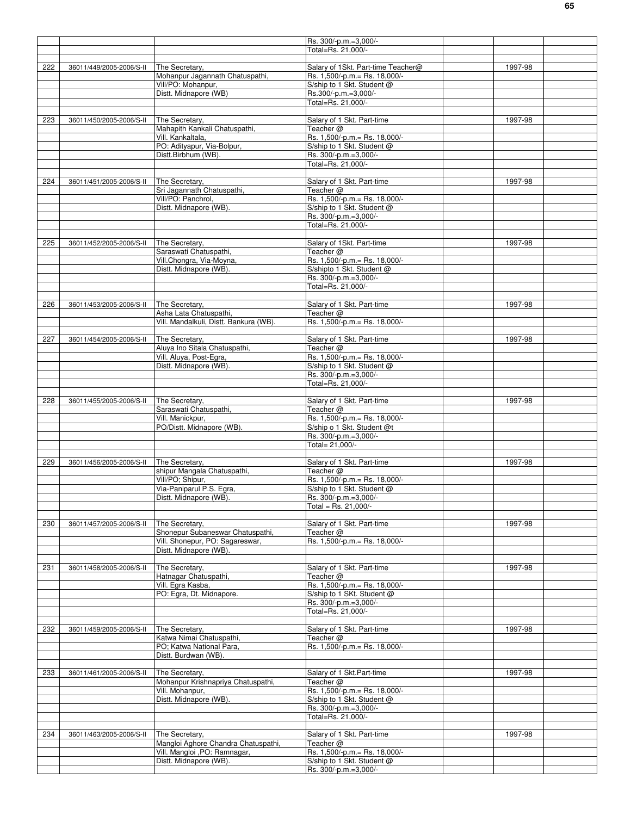|                  |                          |                                        | Rs. 300/-p.m.=3,000/-              |         |  |
|------------------|--------------------------|----------------------------------------|------------------------------------|---------|--|
|                  |                          |                                        | Total=Rs. 21,000/-                 |         |  |
|                  |                          |                                        |                                    |         |  |
| 222              | 36011/449/2005-2006/S-II | The Secretary.                         | Salary of 1Skt. Part-time Teacher@ | 1997-98 |  |
|                  |                          | Mohanpur Jagannath Chatuspathi,        | Rs. 1,500/-p.m. = Rs. 18,000/-     |         |  |
|                  |                          | Vill/PO: Mohanpur,                     | S/ship to 1 Skt. Student @         |         |  |
|                  |                          | Distt. Midnapore (WB)                  | Rs.300/-p.m.=3,000/-               |         |  |
|                  |                          |                                        | Total=Rs. 21,000/-                 |         |  |
|                  |                          |                                        |                                    |         |  |
| 223              | 36011/450/2005-2006/S-II | The Secretary,                         | Salary of 1 Skt. Part-time         | 1997-98 |  |
|                  |                          | Mahapith Kankali Chatuspathi,          | Teacher @                          |         |  |
|                  |                          | Vill. Kankaltala,                      | Rs. 1,500/-p.m. = Rs. 18,000/-     |         |  |
|                  |                          | PO: Adityapur, Via-Bolpur,             | S/ship to 1 Skt. Student @         |         |  |
|                  |                          | Distt.Birbhum (WB).                    | Rs. 300/-p.m.=3,000/-              |         |  |
|                  |                          |                                        | Total=Rs. 21,000/-                 |         |  |
|                  |                          |                                        |                                    |         |  |
|                  |                          |                                        |                                    |         |  |
| 224              | 36011/451/2005-2006/S-II | The Secretary,                         | Salary of 1 Skt. Part-time         | 1997-98 |  |
|                  |                          | Sri Jagannath Chatuspathi,             | Teacher @                          |         |  |
|                  |                          | Vill/PO: Panchrol,                     | Rs. 1,500/-p.m. = Rs. 18,000/-     |         |  |
|                  |                          | Distt. Midnapore (WB).                 | S/ship to 1 Skt. Student @         |         |  |
|                  |                          |                                        | Rs. 300/-p.m.=3,000/-              |         |  |
|                  |                          |                                        | Total=Rs. 21,000/-                 |         |  |
|                  |                          |                                        |                                    |         |  |
| 225              | 36011/452/2005-2006/S-II | The Secretary.                         | Salary of 1Skt. Part-time          | 1997-98 |  |
|                  |                          | Saraswati Chatuspathi,                 | Teacher @                          |         |  |
|                  |                          | Vill.Chongra, Via-Moyna,               | Rs. 1,500/-p.m. = Rs. 18,000/-     |         |  |
|                  |                          | Distt. Midnapore (WB)                  | S/shipto 1 Skt. Student @          |         |  |
|                  |                          |                                        | Rs. 300/-p.m.=3,000/-              |         |  |
|                  |                          |                                        | Total=Rs. 21,000/-                 |         |  |
|                  |                          |                                        |                                    |         |  |
| 226              | 36011/453/2005-2006/S-II | The Secretary,                         | Salary of 1 Skt. Part-time         | 1997-98 |  |
|                  |                          | Asha Lata Chatuspathi,                 | Teacher $@$                        |         |  |
|                  |                          | Vill. Mandalkuli, Distt. Bankura (WB). | Rs. 1,500/-p.m. = Rs. 18,000/-     |         |  |
|                  |                          |                                        |                                    |         |  |
| $\overline{227}$ | 36011/454/2005-2006/S-II | The Secretary,                         | Salary of 1 Skt. Part-time         | 1997-98 |  |
|                  |                          | Aluya Ino Sitala Chatuspathi,          | Teacher $@$                        |         |  |
|                  |                          | Vill. Aluya, Post-Egra,                | Rs. 1,500/-p.m.= Rs. 18,000/-      |         |  |
|                  |                          | Distt. Midnapore (WB)                  | S/ship to 1 Skt. Student @         |         |  |
|                  |                          |                                        | Rs. 300/-p.m.=3,000/-              |         |  |
|                  |                          |                                        | Total=Rs. 21,000/-                 |         |  |
|                  |                          |                                        |                                    |         |  |
| 228              |                          | The Secretary,                         | Salary of 1 Skt. Part-time         | 1997-98 |  |
|                  | 36011/455/2005-2006/S-II |                                        |                                    |         |  |
|                  |                          | Saraswati Chatuspathi,                 | Teacher @                          |         |  |
|                  |                          | Vill. Manickpur,                       | Rs. 1,500/-p.m.= Rs. 18,000/-      |         |  |
|                  |                          | PO/Distt. Midnapore (WB).              | S/ship o 1 Skt. Student @t         |         |  |
|                  |                          |                                        | Rs. 300/-p.m.=3,000/-              |         |  |
|                  |                          |                                        | Total= 21,000/-                    |         |  |
|                  |                          |                                        |                                    |         |  |
| 229              | 36011/456/2005-2006/S-II | The Secretary.                         | Salary of 1 Skt. Part-time         | 1997-98 |  |
|                  |                          | shipur Mangala Chatuspathi,            | Teacher @                          |         |  |
|                  |                          | Vill/PO; Shipur,                       | Rs. 1,500/-p.m.= Rs. 18,000/-      |         |  |
|                  |                          | Via-Paniparul P.S. Egra,               | S/ship to 1 Skt. Student @         |         |  |
|                  |                          | Distt. Midnapore (WB).                 | Rs. 300/-p.m.=3,000/-              |         |  |
|                  |                          |                                        | Total = Rs. $21,000/-$             |         |  |
|                  |                          |                                        |                                    |         |  |
| 230              | 36011/457/2005-2006/S-II | The Secretary,                         | Salary of 1 Skt. Part-time         | 1997-98 |  |
|                  |                          | Shonepur Subaneswar Chatuspathi,       | Teacher $@$                        |         |  |
|                  |                          | Vill. Shonepur, PO: Sagareswar,        | Rs. 1,500/-p.m. = Rs. 18,000/-     |         |  |
|                  |                          | Distt. Midnapore (WB).                 |                                    |         |  |
|                  |                          |                                        |                                    |         |  |
| 231              | 36011/458/2005-2006/S-II | The Secretary,                         | Salary of 1 Skt. Part-time         | 1997-98 |  |
|                  |                          | Hatnagar Chatuspathi,                  | Teacher @                          |         |  |
|                  |                          | Vill. Egra Kasba,                      | Rs. 1,500/-p.m. = Rs. 18,000/-     |         |  |
|                  |                          | PO: Egra, Dt. Midnapore.               | S/ship to 1 SKt. Student @         |         |  |
|                  |                          |                                        | Rs. 300/-p.m.=3,000/-              |         |  |
|                  |                          |                                        | Total=Rs. 21,000/-                 |         |  |
|                  |                          |                                        |                                    |         |  |
| 232              | 36011/459/2005-2006/S-II | The Secretary.                         | Salary of 1 Skt. Part-time         | 1997-98 |  |
|                  |                          | Katwa Nimai Chatuspathi,               | Teacher @                          |         |  |
|                  |                          | PO; Katwa National Para,               | Rs. 1,500/-p.m. = Rs. 18,000/-     |         |  |
|                  |                          | Distt. Burdwan (WB).                   |                                    |         |  |
|                  |                          |                                        |                                    |         |  |
| 233              | 36011/461/2005-2006/S-II | The Secretary,                         | Salary of 1 Skt.Part-time          | 1997-98 |  |
|                  |                          | Mohanpur Krishnapriya Chatuspathi,     | Teacher @                          |         |  |
|                  |                          | Vill. Mohanpur,                        | Rs. 1,500/-p.m. = Rs. 18,000/-     |         |  |
|                  |                          | Distt. Midnapore (WB).                 |                                    |         |  |
|                  |                          |                                        | S/ship to 1 Skt. Student @         |         |  |
|                  |                          |                                        | Rs. 300/-p.m.=3,000/-              |         |  |
|                  |                          |                                        | Total=Rs. 21,000/-                 |         |  |
|                  |                          |                                        |                                    |         |  |
| 234              | 36011/463/2005-2006/S-II | The Secretary,                         | Salary of 1 Skt. Part-time         | 1997-98 |  |
|                  |                          | Mangloi Aghore Chandra Chatuspathi,    | Teacher @                          |         |  |
|                  |                          | Vill. Mangloi ,PO: Ramnagar,           | Rs. 1,500/-p.m. = Rs. 18,000/-     |         |  |
|                  |                          | Distt. Midnapore (WB).                 | S/ship to 1 Skt. Student @         |         |  |
|                  |                          |                                        | Rs. 300/-p.m.=3,000/-              |         |  |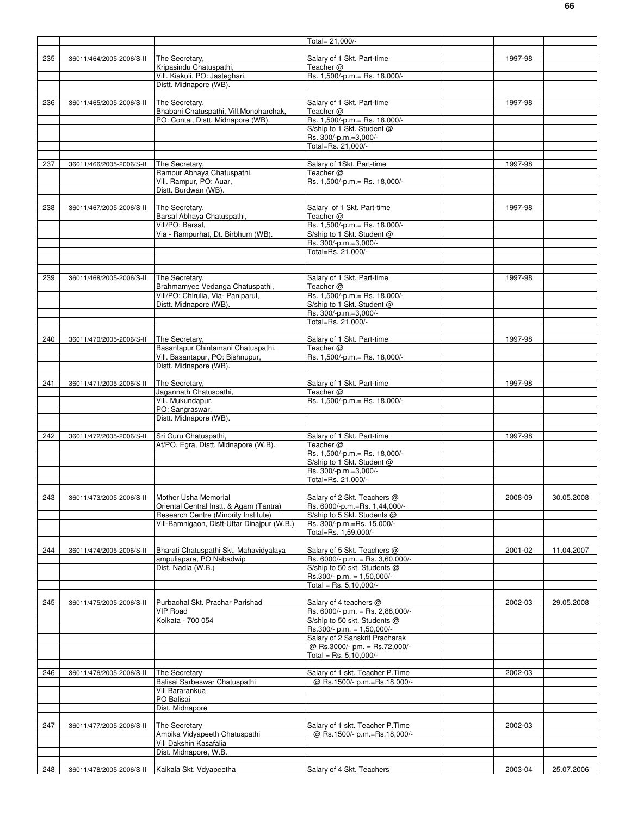|     |                                               |                                                                              | Total= 21,000/-                                           |         |            |
|-----|-----------------------------------------------|------------------------------------------------------------------------------|-----------------------------------------------------------|---------|------------|
|     |                                               |                                                                              |                                                           |         |            |
| 235 | 36011/464/2005-2006/S-II                      | The Secretary,<br>Kripasindu Chatuspathi,                                    | Salary of 1 Skt. Part-time                                | 1997-98 |            |
|     |                                               | Vill. Kiakuli, PO: Jasteghari,                                               | Teacher @<br>Rs. 1,500/-p.m.= Rs. 18,000/-                |         |            |
|     |                                               | Distt. Midnapore (WB).                                                       |                                                           |         |            |
|     |                                               |                                                                              |                                                           |         |            |
| 236 | 36011/465/2005-2006/S-II                      | The Secretary,                                                               | Salary of 1 Skt. Part-time                                | 1997-98 |            |
|     |                                               | Bhabani Chatuspathi, Vill.Monoharchak,<br>PO: Contai, Distt. Midnapore (WB). | Teacher @<br>Rs. 1,500/-p.m. = Rs. 18,000/-               |         |            |
|     |                                               |                                                                              | S/ship to 1 Skt. Student @                                |         |            |
|     |                                               |                                                                              | Rs. 300/-p.m.=3,000/-                                     |         |            |
|     |                                               |                                                                              | Total=Rs. 21.000/-                                        |         |            |
|     |                                               |                                                                              |                                                           |         |            |
| 237 | 36011/466/2005-2006/S-II                      | The Secretary,<br>Rampur Abhaya Chatuspathi,                                 | Salary of 1Skt. Part-time<br>Teacher @                    | 1997-98 |            |
|     |                                               | Vill. Rampur, PO: Auar,                                                      | Rs. 1,500/-p.m.= Rs. 18,000/-                             |         |            |
|     |                                               | Distt. Burdwan (WB).                                                         |                                                           |         |            |
|     |                                               |                                                                              |                                                           |         |            |
| 238 | 36011/467/2005-2006/S-II                      | The Secretary,                                                               | Salary of 1 Skt. Part-time                                | 1997-98 |            |
|     |                                               | Barsal Abhaya Chatuspathi,<br>Vill/PO: Barsal,                               | Teacher @<br>Rs. 1,500/-p.m. = Rs. 18,000/-               |         |            |
|     |                                               | Via - Rampurhat, Dt. Birbhum (WB).                                           | S/ship to 1 Skt. Student @                                |         |            |
|     |                                               |                                                                              | Rs. 300/-p.m.=3,000/-                                     |         |            |
|     |                                               |                                                                              | Total=Rs. 21,000/-                                        |         |            |
|     |                                               |                                                                              |                                                           |         |            |
| 239 | 36011/468/2005-2006/S-II                      | The Secretary,                                                               | Salary of 1 Skt. Part-time                                | 1997-98 |            |
|     |                                               | Brahmamyee Vedanga Chatuspathi,                                              | Teacher @                                                 |         |            |
|     |                                               | Vill/PO: Chirulia, Via- Paniparul,                                           | Rs. 1,500/-p.m. = Rs. 18,000/-                            |         |            |
|     |                                               | Distt. Midnapore (WB).                                                       | S/ship to 1 Skt. Student @                                |         |            |
|     |                                               |                                                                              | Rs. 300/-p.m.=3,000/-                                     |         |            |
|     |                                               |                                                                              | Total=Rs. 21,000/-                                        |         |            |
| 240 | 36011/470/2005-2006/S-II                      | The Secretary,                                                               | Salary of 1 Skt. Part-time                                | 1997-98 |            |
|     |                                               | Basantapur Chintamani Chatuspathi,                                           | Teacher @                                                 |         |            |
|     |                                               | Vill. Basantapur, PO: Bishnupur,                                             | Rs. 1,500/-p.m. = Rs. 18,000/-                            |         |            |
|     |                                               | Distt. Midnapore (WB).                                                       |                                                           |         |            |
| 241 | 36011/471/2005-2006/S-II                      | The Secretary,                                                               | Salary of 1 Skt. Part-time                                | 1997-98 |            |
|     |                                               | Jagannath Chatuspathi,                                                       | Teacher @                                                 |         |            |
|     |                                               | Vill. Mukundapur,                                                            | Rs. 1,500/-p.m. = Rs. 18,000/-                            |         |            |
|     |                                               | PO; Sangraswar,                                                              |                                                           |         |            |
|     |                                               | Distt. Midnapore (WB).                                                       |                                                           |         |            |
| 242 | 36011/472/2005-2006/S-II                      | Sri Guru Chatuspathi,                                                        | Salary of 1 Skt. Part-time                                | 1997-98 |            |
|     |                                               | At/PO. Egra, Distt. Midnapore (W.B).                                         | Teacher @                                                 |         |            |
|     |                                               |                                                                              | Rs. 1,500/-p.m. = Rs. 18,000/-                            |         |            |
|     |                                               |                                                                              | S/ship to 1 Skt. Student @                                |         |            |
|     |                                               |                                                                              | Rs. 300/-p.m.=3,000/-                                     |         |            |
|     |                                               |                                                                              | Total=Rs. 21,000/-                                        |         |            |
| 243 | 36011/473/2005-2006/S-II Mother Usha Memorial |                                                                              | Salary of 2 Skt. Teachers @                               | 2008-09 | 30.05.2008 |
|     |                                               | Oriental Central Instt. & Agam (Tantra)                                      | Rs. 6000/-p.m.=Rs. 1,44,000/-                             |         |            |
|     |                                               | Research Centre (Minority Institute)                                         | S/ship to 5 Skt. Students @                               |         |            |
|     |                                               | Vill-Bamnigaon, Distt-Uttar Dinajpur (W.B.)                                  | Rs. 300/-p.m.=Rs. 15,000/-                                |         |            |
|     |                                               |                                                                              | Total=Rs. 1,59,000/-                                      |         |            |
| 244 | 36011/474/2005-2006/S-II                      | Bharati Chatuspathi Skt. Mahavidyalaya                                       | Salary of 5 Skt. Teachers @                               | 2001-02 | 11.04.2007 |
|     |                                               | ampuliapara, PO Nabadwip                                                     | Rs. 6000/- p.m. = Rs. 3,60,000/-                          |         |            |
|     |                                               | Dist. Nadia (W.B.)                                                           | S/ship to 50 skt. Students @                              |         |            |
|     |                                               |                                                                              | Rs.300/- p.m. = $1,50,000$ /-                             |         |            |
|     |                                               |                                                                              | Total = Rs. $5,10,000/-$                                  |         |            |
| 245 | 36011/475/2005-2006/S-II                      | Purbachal Skt. Prachar Parishad                                              | Salary of 4 teachers @                                    | 2002-03 | 29.05.2008 |
|     |                                               | <b>VIP Road</b>                                                              | Rs. 6000/- p.m. = Rs. 2,88,000/-                          |         |            |
|     |                                               | Kolkata - 700 054                                                            | S/ship to 50 skt. Students @                              |         |            |
|     |                                               |                                                                              | Rs.300/- p.m. = $1,50,000$ /-                             |         |            |
|     |                                               |                                                                              | Salary of 2 Sanskrit Pracharak                            |         |            |
|     |                                               |                                                                              | @ Rs.3000/- pm. = Rs.72,000/-<br>Total = Rs. $5,10,000/-$ |         |            |
|     |                                               |                                                                              |                                                           |         |            |
| 246 | 36011/476/2005-2006/S-II                      | The Secretary                                                                | Salary of 1 skt. Teacher P.Time                           | 2002-03 |            |
|     |                                               | Balisai Sarbeswar Chatuspathi                                                | @ Rs.1500/- p.m.=Rs.18,000/-                              |         |            |
|     |                                               | Vill Bararankua                                                              |                                                           |         |            |
|     |                                               | PO Balisai<br>Dist. Midnapore                                                |                                                           |         |            |
|     |                                               |                                                                              |                                                           |         |            |
| 247 | 36011/477/2005-2006/S-II                      | The Secretary                                                                | Salary of 1 skt. Teacher P.Time                           | 2002-03 |            |
|     |                                               | Ambika Vidyapeeth Chatuspathi                                                | @ Rs.1500/- p.m.=Rs.18,000/-                              |         |            |
|     |                                               | Vill Dakshin Kasafalia                                                       |                                                           |         |            |
|     |                                               |                                                                              |                                                           |         |            |
|     |                                               | Dist. Midnapore, W.B.                                                        |                                                           |         |            |